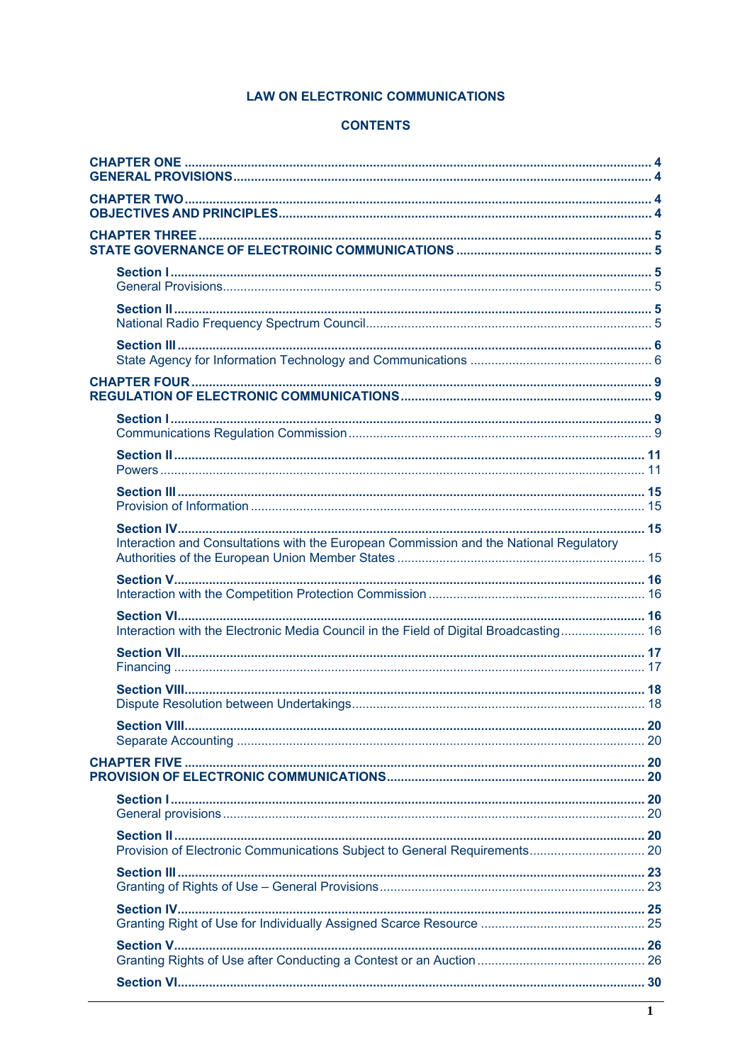# **LAW ON ELECTRONIC COMMUNICATIONS**

# **CONTENTS**

| Interaction and Consultations with the European Commission and the National Regulatory |  |
|----------------------------------------------------------------------------------------|--|
|                                                                                        |  |
| Interaction with the Electronic Media Council in the Field of Digital Broadcasting 16  |  |
|                                                                                        |  |
|                                                                                        |  |
|                                                                                        |  |
|                                                                                        |  |
|                                                                                        |  |
| Provision of Electronic Communications Subject to General Requirements 20              |  |
|                                                                                        |  |
|                                                                                        |  |
|                                                                                        |  |
|                                                                                        |  |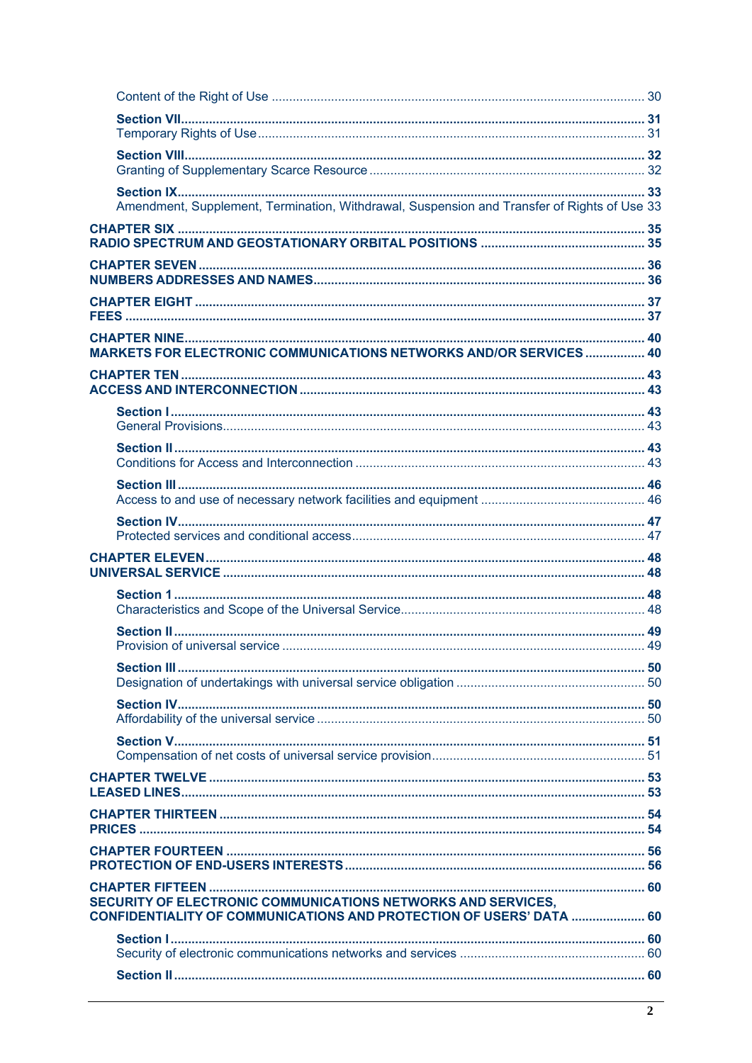| Amendment, Supplement, Termination, Withdrawal, Suspension and Transfer of Rights of Use 33                                                |  |
|--------------------------------------------------------------------------------------------------------------------------------------------|--|
|                                                                                                                                            |  |
|                                                                                                                                            |  |
|                                                                                                                                            |  |
| <b>MARKETS FOR ELECTRONIC COMMUNICATIONS NETWORKS AND/OR SERVICES  40</b>                                                                  |  |
|                                                                                                                                            |  |
|                                                                                                                                            |  |
|                                                                                                                                            |  |
|                                                                                                                                            |  |
|                                                                                                                                            |  |
|                                                                                                                                            |  |
|                                                                                                                                            |  |
|                                                                                                                                            |  |
|                                                                                                                                            |  |
|                                                                                                                                            |  |
|                                                                                                                                            |  |
|                                                                                                                                            |  |
|                                                                                                                                            |  |
|                                                                                                                                            |  |
| SECURITY OF ELECTRONIC COMMUNICATIONS NETWORKS AND SERVICES,<br><b>CONFIDENTIALITY OF COMMUNICATIONS AND PROTECTION OF USERS' DATA  60</b> |  |
|                                                                                                                                            |  |
|                                                                                                                                            |  |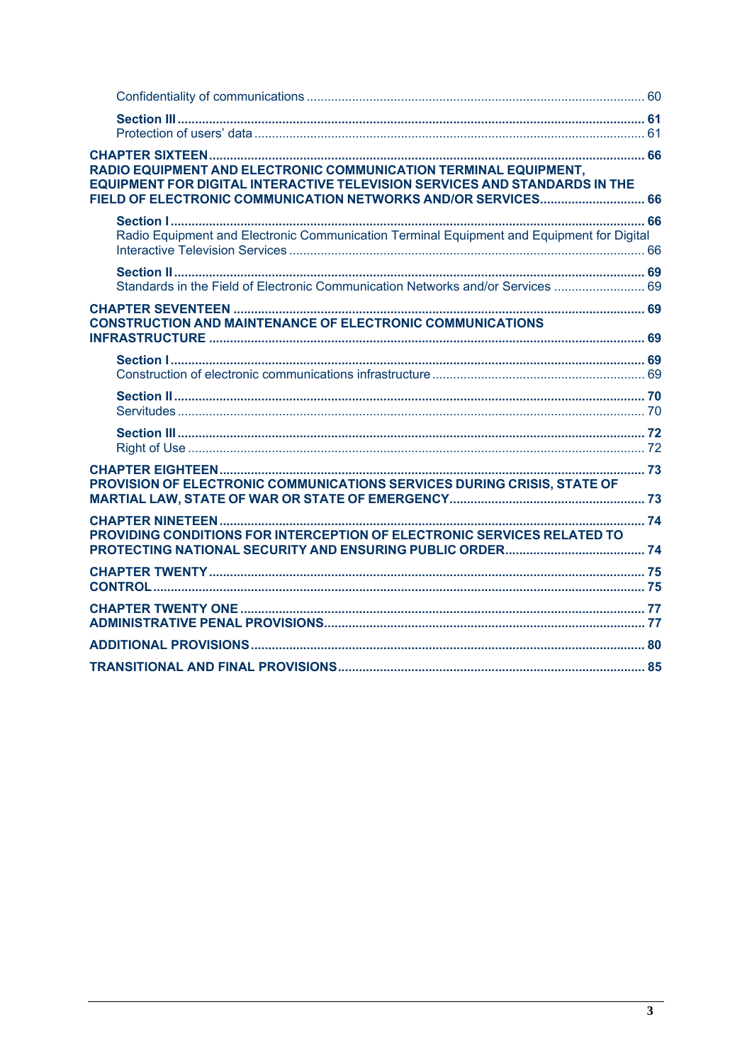| RADIO EQUIPMENT AND ELECTRONIC COMMUNICATION TERMINAL EQUIPMENT,<br>EQUIPMENT FOR DIGITAL INTERACTIVE TELEVISION SERVICES AND STANDARDS IN THE<br>FIELD OF ELECTRONIC COMMUNICATION NETWORKS AND/OR SERVICES 66 |  |
|-----------------------------------------------------------------------------------------------------------------------------------------------------------------------------------------------------------------|--|
|                                                                                                                                                                                                                 |  |
| Radio Equipment and Electronic Communication Terminal Equipment and Equipment for Digital                                                                                                                       |  |
|                                                                                                                                                                                                                 |  |
| Standards in the Field of Electronic Communication Networks and/or Services  69                                                                                                                                 |  |
| <b>CONSTRUCTION AND MAINTENANCE OF ELECTRONIC COMMUNICATIONS</b>                                                                                                                                                |  |
|                                                                                                                                                                                                                 |  |
|                                                                                                                                                                                                                 |  |
|                                                                                                                                                                                                                 |  |
|                                                                                                                                                                                                                 |  |
|                                                                                                                                                                                                                 |  |
|                                                                                                                                                                                                                 |  |
| PROVISION OF ELECTRONIC COMMUNICATIONS SERVICES DURING CRISIS, STATE OF                                                                                                                                         |  |
|                                                                                                                                                                                                                 |  |
| PROVIDING CONDITIONS FOR INTERCEPTION OF ELECTRONIC SERVICES RELATED TO                                                                                                                                         |  |
|                                                                                                                                                                                                                 |  |
|                                                                                                                                                                                                                 |  |
|                                                                                                                                                                                                                 |  |
|                                                                                                                                                                                                                 |  |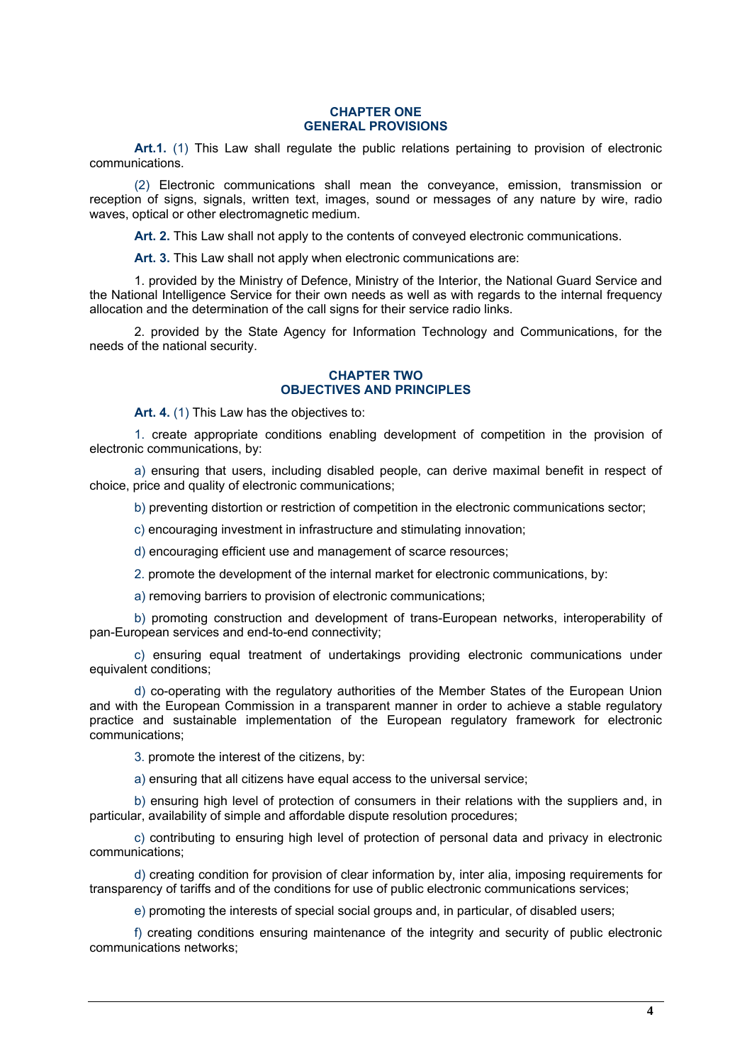#### **CHAPTER ONE GENERAL PROVISIONS**

**Art.1.** (1) This Law shall regulate the public relations pertaining to provision of electronic communications.

(2) Electronic communications shall mean the conveyance, emission, transmission or reception of signs, signals, written text, images, sound or messages of any nature by wire, radio waves, optical or other electromagnetic medium.

**Art. 2.** This Law shall not apply to the contents of conveyed electronic communications.

**Art. 3.** This Law shall not apply when electronic communications are:

1. provided by the Ministry of Defence, Ministry of the Interior, the National Guard Service and the National Intelligence Service for their own needs as well as with regards to the internal frequency allocation and the determination of the call signs for their service radio links.

2. provided by the State Agency for Information Technology and Communications, for the needs of the national security.

### **CHAPTER TWO OBJECTIVES AND PRINCIPLES**

**Art. 4.** (1) This Law has the objectives to:

1. create appropriate conditions enabling development of competition in the provision of electronic communications, by:

a) ensuring that users, including disabled people, can derive maximal benefit in respect of choice, price and quality of electronic communications;

b) preventing distortion or restriction of competition in the electronic communications sector;

c) encouraging investment in infrastructure and stimulating innovation;

d) encouraging efficient use and management of scarce resources;

2. promote the development of the internal market for electronic communications, by:

a) removing barriers to provision of electronic communications;

b) promoting construction and development of trans-European networks, interoperability of pan-European services and end-to-end connectivity;

c) ensuring equal treatment of undertakings providing electronic communications under equivalent conditions;

d) co-operating with the regulatory authorities of the Member States of the European Union and with the European Commission in a transparent manner in order to achieve a stable regulatory practice and sustainable implementation of the European regulatory framework for electronic communications;

3. promote the interest of the citizens, by:

a) ensuring that all citizens have equal access to the universal service;

b) ensuring high level of protection of consumers in their relations with the suppliers and, in particular, availability of simple and affordable dispute resolution procedures;

c) contributing to ensuring high level of protection of personal data and privacy in electronic communications;

d) creating condition for provision of clear information by, inter alia, imposing requirements for transparency of tariffs and of the conditions for use of public electronic communications services;

e) promoting the interests of special social groups and, in particular, of disabled users;

f) creating conditions ensuring maintenance of the integrity and security of public electronic communications networks;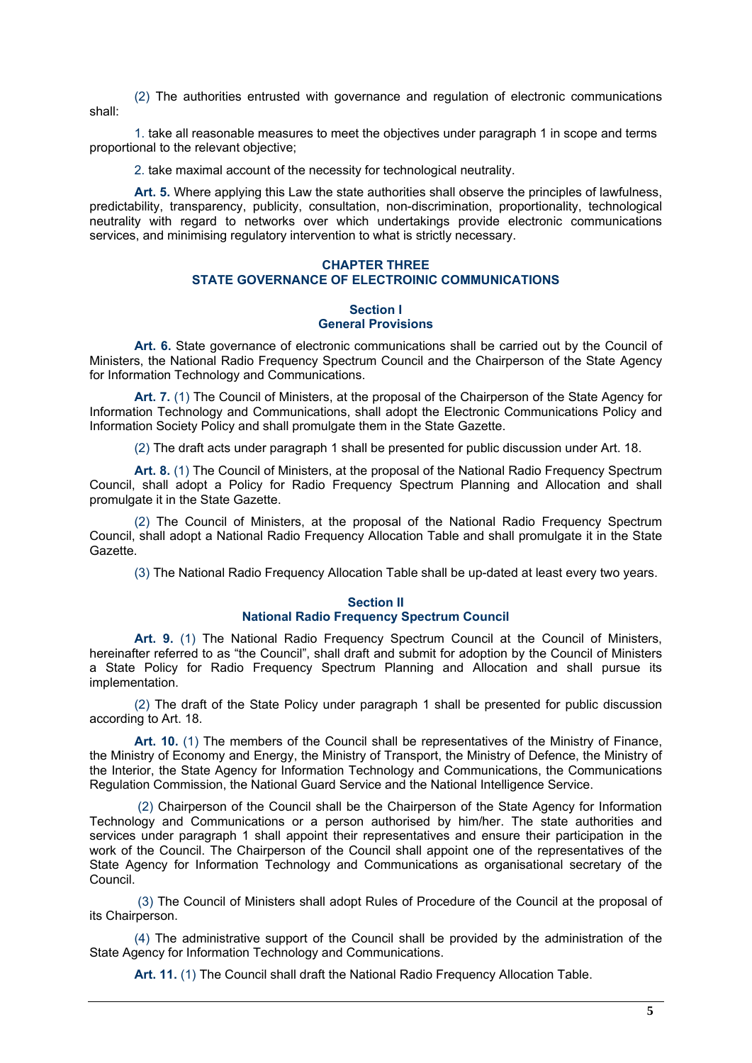(2) The authorities entrusted with governance and regulation of electronic communications shall:

1. take all reasonable measures to meet the objectives under paragraph 1 in scope and terms proportional to the relevant objective;

2. take maximal account of the necessity for technological neutrality.

**Art. 5.** Where applying this Law the state authorities shall observe the principles of lawfulness, predictability, transparency, publicity, consultation, non-discrimination, proportionality, technological neutrality with regard to networks over which undertakings provide electronic communications services, and minimising regulatory intervention to what is strictly necessary.

# **CHAPTER THREE STATE GOVERNANCE OF ELECTROINIC COMMUNICATIONS**

## **Section I General Provisions**

**Art. 6.** State governance of electronic communications shall be carried out by the Council of Ministers, the National Radio Frequency Spectrum Council and the Chairperson of the State Agency for Information Technology and Communications.

**Art. 7.** (1) The Council of Ministers, at the proposal of the Chairperson of the State Agency for Information Technology and Communications, shall adopt the Electronic Communications Policy and Information Society Policy and shall promulgate them in the State Gazette.

(2) The draft acts under paragraph 1 shall be presented for public discussion under Art. 18.

**Art. 8.** (1) The Council of Ministers, at the proposal of the National Radio Frequency Spectrum Council, shall adopt a Policy for Radio Frequency Spectrum Planning and Allocation and shall promulgate it in the State Gazette.

(2) The Council of Ministers, at the proposal of the National Radio Frequency Spectrum Council, shall adopt a National Radio Frequency Allocation Table and shall promulgate it in the State Gazette.

(3) The National Radio Frequency Allocation Table shall be up-dated at least every two years.

### **Section II National Radio Frequency Spectrum Council**

Art. 9. (1) The National Radio Frequency Spectrum Council at the Council of Ministers, hereinafter referred to as "the Council", shall draft and submit for adoption by the Council of Ministers a State Policy for Radio Frequency Spectrum Planning and Allocation and shall pursue its implementation.

(2) The draft of the State Policy under paragraph 1 shall be presented for public discussion according to Art. 18.

**Art. 10.** (1) The members of the Council shall be representatives of the Ministry of Finance, the Ministry of Economy and Energy, the Ministry of Transport, the Ministry of Defence, the Ministry of the Interior, the State Agency for Information Technology and Communications, the Communications Regulation Commission, the National Guard Service and the National Intelligence Service.

 (2) Chairperson of the Council shall be the Chairperson of the State Agency for Information Technology and Communications or a person authorised by him/her. The state authorities and services under paragraph 1 shall appoint their representatives and ensure their participation in the work of the Council. The Chairperson of the Council shall appoint one of the representatives of the State Agency for Information Technology and Communications as organisational secretary of the Council.

 (3) The Council of Ministers shall adopt Rules of Procedure of the Council at the proposal of its Chairperson.

(4) The administrative support of the Council shall be provided by the administration of the State Agency for Information Technology and Communications.

**Art. 11.** (1) The Council shall draft the National Radio Frequency Allocation Table.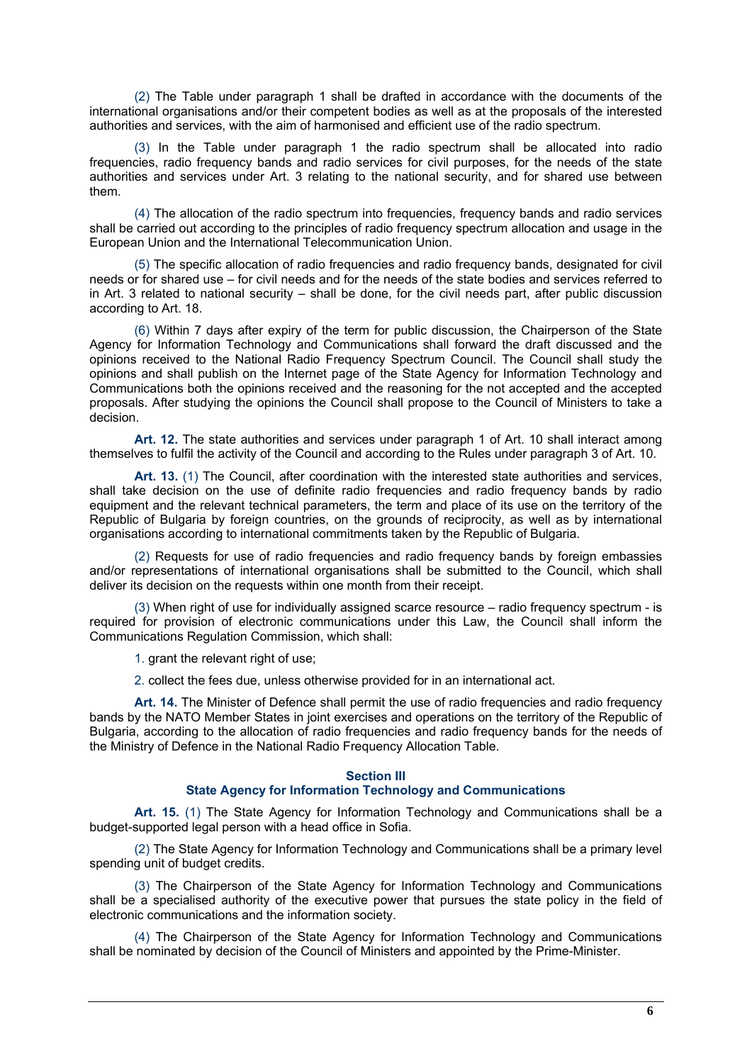(2) The Table under paragraph 1 shall be drafted in accordance with the documents of the international organisations and/or their competent bodies as well as at the proposals of the interested authorities and services, with the aim of harmonised and efficient use of the radio spectrum.

(3) In the Table under paragraph 1 the radio spectrum shall be allocated into radio frequencies, radio frequency bands and radio services for civil purposes, for the needs of the state authorities and services under Art. 3 relating to the national security, and for shared use between them.

(4) The allocation of the radio spectrum into frequencies, frequency bands and radio services shall be carried out according to the principles of radio frequency spectrum allocation and usage in the European Union and the International Telecommunication Union.

(5) The specific allocation of radio frequencies and radio frequency bands, designated for civil needs or for shared use – for civil needs and for the needs of the state bodies and services referred to in Art. 3 related to national security – shall be done, for the civil needs part, after public discussion according to Art. 18.

(6) Within 7 days after expiry of the term for public discussion, the Chairperson of the State Agency for Information Technology and Communications shall forward the draft discussed and the opinions received to the National Radio Frequency Spectrum Council. The Council shall study the opinions and shall publish on the Internet page of the State Agency for Information Technology and Communications both the opinions received and the reasoning for the not accepted and the accepted proposals. After studying the opinions the Council shall propose to the Council of Ministers to take a decision.

**Art. 12.** The state authorities and services under paragraph 1 of Art. 10 shall interact among themselves to fulfil the activity of the Council and according to the Rules under paragraph 3 of Art. 10.

Art. 13. (1) The Council, after coordination with the interested state authorities and services, shall take decision on the use of definite radio frequencies and radio frequency bands by radio equipment and the relevant technical parameters, the term and place of its use on the territory of the Republic of Bulgaria by foreign countries, on the grounds of reciprocity, as well as by international organisations according to international commitments taken by the Republic of Bulgaria.

(2) Requests for use of radio frequencies and radio frequency bands by foreign embassies and/or representations of international organisations shall be submitted to the Council, which shall deliver its decision on the requests within one month from their receipt.

(3) When right of use for individually assigned scarce resource – radio frequency spectrum - is required for provision of electronic communications under this Law, the Council shall inform the Communications Regulation Commission, which shall:

1. grant the relevant right of use;

2. collect the fees due, unless otherwise provided for in an international act.

**Art. 14.** The Minister of Defence shall permit the use of radio frequencies and radio frequency bands by the NATO Member States in joint exercises and operations on the territory of the Republic of Bulgaria, according to the allocation of radio frequencies and radio frequency bands for the needs of the Ministry of Defence in the National Radio Frequency Allocation Table.

# **Section III**

### **State Agency for Information Technology and Communications**

**Art. 15.** (1) The State Agency for Information Technology and Communications shall be a budget-supported legal person with a head office in Sofia.

(2) The State Agency for Information Technology and Communications shall be a primary level spending unit of budget credits.

(3) The Chairperson of the State Agency for Information Technology and Communications shall be a specialised authority of the executive power that pursues the state policy in the field of electronic communications and the information society.

(4) The Chairperson of the State Agency for Information Technology and Communications shall be nominated by decision of the Council of Ministers and appointed by the Prime-Minister.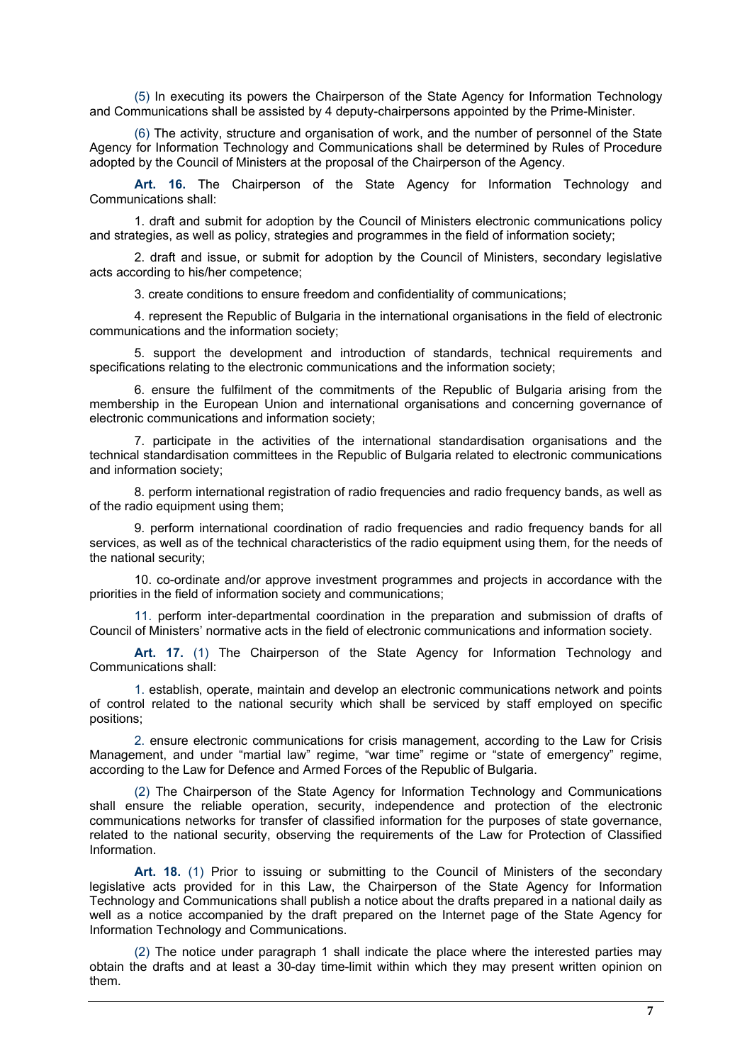(5) In executing its powers the Chairperson of the State Agency for Information Technology and Communications shall be assisted by 4 deputy-chairpersons appointed by the Prime-Minister.

(6) The activity, structure and organisation of work, and the number of personnel of the State Agency for Information Technology and Communications shall be determined by Rules of Procedure adopted by the Council of Ministers at the proposal of the Chairperson of the Agency.

**Art. 16.** The Chairperson of the State Agency for Information Technology and Communications shall:

1. draft and submit for adoption by the Council of Ministers electronic communications policy and strategies, as well as policy, strategies and programmes in the field of information society;

2. draft and issue, or submit for adoption by the Council of Ministers, secondary legislative acts according to his/her competence;

3. create conditions to ensure freedom and confidentiality of communications;

4. represent the Republic of Bulgaria in the international organisations in the field of electronic communications and the information society;

5. support the development and introduction of standards, technical requirements and specifications relating to the electronic communications and the information society;

6. ensure the fulfilment of the commitments of the Republic of Bulgaria arising from the membership in the European Union and international organisations and concerning governance of electronic communications and information society;

7. participate in the activities of the international standardisation organisations and the technical standardisation committees in the Republic of Bulgaria related to electronic communications and information society;

8. perform international registration of radio frequencies and radio frequency bands, as well as of the radio equipment using them;

9. perform international coordination of radio frequencies and radio frequency bands for all services, as well as of the technical characteristics of the radio equipment using them, for the needs of the national security;

10. co-ordinate and/or approve investment programmes and projects in accordance with the priorities in the field of information society and communications;

11. perform inter-departmental coordination in the preparation and submission of drafts of Council of Ministers' normative acts in the field of electronic communications and information society.

**Art. 17.** (1) The Chairperson of the State Agency for Information Technology and Communications shall:

1. establish, operate, maintain and develop an electronic communications network and points of control related to the national security which shall be serviced by staff employed on specific positions;

2. ensure electronic communications for crisis management, according to the Law for Crisis Management, and under "martial law" regime, "war time" regime or "state of emergency" regime, according to the Law for Defence and Armed Forces of the Republic of Bulgaria.

(2) The Chairperson of the State Agency for Information Technology and Communications shall ensure the reliable operation, security, independence and protection of the electronic communications networks for transfer of classified information for the purposes of state governance, related to the national security, observing the requirements of the Law for Protection of Classified Information.

**Art. 18.** (1) Prior to issuing or submitting to the Council of Ministers of the secondary legislative acts provided for in this Law, the Chairperson of the State Agency for Information Technology and Communications shall publish a notice about the drafts prepared in a national daily as well as a notice accompanied by the draft prepared on the Internet page of the State Agency for Information Technology and Communications.

(2) The notice under paragraph 1 shall indicate the place where the interested parties may obtain the drafts and at least a 30-day time-limit within which they may present written opinion on them.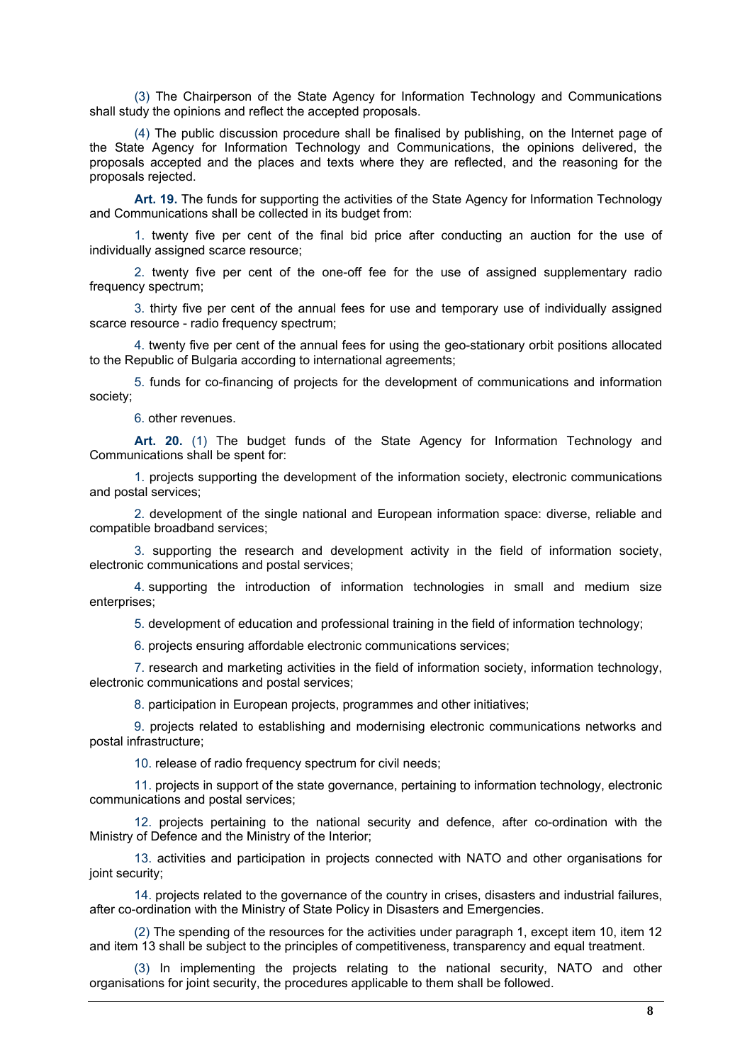(3) The Chairperson of the State Agency for Information Technology and Communications shall study the opinions and reflect the accepted proposals.

(4) The public discussion procedure shall be finalised by publishing, on the Internet page of the State Agency for Information Technology and Communications, the opinions delivered, the proposals accepted and the places and texts where they are reflected, and the reasoning for the proposals rejected.

**Art. 19.** The funds for supporting the activities of the State Agency for Information Technology and Communications shall be collected in its budget from:

1. twenty five per cent of the final bid price after conducting an auction for the use of individually assigned scarce resource;

2. twenty five per cent of the one-off fee for the use of assigned supplementary radio frequency spectrum;

3. thirty five per cent of the annual fees for use and temporary use of individually assigned scarce resource - radio frequency spectrum;

4. twenty five per cent of the annual fees for using the geo-stationary orbit positions allocated to the Republic of Bulgaria according to international agreements;

5. funds for co-financing of projects for the development of communications and information society;

6. other revenues.

**Art. 20.** (1) The budget funds of the State Agency for Information Technology and Communications shall be spent for:

1. projects supporting the development of the information society, electronic communications and postal services;

2. development of the single national and European information space: diverse, reliable and compatible broadband services;

3. supporting the research and development activity in the field of information society, electronic communications and postal services;

4. supporting the introduction of information technologies in small and medium size enterprises;

5. development of education and professional training in the field of information technology;

6. projects ensuring affordable electronic communications services;

7. research and marketing activities in the field of information society, information technology, electronic communications and postal services;

8. participation in European projects, programmes and other initiatives;

9. projects related to establishing and modernising electronic communications networks and postal infrastructure;

10. release of radio frequency spectrum for civil needs;

11. projects in support of the state governance, pertaining to information technology, electronic communications and postal services;

12. projects pertaining to the national security and defence, after co-ordination with the Ministry of Defence and the Ministry of the Interior;

13. activities and participation in projects connected with NATO and other organisations for joint security;

14. projects related to the governance of the country in crises, disasters and industrial failures, after co-ordination with the Ministry of State Policy in Disasters and Emergencies.

(2) The spending of the resources for the activities under paragraph 1, except item 10, item 12 and item 13 shall be subject to the principles of competitiveness, transparency and equal treatment.

(3) In implementing the projects relating to the national security, NATO and other organisations for joint security, the procedures applicable to them shall be followed.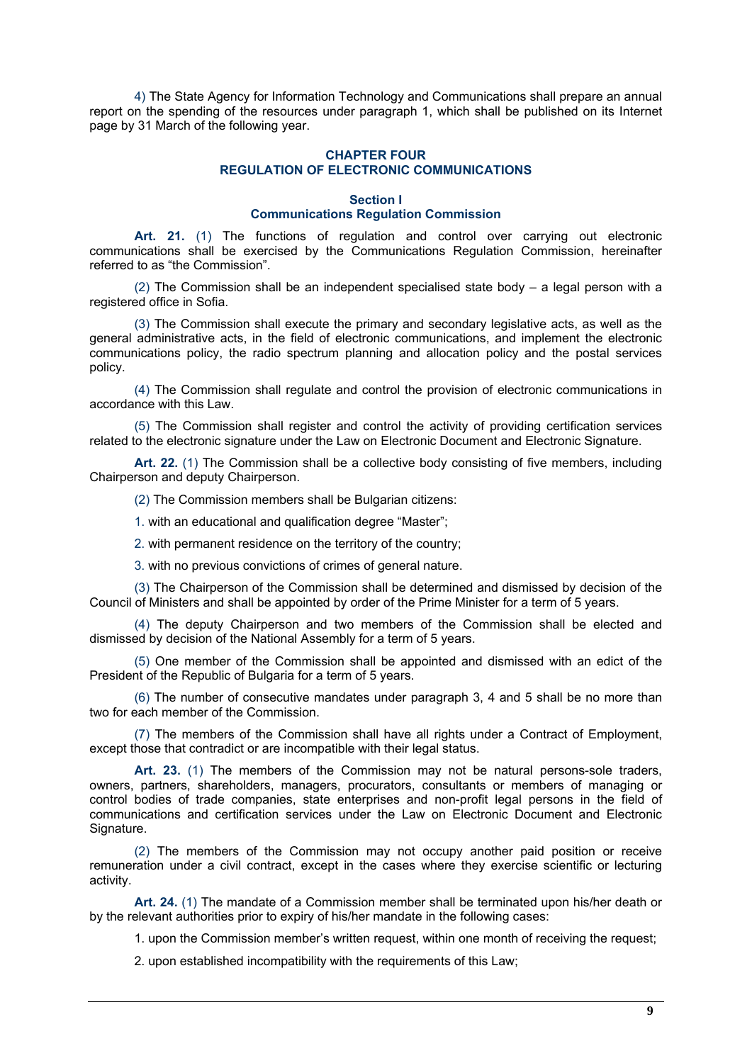4) The State Agency for Information Technology and Communications shall prepare an annual report on the spending of the resources under paragraph 1, which shall be published on its Internet page by 31 March of the following year.

### **CHAPTER FOUR REGULATION OF ELECTRONIC COMMUNICATIONS**

## **Section I Communications Regulation Commission**

**Art. 21.** (1) The functions of regulation and control over carrying out electronic communications shall be exercised by the Communications Regulation Commission, hereinafter referred to as "the Commission".

(2) The Commission shall be an independent specialised state body  $-$  a legal person with a registered office in Sofia.

(3) The Commission shall execute the primary and secondary legislative acts, as well as the general administrative acts, in the field of electronic communications, and implement the electronic communications policy, the radio spectrum planning and allocation policy and the postal services policy.

(4) The Commission shall regulate and control the provision of electronic communications in accordance with this Law.

(5) The Commission shall register and control the activity of providing certification services related to the electronic signature under the Law on Electronic Document and Electronic Signature.

**Art. 22.** (1) The Commission shall be a collective body consisting of five members, including Chairperson and deputy Chairperson.

(2) The Commission members shall be Bulgarian citizens:

1. with an educational and qualification degree "Master";

2. with permanent residence on the territory of the country;

3. with no previous convictions of crimes of general nature.

(3) The Chairperson of the Commission shall be determined and dismissed by decision of the Council of Ministers and shall be appointed by order of the Prime Minister for a term of 5 years.

(4) The deputy Chairperson and two members of the Commission shall be elected and dismissed by decision of the National Assembly for a term of 5 years.

(5) One member of the Commission shall be appointed and dismissed with an edict of the President of the Republic of Bulgaria for a term of 5 years.

(6) The number of consecutive mandates under paragraph 3, 4 and 5 shall be no more than two for each member of the Commission.

(7) The members of the Commission shall have all rights under a Contract of Employment, except those that contradict or are incompatible with their legal status.

**Art. 23.** (1) The members of the Commission may not be natural persons-sole traders, owners, partners, shareholders, managers, procurators, consultants or members of managing or control bodies of trade companies, state enterprises and non-profit legal persons in the field of communications and certification services under the Law on Electronic Document and Electronic Signature.

(2) The members of the Commission may not occupy another paid position or receive remuneration under a civil contract, except in the cases where they exercise scientific or lecturing activity.

**Art. 24.** (1) The mandate of a Commission member shall be terminated upon his/her death or by the relevant authorities prior to expiry of his/her mandate in the following cases:

1. upon the Commission member's written request, within one month of receiving the request;

2. upon established incompatibility with the requirements of this Law;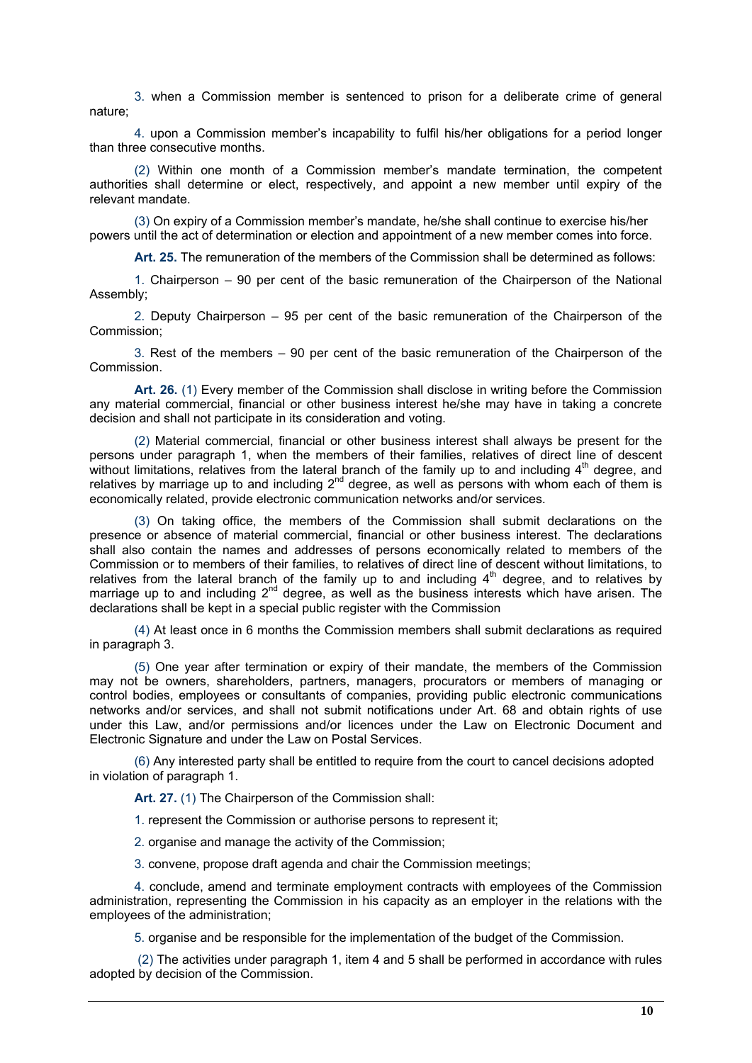3. when a Commission member is sentenced to prison for a deliberate crime of general nature;

4. upon a Commission member's incapability to fulfil his/her obligations for a period longer than three consecutive months.

(2) Within one month of a Commission member's mandate termination, the competent authorities shall determine or elect, respectively, and appoint a new member until expiry of the relevant mandate.

(3) On expiry of a Commission member's mandate, he/she shall continue to exercise his/her powers until the act of determination or election and appointment of a new member comes into force.

**Art. 25.** The remuneration of the members of the Commission shall be determined as follows:

1. Chairperson – 90 per cent of the basic remuneration of the Chairperson of the National Assembly;

2. Deputy Chairperson – 95 per cent of the basic remuneration of the Chairperson of the Commission;

3. Rest of the members – 90 per cent of the basic remuneration of the Chairperson of the Commission.

**Art. 26.** (1) Every member of the Commission shall disclose in writing before the Commission any material commercial, financial or other business interest he/she may have in taking a concrete decision and shall not participate in its consideration and voting.

(2) Material commercial, financial or other business interest shall always be present for the persons under paragraph 1, when the members of their families, relatives of direct line of descent without limitations, relatives from the lateral branch of the family up to and including  $4<sup>th</sup>$  degree, and relatives by marriage up to and including  $2^{nd}$  degree, as well as persons with whom each of them is economically related, provide electronic communication networks and/or services.

(3) On taking office, the members of the Commission shall submit declarations on the presence or absence of material commercial, financial or other business interest. The declarations shall also contain the names and addresses of persons economically related to members of the Commission or to members of their families, to relatives of direct line of descent without limitations, to relatives from the lateral branch of the family up to and including  $4<sup>th</sup>$  degree, and to relatives by marriage up to and including  $2<sup>nd</sup>$  degree, as well as the business interests which have arisen. The declarations shall be kept in a special public register with the Commission

(4) At least once in 6 months the Commission members shall submit declarations as required in paragraph 3.

(5) One year after termination or expiry of their mandate, the members of the Commission may not be owners, shareholders, partners, managers, procurators or members of managing or control bodies, employees or consultants of companies, providing public electronic communications networks and/or services, and shall not submit notifications under Art. 68 and obtain rights of use under this Law, and/or permissions and/or licences under the Law on Electronic Document and Electronic Signature and under the Law on Postal Services.

(6) Any interested party shall be entitled to require from the court to cancel decisions adopted in violation of paragraph 1.

**Art. 27.** (1) The Chairperson of the Commission shall:

1. represent the Commission or authorise persons to represent it;

- 2. organise and manage the activity of the Commission;
- 3. convene, propose draft agenda and chair the Commission meetings;

4. conclude, amend and terminate employment contracts with employees of the Commission administration, representing the Commission in his capacity as an employer in the relations with the employees of the administration;

5. organise and be responsible for the implementation of the budget of the Commission.

 (2) The activities under paragraph 1, item 4 and 5 shall be performed in accordance with rules adopted by decision of the Commission.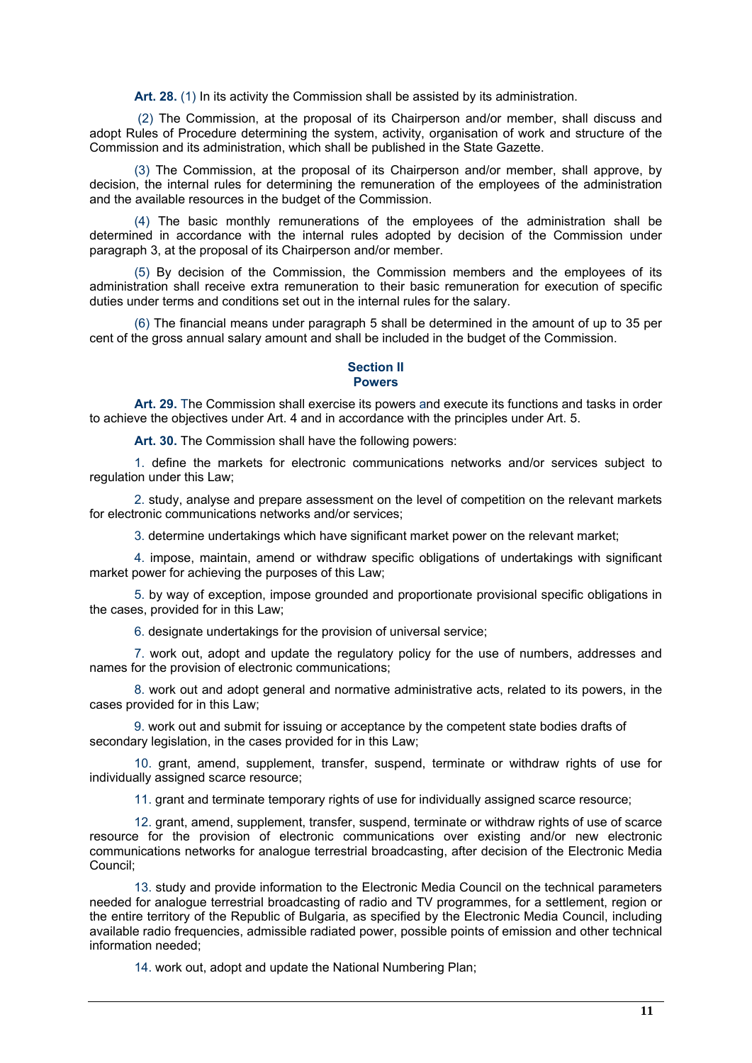**Art. 28.** (1) In its activity the Commission shall be assisted by its administration.

 (2) The Commission, at the proposal of its Chairperson and/or member, shall discuss and adopt Rules of Procedure determining the system, activity, organisation of work and structure of the Commission and its administration, which shall be published in the State Gazette.

(3) The Commission, at the proposal of its Chairperson and/or member, shall approve, by decision, the internal rules for determining the remuneration of the employees of the administration and the available resources in the budget of the Commission.

(4) The basic monthly remunerations of the employees of the administration shall be determined in accordance with the internal rules adopted by decision of the Commission under paragraph 3, at the proposal of its Chairperson and/or member.

(5) By decision of the Commission, the Commission members and the employees of its administration shall receive extra remuneration to their basic remuneration for execution of specific duties under terms and conditions set out in the internal rules for the salary.

(6) The financial means under paragraph 5 shall be determined in the amount of up to 35 per cent of the gross annual salary amount and shall be included in the budget of the Commission.

### **Section II Powers**

**Art. 29.** The Commission shall exercise its powers and execute its functions and tasks in order to achieve the objectives under Art. 4 and in accordance with the principles under Art. 5.

**Art. 30.** The Commission shall have the following powers:

1. define the markets for electronic communications networks and/or services subject to regulation under this Law;

2. study, analyse and prepare assessment on the level of competition on the relevant markets for electronic communications networks and/or services;

3. determine undertakings which have significant market power on the relevant market;

4. impose, maintain, amend or withdraw specific obligations of undertakings with significant market power for achieving the purposes of this Law;

5. by way of exception, impose grounded and proportionate provisional specific obligations in the cases, provided for in this Law;

6. designate undertakings for the provision of universal service;

7. work out, adopt and update the regulatory policy for the use of numbers, addresses and names for the provision of electronic communications;

8. work out and adopt general and normative administrative acts, related to its powers, in the cases provided for in this Law;

9. work out and submit for issuing or acceptance by the competent state bodies drafts of secondary legislation, in the cases provided for in this Law;

10. grant, amend, supplement, transfer, suspend, terminate or withdraw rights of use for individually assigned scarce resource;

11. grant and terminate temporary rights of use for individually assigned scarce resource;

12. grant, amend, supplement, transfer, suspend, terminate or withdraw rights of use of scarce resource for the provision of electronic communications over existing and/or new electronic communications networks for analogue terrestrial broadcasting, after decision of the Electronic Media Council;

13. study and provide information to the Electronic Media Council on the technical parameters needed for analogue terrestrial broadcasting of radio and TV programmes, for a settlement, region or the entire territory of the Republic of Bulgaria, as specified by the Electronic Media Council, including available radio frequencies, admissible radiated power, possible points of emission and other technical information needed;

14. work out, adopt and update the National Numbering Plan;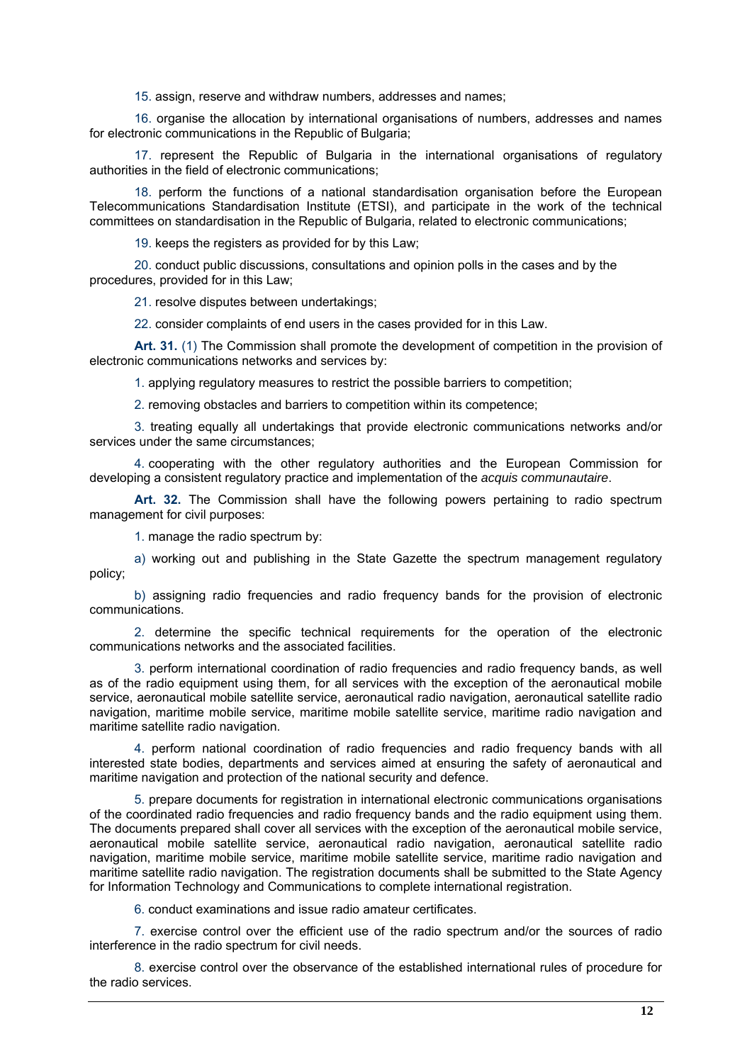15. assign, reserve and withdraw numbers, addresses and names;

16. organise the allocation by international organisations of numbers, addresses and names for electronic communications in the Republic of Bulgaria;

17. represent the Republic of Bulgaria in the international organisations of regulatory authorities in the field of electronic communications;

18. perform the functions of a national standardisation organisation before the European Telecommunications Standardisation Institute (ETSI), and participate in the work of the technical committees on standardisation in the Republic of Bulgaria, related to electronic communications;

19. keeps the registers as provided for by this Law;

20. conduct public discussions, consultations and opinion polls in the cases and by the procedures, provided for in this Law;

21. resolve disputes between undertakings;

22. consider complaints of end users in the cases provided for in this Law.

**Art. 31.** (1) The Commission shall promote the development of competition in the provision of electronic communications networks and services by:

1. applying regulatory measures to restrict the possible barriers to competition;

2. removing obstacles and barriers to competition within its competence;

3. treating equally all undertakings that provide electronic communications networks and/or services under the same circumstances;

4. cooperating with the other regulatory authorities and the European Commission for developing a consistent regulatory practice and implementation of the *acquis communautaire*.

**Art. 32.** The Commission shall have the following powers pertaining to radio spectrum management for civil purposes:

1. manage the radio spectrum by:

a) working out and publishing in the State Gazette the spectrum management regulatory policy;

b) assigning radio frequencies and radio frequency bands for the provision of electronic communications.

2. determine the specific technical requirements for the operation of the electronic communications networks and the associated facilities.

3. perform international coordination of radio frequencies and radio frequency bands, as well as of the radio equipment using them, for all services with the exception of the aeronautical mobile service, aeronautical mobile satellite service, aeronautical radio navigation, aeronautical satellite radio navigation, maritime mobile service, maritime mobile satellite service, maritime radio navigation and maritime satellite radio navigation.

4. perform national coordination of radio frequencies and radio frequency bands with all interested state bodies, departments and services aimed at ensuring the safety of aeronautical and maritime navigation and protection of the national security and defence.

5. prepare documents for registration in international electronic communications organisations of the coordinated radio frequencies and radio frequency bands and the radio equipment using them. The documents prepared shall cover all services with the exception of the aeronautical mobile service, aeronautical mobile satellite service, aeronautical radio navigation, aeronautical satellite radio navigation, maritime mobile service, maritime mobile satellite service, maritime radio navigation and maritime satellite radio navigation. The registration documents shall be submitted to the State Agency for Information Technology and Communications to complete international registration.

6. conduct examinations and issue radio amateur certificates.

7. exercise control over the efficient use of the radio spectrum and/or the sources of radio interference in the radio spectrum for civil needs.

8. exercise control over the observance of the established international rules of procedure for the radio services.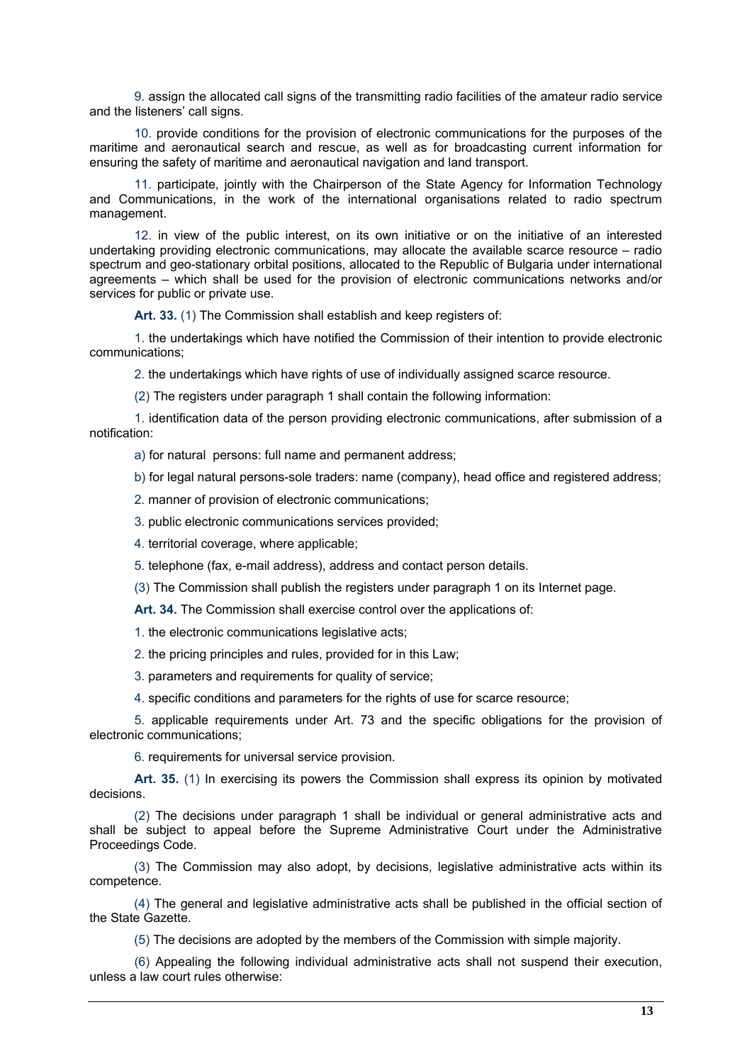9. assign the allocated call signs of the transmitting radio facilities of the amateur radio service and the listeners' call signs.

10. provide conditions for the provision of electronic communications for the purposes of the maritime and aeronautical search and rescue, as well as for broadcasting current information for ensuring the safety of maritime and aeronautical navigation and land transport.

11. participate, jointly with the Chairperson of the State Agency for Information Technology and Communications, in the work of the international organisations related to radio spectrum management.

12. in view of the public interest, on its own initiative or on the initiative of an interested undertaking providing electronic communications, may allocate the available scarce resource – radio spectrum and geo-stationary orbital positions, allocated to the Republic of Bulgaria under international agreements – which shall be used for the provision of electronic communications networks and/or services for public or private use.

Art. 33. (1) The Commission shall establish and keep registers of:

1. the undertakings which have notified the Commission of their intention to provide electronic communications;

2. the undertakings which have rights of use of individually assigned scarce resource.

(2) The registers under paragraph 1 shall contain the following information:

1. identification data of the person providing electronic communications, after submission of a notification:

а) for natural persons: full name and permanent address;

b) for legal natural persons-sole traders: name (company), head office and registered address;

2. manner of provision of electronic communications;

3. public electronic communications services provided;

4. territorial coverage, where applicable;

- 5. telephone (fax, e-mail address), address and contact person details.
- (3) The Commission shall publish the registers under paragraph 1 on its Internet page.

**Art. 34.** The Commission shall exercise control over the applications of:

1. the electronic communications legislative acts;

2. the pricing principles and rules, provided for in this Law;

3. parameters and requirements for quality of service;

4. specific conditions and parameters for the rights of use for scarce resource;

5. applicable requirements under Art. 73 and the specific obligations for the provision of electronic communications;

6. requirements for universal service provision.

**Art. 35.** (1) In exercising its powers the Commission shall express its opinion by motivated decisions.

(2) The decisions under paragraph 1 shall be individual or general administrative acts and shall be subject to appeal before the Supreme Administrative Court under the Administrative Proceedings Code.

(3) The Commission may also adopt, by decisions, legislative administrative acts within its competence.

(4) The general and legislative administrative acts shall be published in the official section of the State Gazette.

(5) The decisions are adopted by the members of the Commission with simple majority.

(6) Appealing the following individual administrative acts shall not suspend their execution, unless a law court rules otherwise: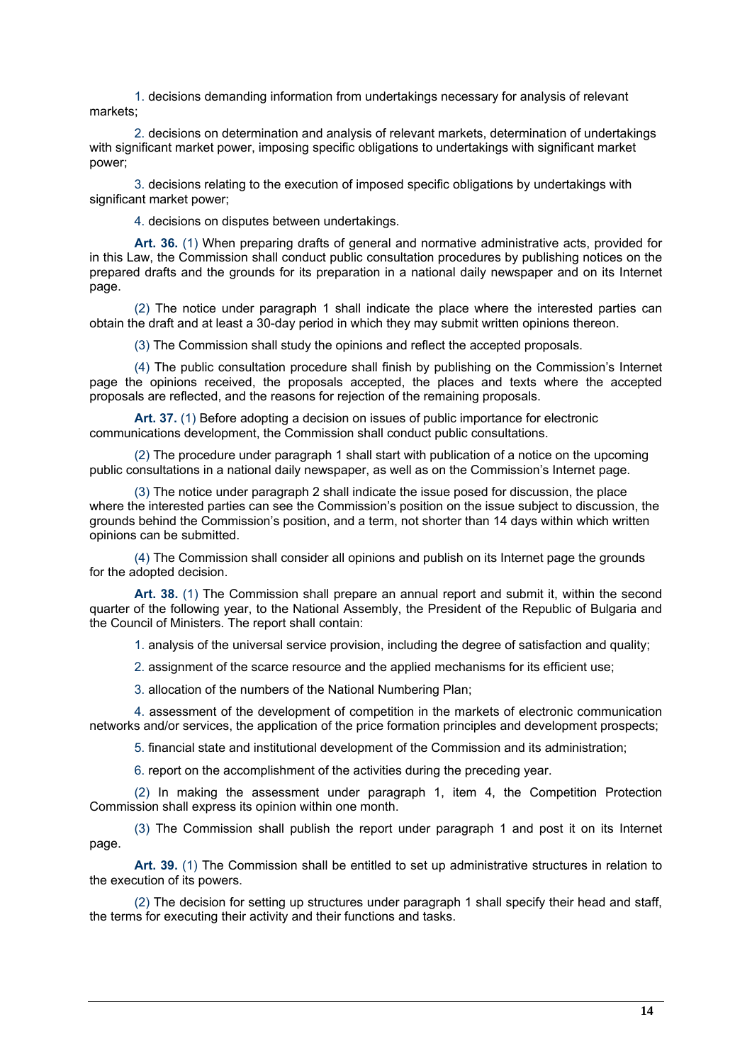1. decisions demanding information from undertakings necessary for analysis of relevant markets;

2. decisions on determination and analysis of relevant markets, determination of undertakings with significant market power, imposing specific obligations to undertakings with significant market power;

3. decisions relating to the execution of imposed specific obligations by undertakings with significant market power;

4. decisions on disputes between undertakings.

**Art. 36.** (1) When preparing drafts of general and normative administrative acts, provided for in this Law, the Commission shall conduct public consultation procedures by publishing notices on the prepared drafts and the grounds for its preparation in a national daily newspaper and on its Internet page.

(2) The notice under paragraph 1 shall indicate the place where the interested parties can obtain the draft and at least a 30-day period in which they may submit written opinions thereon.

(3) The Commission shall study the opinions and reflect the accepted proposals.

(4) The public consultation procedure shall finish by publishing on the Commission's Internet page the opinions received, the proposals accepted, the places and texts where the accepted proposals are reflected, and the reasons for rejection of the remaining proposals.

**Art. 37.** (1) Before adopting a decision on issues of public importance for electronic communications development, the Commission shall conduct public consultations.

(2) The procedure under paragraph 1 shall start with publication of a notice on the upcoming public consultations in a national daily newspaper, as well as on the Commission's Internet page.

(3) The notice under paragraph 2 shall indicate the issue posed for discussion, the place where the interested parties can see the Commission's position on the issue subject to discussion, the grounds behind the Commission's position, and a term, not shorter than 14 days within which written opinions can be submitted.

(4) The Commission shall consider all opinions and publish on its Internet page the grounds for the adopted decision.

**Art. 38.** (1) The Commission shall prepare an annual report and submit it, within the second quarter of the following year, to the National Assembly, the President of the Republic of Bulgaria and the Council of Ministers. The report shall contain:

1. analysis of the universal service provision, including the degree of satisfaction and quality;

2. assignment of the scarce resource and the applied mechanisms for its efficient use;

3. allocation of the numbers of the National Numbering Plan;

4. assessment of the development of competition in the markets of electronic communication networks and/or services, the application of the price formation principles and development prospects;

5. financial state and institutional development of the Commission and its administration;

6. report on the accomplishment of the activities during the preceding year.

(2) In making the assessment under paragraph 1, item 4, the Competition Protection Commission shall express its opinion within one month.

(3) The Commission shall publish the report under paragraph 1 and post it on its Internet page.

**Art. 39.** (1) The Commission shall be entitled to set up administrative structures in relation to the execution of its powers.

(2) The decision for setting up structures under paragraph 1 shall specify their head and staff, the terms for executing their activity and their functions and tasks.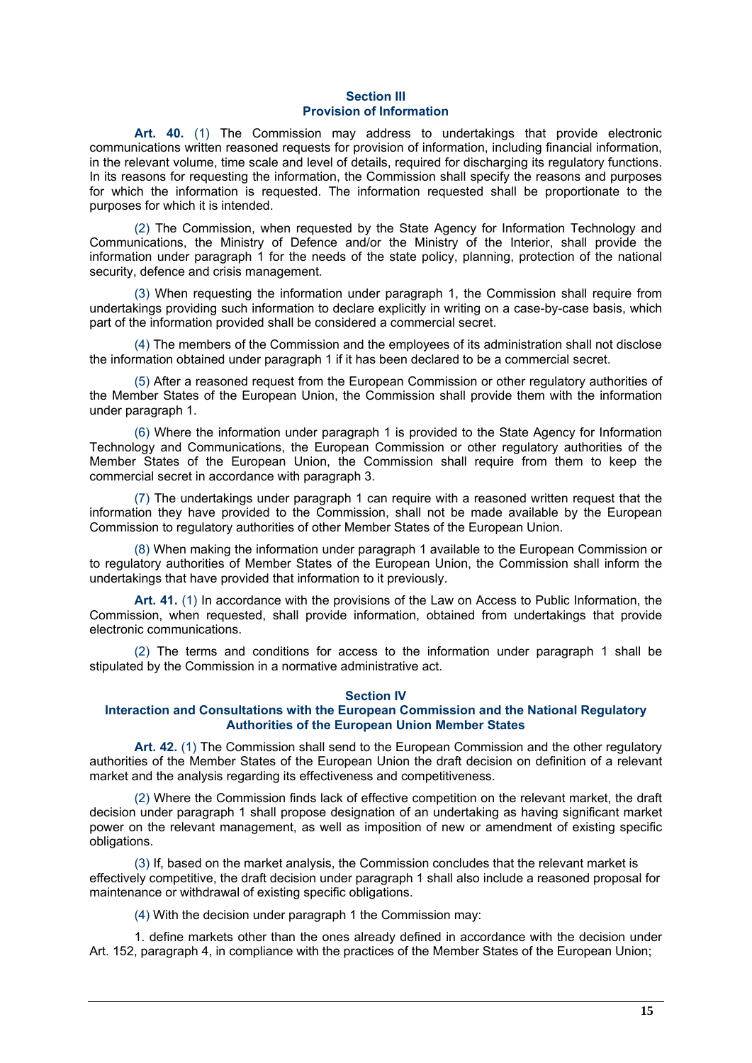#### **Section III Provision of Information**

**Art. 40.** (1) The Commission may address to undertakings that provide electronic communications written reasoned requests for provision of information, including financial information, in the relevant volume, time scale and level of details, required for discharging its regulatory functions. In its reasons for requesting the information, the Commission shall specify the reasons and purposes for which the information is requested. The information requested shall be proportionate to the purposes for which it is intended.

(2) The Commission, when requested by the State Agency for Information Technology and Communications, the Ministry of Defence and/or the Ministry of the Interior, shall provide the information under paragraph 1 for the needs of the state policy, planning, protection of the national security, defence and crisis management.

(3) When requesting the information under paragraph 1, the Commission shall require from undertakings providing such information to declare explicitly in writing on a case-by-case basis, which part of the information provided shall be considered a commercial secret.

(4) The members of the Commission and the employees of its administration shall not disclose the information obtained under paragraph 1 if it has been declared to be a commercial secret.

(5) After a reasoned request from the European Commission or other regulatory authorities of the Member States of the European Union, the Commission shall provide them with the information under paragraph 1.

(6) Where the information under paragraph 1 is provided to the State Agency for Information Technology and Communications, the European Commission or other regulatory authorities of the Member States of the European Union, the Commission shall require from them to keep the commercial secret in accordance with paragraph 3.

(7) The undertakings under paragraph 1 can require with a reasoned written request that the information they have provided to the Commission, shall not be made available by the European Commission to regulatory authorities of other Member States of the European Union.

(8) When making the information under paragraph 1 available to the European Commission or to regulatory authorities of Member States of the European Union, the Commission shall inform the undertakings that have provided that information to it previously.

**Art. 41.** (1) In accordance with the provisions of the Law on Access to Public Information, the Commission, when requested, shall provide information, obtained from undertakings that provide electronic communications.

(2) The terms and conditions for access to the information under paragraph 1 shall be stipulated by the Commission in a normative administrative act.

### **Section IV**

## **Interaction and Consultations with the European Commission and the National Regulatory Authorities of the European Union Member States**

**Art. 42.** (1) The Commission shall send to the European Commission and the other regulatory authorities of the Member States of the European Union the draft decision on definition of a relevant market and the analysis regarding its effectiveness and competitiveness.

(2) Where the Commission finds lack of effective competition on the relevant market, the draft decision under paragraph 1 shall propose designation of an undertaking as having significant market power on the relevant management, as well as imposition of new or amendment of existing specific obligations.

(3) If, based on the market analysis, the Commission concludes that the relevant market is effectively competitive, the draft decision under paragraph 1 shall also include a reasoned proposal for maintenance or withdrawal of existing specific obligations.

(4) With the decision under paragraph 1 the Commission may:

1. define markets other than the ones already defined in accordance with the decision under Art. 152, paragraph 4, in compliance with the practices of the Member States of the European Union;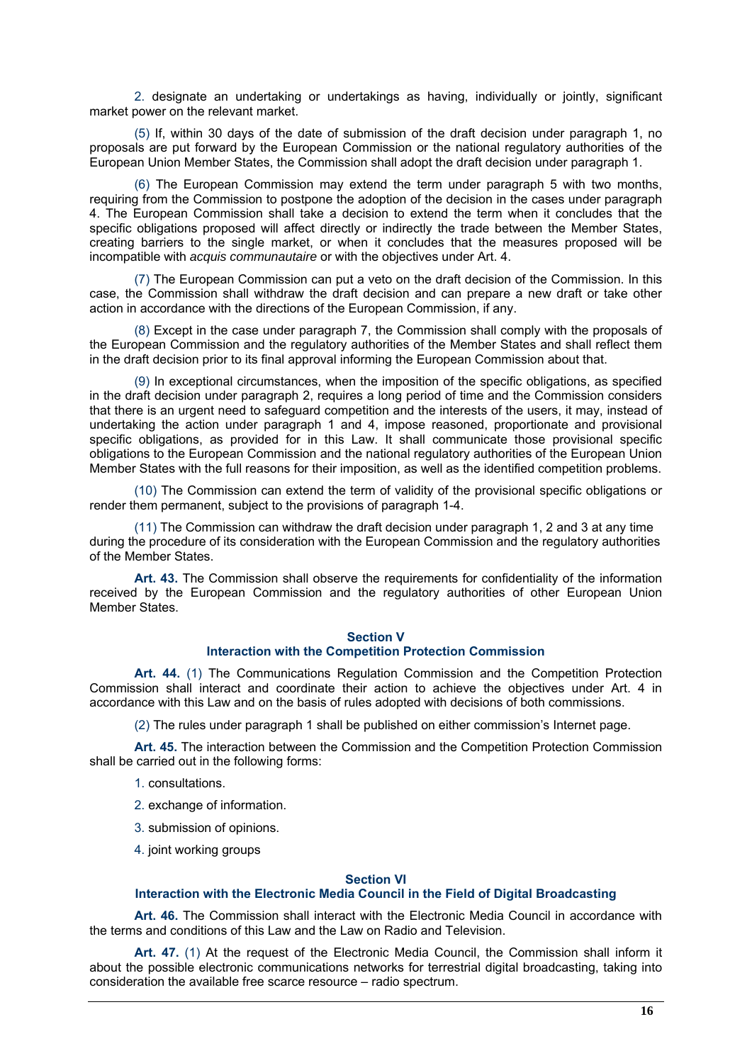2. designate an undertaking or undertakings as having, individually or jointly, significant market power on the relevant market.

(5) If, within 30 days of the date of submission of the draft decision under paragraph 1, no proposals are put forward by the European Commission or the national regulatory authorities of the European Union Member States, the Commission shall adopt the draft decision under paragraph 1.

(6) The European Commission may extend the term under paragraph 5 with two months, requiring from the Commission to postpone the adoption of the decision in the cases under paragraph 4. The European Commission shall take a decision to extend the term when it concludes that the specific obligations proposed will affect directly or indirectly the trade between the Member States, creating barriers to the single market, or when it concludes that the measures proposed will be incompatible with *acquis communautaire* or with the objectives under Art. 4.

(7) The European Commission can put a veto on the draft decision of the Commission. In this case, the Commission shall withdraw the draft decision and can prepare a new draft or take other action in accordance with the directions of the European Commission, if any.

(8) Except in the case under paragraph 7, the Commission shall comply with the proposals of the European Commission and the regulatory authorities of the Member States and shall reflect them in the draft decision prior to its final approval informing the European Commission about that.

(9) In exceptional circumstances, when the imposition of the specific obligations, as specified in the draft decision under paragraph 2, requires a long period of time and the Commission considers that there is an urgent need to safeguard competition and the interests of the users, it may, instead of undertaking the action under paragraph 1 and 4, impose reasoned, proportionate and provisional specific obligations, as provided for in this Law. It shall communicate those provisional specific obligations to the European Commission and the national regulatory authorities of the European Union Member States with the full reasons for their imposition, as well as the identified competition problems.

(10) The Commission can extend the term of validity of the provisional specific obligations or render them permanent, subject to the provisions of paragraph 1-4.

(11) The Commission can withdraw the draft decision under paragraph 1, 2 and 3 at any time during the procedure of its consideration with the European Commission and the regulatory authorities of the Member States.

**Art. 43.** The Commission shall observe the requirements for confidentiality of the information received by the European Commission and the regulatory authorities of other European Union Member States.

### **Section V**

## **Interaction with the Competition Protection Commission**

**Art. 44.** (1) The Communications Regulation Commission and the Competition Protection Commission shall interact and coordinate their action to achieve the objectives under Art. 4 in accordance with this Law and on the basis of rules adopted with decisions of both commissions.

(2) The rules under paragraph 1 shall be published on either commission's Internet page.

**Art. 45.** The interaction between the Commission and the Competition Protection Commission shall be carried out in the following forms:

- 1. consultations.
- 2. exchange of information.
- 3. submission of opinions.
- 4. joint working groups

#### **Section VI**

## **Interaction with the Electronic Media Council in the Field of Digital Broadcasting**

**Art. 46.** The Commission shall interact with the Electronic Media Council in accordance with the terms and conditions of this Law and the Law on Radio and Television.

**Art. 47.** (1) At the request of the Electronic Media Council, the Commission shall inform it about the possible electronic communications networks for terrestrial digital broadcasting, taking into consideration the available free scarce resource – radio spectrum.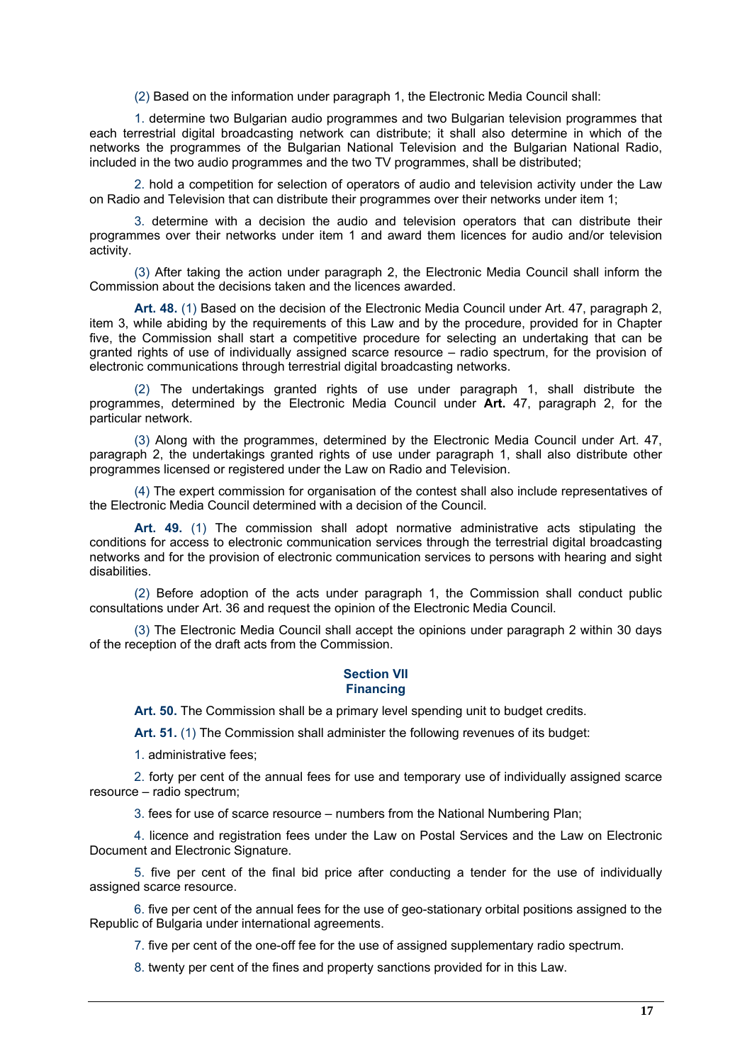(2) Based on the information under paragraph 1, the Electronic Media Council shall:

1. determine two Bulgarian audio programmes and two Bulgarian television programmes that each terrestrial digital broadcasting network can distribute; it shall also determine in which of the networks the programmes of the Bulgarian National Television and the Bulgarian National Radio, included in the two audio programmes and the two TV programmes, shall be distributed;

2. hold a competition for selection of operators of audio and television activity under the Law on Radio and Television that can distribute their programmes over their networks under item 1;

3. determine with a decision the audio and television operators that can distribute their programmes over their networks under item 1 and award them licences for audio and/or television activity.

(3) After taking the action under paragraph 2, the Electronic Media Council shall inform the Commission about the decisions taken and the licences awarded.

**Art. 48.** (1) Based on the decision of the Electronic Media Council under Art. 47, paragraph 2, item 3, while abiding by the requirements of this Law and by the procedure, provided for in Chapter five, the Commission shall start a competitive procedure for selecting an undertaking that can be granted rights of use of individually assigned scarce resource – radio spectrum, for the provision of electronic communications through terrestrial digital broadcasting networks.

(2) The undertakings granted rights of use under paragraph 1, shall distribute the programmes, determined by the Electronic Media Council under **Art.** 47, paragraph 2, for the particular network.

(3) Along with the programmes, determined by the Electronic Media Council under Art. 47, paragraph 2, the undertakings granted rights of use under paragraph 1, shall also distribute other programmes licensed or registered under the Law on Radio and Television.

(4) The expert commission for organisation of the contest shall also include representatives of the Electronic Media Council determined with a decision of the Council.

**Art. 49.** (1) The commission shall adopt normative administrative acts stipulating the conditions for access to electronic communication services through the terrestrial digital broadcasting networks and for the provision of electronic communication services to persons with hearing and sight disabilities.

(2) Before adoption of the acts under paragraph 1, the Commission shall conduct public consultations under Art. 36 and request the opinion of the Electronic Media Council.

(3) The Electronic Media Council shall accept the opinions under paragraph 2 within 30 days of the reception of the draft acts from the Commission.

### **Section VII Financing**

**Art. 50.** The Commission shall be a primary level spending unit to budget credits.

**Art. 51.** (1) The Commission shall administer the following revenues of its budget:

1. administrative fees;

2. forty per cent of the annual fees for use and temporary use of individually assigned scarce resource – radio spectrum;

3. fees for use of scarce resource – numbers from the National Numbering Plan;

4. licence and registration fees under the Law on Postal Services and the Law on Electronic Document and Electronic Signature.

5. five per cent of the final bid price after conducting a tender for the use of individually assigned scarce resource.

6. five per cent of the annual fees for the use of geo-stationary orbital positions assigned to the Republic of Bulgaria under international agreements.

7. five per cent of the one-off fee for the use of assigned supplementary radio spectrum.

8. twenty per cent of the fines and property sanctions provided for in this Law.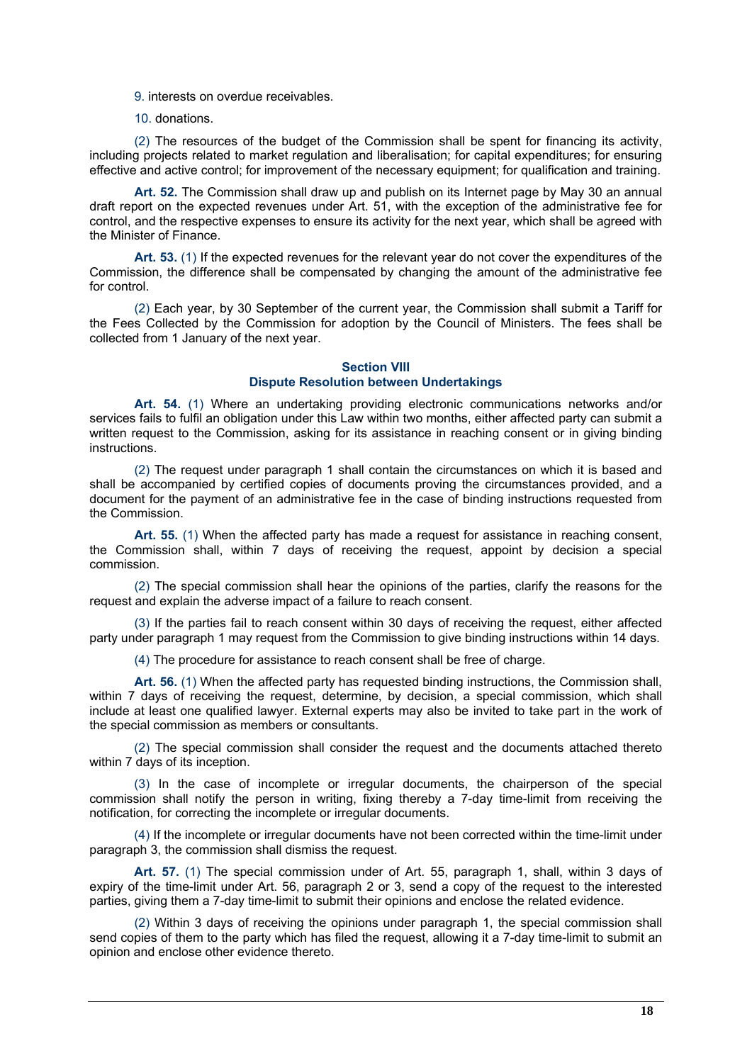- 9. interests on overdue receivables.
- 10. donations.

(2) The resources of the budget of the Commission shall be spent for financing its activity, including projects related to market regulation and liberalisation; for capital expenditures; for ensuring effective and active control; for improvement of the necessary equipment; for qualification and training.

**Art. 52.** The Commission shall draw up and publish on its Internet page by May 30 an annual draft report on the expected revenues under Art. 51, with the exception of the administrative fee for control, and the respective expenses to ensure its activity for the next year, which shall be agreed with the Minister of Finance.

**Art. 53.** (1) If the expected revenues for the relevant year do not cover the expenditures of the Commission, the difference shall be compensated by changing the amount of the administrative fee for control.

(2) Each year, by 30 September of the current year, the Commission shall submit a Tariff for the Fees Collected by the Commission for adoption by the Council of Ministers. The fees shall be collected from 1 January of the next year.

#### **Section VIII Dispute Resolution between Undertakings**

**Art. 54.** (1) Where an undertaking providing electronic communications networks and/or services fails to fulfil an obligation under this Law within two months, either affected party can submit a written request to the Commission, asking for its assistance in reaching consent or in giving binding instructions.

(2) The request under paragraph 1 shall contain the circumstances on which it is based and shall be accompanied by certified copies of documents proving the circumstances provided, and a document for the payment of an administrative fee in the case of binding instructions requested from the Commission.

**Art. 55.** (1) When the affected party has made a request for assistance in reaching consent, the Commission shall, within 7 days of receiving the request, appoint by decision a special commission.

(2) The special commission shall hear the opinions of the parties, clarify the reasons for the request and explain the adverse impact of a failure to reach consent.

(3) If the parties fail to reach consent within 30 days of receiving the request, either affected party under paragraph 1 may request from the Commission to give binding instructions within 14 days.

(4) The procedure for assistance to reach consent shall be free of charge.

**Art. 56.** (1) When the affected party has requested binding instructions, the Commission shall, within 7 days of receiving the request, determine, by decision, a special commission, which shall include at least one qualified lawyer. External experts may also be invited to take part in the work of the special commission as members or consultants.

(2) The special commission shall consider the request and the documents attached thereto within 7 days of its inception.

(3) In the case of incomplete or irregular documents, the chairperson of the special commission shall notify the person in writing, fixing thereby a 7-day time-limit from receiving the notification, for correcting the incomplete or irregular documents.

(4) If the incomplete or irregular documents have not been corrected within the time-limit under paragraph 3, the commission shall dismiss the request.

**Art. 57.** (1) The special commission under of Art. 55, paragraph 1, shall, within 3 days of expiry of the time-limit under Art. 56, paragraph 2 or 3, send a copy of the request to the interested parties, giving them a 7-day time-limit to submit their opinions and enclose the related evidence.

(2) Within 3 days of receiving the opinions under paragraph 1, the special commission shall send copies of them to the party which has filed the request, allowing it a 7-day time-limit to submit an opinion and enclose other evidence thereto.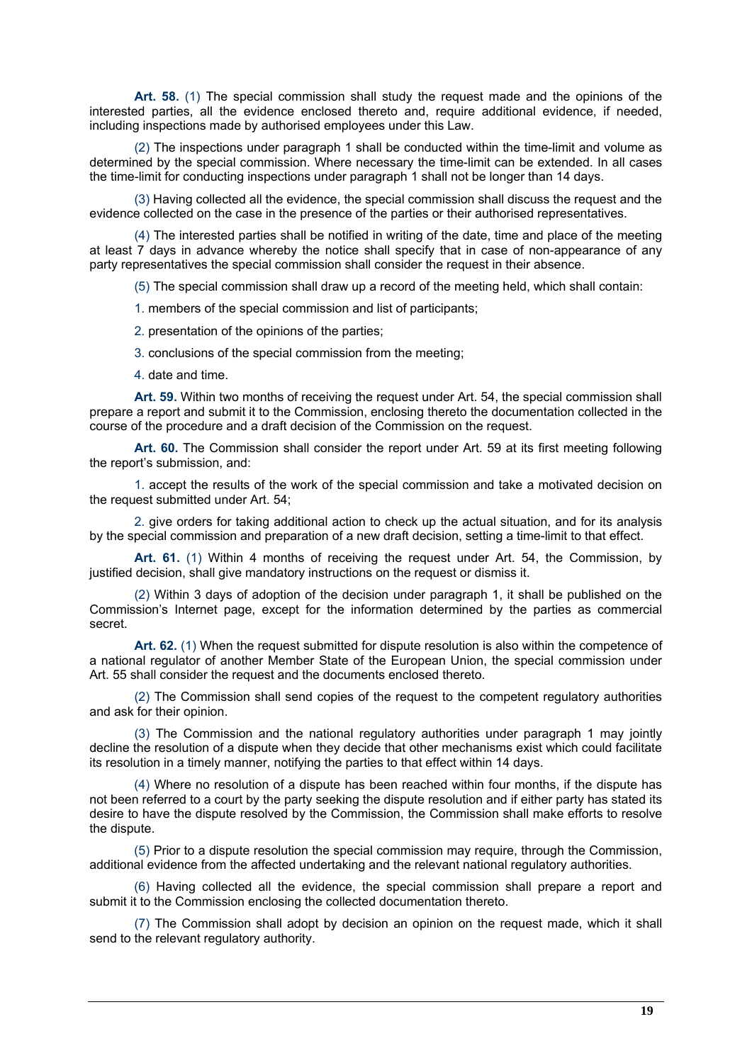**Art. 58.** (1) The special commission shall study the request made and the opinions of the interested parties, all the evidence enclosed thereto and, require additional evidence, if needed, including inspections made by authorised employees under this Law.

(2) The inspections under paragraph 1 shall be conducted within the time-limit and volume as determined by the special commission. Where necessary the time-limit can be extended. In all cases the time-limit for conducting inspections under paragraph 1 shall not be longer than 14 days.

(3) Having collected all the evidence, the special commission shall discuss the request and the evidence collected on the case in the presence of the parties or their authorised representatives.

(4) The interested parties shall be notified in writing of the date, time and place of the meeting at least 7 days in advance whereby the notice shall specify that in case of non-appearance of any party representatives the special commission shall consider the request in their absence.

(5) The special commission shall draw up a record of the meeting held, which shall contain:

1. members of the special commission and list of participants;

2. presentation of the opinions of the parties;

3. conclusions of the special commission from the meeting;

4. date and time.

**Art. 59.** Within two months of receiving the request under Art. 54, the special commission shall prepare a report and submit it to the Commission, enclosing thereto the documentation collected in the course of the procedure and a draft decision of the Commission on the request.

**Art. 60.** The Commission shall consider the report under Art. 59 at its first meeting following the report's submission, and:

1. accept the results of the work of the special commission and take a motivated decision on the request submitted under Art. 54;

2. give orders for taking additional action to check up the actual situation, and for its analysis by the special commission and preparation of a new draft decision, setting a time-limit to that effect.

**Art. 61.** (1) Within 4 months of receiving the request under Art. 54, the Commission, by justified decision, shall give mandatory instructions on the request or dismiss it.

(2) Within 3 days of adoption of the decision under paragraph 1, it shall be published on the Commission's Internet page, except for the information determined by the parties as commercial secret.

**Art. 62.** (1) When the request submitted for dispute resolution is also within the competence of a national regulator of another Member State of the European Union, the special commission under Art. 55 shall consider the request and the documents enclosed thereto.

(2) The Commission shall send copies of the request to the competent regulatory authorities and ask for their opinion.

(3) The Commission and the national regulatory authorities under paragraph 1 may jointly decline the resolution of a dispute when they decide that other mechanisms exist which could facilitate its resolution in a timely manner, notifying the parties to that effect within 14 days.

(4) Where no resolution of a dispute has been reached within four months, if the dispute has not been referred to a court by the party seeking the dispute resolution and if either party has stated its desire to have the dispute resolved by the Commission, the Commission shall make efforts to resolve the dispute.

(5) Prior to a dispute resolution the special commission may require, through the Commission, additional evidence from the affected undertaking and the relevant national regulatory authorities.

(6) Having collected all the evidence, the special commission shall prepare a report and submit it to the Commission enclosing the collected documentation thereto.

(7) The Commission shall adopt by decision an opinion on the request made, which it shall send to the relevant regulatory authority.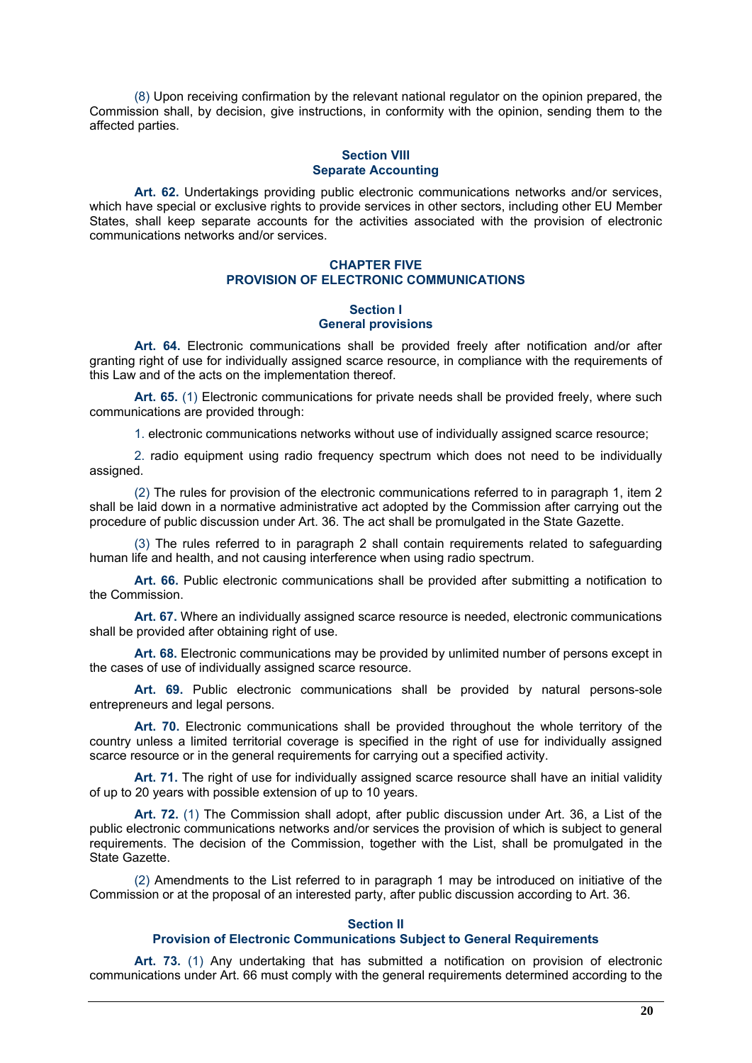(8) Upon receiving confirmation by the relevant national regulator on the opinion prepared, the Commission shall, by decision, give instructions, in conformity with the opinion, sending them to the affected parties.

## **Section VIII Separate Accounting**

**Art. 62.** Undertakings providing public electronic communications networks and/or services, which have special or exclusive rights to provide services in other sectors, including other EU Member States, shall keep separate accounts for the activities associated with the provision of electronic communications networks and/or services.

## **CHAPTER FIVE PROVISION OF ELECTRONIC COMMUNICATIONS**

### **Section І General provisions**

**Art. 64.** Electronic communications shall be provided freely after notification and/or after granting right of use for individually assigned scarce resource, in compliance with the requirements of this Law and of the acts on the implementation thereof.

**Art. 65.** (1) Electronic communications for private needs shall be provided freely, where such communications are provided through:

1. electronic communications networks without use of individually assigned scarce resource;

2. radio equipment using radio frequency spectrum which does not need to be individually assigned.

(2) The rules for provision of the electronic communications referred to in paragraph 1, item 2 shall be laid down in a normative administrative act adopted by the Commission after carrying out the procedure of public discussion under Art. 36. The act shall be promulgated in the State Gazette.

(3) The rules referred to in paragraph 2 shall contain requirements related to safeguarding human life and health, and not causing interference when using radio spectrum.

**Art. 66.** Public electronic communications shall be provided after submitting a notification to the Commission.

**Art. 67.** Where an individually assigned scarce resource is needed, electronic communications shall be provided after obtaining right of use.

**Art. 68.** Electronic communications may be provided by unlimited number of persons except in the cases of use of individually assigned scarce resource.

**Art. 69.** Public electronic communications shall be provided by natural persons-sole entrepreneurs and legal persons.

**Art. 70.** Electronic communications shall be provided throughout the whole territory of the country unless a limited territorial coverage is specified in the right of use for individually assigned scarce resource or in the general requirements for carrying out a specified activity.

**Art. 71.** The right of use for individually assigned scarce resource shall have an initial validity of up to 20 years with possible extension of up to 10 years.

**Art. 72.** (1) The Commission shall adopt, after public discussion under Art. 36, a List of the public electronic communications networks and/or services the provision of which is subject to general requirements. The decision of the Commission, together with the List, shall be promulgated in the State Gazette.

(2) Amendments to the List referred to in paragraph 1 may be introduced on initiative of the Commission or at the proposal of an interested party, after public discussion according to Art. 36.

# **Section ІІ**

# **Provision of Electronic Communications Subject to General Requirements**

**Art. 73.** (1) Any undertaking that has submitted a notification on provision of electronic communications under Art. 66 must comply with the general requirements determined according to the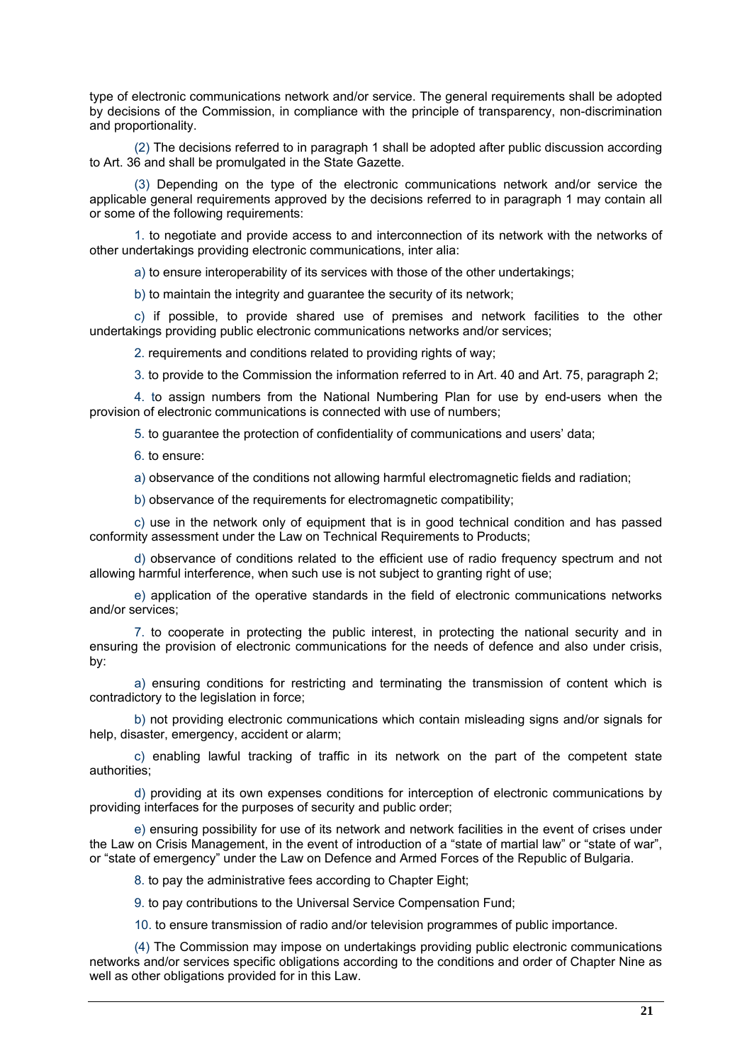type of electronic communications network and/or service. The general requirements shall be adopted by decisions of the Commission, in compliance with the principle of transparency, non-discrimination and proportionality.

(2) The decisions referred to in paragraph 1 shall be adopted after public discussion according to Art. 36 and shall be promulgated in the State Gazette.

(3) Depending on the type of the electronic communications network and/or service the applicable general requirements approved by the decisions referred to in paragraph 1 may contain all or some of the following requirements:

1. to negotiate and provide access to and interconnection of its network with the networks of other undertakings providing electronic communications, inter alia:

a) to ensure interoperability of its services with those of the other undertakings;

b) to maintain the integrity and guarantee the security of its network;

c) if possible, to provide shared use of premises and network facilities to the other undertakings providing public electronic communications networks and/or services;

2. requirements and conditions related to providing rights of way;

3. to provide to the Commission the information referred to in Art. 40 and Art. 75, paragraph 2;

4. to assign numbers from the National Numbering Plan for use by end-users when the provision of electronic communications is connected with use of numbers;

5. to guarantee the protection of confidentiality of communications and users' data;

6. to ensure:

a) observance of the conditions not allowing harmful electromagnetic fields and radiation;

b) observance of the requirements for electromagnetic compatibility;

c) use in the network only of equipment that is in good technical condition and has passed conformity assessment under the Law on Technical Requirements to Products;

d) observance of conditions related to the efficient use of radio frequency spectrum and not allowing harmful interference, when such use is not subject to granting right of use;

e) application of the operative standards in the field of electronic communications networks and/or services;

7. to cooperate in protecting the public interest, in protecting the national security and in ensuring the provision of electronic communications for the needs of defence and also under crisis, by:

a) ensuring conditions for restricting and terminating the transmission of content which is contradictory to the legislation in force;

b) not providing electronic communications which contain misleading signs and/or signals for help, disaster, emergency, accident or alarm;

c) enabling lawful tracking of traffic in its network on the part of the competent state authorities;

d) providing at its own expenses conditions for interception of electronic communications by providing interfaces for the purposes of security and public order;

e) ensuring possibility for use of its network and network facilities in the event of crises under the Law on Crisis Management, in the event of introduction of a "state of martial law" or "state of war", or "state of emergency" under the Law on Defence and Armed Forces of the Republic of Bulgaria.

8. to pay the administrative fees according to Chapter Eight;

9. to pay contributions to the Universal Service Compensation Fund;

10. to ensure transmission of radio and/or television programmes of public importance.

(4) The Commission may impose on undertakings providing public electronic communications networks and/or services specific obligations according to the conditions and order of Chapter Nine as well as other obligations provided for in this Law.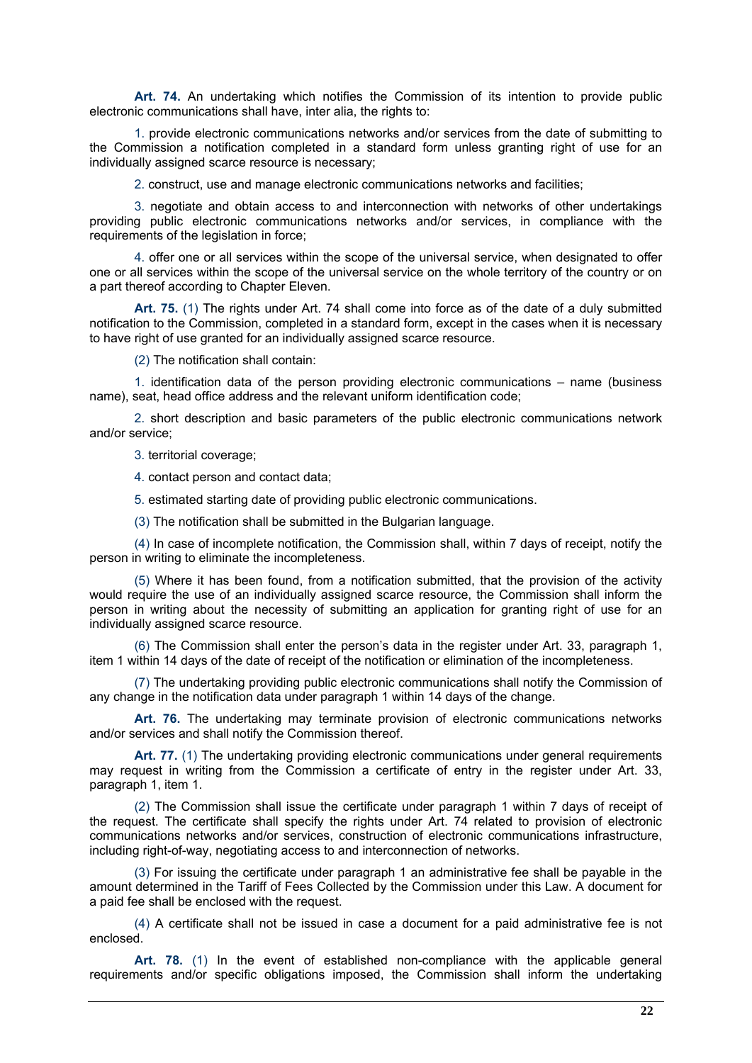**Art. 74.** An undertaking which notifies the Commission of its intention to provide public electronic communications shall have, inter alia, the rights to:

1. provide electronic communications networks and/or services from the date of submitting to the Commission a notification completed in a standard form unless granting right of use for an individually assigned scarce resource is necessary;

2. construct, use and manage electronic communications networks and facilities;

3. negotiate and obtain access to and interconnection with networks of other undertakings providing public electronic communications networks and/or services, in compliance with the requirements of the legislation in force;

4. offer one or all services within the scope of the universal service, when designated to offer one or all services within the scope of the universal service on the whole territory of the country or on a part thereof according to Chapter Eleven.

**Art. 75.** (1) The rights under Art. 74 shall come into force as of the date of a duly submitted notification to the Commission, completed in a standard form, except in the cases when it is necessary to have right of use granted for an individually assigned scarce resource.

(2) The notification shall contain:

1. identification data of the person providing electronic communications – name (business name), seat, head office address and the relevant uniform identification code;

2. short description and basic parameters of the public electronic communications network and/or service;

3. territorial coverage;

4. contact person and contact data;

5. estimated starting date of providing public electronic communications.

(3) The notification shall be submitted in the Bulgarian language.

(4) In case of incomplete notification, the Commission shall, within 7 days of receipt, notify the person in writing to eliminate the incompleteness.

(5) Where it has been found, from a notification submitted, that the provision of the activity would require the use of an individually assigned scarce resource, the Commission shall inform the person in writing about the necessity of submitting an application for granting right of use for an individually assigned scarce resource.

(6) The Commission shall enter the person's data in the register under Art. 33, paragraph 1, item 1 within 14 days of the date of receipt of the notification or elimination of the incompleteness.

(7) The undertaking providing public electronic communications shall notify the Commission of any change in the notification data under paragraph 1 within 14 days of the change.

**Art. 76.** The undertaking may terminate provision of electronic communications networks and/or services and shall notify the Commission thereof.

Art. 77. (1) The undertaking providing electronic communications under general requirements may request in writing from the Commission a certificate of entry in the register under Art. 33, paragraph 1, item 1.

(2) The Commission shall issue the certificate under paragraph 1 within 7 days of receipt of the request. The certificate shall specify the rights under Art. 74 related to provision of electronic communications networks and/or services, construction of electronic communications infrastructure, including right-of-way, negotiating access to and interconnection of networks.

(3) For issuing the certificate under paragraph 1 an administrative fee shall be payable in the amount determined in the Tariff of Fees Collected by the Commission under this Law. A document for a paid fee shall be enclosed with the request.

(4) A certificate shall not be issued in case a document for a paid administrative fee is not enclosed.

**Art. 78.** (1) In the event of established non-compliance with the applicable general requirements and/or specific obligations imposed, the Commission shall inform the undertaking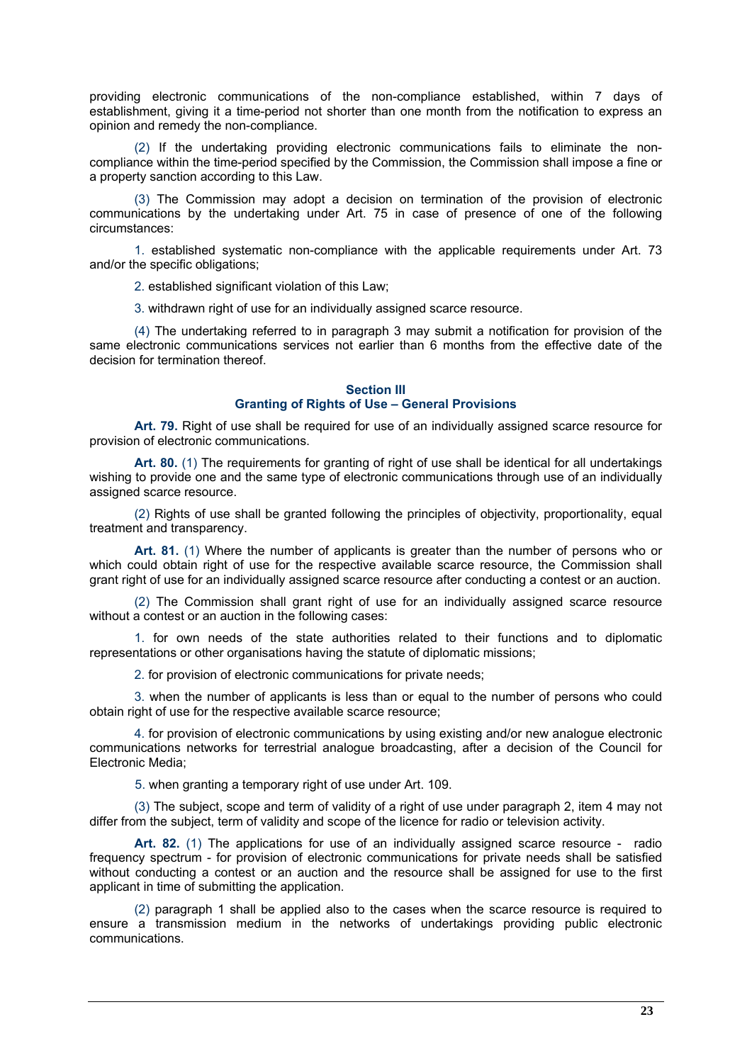providing electronic communications of the non-compliance established, within 7 days of establishment, giving it a time-period not shorter than one month from the notification to express an opinion and remedy the non-compliance.

(2) If the undertaking providing electronic communications fails to eliminate the noncompliance within the time-period specified by the Commission, the Commission shall impose a fine or a property sanction according to this Law.

(3) The Commission may adopt a decision on termination of the provision of electronic communications by the undertaking under Art. 75 in case of presence of one of the following circumstances:

1. established systematic non-compliance with the applicable requirements under Art. 73 and/or the specific obligations;

2. established significant violation of this Law:

3. withdrawn right of use for an individually assigned scarce resource.

(4) The undertaking referred to in paragraph 3 may submit a notification for provision of the same electronic communications services not earlier than 6 months from the effective date of the decision for termination thereof.

### **Section III Granting of Rights of Use – General Provisions**

**Art. 79.** Right of use shall be required for use of an individually assigned scarce resource for provision of electronic communications.

Art. 80. (1) The requirements for granting of right of use shall be identical for all undertakings wishing to provide one and the same type of electronic communications through use of an individually assigned scarce resource.

(2) Rights of use shall be granted following the principles of objectivity, proportionality, equal treatment and transparency.

**Art. 81.** (1) Where the number of applicants is greater than the number of persons who or which could obtain right of use for the respective available scarce resource, the Commission shall grant right of use for an individually assigned scarce resource after conducting a contest or an auction.

(2) The Commission shall grant right of use for an individually assigned scarce resource without a contest or an auction in the following cases:

1. for own needs of the state authorities related to their functions and to diplomatic representations or other organisations having the statute of diplomatic missions;

2. for provision of electronic communications for private needs;

3. when the number of applicants is less than or equal to the number of persons who could obtain right of use for the respective available scarce resource;

4. for provision of electronic communications by using existing and/or new analogue electronic communications networks for terrestrial analogue broadcasting, after a decision of the Council for Electronic Media;

5. when granting a temporary right of use under Art. 109.

(3) The subject, scope and term of validity of a right of use under paragraph 2, item 4 may not differ from the subject, term of validity and scope of the licence for radio or television activity.

**Art. 82.** (1) The applications for use of an individually assigned scarce resource - radio frequency spectrum - for provision of electronic communications for private needs shall be satisfied without conducting a contest or an auction and the resource shall be assigned for use to the first applicant in time of submitting the application.

(2) paragraph 1 shall be applied also to the cases when the scarce resource is required to ensure a transmission medium in the networks of undertakings providing public electronic communications.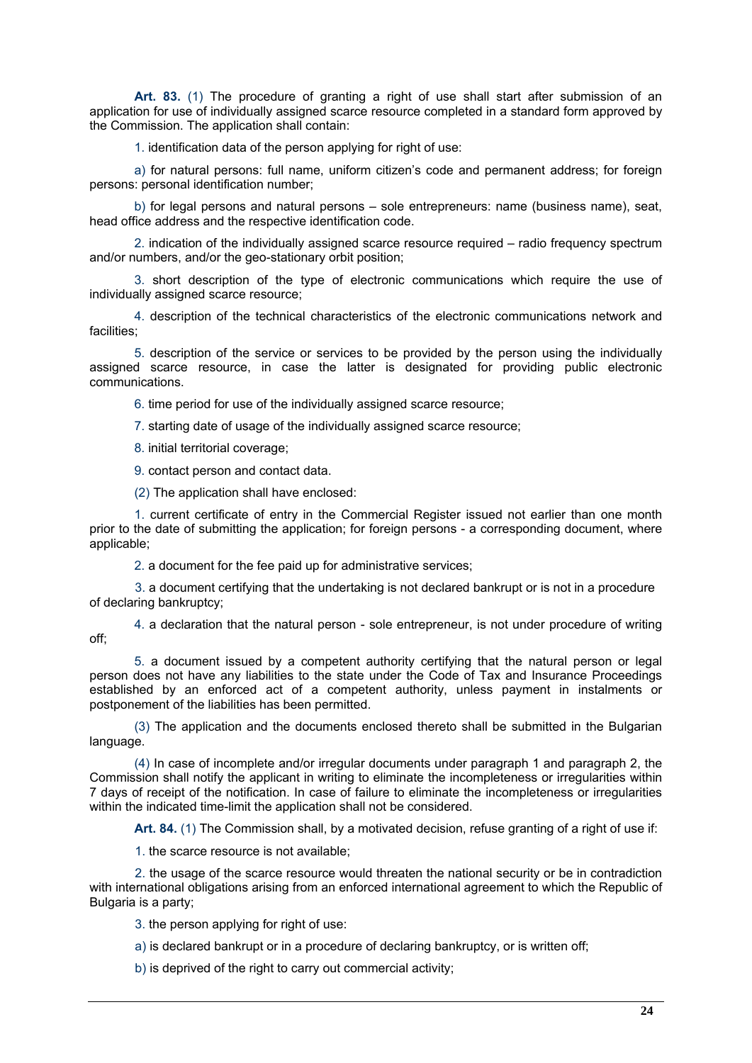**Art. 83.** (1) The procedure of granting a right of use shall start after submission of an application for use of individually assigned scarce resource completed in a standard form approved by the Commission. The application shall contain:

1. identification data of the person applying for right of use:

a) for natural persons: full name, uniform citizen's code and permanent address; for foreign persons: personal identification number;

b) for legal persons and natural persons – sole entrepreneurs: name (business name), seat, head office address and the respective identification code.

2. indication of the individually assigned scarce resource required – radio frequency spectrum and/or numbers, and/or the geo-stationary orbit position;

3. short description of the type of electronic communications which require the use of individually assigned scarce resource;

4. description of the technical characteristics of the electronic communications network and facilities;

5. description of the service or services to be provided by the person using the individually assigned scarce resource, in case the latter is designated for providing public electronic communications.

6. time period for use of the individually assigned scarce resource;

7. starting date of usage of the individually assigned scarce resource;

8. initial territorial coverage;

9. contact person and contact data.

(2) The application shall have enclosed:

1. current certificate of entry in the Commercial Register issued not earlier than one month prior to the date of submitting the application; for foreign persons - a corresponding document, where applicable;

2. a document for the fee paid up for administrative services;

3. a document certifying that the undertaking is not declared bankrupt or is not in a procedure of declaring bankruptcy;

4. a declaration that the natural person - sole entrepreneur, is not under procedure of writing off;

5. a document issued by a competent authority certifying that the natural person or legal person does not have any liabilities to the state under the Code of Tax and Insurance Proceedings established by an enforced act of a competent authority, unless payment in instalments or postponement of the liabilities has been permitted.

(3) The application and the documents enclosed thereto shall be submitted in the Bulgarian language.

(4) In case of incomplete and/or irregular documents under paragraph 1 and paragraph 2, the Commission shall notify the applicant in writing to eliminate the incompleteness or irregularities within 7 days of receipt of the notification. In case of failure to eliminate the incompleteness or irregularities within the indicated time-limit the application shall not be considered.

**Art. 84.** (1) The Commission shall, by a motivated decision, refuse granting of a right of use if:

1. the scarce resource is not available;

2. the usage of the scarce resource would threaten the national security or be in contradiction with international obligations arising from an enforced international agreement to which the Republic of Bulgaria is a party;

3. the person applying for right of use:

a) is declared bankrupt or in a procedure of declaring bankruptcy, or is written off;

b) is deprived of the right to carry out commercial activity;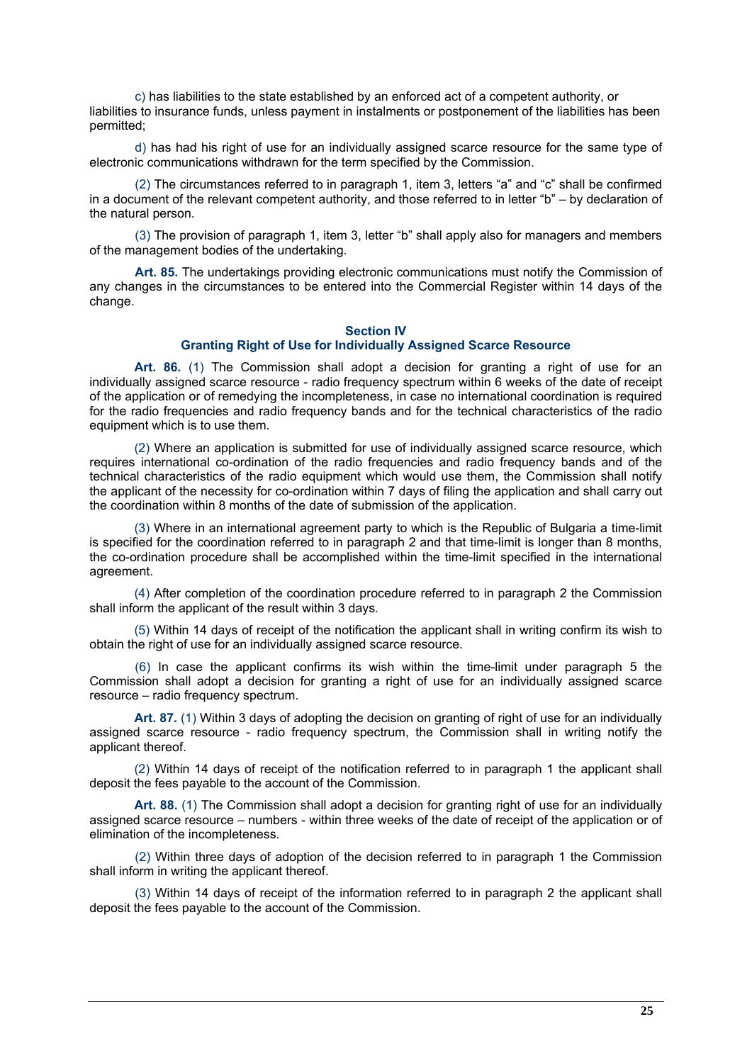c) has liabilities to the state established by an enforced act of a competent authority, or liabilities to insurance funds, unless payment in instalments or postponement of the liabilities has been permitted;

d) has had his right of use for an individually assigned scarce resource for the same type of electronic communications withdrawn for the term specified by the Commission.

(2) The circumstances referred to in paragraph 1, item 3, letters "a" and "c" shall be confirmed in a document of the relevant competent authority, and those referred to in letter "b" – by declaration of the natural person.

(3) The provision of paragraph 1, item 3, letter "b" shall apply also for managers and members of the management bodies of the undertaking.

**Art. 85.** The undertakings providing electronic communications must notify the Commission of any changes in the circumstances to be entered into the Commercial Register within 14 days of the change.

# **Section IV Granting Right of Use for Individually Assigned Scarce Resource**

**Art. 86.** (1) The Commission shall adopt a decision for granting a right of use for an individually assigned scarce resource - radio frequency spectrum within 6 weeks of the date of receipt of the application or of remedying the incompleteness, in case no international coordination is required for the radio frequencies and radio frequency bands and for the technical characteristics of the radio equipment which is to use them.

(2) Where an application is submitted for use of individually assigned scarce resource, which requires international co-ordination of the radio frequencies and radio frequency bands and of the technical characteristics of the radio equipment which would use them, the Commission shall notify the applicant of the necessity for co-ordination within 7 days of filing the application and shall carry out the coordination within 8 months of the date of submission of the application.

(3) Where in an international agreement party to which is the Republic of Bulgaria a time-limit is specified for the coordination referred to in paragraph 2 and that time-limit is longer than 8 months, the co-ordination procedure shall be accomplished within the time-limit specified in the international agreement.

(4) After completion of the coordination procedure referred to in paragraph 2 the Commission shall inform the applicant of the result within 3 days.

(5) Within 14 days of receipt of the notification the applicant shall in writing confirm its wish to obtain the right of use for an individually assigned scarce resource.

(6) In case the applicant confirms its wish within the time-limit under paragraph 5 the Commission shall adopt a decision for granting a right of use for an individually assigned scarce resource – radio frequency spectrum.

Art. 87. (1) Within 3 days of adopting the decision on granting of right of use for an individually assigned scarce resource - radio frequency spectrum, the Commission shall in writing notify the applicant thereof.

(2) Within 14 days of receipt of the notification referred to in paragraph 1 the applicant shall deposit the fees payable to the account of the Commission.

Art. 88. (1) The Commission shall adopt a decision for granting right of use for an individually assigned scarce resource – numbers - within three weeks of the date of receipt of the application or of elimination of the incompleteness.

(2) Within three days of adoption of the decision referred to in paragraph 1 the Commission shall inform in writing the applicant thereof.

(3) Within 14 days of receipt of the information referred to in paragraph 2 the applicant shall deposit the fees payable to the account of the Commission.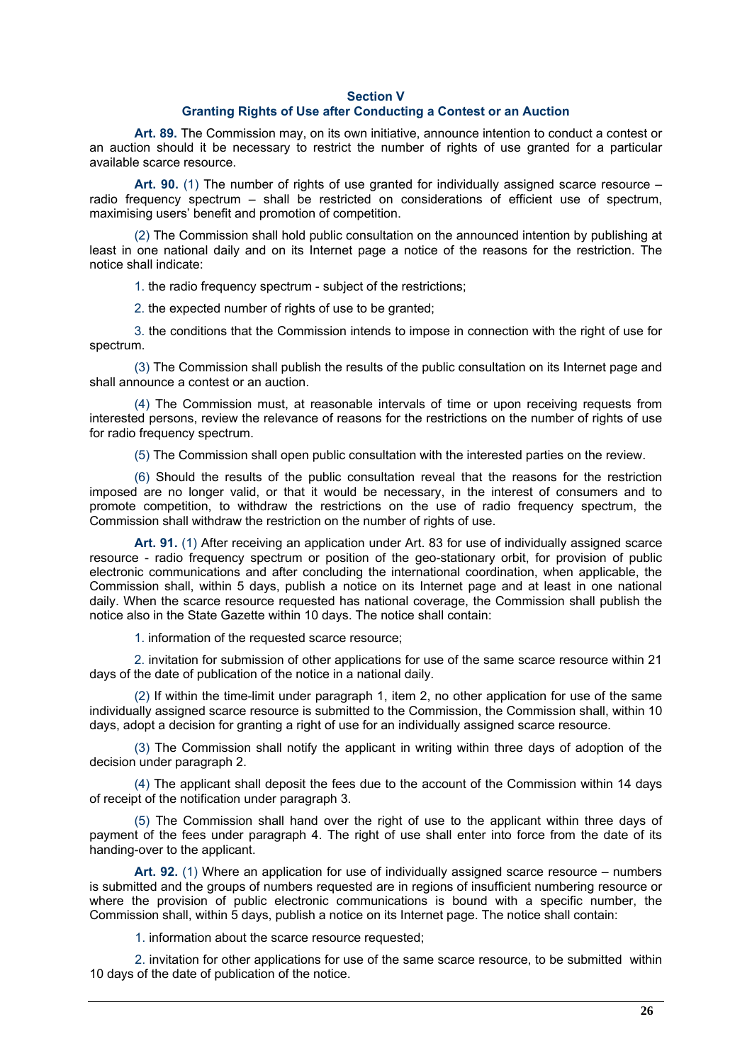#### **Section V**

#### **Granting Rights of Use after Conducting a Contest or an Auction**

**Art. 89.** The Commission may, on its own initiative, announce intention to conduct a contest or an auction should it be necessary to restrict the number of rights of use granted for a particular available scarce resource.

Art. 90. (1) The number of rights of use granted for individually assigned scarce resource – radio frequency spectrum – shall be restricted on considerations of efficient use of spectrum, maximising users' benefit and promotion of competition.

(2) The Commission shall hold public consultation on the announced intention by publishing at least in one national daily and on its Internet page a notice of the reasons for the restriction. The notice shall indicate:

1. the radio frequency spectrum - subject of the restrictions;

2. the expected number of rights of use to be granted;

3. the conditions that the Commission intends to impose in connection with the right of use for spectrum.

(3) The Commission shall publish the results of the public consultation on its Internet page and shall announce a contest or an auction.

(4) The Commission must, at reasonable intervals of time or upon receiving requests from interested persons, review the relevance of reasons for the restrictions on the number of rights of use for radio frequency spectrum.

(5) The Commission shall open public consultation with the interested parties on the review.

(6) Should the results of the public consultation reveal that the reasons for the restriction imposed are no longer valid, or that it would be necessary, in the interest of consumers and to promote competition, to withdraw the restrictions on the use of radio frequency spectrum, the Commission shall withdraw the restriction on the number of rights of use.

Art. 91. (1) After receiving an application under Art. 83 for use of individually assigned scarce resource - radio frequency spectrum or position of the geo-stationary orbit, for provision of public electronic communications and after concluding the international coordination, when applicable, the Commission shall, within 5 days, publish a notice on its Internet page and at least in one national daily. When the scarce resource requested has national coverage, the Commission shall publish the notice also in the State Gazette within 10 days. The notice shall contain:

1. information of the requested scarce resource;

2. invitation for submission of other applications for use of the same scarce resource within 21 days of the date of publication of the notice in a national daily.

(2) If within the time-limit under paragraph 1, item 2, no other application for use of the same individually assigned scarce resource is submitted to the Commission, the Commission shall, within 10 days, adopt a decision for granting a right of use for an individually assigned scarce resource.

(3) The Commission shall notify the applicant in writing within three days of adoption of the decision under paragraph 2.

(4) The applicant shall deposit the fees due to the account of the Commission within 14 days of receipt of the notification under paragraph 3.

(5) The Commission shall hand over the right of use to the applicant within three days of payment of the fees under paragraph 4. The right of use shall enter into force from the date of its handing-over to the applicant.

Art. 92. (1) Where an application for use of individually assigned scarce resource – numbers is submitted and the groups of numbers requested are in regions of insufficient numbering resource or where the provision of public electronic communications is bound with a specific number, the Commission shall, within 5 days, publish a notice on its Internet page. The notice shall contain:

1. information about the scarce resource requested;

2. invitation for other applications for use of the same scarce resource, to be submitted within 10 days of the date of publication of the notice.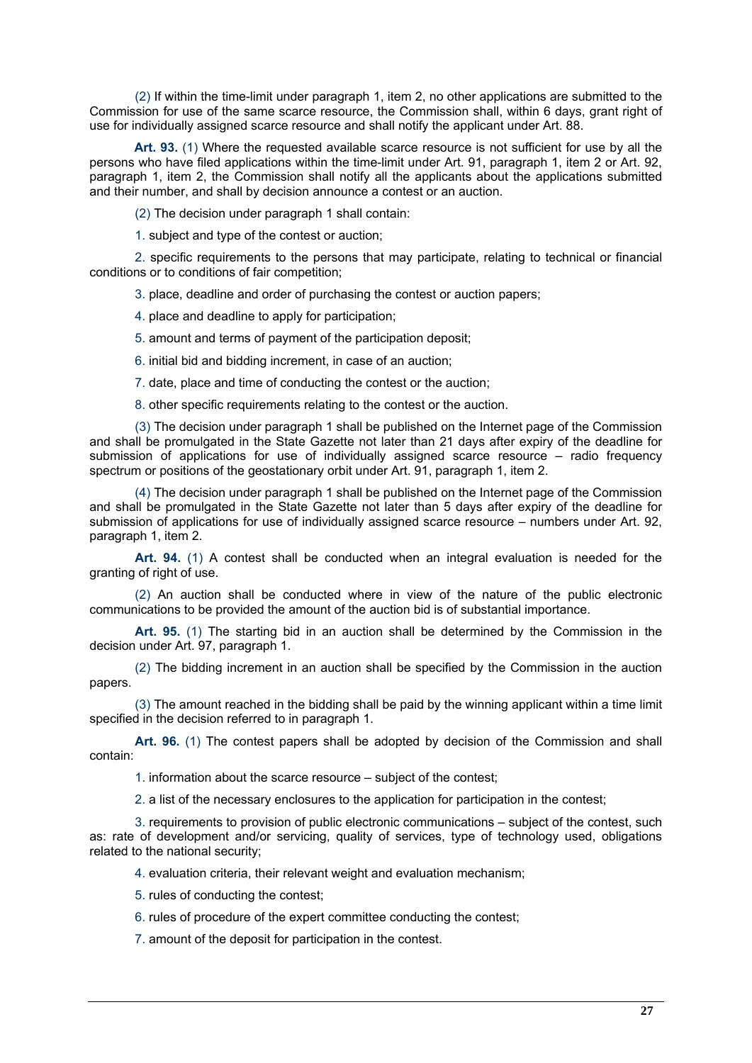(2) If within the time-limit under paragraph 1, item 2, no other applications are submitted to the Commission for use of the same scarce resource, the Commission shall, within 6 days, grant right of use for individually assigned scarce resource and shall notify the applicant under Art. 88.

**Art. 93.** (1) Where the requested available scarce resource is not sufficient for use by all the persons who have filed applications within the time-limit under Art. 91, paragraph 1, item 2 or Art. 92, paragraph 1, item 2, the Commission shall notify all the applicants about the applications submitted and their number, and shall by decision announce a contest or an auction.

(2) The decision under paragraph 1 shall contain:

1. subject and type of the contest or auction;

2. specific requirements to the persons that may participate, relating to technical or financial conditions or to conditions of fair competition;

3. place, deadline and order of purchasing the contest or auction papers;

4. place and deadline to apply for participation;

5. amount and terms of payment of the participation deposit;

- 6. initial bid and bidding increment, in case of an auction;
- 7. date, place and time of conducting the contest or the auction;
- 8. other specific requirements relating to the contest or the auction.

(3) The decision under paragraph 1 shall be published on the Internet page of the Commission and shall be promulgated in the State Gazette not later than 21 days after expiry of the deadline for submission of applications for use of individually assigned scarce resource – radio frequency spectrum or positions of the geostationary orbit under Art. 91, paragraph 1, item 2.

(4) The decision under paragraph 1 shall be published on the Internet page of the Commission and shall be promulgated in the State Gazette not later than 5 days after expiry of the deadline for submission of applications for use of individually assigned scarce resource – numbers under Art. 92, paragraph 1, item 2.

**Art. 94.** (1) A contest shall be conducted when an integral evaluation is needed for the granting of right of use.

(2) An auction shall be conducted where in view of the nature of the public electronic communications to be provided the amount of the auction bid is of substantial importance.

**Art. 95.** (1) The starting bid in an auction shall be determined by the Commission in the decision under Art. 97, paragraph 1.

(2) The bidding increment in an auction shall be specified by the Commission in the auction papers.

(3) The amount reached in the bidding shall be paid by the winning applicant within a time limit specified in the decision referred to in paragraph 1.

**Art. 96.** (1) The contest papers shall be adopted by decision of the Commission and shall contain:

1. information about the scarce resource – subject of the contest;

2. a list of the necessary enclosures to the application for participation in the contest;

3. requirements to provision of public electronic communications – subject of the contest, such as: rate of development and/or servicing, quality of services, type of technology used, obligations related to the national security;

4. evaluation criteria, their relevant weight and evaluation mechanism;

5. rules of conducting the contest;

6. rules of procedure of the expert committee conducting the contest;

7. amount of the deposit for participation in the contest.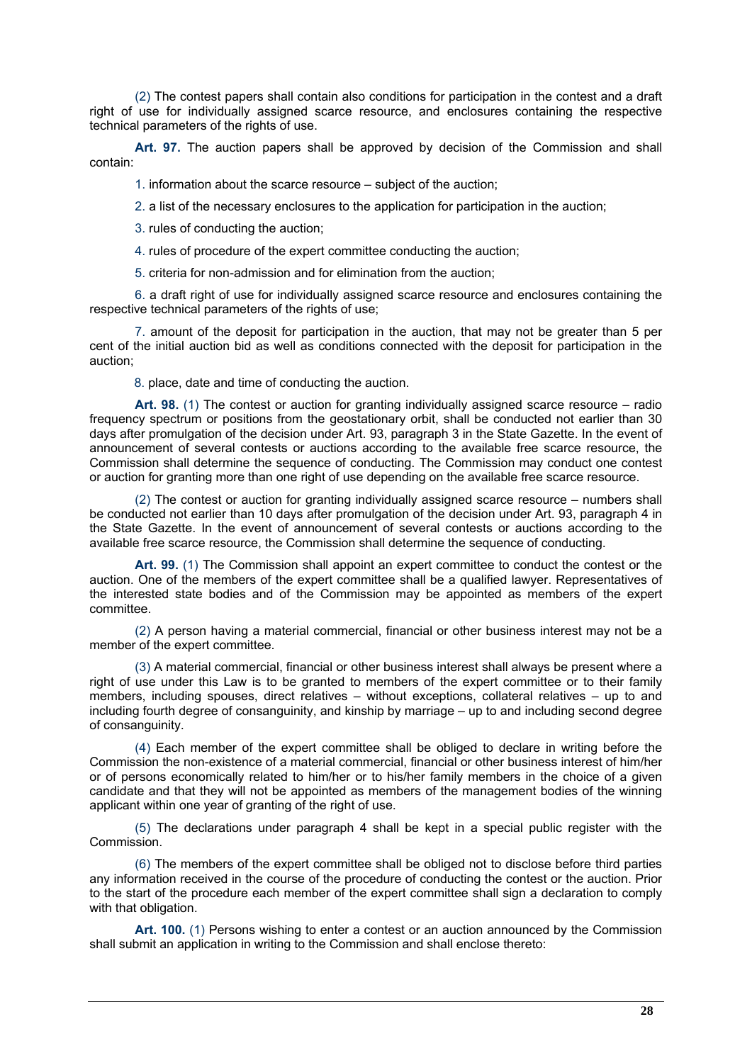(2) The contest papers shall contain also conditions for participation in the contest and a draft right of use for individually assigned scarce resource, and enclosures containing the respective technical parameters of the rights of use.

**Art. 97.** The auction papers shall be approved by decision of the Commission and shall contain:

1. information about the scarce resource – subject of the auction;

- 2. a list of the necessary enclosures to the application for participation in the auction;
- 3. rules of conducting the auction;
- 4. rules of procedure of the expert committee conducting the auction;
- 5. criteria for non-admission and for elimination from the auction;

6. a draft right of use for individually assigned scarce resource and enclosures containing the respective technical parameters of the rights of use;

7. amount of the deposit for participation in the auction, that may not be greater than 5 per cent of the initial auction bid as well as conditions connected with the deposit for participation in the auction;

8. place, date and time of conducting the auction.

**Art. 98.** (1) The contest or auction for granting individually assigned scarce resource – radio frequency spectrum or positions from the geostationary orbit, shall be conducted not earlier than 30 days after promulgation of the decision under Art. 93, paragraph 3 in the State Gazette. In the event of announcement of several contests or auctions according to the available free scarce resource, the Commission shall determine the sequence of conducting. The Commission may conduct one contest or auction for granting more than one right of use depending on the available free scarce resource.

(2) The contest or auction for granting individually assigned scarce resource – numbers shall be conducted not earlier than 10 days after promulgation of the decision under Art. 93, paragraph 4 in the State Gazette. In the event of announcement of several contests or auctions according to the available free scarce resource, the Commission shall determine the sequence of conducting.

Art. 99. (1) The Commission shall appoint an expert committee to conduct the contest or the auction. One of the members of the expert committee shall be a qualified lawyer. Representatives of the interested state bodies and of the Commission may be appointed as members of the expert committee.

(2) A person having a material commercial, financial or other business interest may not be a member of the expert committee.

(3) A material commercial, financial or other business interest shall always be present where a right of use under this Law is to be granted to members of the expert committee or to their family members, including spouses, direct relatives – without exceptions, collateral relatives – up to and including fourth degree of consanguinity, and kinship by marriage – up to and including second degree of consanguinity.

(4) Each member of the expert committee shall be obliged to declare in writing before the Commission the non-existence of a material commercial, financial or other business interest of him/her or of persons economically related to him/her or to his/her family members in the choice of a given candidate and that they will not be appointed as members of the management bodies of the winning applicant within one year of granting of the right of use.

(5) The declarations under paragraph 4 shall be kept in a special public register with the Commission.

(6) The members of the expert committee shall be obliged not to disclose before third parties any information received in the course of the procedure of conducting the contest or the auction. Prior to the start of the procedure each member of the expert committee shall sign a declaration to comply with that obligation.

**Art. 100.** (1) Persons wishing to enter a contest or an auction announced by the Commission shall submit an application in writing to the Commission and shall enclose thereto: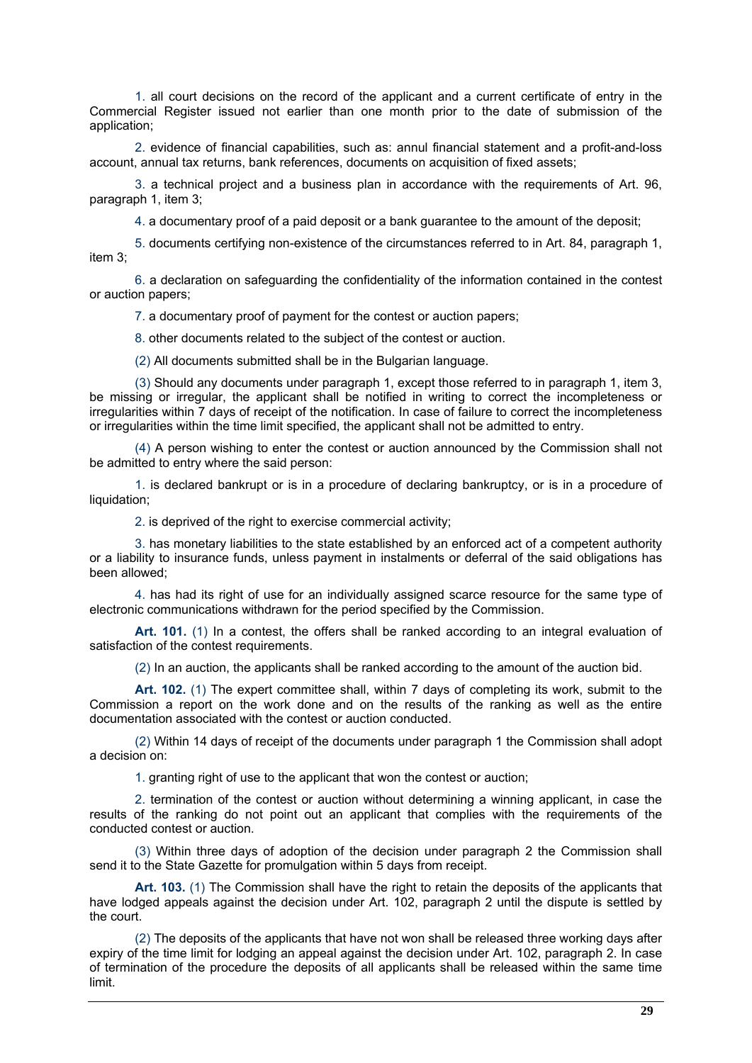1. all court decisions on the record of the applicant and a current certificate of entry in the Commercial Register issued not earlier than one month prior to the date of submission of the application;

2. evidence of financial capabilities, such as: annul financial statement and a profit-and-loss account, annual tax returns, bank references, documents on acquisition of fixed assets;

3. a technical project and a business plan in accordance with the requirements of Art. 96, paragraph 1, item 3;

4. a documentary proof of a paid deposit or a bank guarantee to the amount of the deposit;

5. documents certifying non-existence of the circumstances referred to in Art. 84, paragraph 1, item 3;

6. a declaration on safeguarding the confidentiality of the information contained in the contest or auction papers;

7. a documentary proof of payment for the contest or auction papers;

8. other documents related to the subject of the contest or auction.

(2) All documents submitted shall be in the Bulgarian language.

(3) Should any documents under paragraph 1, except those referred to in paragraph 1, item 3, be missing or irregular, the applicant shall be notified in writing to correct the incompleteness or irregularities within 7 days of receipt of the notification. In case of failure to correct the incompleteness or irregularities within the time limit specified, the applicant shall not be admitted to entry.

(4) A person wishing to enter the contest or auction announced by the Commission shall not be admitted to entry where the said person:

1. is declared bankrupt or is in a procedure of declaring bankruptcy, or is in a procedure of liquidation:

2. is deprived of the right to exercise commercial activity;

3. has monetary liabilities to the state established by an enforced act of a competent authority or a liability to insurance funds, unless payment in instalments or deferral of the said obligations has been allowed;

4. has had its right of use for an individually assigned scarce resource for the same type of electronic communications withdrawn for the period specified by the Commission.

**Art. 101.** (1) In a contest, the offers shall be ranked according to an integral evaluation of satisfaction of the contest requirements.

(2) In an auction, the applicants shall be ranked according to the amount of the auction bid.

**Art. 102.** (1) The expert committee shall, within 7 days of completing its work, submit to the Commission a report on the work done and on the results of the ranking as well as the entire documentation associated with the contest or auction conducted.

(2) Within 14 days of receipt of the documents under paragraph 1 the Commission shall adopt a decision on:

1. granting right of use to the applicant that won the contest or auction;

2. termination of the contest or auction without determining a winning applicant, in case the results of the ranking do not point out an applicant that complies with the requirements of the conducted contest or auction.

(3) Within three days of adoption of the decision under paragraph 2 the Commission shall send it to the State Gazette for promulgation within 5 days from receipt.

**Art. 103.** (1) The Commission shall have the right to retain the deposits of the applicants that have lodged appeals against the decision under Art. 102, paragraph 2 until the dispute is settled by the court.

(2) The deposits of the applicants that have not won shall be released three working days after expiry of the time limit for lodging an appeal against the decision under Art. 102, paragraph 2. In case of termination of the procedure the deposits of all applicants shall be released within the same time limit.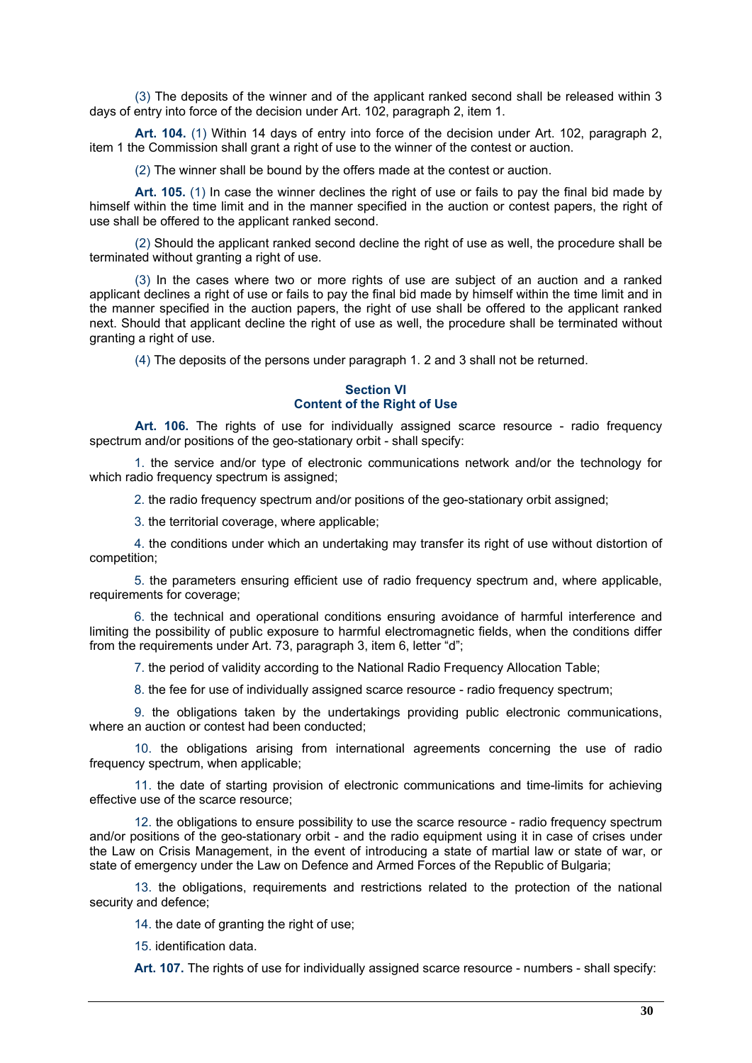(3) The deposits of the winner and of the applicant ranked second shall be released within 3 days of entry into force of the decision under Art. 102, paragraph 2, item 1.

**Art. 104.** (1) Within 14 days of entry into force of the decision under Art. 102, paragraph 2, item 1 the Commission shall grant a right of use to the winner of the contest or auction.

(2) The winner shall be bound by the offers made at the contest or auction.

**Art. 105.** (1) In case the winner declines the right of use or fails to pay the final bid made by himself within the time limit and in the manner specified in the auction or contest papers, the right of use shall be offered to the applicant ranked second.

(2) Should the applicant ranked second decline the right of use as well, the procedure shall be terminated without granting a right of use.

(3) In the cases where two or more rights of use are subject of an auction and a ranked applicant declines a right of use or fails to pay the final bid made by himself within the time limit and in the manner specified in the auction papers, the right of use shall be offered to the applicant ranked next. Should that applicant decline the right of use as well, the procedure shall be terminated without granting a right of use.

(4) The deposits of the persons under paragraph 1. 2 and 3 shall not be returned.

### **Section VI Content of the Right of Use**

**Art. 106.** The rights of use for individually assigned scarce resource - radio frequency spectrum and/or positions of the geo-stationary orbit - shall specify:

1. the service and/or type of electronic communications network and/or the technology for which radio frequency spectrum is assigned;

2. the radio frequency spectrum and/or positions of the geo-stationary orbit assigned;

3. the territorial coverage, where applicable;

4. the conditions under which an undertaking may transfer its right of use without distortion of competition;

5. the parameters ensuring efficient use of radio frequency spectrum and, where applicable, requirements for coverage;

6. the technical and operational conditions ensuring avoidance of harmful interference and limiting the possibility of public exposure to harmful electromagnetic fields, when the conditions differ from the requirements under Art. 73, paragraph 3, item 6, letter "d";

7. the period of validity according to the National Radio Frequency Allocation Table;

8. the fee for use of individually assigned scarce resource - radio frequency spectrum;

9. the obligations taken by the undertakings providing public electronic communications, where an auction or contest had been conducted:

10. the obligations arising from international agreements concerning the use of radio frequency spectrum, when applicable;

11. the date of starting provision of electronic communications and time-limits for achieving effective use of the scarce resource;

12. the obligations to ensure possibility to use the scarce resource - radio frequency spectrum and/or positions of the geo-stationary orbit - and the radio equipment using it in case of crises under the Law on Crisis Management, in the event of introducing a state of martial law or state of war, or state of emergency under the Law on Defence and Armed Forces of the Republic of Bulgaria;

13. the obligations, requirements and restrictions related to the protection of the national security and defence;

14. the date of granting the right of use;

15. identification data.

**Art. 107.** The rights of use for individually assigned scarce resource - numbers - shall specify: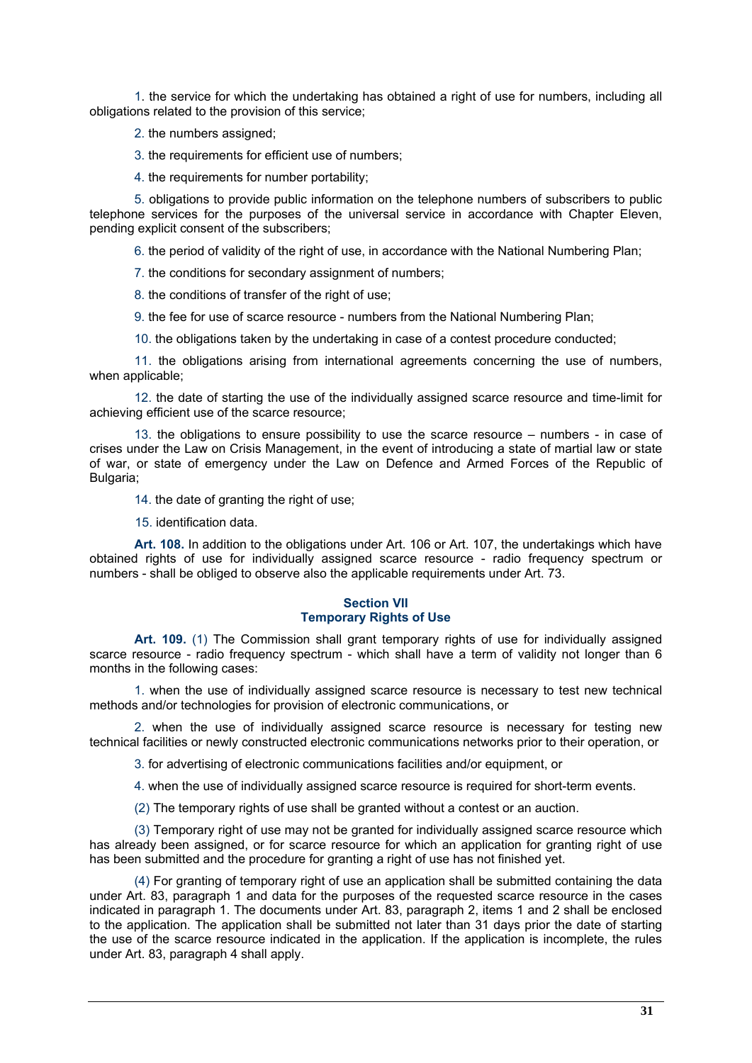1. the service for which the undertaking has obtained a right of use for numbers, including all obligations related to the provision of this service;

2. the numbers assigned;

3. the requirements for efficient use of numbers;

4. the requirements for number portability;

5. obligations to provide public information on the telephone numbers of subscribers to public telephone services for the purposes of the universal service in accordance with Chapter Eleven, pending explicit consent of the subscribers;

6. the period of validity of the right of use, in accordance with the National Numbering Plan;

7. the conditions for secondary assignment of numbers;

8. the conditions of transfer of the right of use:

9. the fee for use of scarce resource - numbers from the National Numbering Plan;

10. the obligations taken by the undertaking in case of a contest procedure conducted;

11. the obligations arising from international agreements concerning the use of numbers, when applicable;

12. the date of starting the use of the individually assigned scarce resource and time-limit for achieving efficient use of the scarce resource;

13. the obligations to ensure possibility to use the scarce resource – numbers - in case of crises under the Law on Crisis Management, in the event of introducing a state of martial law or state of war, or state of emergency under the Law on Defence and Armed Forces of the Republic of Bulgaria;

- 14. the date of granting the right of use;
- 15. identification data.

**Art. 108.** In addition to the obligations under Art. 106 or Art. 107, the undertakings which have obtained rights of use for individually assigned scarce resource - radio frequency spectrum or numbers - shall be obliged to observe also the applicable requirements under Art. 73.

# **Section VII Temporary Rights of Use**

**Art. 109.** (1) The Commission shall grant temporary rights of use for individually assigned scarce resource - radio frequency spectrum - which shall have a term of validity not longer than 6 months in the following cases:

1. when the use of individually assigned scarce resource is necessary to test new technical methods and/or technologies for provision of electronic communications, or

2. when the use of individually assigned scarce resource is necessary for testing new technical facilities or newly constructed electronic communications networks prior to their operation, or

3. for advertising of electronic communications facilities and/or equipment, or

4. when the use of individually assigned scarce resource is required for short-term events.

(2) The temporary rights of use shall be granted without a contest or an auction.

(3) Temporary right of use may not be granted for individually assigned scarce resource which has already been assigned, or for scarce resource for which an application for granting right of use has been submitted and the procedure for granting a right of use has not finished yet.

(4) For granting of temporary right of use an application shall be submitted containing the data under Art. 83, paragraph 1 and data for the purposes of the requested scarce resource in the cases indicated in paragraph 1. The documents under Art. 83, paragraph 2, items 1 and 2 shall be enclosed to the application. The application shall be submitted not later than 31 days prior the date of starting the use of the scarce resource indicated in the application. If the application is incomplete, the rules under Art. 83, paragraph 4 shall apply.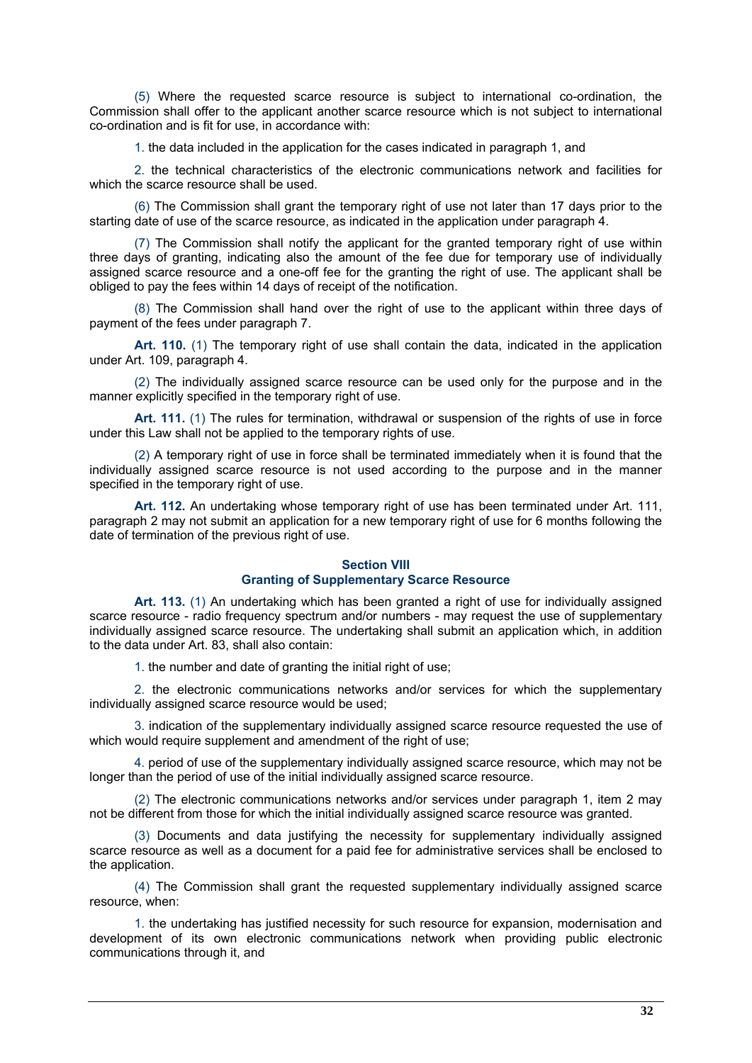(5) Where the requested scarce resource is subject to international co-ordination, the Commission shall offer to the applicant another scarce resource which is not subject to international co-ordination and is fit for use, in accordance with:

1. the data included in the application for the cases indicated in paragraph 1, and

2. the technical characteristics of the electronic communications network and facilities for which the scarce resource shall be used.

(6) The Commission shall grant the temporary right of use not later than 17 days prior to the starting date of use of the scarce resource, as indicated in the application under paragraph 4.

(7) The Commission shall notify the applicant for the granted temporary right of use within three days of granting, indicating also the amount of the fee due for temporary use of individually assigned scarce resource and a one-off fee for the granting the right of use. The applicant shall be obliged to pay the fees within 14 days of receipt of the notification.

(8) The Commission shall hand over the right of use to the applicant within three days of payment of the fees under paragraph 7.

Art. 110. (1) The temporary right of use shall contain the data, indicated in the application under Art. 109, paragraph 4.

(2) The individually assigned scarce resource can be used only for the purpose and in the manner explicitly specified in the temporary right of use.

**Art. 111.** (1) The rules for termination, withdrawal or suspension of the rights of use in force under this Law shall not be applied to the temporary rights of use.

(2) A temporary right of use in force shall be terminated immediately when it is found that the individually assigned scarce resource is not used according to the purpose and in the manner specified in the temporary right of use.

**Art. 112.** An undertaking whose temporary right of use has been terminated under Art. 111, paragraph 2 may not submit an application for a new temporary right of use for 6 months following the date of termination of the previous right of use.

#### **Section VIII Granting of Supplementary Scarce Resource**

**Art. 113.** (1) An undertaking which has been granted a right of use for individually assigned scarce resource - radio frequency spectrum and/or numbers - may request the use of supplementary individually assigned scarce resource. The undertaking shall submit an application which, in addition to the data under Art. 83, shall also contain:

1. the number and date of granting the initial right of use;

2. the electronic communications networks and/or services for which the supplementary individually assigned scarce resource would be used;

3. indication of the supplementary individually assigned scarce resource requested the use of which would require supplement and amendment of the right of use:

4. period of use of the supplementary individually assigned scarce resource, which may not be longer than the period of use of the initial individually assigned scarce resource.

(2) The electronic communications networks and/or services under paragraph 1, item 2 may not be different from those for which the initial individually assigned scarce resource was granted.

(3) Documents and data justifying the necessity for supplementary individually assigned scarce resource as well as a document for a paid fee for administrative services shall be enclosed to the application.

(4) The Commission shall grant the requested supplementary individually assigned scarce resource, when:

1. the undertaking has justified necessity for such resource for expansion, modernisation and development of its own electronic communications network when providing public electronic communications through it, and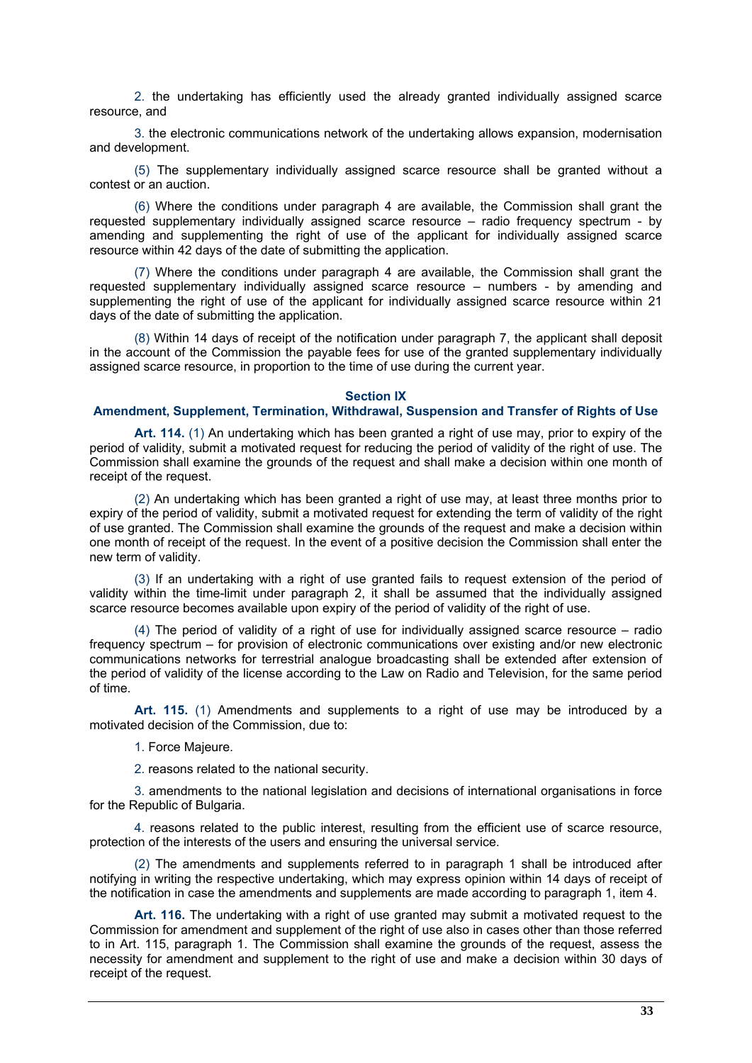2. the undertaking has efficiently used the already granted individually assigned scarce resource, and

3. the electronic communications network of the undertaking allows expansion, modernisation and development.

(5) The supplementary individually assigned scarce resource shall be granted without a contest or an auction.

(6) Where the conditions under paragraph 4 are available, the Commission shall grant the requested supplementary individually assigned scarce resource - radio frequency spectrum - by amending and supplementing the right of use of the applicant for individually assigned scarce resource within 42 days of the date of submitting the application.

(7) Where the conditions under paragraph 4 are available, the Commission shall grant the requested supplementary individually assigned scarce resource – numbers - by amending and supplementing the right of use of the applicant for individually assigned scarce resource within 21 days of the date of submitting the application.

(8) Within 14 days of receipt of the notification under paragraph 7, the applicant shall deposit in the account of the Commission the payable fees for use of the granted supplementary individually assigned scarce resource, in proportion to the time of use during the current year.

#### **Section IX**

## **Amendment, Supplement, Termination, Withdrawal, Suspension and Transfer of Rights of Use**

**Art. 114.** (1) An undertaking which has been granted a right of use may, prior to expiry of the period of validity, submit a motivated request for reducing the period of validity of the right of use. The Commission shall examine the grounds of the request and shall make a decision within one month of receipt of the request.

(2) An undertaking which has been granted a right of use may, at least three months prior to expiry of the period of validity, submit a motivated request for extending the term of validity of the right of use granted. The Commission shall examine the grounds of the request and make a decision within one month of receipt of the request. In the event of a positive decision the Commission shall enter the new term of validity.

(3) If an undertaking with a right of use granted fails to request extension of the period of validity within the time-limit under paragraph 2, it shall be assumed that the individually assigned scarce resource becomes available upon expiry of the period of validity of the right of use.

(4) The period of validity of a right of use for individually assigned scarce resource – radio frequency spectrum – for provision of electronic communications over existing and/or new electronic communications networks for terrestrial analogue broadcasting shall be extended after extension of the period of validity of the license according to the Law on Radio and Television, for the same period of time.

**Art. 115.** (1) Amendments and supplements to a right of use may be introduced by a motivated decision of the Commission, due to:

1. Force Majeure.

2. reasons related to the national security.

3. amendments to the national legislation and decisions of international organisations in force for the Republic of Bulgaria.

4. reasons related to the public interest, resulting from the efficient use of scarce resource, protection of the interests of the users and ensuring the universal service.

(2) The amendments and supplements referred to in paragraph 1 shall be introduced after notifying in writing the respective undertaking, which may express opinion within 14 days of receipt of the notification in case the amendments and supplements are made according to paragraph 1, item 4.

**Art. 116.** The undertaking with a right of use granted may submit a motivated request to the Commission for amendment and supplement of the right of use also in cases other than those referred to in Art. 115, paragraph 1. The Commission shall examine the grounds of the request, assess the necessity for amendment and supplement to the right of use and make a decision within 30 days of receipt of the request.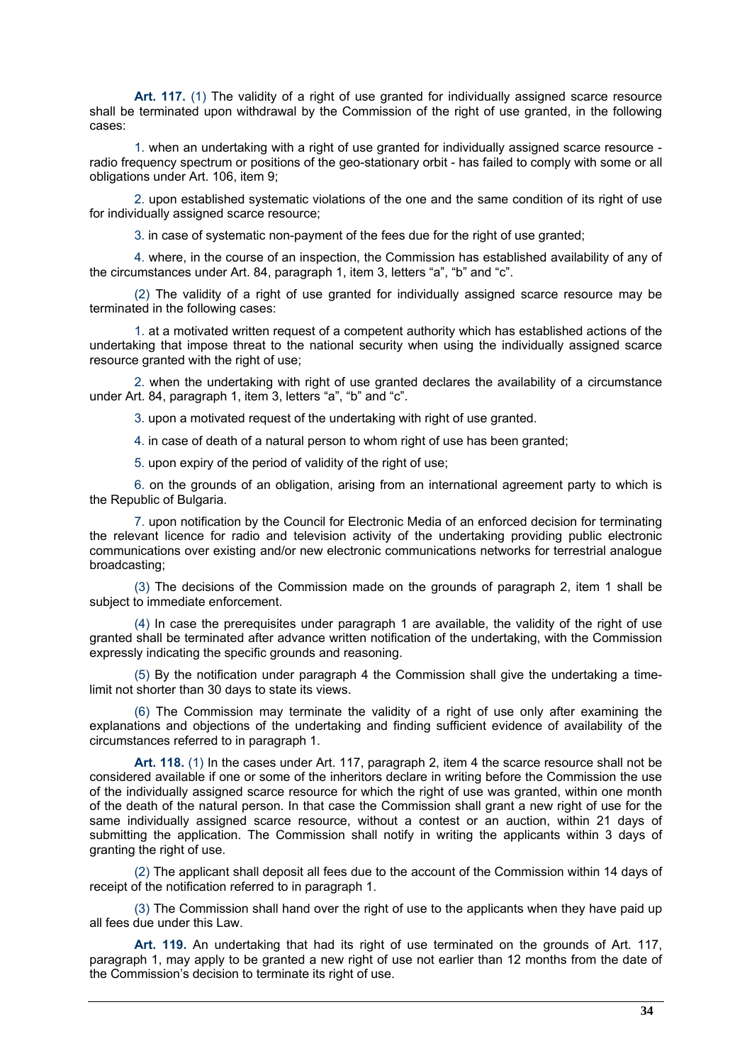Art. 117. (1) The validity of a right of use granted for individually assigned scarce resource shall be terminated upon withdrawal by the Commission of the right of use granted, in the following cases:

1. when an undertaking with a right of use granted for individually assigned scarce resource radio frequency spectrum or positions of the geo-stationary orbit - has failed to comply with some or all obligations under Art. 106, item 9;

2. upon established systematic violations of the one and the same condition of its right of use for individually assigned scarce resource;

3. in case of systematic non-payment of the fees due for the right of use granted;

4. where, in the course of an inspection, the Commission has established availability of any of the circumstances under Art. 84, paragraph 1, item 3, letters "a", "b" and "c".

(2) The validity of a right of use granted for individually assigned scarce resource may be terminated in the following cases:

1. at a motivated written request of a competent authority which has established actions of the undertaking that impose threat to the national security when using the individually assigned scarce resource granted with the right of use;

2. when the undertaking with right of use granted declares the availability of a circumstance under Art. 84, paragraph 1, item 3, letters "a", "b" and "c".

3. upon a motivated request of the undertaking with right of use granted.

4. in case of death of a natural person to whom right of use has been granted;

5. upon expiry of the period of validity of the right of use;

6. on the grounds of an obligation, arising from an international agreement party to which is the Republic of Bulgaria.

7. upon notification by the Council for Electronic Media of an enforced decision for terminating the relevant licence for radio and television activity of the undertaking providing public electronic communications over existing and/or new electronic communications networks for terrestrial analogue broadcasting;

(3) The decisions of the Commission made on the grounds of paragraph 2, item 1 shall be subject to immediate enforcement.

(4) In case the prerequisites under paragraph 1 are available, the validity of the right of use granted shall be terminated after advance written notification of the undertaking, with the Commission expressly indicating the specific grounds and reasoning.

(5) By the notification under paragraph 4 the Commission shall give the undertaking a timelimit not shorter than 30 days to state its views.

(6) The Commission may terminate the validity of a right of use only after examining the explanations and objections of the undertaking and finding sufficient evidence of availability of the circumstances referred to in paragraph 1.

**Art. 118.** (1) In the cases under Art. 117, paragraph 2, item 4 the scarce resource shall not be considered available if one or some of the inheritors declare in writing before the Commission the use of the individually assigned scarce resource for which the right of use was granted, within one month of the death of the natural person. In that case the Commission shall grant a new right of use for the same individually assigned scarce resource, without a contest or an auction, within 21 days of submitting the application. The Commission shall notify in writing the applicants within 3 days of granting the right of use.

(2) The applicant shall deposit all fees due to the account of the Commission within 14 days of receipt of the notification referred to in paragraph 1.

(3) The Commission shall hand over the right of use to the applicants when they have paid up all fees due under this Law.

**Art. 119.** An undertaking that had its right of use terminated on the grounds of Art. 117, paragraph 1, may apply to be granted a new right of use not earlier than 12 months from the date of the Commission's decision to terminate its right of use.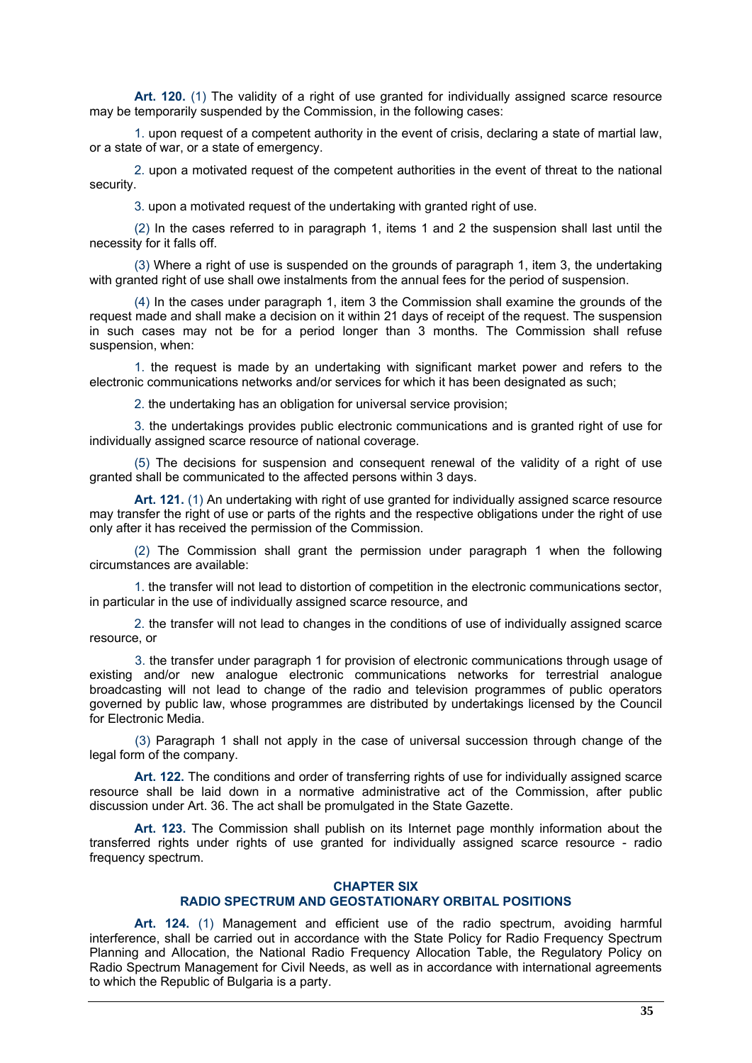**Art. 120.** (1) The validity of a right of use granted for individually assigned scarce resource may be temporarily suspended by the Commission, in the following cases:

1. upon request of a competent authority in the event of crisis, declaring a state of martial law, or a state of war, or a state of emergency.

2. upon a motivated request of the competent authorities in the event of threat to the national security.

3. upon a motivated request of the undertaking with granted right of use.

(2) In the cases referred to in paragraph 1, items 1 and 2 the suspension shall last until the necessity for it falls off.

(3) Where a right of use is suspended on the grounds of paragraph 1, item 3, the undertaking with granted right of use shall owe instalments from the annual fees for the period of suspension.

(4) In the cases under paragraph 1, item 3 the Commission shall examine the grounds of the request made and shall make a decision on it within 21 days of receipt of the request. The suspension in such cases may not be for a period longer than 3 months. The Commission shall refuse suspension, when:

1. the request is made by an undertaking with significant market power and refers to the electronic communications networks and/or services for which it has been designated as such;

2. the undertaking has an obligation for universal service provision;

3. the undertakings provides public electronic communications and is granted right of use for individually assigned scarce resource of national coverage.

(5) The decisions for suspension and consequent renewal of the validity of a right of use granted shall be communicated to the affected persons within 3 days.

Art. 121. (1) An undertaking with right of use granted for individually assigned scarce resource may transfer the right of use or parts of the rights and the respective obligations under the right of use only after it has received the permission of the Commission.

(2) The Commission shall grant the permission under paragraph 1 when the following circumstances are available:

1. the transfer will not lead to distortion of competition in the electronic communications sector, in particular in the use of individually assigned scarce resource, and

2. the transfer will not lead to changes in the conditions of use of individually assigned scarce resource, or

3. the transfer under paragraph 1 for provision of electronic communications through usage of existing and/or new analogue electronic communications networks for terrestrial analogue broadcasting will not lead to change of the radio and television programmes of public operators governed by public law, whose programmes are distributed by undertakings licensed by the Council for Electronic Media.

(3) Paragraph 1 shall not apply in the case of universal succession through change of the legal form of the company.

**Art. 122.** The conditions and order of transferring rights of use for individually assigned scarce resource shall be laid down in a normative administrative act of the Commission, after public discussion under Art. 36. The act shall be promulgated in the State Gazette.

**Art. 123.** The Commission shall publish on its Internet page monthly information about the transferred rights under rights of use granted for individually assigned scarce resource - radio frequency spectrum.

#### **CHAPTER SIX RADIO SPECTRUM AND GEOSTATIONARY ORBITAL POSITIONS**

**Art. 124.** (1) Management and efficient use of the radio spectrum, avoiding harmful interference, shall be carried out in accordance with the State Policy for Radio Frequency Spectrum Planning and Allocation, the National Radio Frequency Allocation Table, the Regulatory Policy on Radio Spectrum Management for Civil Needs, as well as in accordance with international agreements to which the Republic of Bulgaria is a party.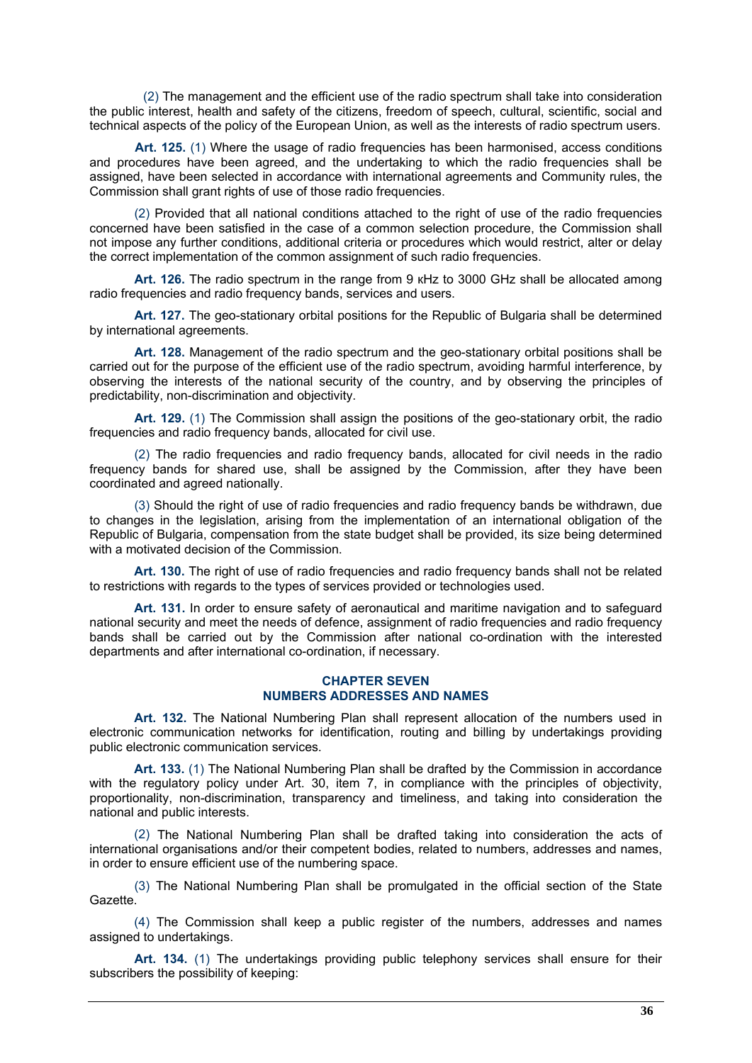(2) The management and the efficient use of the radio spectrum shall take into consideration the public interest, health and safety of the citizens, freedom of speech, cultural, scientific, social and technical aspects of the policy of the European Union, as well as the interests of radio spectrum users.

**Art. 125.** (1) Where the usage of radio frequencies has been harmonised, access conditions and procedures have been agreed, and the undertaking to which the radio frequencies shall be assigned, have been selected in accordance with international agreements and Community rules, the Commission shall grant rights of use of those radio frequencies.

(2) Provided that all national conditions attached to the right of use of the radio frequencies concerned have been satisfied in the case of a common selection procedure, the Commission shall not impose any further conditions, additional criteria or procedures which would restrict, alter or delay the correct implementation of the common assignment of such radio frequencies.

**Art. 126.** The radio spectrum in the range from 9 кНz to 3000 GHz shall be allocated among radio frequencies and radio frequency bands, services and users.

**Art. 127.** The geo-stationary orbital positions for the Republic of Bulgaria shall be determined by international agreements.

**Art. 128.** Management of the radio spectrum and the geo-stationary orbital positions shall be carried out for the purpose of the efficient use of the radio spectrum, avoiding harmful interference, by observing the interests of the national security of the country, and by observing the principles of predictability, non-discrimination and objectivity.

**Art. 129.** (1) The Commission shall assign the positions of the geo-stationary orbit, the radio frequencies and radio frequency bands, allocated for civil use.

(2) The radio frequencies and radio frequency bands, allocated for civil needs in the radio frequency bands for shared use, shall be assigned by the Commission, after they have been coordinated and agreed nationally.

(3) Should the right of use of radio frequencies and radio frequency bands be withdrawn, due to changes in the legislation, arising from the implementation of an international obligation of the Republic of Bulgaria, compensation from the state budget shall be provided, its size being determined with a motivated decision of the Commission.

**Art. 130.** The right of use of radio frequencies and radio frequency bands shall not be related to restrictions with regards to the types of services provided or technologies used.

**Art. 131.** In order to ensure safety of aeronautical and maritime navigation and to safeguard national security and meet the needs of defence, assignment of radio frequencies and radio frequency bands shall be carried out by the Commission after national co-ordination with the interested departments and after international co-ordination, if necessary.

### **CHAPTER SEVEN NUMBERS ADDRESSES AND NAMES**

**Art. 132.** The National Numbering Plan shall represent allocation of the numbers used in electronic communication networks for identification, routing and billing by undertakings providing public electronic communication services.

**Art. 133.** (1) The National Numbering Plan shall be drafted by the Commission in accordance with the regulatory policy under Art. 30, item 7, in compliance with the principles of objectivity, proportionality, non-discrimination, transparency and timeliness, and taking into consideration the national and public interests.

(2) The National Numbering Plan shall be drafted taking into consideration the acts of international organisations and/or their competent bodies, related to numbers, addresses and names, in order to ensure efficient use of the numbering space.

(3) The National Numbering Plan shall be promulgated in the official section of the State Gazette.

(4) The Commission shall keep a public register of the numbers, addresses and names assigned to undertakings.

Art. 134. (1) The undertakings providing public telephony services shall ensure for their subscribers the possibility of keeping: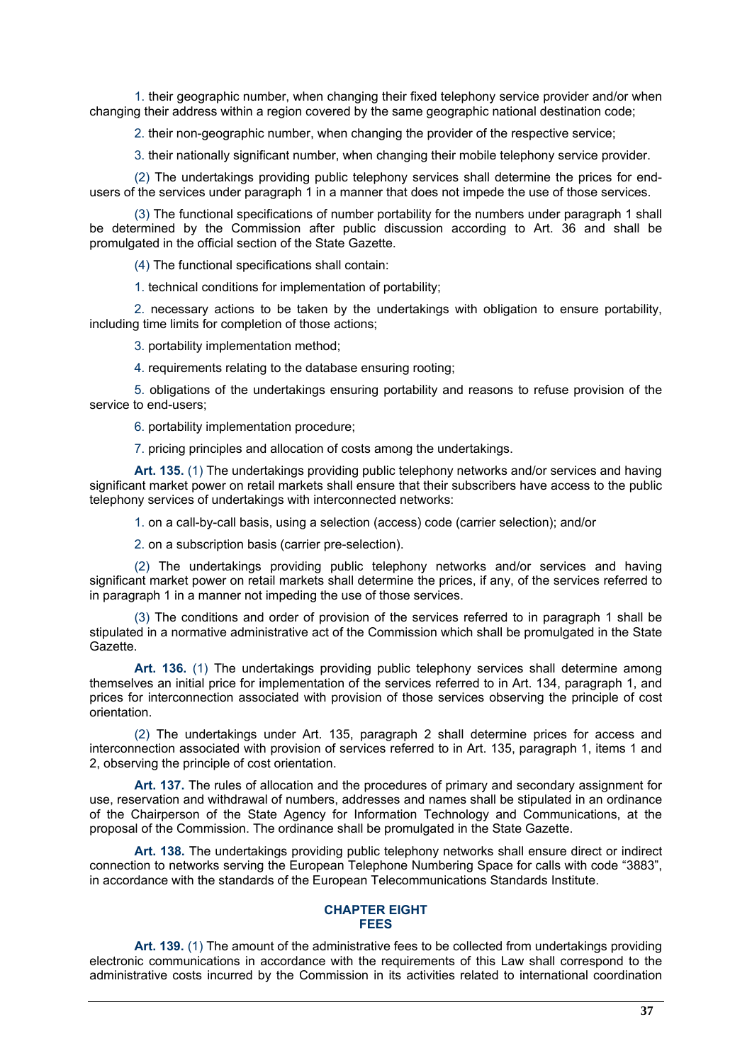1. their geographic number, when changing their fixed telephony service provider and/or when changing their address within a region covered by the same geographic national destination code;

2. their non-geographic number, when changing the provider of the respective service;

3. their nationally significant number, when changing their mobile telephony service provider.

(2) The undertakings providing public telephony services shall determine the prices for endusers of the services under paragraph 1 in a manner that does not impede the use of those services.

(3) The functional specifications of number portability for the numbers under paragraph 1 shall be determined by the Commission after public discussion according to Art. 36 and shall be promulgated in the official section of the State Gazette.

(4) The functional specifications shall contain:

1. technical conditions for implementation of portability;

2. necessary actions to be taken by the undertakings with obligation to ensure portability, including time limits for completion of those actions;

3. portability implementation method;

4. requirements relating to the database ensuring rooting;

5. obligations of the undertakings ensuring portability and reasons to refuse provision of the service to end-users;

6. portability implementation procedure;

7. pricing principles and allocation of costs among the undertakings.

**Art. 135.** (1) The undertakings providing public telephony networks and/or services and having significant market power on retail markets shall ensure that their subscribers have access to the public telephony services of undertakings with interconnected networks:

1. on a call-by-call basis, using a selection (access) code (carrier selection); and/or

2. on a subscription basis (carrier pre-selection).

(2) The undertakings providing public telephony networks and/or services and having significant market power on retail markets shall determine the prices, if any, of the services referred to in paragraph 1 in a manner not impeding the use of those services.

(3) The conditions and order of provision of the services referred to in paragraph 1 shall be stipulated in a normative administrative act of the Commission which shall be promulgated in the State Gazette.

**Art. 136.** (1) The undertakings providing public telephony services shall determine among themselves an initial price for implementation of the services referred to in Art. 134, paragraph 1, and prices for interconnection associated with provision of those services observing the principle of cost orientation.

(2) The undertakings under Art. 135, paragraph 2 shall determine prices for access and interconnection associated with provision of services referred to in Art. 135, paragraph 1, items 1 and 2, observing the principle of cost orientation.

**Art. 137.** The rules of allocation and the procedures of primary and secondary assignment for use, reservation and withdrawal of numbers, addresses and names shall be stipulated in an ordinance of the Chairperson of the State Agency for Information Technology and Communications, at the proposal of the Commission. The ordinance shall be promulgated in the State Gazette.

**Art. 138.** The undertakings providing public telephony networks shall ensure direct or indirect connection to networks serving the European Telephone Numbering Space for calls with code "3883", in accordance with the standards of the European Telecommunications Standards Institute.

#### **CHAPTER EIGHT FEES**

**Art. 139.** (1) The amount of the administrative fees to be collected from undertakings providing electronic communications in accordance with the requirements of this Law shall correspond to the administrative costs incurred by the Commission in its activities related to international coordination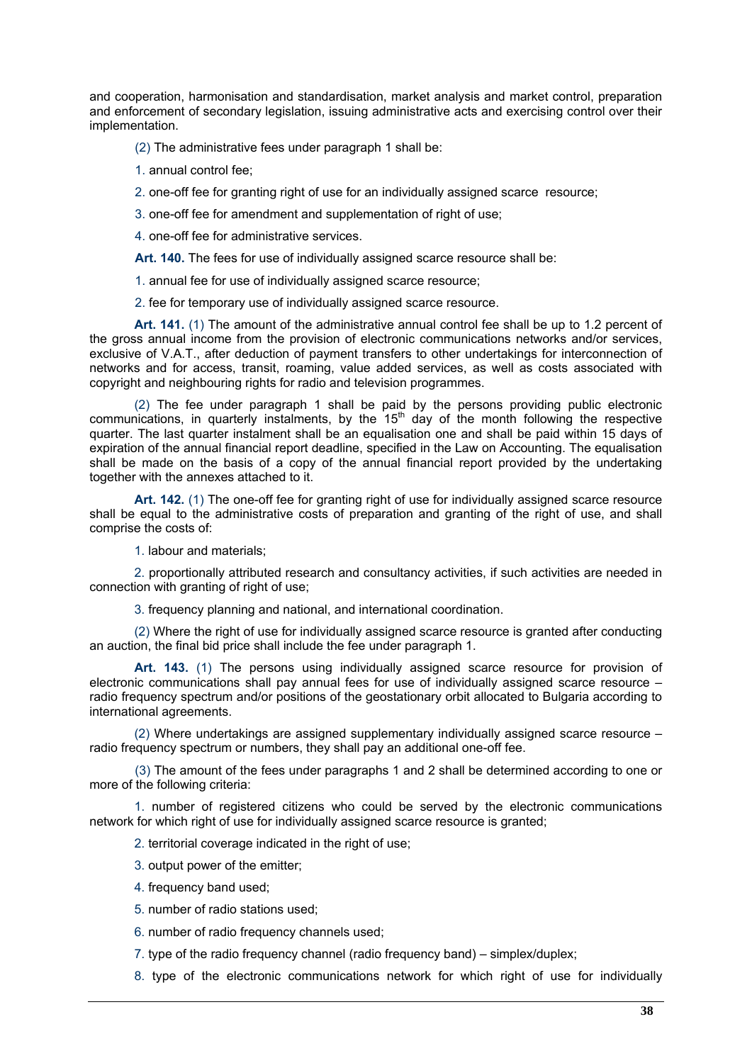and cooperation, harmonisation and standardisation, market analysis and market control, preparation and enforcement of secondary legislation, issuing administrative acts and exercising control over their implementation.

(2) The administrative fees under paragraph 1 shall be:

- 1. annual control fee;
- 2. one-off fee for granting right of use for an individually assigned scarce resource;
- 3. one-off fee for amendment and supplementation of right of use;
- 4. one-off fee for administrative services.

**Art. 140.** The fees for use of individually assigned scarce resource shall be:

- 1. annual fee for use of individually assigned scarce resource;
- 2. fee for temporary use of individually assigned scarce resource.

**Art. 141.** (1) The amount of the administrative annual control fee shall be up to 1.2 percent of the gross annual income from the provision of electronic communications networks and/or services, exclusive of V.A.T., after deduction of payment transfers to other undertakings for interconnection of networks and for access, transit, roaming, value added services, as well as costs associated with copyright and neighbouring rights for radio and television programmes.

(2) The fee under paragraph 1 shall be paid by the persons providing public electronic communications, in quarterly instalments, by the  $15<sup>th</sup>$  day of the month following the respective quarter. The last quarter instalment shall be an equalisation one and shall be paid within 15 days of expiration of the annual financial report deadline, specified in the Law on Accounting. The equalisation shall be made on the basis of a copy of the annual financial report provided by the undertaking together with the annexes attached to it.

Art. 142. (1) The one-off fee for granting right of use for individually assigned scarce resource shall be equal to the administrative costs of preparation and granting of the right of use, and shall comprise the costs of:

1. labour and materials;

2. proportionally attributed research and consultancy activities, if such activities are needed in connection with granting of right of use;

3. frequency planning and national, and international coordination.

(2) Where the right of use for individually assigned scarce resource is granted after conducting an auction, the final bid price shall include the fee under paragraph 1.

**Art. 143.** (1) The persons using individually assigned scarce resource for provision of electronic communications shall pay annual fees for use of individually assigned scarce resource – radio frequency spectrum and/or positions of the geostationary orbit allocated to Bulgaria according to international agreements.

(2) Where undertakings are assigned supplementary individually assigned scarce resource – radio frequency spectrum or numbers, they shall pay an additional one-off fee.

(3) The amount of the fees under paragraphs 1 and 2 shall be determined according to one or more of the following criteria:

1. number of registered citizens who could be served by the electronic communications network for which right of use for individually assigned scarce resource is granted;

2. territorial coverage indicated in the right of use;

- 3. output power of the emitter;
- 4. frequency band used;
- 5. number of radio stations used;
- 6. number of radio frequency channels used;
- 7. type of the radio frequency channel (radio frequency band) simplex/duplex;
- 8. type of the electronic communications network for which right of use for individually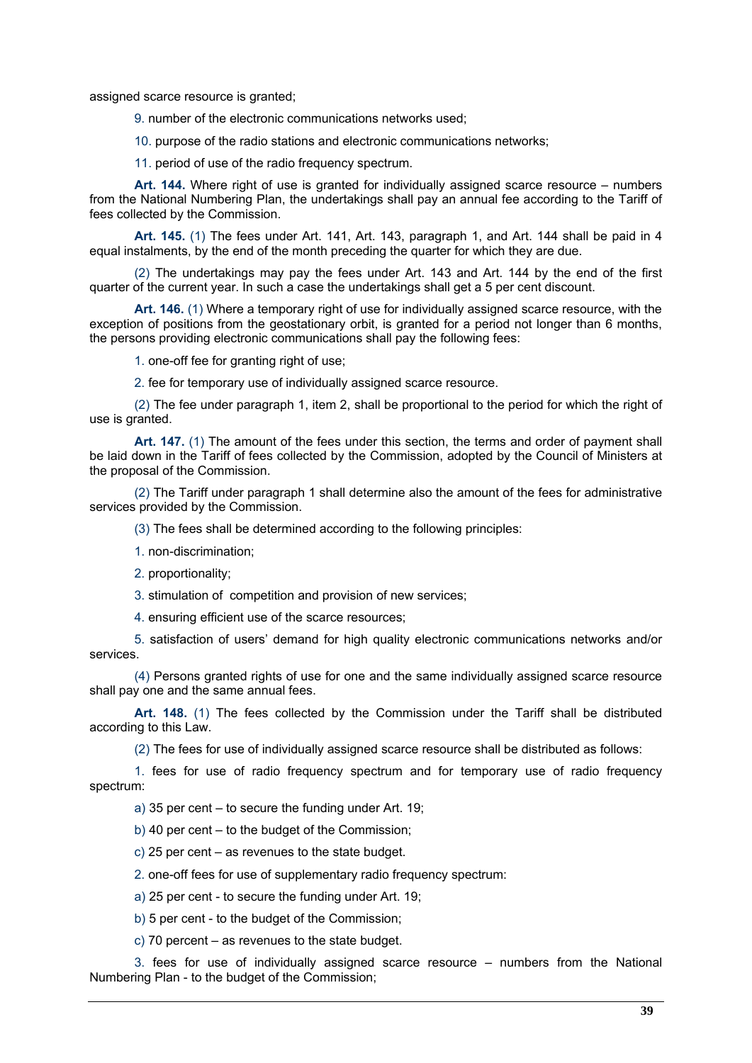assigned scarce resource is granted;

- 9. number of the electronic communications networks used;
- 10. purpose of the radio stations and electronic communications networks;
- 11. period of use of the radio frequency spectrum.

Art. 144. Where right of use is granted for individually assigned scarce resource – numbers from the National Numbering Plan, the undertakings shall pay an annual fee according to the Tariff of fees collected by the Commission.

**Art. 145.** (1) The fees under Art. 141, Art. 143, paragraph 1, and Art. 144 shall be paid in 4 equal instalments, by the end of the month preceding the quarter for which they are due.

(2) The undertakings may pay the fees under Art. 143 and Art. 144 by the end of the first quarter of the current year. In such a case the undertakings shall get a 5 per cent discount.

**Art. 146.** (1) Where a temporary right of use for individually assigned scarce resource, with the exception of positions from the geostationary orbit, is granted for a period not longer than 6 months, the persons providing electronic communications shall pay the following fees:

1. one-off fee for granting right of use;

2. fee for temporary use of individually assigned scarce resource.

(2) The fee under paragraph 1, item 2, shall be proportional to the period for which the right of use is granted.

**Art. 147.** (1) The amount of the fees under this section, the terms and order of payment shall be laid down in the Tariff of fees collected by the Commission, adopted by the Council of Ministers at the proposal of the Commission.

(2) The Tariff under paragraph 1 shall determine also the amount of the fees for administrative services provided by the Commission.

(3) The fees shall be determined according to the following principles:

1. non-discrimination;

2. proportionality;

3. stimulation of competition and provision of new services;

4. ensuring efficient use of the scarce resources;

5. satisfaction of users' demand for high quality electronic communications networks and/or services.

(4) Persons granted rights of use for one and the same individually assigned scarce resource shall pay one and the same annual fees.

**Art. 148.** (1) The fees collected by the Commission under the Tariff shall be distributed according to this Law.

(2) The fees for use of individually assigned scarce resource shall be distributed as follows:

1. fees for use of radio frequency spectrum and for temporary use of radio frequency spectrum:

a) 35 per cent – to secure the funding under Art. 19;

b) 40 per cent – to the budget of the Commission;

c) 25 per cent – as revenues to the state budget.

2. one-off fees for use of supplementary radio frequency spectrum:

a) 25 per cent - to secure the funding under Art. 19;

b) 5 per cent - to the budget of the Commission;

c) 70 percent – as revenues to the state budget.

3. fees for use of individually assigned scarce resource – numbers from the National Numbering Plan - to the budget of the Commission;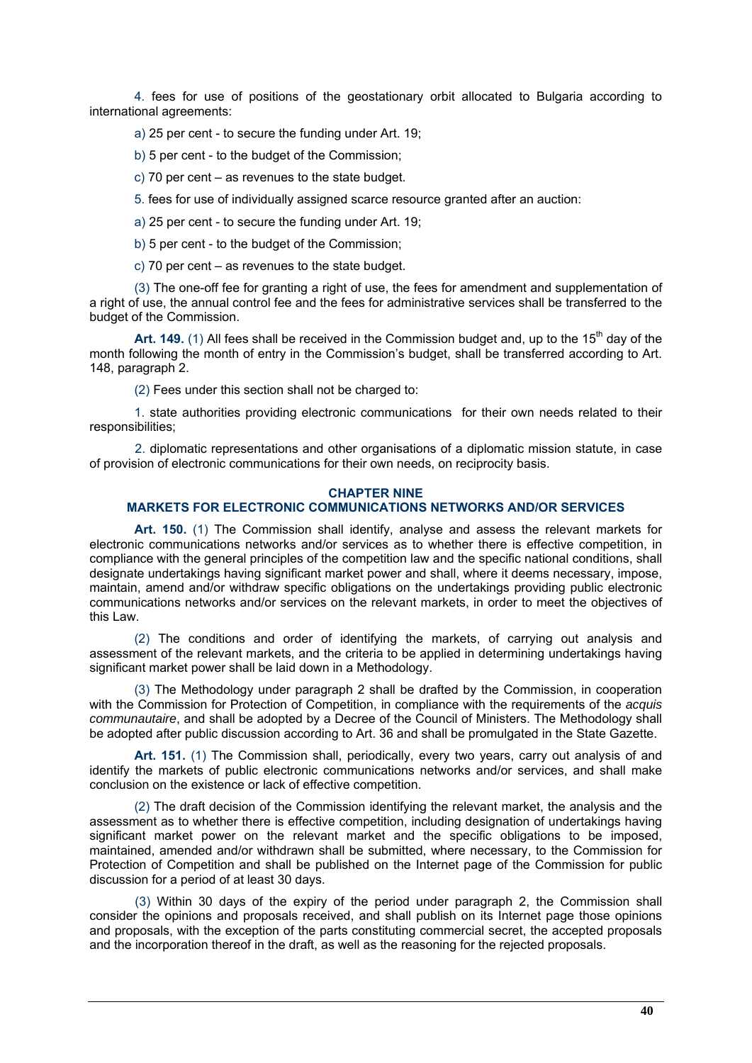4. fees for use of positions of the geostationary orbit allocated to Bulgaria according to international agreements:

a) 25 per cent - to secure the funding under Art. 19;

b) 5 per cent - to the budget of the Commission;

- c) 70 per cent as revenues to the state budget.
- 5. fees for use of individually assigned scarce resource granted after an auction:
- a) 25 per cent to secure the funding under Art. 19;
- b) 5 per cent to the budget of the Commission;

c) 70 per cent – as revenues to the state budget.

(3) The one-off fee for granting a right of use, the fees for amendment and supplementation of a right of use, the annual control fee and the fees for administrative services shall be transferred to the budget of the Commission.

Art. 149. (1) All fees shall be received in the Commission budget and, up to the 15<sup>th</sup> day of the month following the month of entry in the Commission's budget, shall be transferred according to Art. 148, paragraph 2.

(2) Fees under this section shall not be charged to:

1. state authorities providing electronic communications for their own needs related to their responsibilities;

2. diplomatic representations and other organisations of a diplomatic mission statute, in case of provision of electronic communications for their own needs, on reciprocity basis.

# **CHAPTER NINE**

# **MARKETS FOR ELECTRONIC COMMUNICATIONS NETWORKS AND/OR SERVICES**

**Art. 150.** (1) The Commission shall identify, analyse and assess the relevant markets for electronic communications networks and/or services as to whether there is effective competition, in compliance with the general principles of the competition law and the specific national conditions, shall designate undertakings having significant market power and shall, where it deems necessary, impose, maintain, amend and/or withdraw specific obligations on the undertakings providing public electronic communications networks and/or services on the relevant markets, in order to meet the objectives of this Law.

(2) The conditions and order of identifying the markets, of carrying out analysis and assessment of the relevant markets, and the criteria to be applied in determining undertakings having significant market power shall be laid down in a Methodology.

(3) The Methodology under paragraph 2 shall be drafted by the Commission, in cooperation with the Commission for Protection of Competition, in compliance with the requirements of the *acquis communautaire*, and shall be adopted by a Decree of the Council of Ministers. The Methodology shall be adopted after public discussion according to Art. 36 and shall be promulgated in the State Gazette.

Art. 151. (1) The Commission shall, periodically, every two years, carry out analysis of and identify the markets of public electronic communications networks and/or services, and shall make conclusion on the existence or lack of effective competition.

(2) The draft decision of the Commission identifying the relevant market, the analysis and the assessment as to whether there is effective competition, including designation of undertakings having significant market power on the relevant market and the specific obligations to be imposed, maintained, amended and/or withdrawn shall be submitted, where necessary, to the Commission for Protection of Competition and shall be published on the Internet page of the Commission for public discussion for a period of at least 30 days.

(3) Within 30 days of the expiry of the period under paragraph 2, the Commission shall consider the opinions and proposals received, and shall publish on its Internet page those opinions and proposals, with the exception of the parts constituting commercial secret, the accepted proposals and the incorporation thereof in the draft, as well as the reasoning for the rejected proposals.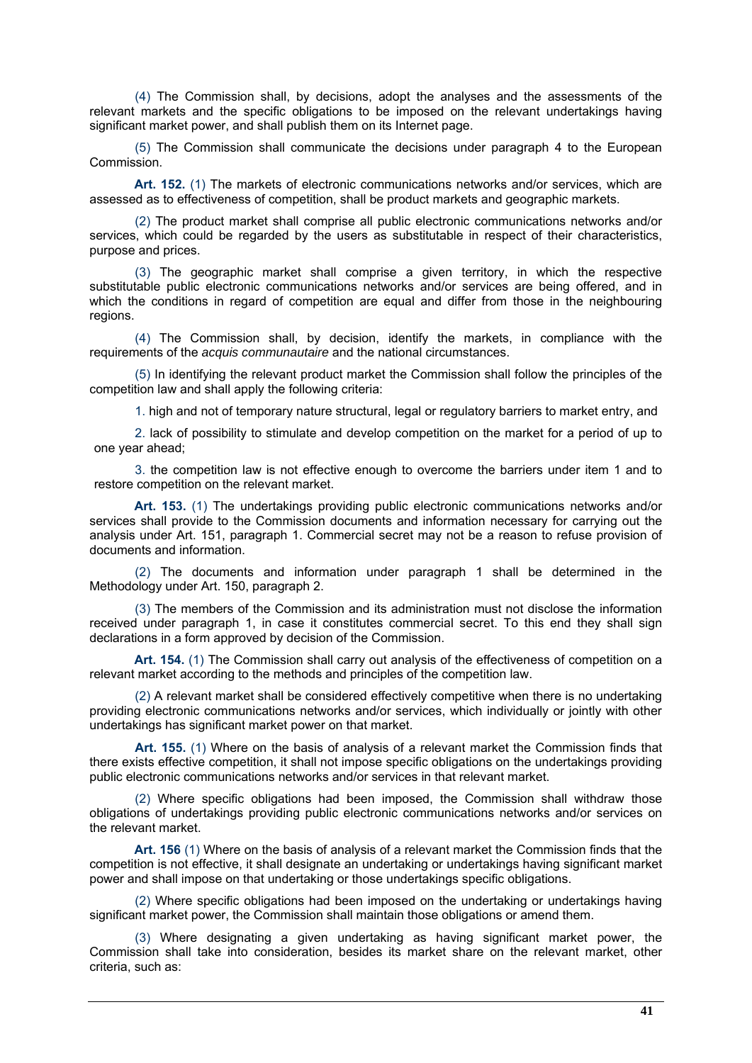(4) The Commission shall, by decisions, adopt the analyses and the assessments of the relevant markets and the specific obligations to be imposed on the relevant undertakings having significant market power, and shall publish them on its Internet page.

(5) The Commission shall communicate the decisions under paragraph 4 to the European Commission.

**Art. 152.** (1) The markets of electronic communications networks and/or services, which are assessed as to effectiveness of competition, shall be product markets and geographic markets.

(2) The product market shall comprise all public electronic communications networks and/or services, which could be regarded by the users as substitutable in respect of their characteristics, purpose and prices.

(3) The geographic market shall comprise a given territory, in which the respective substitutable public electronic communications networks and/or services are being offered, and in which the conditions in regard of competition are equal and differ from those in the neighbouring regions.

(4) The Commission shall, by decision, identify the markets, in compliance with the requirements of the *acquis communautaire* and the national circumstances.

(5) In identifying the relevant product market the Commission shall follow the principles of the competition law and shall apply the following criteria:

1. high and not of temporary nature structural, legal or regulatory barriers to market entry, and

2. lack of possibility to stimulate and develop competition on the market for a period of up to one year ahead;

3. the competition law is not effective enough to overcome the barriers under item 1 and to restore competition on the relevant market.

**Art. 153.** (1) The undertakings providing public electronic communications networks and/or services shall provide to the Commission documents and information necessary for carrying out the analysis under Art. 151, paragraph 1. Commercial secret may not be a reason to refuse provision of documents and information.

(2) The documents and information under paragraph 1 shall be determined in the Methodology under Art. 150, paragraph 2.

(3) The members of the Commission and its administration must not disclose the information received under paragraph 1, in case it constitutes commercial secret. To this end they shall sign declarations in a form approved by decision of the Commission.

Art. 154. (1) The Commission shall carry out analysis of the effectiveness of competition on a relevant market according to the methods and principles of the competition law.

(2) A relevant market shall be considered effectively competitive when there is no undertaking providing electronic communications networks and/or services, which individually or jointly with other undertakings has significant market power on that market.

**Art. 155.** (1) Where on the basis of analysis of a relevant market the Commission finds that there exists effective competition, it shall not impose specific obligations on the undertakings providing public electronic communications networks and/or services in that relevant market.

(2) Where specific obligations had been imposed, the Commission shall withdraw those obligations of undertakings providing public electronic communications networks and/or services on the relevant market.

**Art. 156** (1) Where on the basis of analysis of a relevant market the Commission finds that the competition is not effective, it shall designate an undertaking or undertakings having significant market power and shall impose on that undertaking or those undertakings specific obligations.

(2) Where specific obligations had been imposed on the undertaking or undertakings having significant market power, the Commission shall maintain those obligations or amend them.

(3) Where designating a given undertaking as having significant market power, the Commission shall take into consideration, besides its market share on the relevant market, other criteria, such as: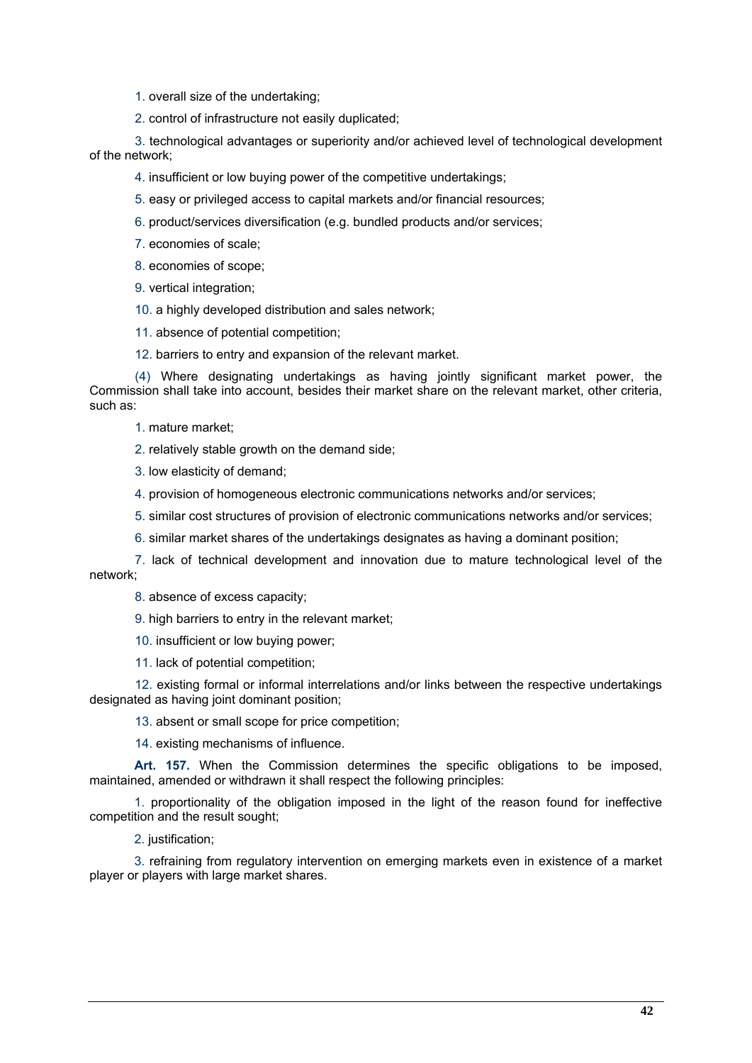1. overall size of the undertaking;

2. control of infrastructure not easily duplicated;

3. technological advantages or superiority and/or achieved level of technological development of the network;

4. insufficient or low buying power of the competitive undertakings;

- 5. easy or privileged access to capital markets and/or financial resources;
- 6. product/services diversification (e.g. bundled products and/or services;
- 7. economies of scale;
- 8. economies of scope;
- 9. vertical integration;
- 10. a highly developed distribution and sales network;
- 11. absence of potential competition;
- 12. barriers to entry and expansion of the relevant market.

(4) Where designating undertakings as having jointly significant market power, the Commission shall take into account, besides their market share on the relevant market, other criteria, such as:

- 1. mature market;
- 2. relatively stable growth on the demand side;
- 3. low elasticity of demand;
- 4. provision of homogeneous electronic communications networks and/or services;
- 5. similar cost structures of provision of electronic communications networks and/or services;
- 6. similar market shares of the undertakings designates as having a dominant position;

7. lack of technical development and innovation due to mature technological level of the network;

- 8. absence of excess capacity;
- 9. high barriers to entry in the relevant market;
- 10. insufficient or low buying power;
- 11. lack of potential competition;

12. existing formal or informal interrelations and/or links between the respective undertakings designated as having joint dominant position;

13. absent or small scope for price competition;

14. existing mechanisms of influence.

**Art. 157.** When the Commission determines the specific obligations to be imposed, maintained, amended or withdrawn it shall respect the following principles:

1. proportionality of the obligation imposed in the light of the reason found for ineffective competition and the result sought;

2. justification;

3. refraining from regulatory intervention on emerging markets even in existence of a market player or players with large market shares.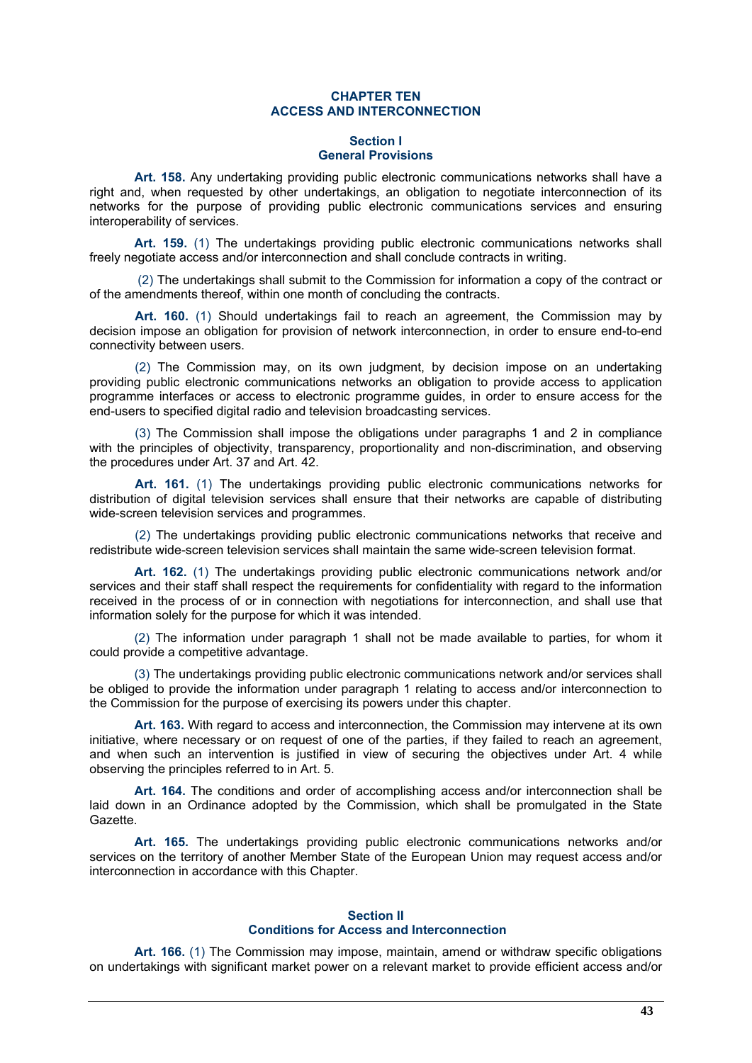### **CHAPTER TEN ACCESS AND INTERCONNECTION**

#### **Section І General Provisions**

**Art. 158.** Any undertaking providing public electronic communications networks shall have a right and, when requested by other undertakings, an obligation to negotiate interconnection of its networks for the purpose of providing public electronic communications services and ensuring interoperability of services.

**Art. 159.** (1) The undertakings providing public electronic communications networks shall freely negotiate access and/or interconnection and shall conclude contracts in writing.

 (2) The undertakings shall submit to the Commission for information a copy of the contract or of the amendments thereof, within one month of concluding the contracts.

**Art. 160.** (1) Should undertakings fail to reach an agreement, the Commission may by decision impose an obligation for provision of network interconnection, in order to ensure end-to-end connectivity between users.

(2) The Commission may, on its own judgment, by decision impose on an undertaking providing public electronic communications networks an obligation to provide access to application programme interfaces or access to electronic programme guides, in order to ensure access for the end-users to specified digital radio and television broadcasting services.

(3) The Commission shall impose the obligations under paragraphs 1 and 2 in compliance with the principles of objectivity, transparency, proportionality and non-discrimination, and observing the procedures under Art. 37 and Art. 42.

**Art. 161.** (1) The undertakings providing public electronic communications networks for distribution of digital television services shall ensure that their networks are capable of distributing wide-screen television services and programmes.

(2) The undertakings providing public electronic communications networks that receive and redistribute wide-screen television services shall maintain the same wide-screen television format.

**Art. 162.** (1) The undertakings providing public electronic communications network and/or services and their staff shall respect the requirements for confidentiality with regard to the information received in the process of or in connection with negotiations for interconnection, and shall use that information solely for the purpose for which it was intended.

(2) The information under paragraph 1 shall not be made available to parties, for whom it could provide a competitive advantage.

(3) The undertakings providing public electronic communications network and/or services shall be obliged to provide the information under paragraph 1 relating to access and/or interconnection to the Commission for the purpose of exercising its powers under this chapter.

**Art. 163.** With regard to access and interconnection, the Commission may intervene at its own initiative, where necessary or on request of one of the parties, if they failed to reach an agreement, and when such an intervention is justified in view of securing the objectives under Art. 4 while observing the principles referred to in Art. 5.

**Art. 164.** The conditions and order of accomplishing access and/or interconnection shall be laid down in an Ordinance adopted by the Commission, which shall be promulgated in the State Gazette.

**Art. 165.** The undertakings providing public electronic communications networks and/or services on the territory of another Member State of the European Union may request access and/or interconnection in accordance with this Chapter.

## **Section ІІ Conditions for Access and Interconnection**

**Art. 166.** (1) The Commission may impose, maintain, amend or withdraw specific obligations on undertakings with significant market power on a relevant market to provide efficient access and/or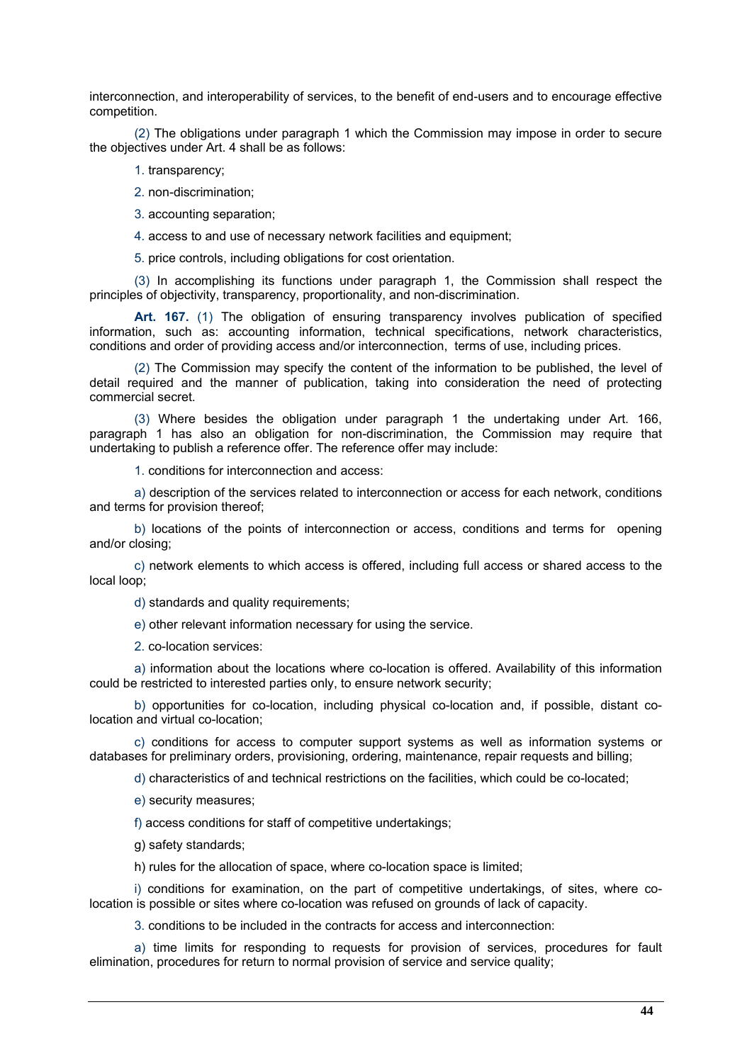interconnection, and interoperability of services, to the benefit of end-users and to encourage effective competition.

(2) The obligations under paragraph 1 which the Commission may impose in order to secure the objectives under Art. 4 shall be as follows:

- 1. transparency;
- 2. non-discrimination;
- 3. accounting separation;
- 4. access to and use of necessary network facilities and equipment;

5. price controls, including obligations for cost orientation.

(3) In accomplishing its functions under paragraph 1, the Commission shall respect the principles of objectivity, transparency, proportionality, and non-discrimination.

**Art. 167.** (1) The obligation of ensuring transparency involves publication of specified information, such as: accounting information, technical specifications, network characteristics, conditions and order of providing access and/or interconnection, terms of use, including prices.

(2) The Commission may specify the content of the information to be published, the level of detail required and the manner of publication, taking into consideration the need of protecting commercial secret.

(3) Where besides the obligation under paragraph 1 the undertaking under Art. 166, paragraph 1 has also an obligation for non-discrimination, the Commission may require that undertaking to publish a reference offer. The reference offer may include:

1. conditions for interconnection and access:

a) description of the services related to interconnection or access for each network, conditions and terms for provision thereof;

b) locations of the points of interconnection or access, conditions and terms for opening and/or closing;

c) network elements to which access is offered, including full access or shared access to the local loop;

d) standards and quality requirements;

e) other relevant information necessary for using the service.

2. co-location services:

a) information about the locations where co-location is offered. Availability of this information could be restricted to interested parties only, to ensure network security;

b) opportunities for co-location, including physical co-location and, if possible, distant colocation and virtual co-location;

c) conditions for access to computer support systems as well as information systems or databases for preliminary orders, provisioning, ordering, maintenance, repair requests and billing;

d) characteristics of and technical restrictions on the facilities, which could be co-located;

e) security measures;

f) access conditions for staff of competitive undertakings;

g) safety standards;

h) rules for the allocation of space, where co-location space is limited;

i) conditions for examination, on the part of competitive undertakings, of sites, where colocation is possible or sites where co-location was refused on grounds of lack of capacity.

3. conditions to be included in the contracts for access and interconnection:

a) time limits for responding to requests for provision of services, procedures for fault elimination, procedures for return to normal provision of service and service quality;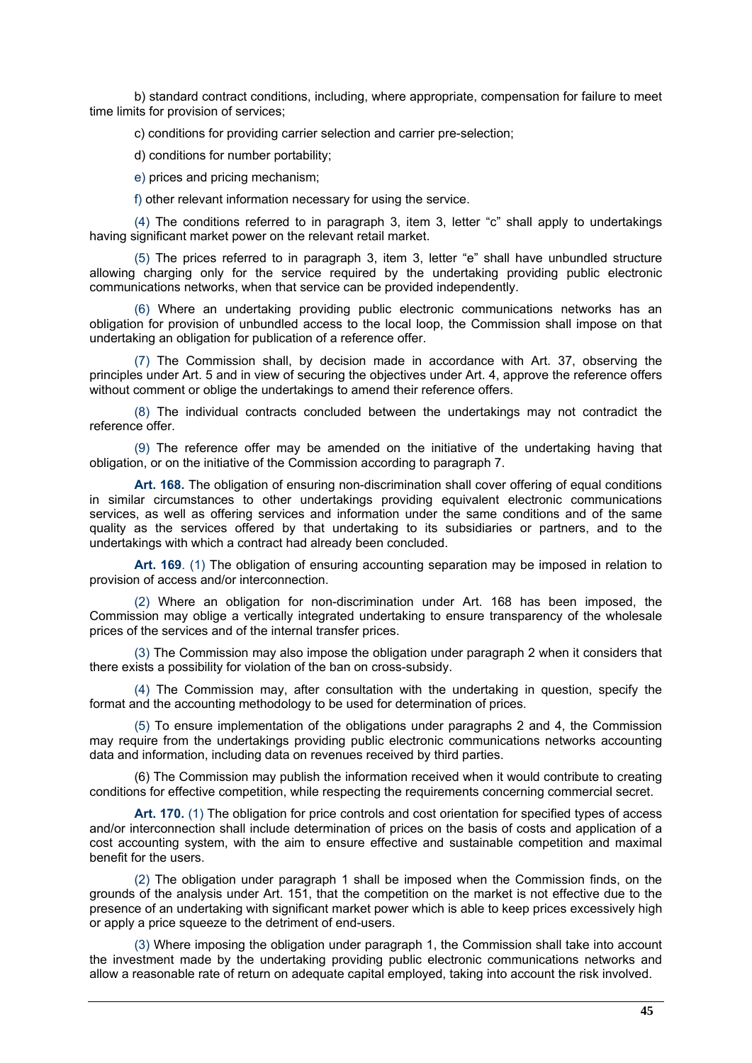b) standard contract conditions, including, where appropriate, compensation for failure to meet time limits for provision of services;

c) conditions for providing carrier selection and carrier pre-selection;

d) conditions for number portability;

e) prices and pricing mechanism;

f) other relevant information necessary for using the service.

(4) The conditions referred to in paragraph 3, item 3, letter "c" shall apply to undertakings having significant market power on the relevant retail market.

(5) The prices referred to in paragraph 3, item 3, letter "e" shall have unbundled structure allowing charging only for the service required by the undertaking providing public electronic communications networks, when that service can be provided independently.

(6) Where an undertaking providing public electronic communications networks has an obligation for provision of unbundled access to the local loop, the Commission shall impose on that undertaking an obligation for publication of a reference offer.

(7) The Commission shall, by decision made in accordance with Art. 37, observing the principles under Art. 5 and in view of securing the objectives under Art. 4, approve the reference offers without comment or oblige the undertakings to amend their reference offers.

(8) The individual contracts concluded between the undertakings may not contradict the reference offer.

(9) The reference offer may be amended on the initiative of the undertaking having that obligation, or on the initiative of the Commission according to paragraph 7.

**Art. 168.** The obligation of ensuring non-discrimination shall cover offering of equal conditions in similar circumstances to other undertakings providing equivalent electronic communications services, as well as offering services and information under the same conditions and of the same quality as the services offered by that undertaking to its subsidiaries or partners, and to the undertakings with which a contract had already been concluded.

**Art. 169**. (1) The obligation of ensuring accounting separation may be imposed in relation to provision of access and/or interconnection.

(2) Where an obligation for non-discrimination under Art. 168 has been imposed, the Commission may oblige a vertically integrated undertaking to ensure transparency of the wholesale prices of the services and of the internal transfer prices.

(3) The Commission may also impose the obligation under paragraph 2 when it considers that there exists a possibility for violation of the ban on cross-subsidy.

(4) The Commission may, after consultation with the undertaking in question, specify the format and the accounting methodology to be used for determination of prices.

(5) To ensure implementation of the obligations under paragraphs 2 and 4, the Commission may require from the undertakings providing public electronic communications networks accounting data and information, including data on revenues received by third parties.

(6) The Commission may publish the information received when it would contribute to creating conditions for effective competition, while respecting the requirements concerning commercial secret.

**Art. 170.** (1) The obligation for price controls and cost orientation for specified types of access and/or interconnection shall include determination of prices on the basis of costs and application of a cost accounting system, with the aim to ensure effective and sustainable competition and maximal benefit for the users.

(2) The obligation under paragraph 1 shall be imposed when the Commission finds, on the grounds of the analysis under Art. 151, that the competition on the market is not effective due to the presence of an undertaking with significant market power which is able to keep prices excessively high or apply a price squeeze to the detriment of end-users.

(3) Where imposing the obligation under paragraph 1, the Commission shall take into account the investment made by the undertaking providing public electronic communications networks and allow a reasonable rate of return on adequate capital employed, taking into account the risk involved.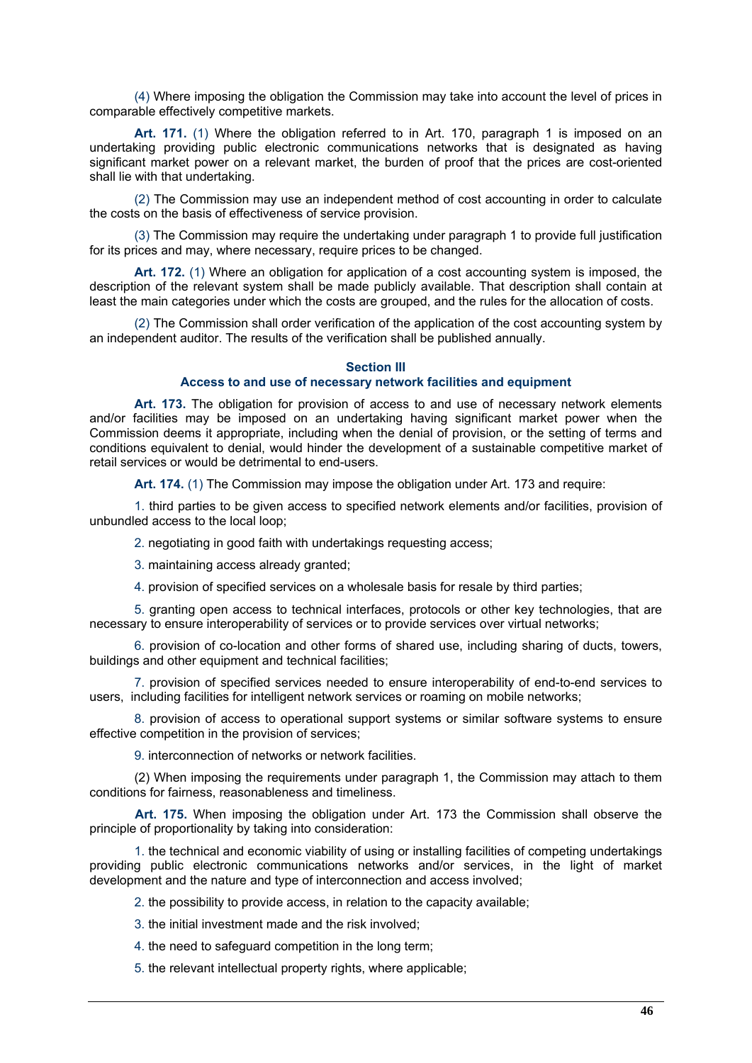(4) Where imposing the obligation the Commission may take into account the level of prices in comparable effectively competitive markets.

**Art. 171.** (1) Where the obligation referred to in Art. 170, paragraph 1 is imposed on an undertaking providing public electronic communications networks that is designated as having significant market power on a relevant market, the burden of proof that the prices are cost-oriented shall lie with that undertaking.

(2) The Commission may use an independent method of cost accounting in order to calculate the costs on the basis of effectiveness of service provision.

(3) The Commission may require the undertaking under paragraph 1 to provide full justification for its prices and may, where necessary, require prices to be changed.

**Art. 172.** (1) Where an obligation for application of a cost accounting system is imposed, the description of the relevant system shall be made publicly available. That description shall contain at least the main categories under which the costs are grouped, and the rules for the allocation of costs.

(2) The Commission shall order verification of the application of the cost accounting system by an independent auditor. The results of the verification shall be published annually.

#### **Section ІІІ**

# **Access to and use of necessary network facilities and equipment**

**Art. 173.** The obligation for provision of access to and use of necessary network elements and/or facilities may be imposed on an undertaking having significant market power when the Commission deems it appropriate, including when the denial of provision, or the setting of terms and conditions equivalent to denial, would hinder the development of a sustainable competitive market of retail services or would be detrimental to end-users.

**Art. 174.** (1) The Commission may impose the obligation under Art. 173 and require:

1. third parties to be given access to specified network elements and/or facilities, provision of unbundled access to the local loop;

2. negotiating in good faith with undertakings requesting access;

3. maintaining access already granted;

4. provision of specified services on a wholesale basis for resale by third parties;

5. granting open access to technical interfaces, protocols or other key technologies, that are necessary to ensure interoperability of services or to provide services over virtual networks;

6. provision of co-location and other forms of shared use, including sharing of ducts, towers, buildings and other equipment and technical facilities;

7. provision of specified services needed to ensure interoperability of end-to-end services to users, including facilities for intelligent network services or roaming on mobile networks;

8. provision of access to operational support systems or similar software systems to ensure effective competition in the provision of services;

9. interconnection of networks or network facilities.

(2) When imposing the requirements under paragraph 1, the Commission may attach to them conditions for fairness, reasonableness and timeliness.

**Art. 175.** When imposing the obligation under Art. 173 the Commission shall observe the principle of proportionality by taking into consideration:

1. the technical and economic viability of using or installing facilities of competing undertakings providing public electronic communications networks and/or services, in the light of market development and the nature and type of interconnection and access involved;

2. the possibility to provide access, in relation to the capacity available;

3. the initial investment made and the risk involved;

4. the need to safeguard competition in the long term;

5. the relevant intellectual property rights, where applicable;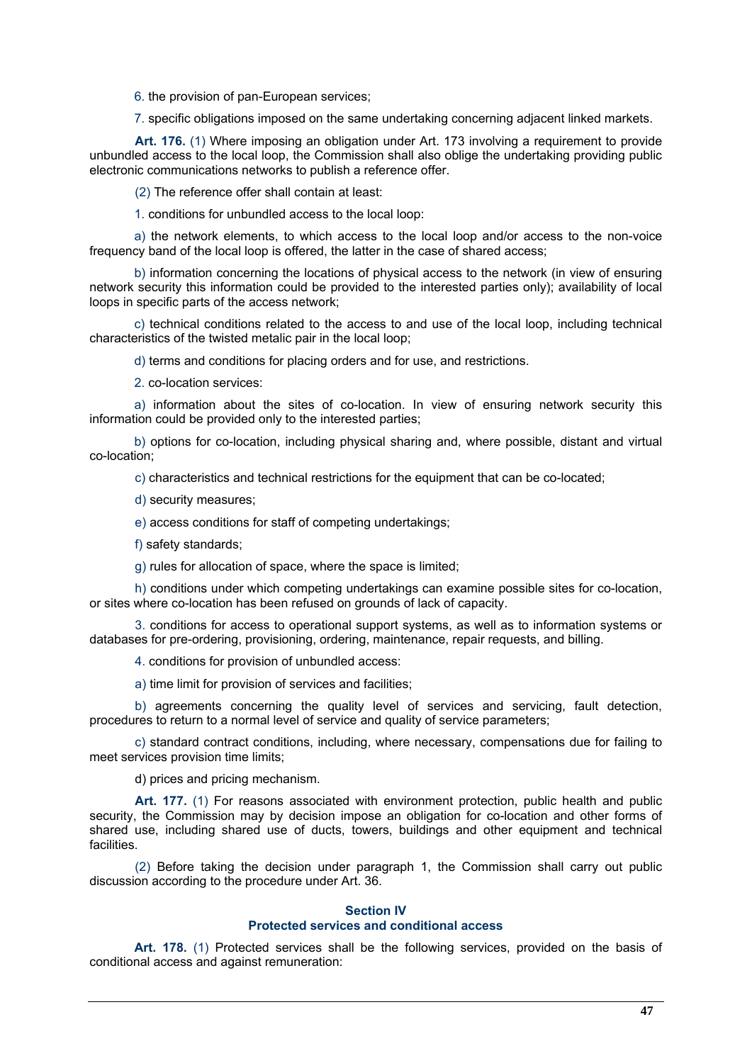6. the provision of pan-European services;

7. specific obligations imposed on the same undertaking concerning adjacent linked markets.

**Art. 176.** (1) Where imposing an obligation under Art. 173 involving a requirement to provide unbundled access to the local loop, the Commission shall also oblige the undertaking providing public electronic communications networks to publish a reference offer.

(2) The reference offer shall contain at least:

1. conditions for unbundled access to the local loop:

а) the network elements, to which access to the local loop and/or access to the non-voice frequency band of the local loop is offered, the latter in the case of shared access;

b) information concerning the locations of physical access to the network (in view of ensuring network security this information could be provided to the interested parties only); availability of local loops in specific parts of the access network;

c) technical conditions related to the access to and use of the local loop, including technical characteristics of the twisted metalic pair in the local loop;

d) terms and conditions for placing orders and for use, and restrictions.

2. co-location services:

а) information about the sites of co-location. In view of ensuring network security this information could be provided only to the interested parties;

b) options for co-location, including physical sharing and, where possible, distant and virtual co-location;

c) characteristics and technical restrictions for the equipment that can be co-located;

d) security measures;

e) access conditions for staff of competing undertakings;

f) safety standards;

g) rules for allocation of space, where the space is limited;

h) conditions under which competing undertakings can examine possible sites for co-location, or sites where co-location has been refused on grounds of lack of capacity.

3. conditions for access to operational support systems, as well as to information systems or databases for pre-ordering, provisioning, ordering, maintenance, repair requests, and billing.

4. conditions for provision of unbundled access:

а) time limit for provision of services and facilities;

b) agreements concerning the quality level of services and servicing, fault detection, procedures to return to a normal level of service and quality of service parameters;

c) standard contract conditions, including, where necessary, compensations due for failing to meet services provision time limits;

d) prices and pricing mechanism.

Art. 177. (1) For reasons associated with environment protection, public health and public security, the Commission may by decision impose an obligation for co-location and other forms of shared use, including shared use of ducts, towers, buildings and other equipment and technical facilities.

(2) Before taking the decision under paragraph 1, the Commission shall carry out public discussion according to the procedure under Art. 36.

#### **Section ІV**

## **Protected services and conditional access**

**Art. 178.** (1) Protected services shall be the following services, provided on the basis of conditional access and against remuneration: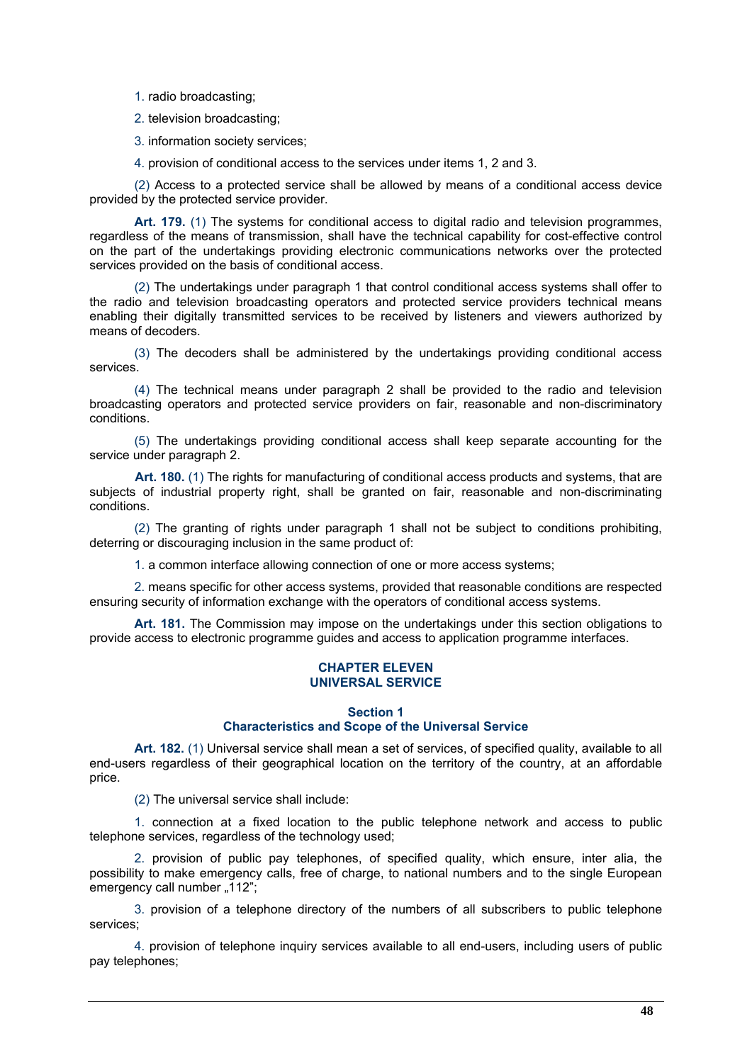1. radio broadcasting;

2. television broadcasting;

3. information society services;

4. provision of conditional access to the services under items 1, 2 and 3.

(2) Access to a protected service shall be allowed by means of a conditional access device provided by the protected service provider.

Art. 179. (1) The systems for conditional access to digital radio and television programmes, regardless of the means of transmission, shall have the technical capability for cost-effective control on the part of the undertakings providing electronic communications networks over the protected services provided on the basis of conditional access.

(2) The undertakings under paragraph 1 that control conditional access systems shall offer to the radio and television broadcasting operators and protected service providers technical means enabling their digitally transmitted services to be received by listeners and viewers authorized by means of decoders.

(3) The decoders shall be administered by the undertakings providing conditional access services.

(4) The technical means under paragraph 2 shall be provided to the radio and television broadcasting operators and protected service providers on fair, reasonable and non-discriminatory conditions.

(5) The undertakings providing conditional access shall keep separate accounting for the service under paragraph 2.

**Art. 180.** (1) The rights for manufacturing of conditional access products and systems, that are subjects of industrial property right, shall be granted on fair, reasonable and non-discriminating conditions.

(2) The granting of rights under paragraph 1 shall not be subject to conditions prohibiting, deterring or discouraging inclusion in the same product of:

1. a common interface allowing connection of one or more access systems;

2. means specific for other access systems, provided that reasonable conditions are respected ensuring security of information exchange with the operators of conditional access systems.

**Art. 181.** The Commission may impose on the undertakings under this section obligations to provide access to electronic programme guides and access to application programme interfaces.

# **CHAPTER ELEVEN UNIVERSAL SERVICE**

## **Section 1 Characteristics and Scope of the Universal Service**

**Art. 182.** (1) Universal service shall mean a set of services, of specified quality, available to all end-users regardless of their geographical location on the territory of the country, at an affordable price.

(2) The universal service shall include:

1. connection at a fixed location to the public telephone network and access to public telephone services, regardless of the technology used;

2. provision of public pay telephones, of specified quality, which ensure, inter alia, the possibility to make emergency calls, free of charge, to national numbers and to the single European emergency call number "112";

3. provision of a telephone directory of the numbers of all subscribers to public telephone services;

4. provision of telephone inquiry services available to all end-users, including users of public pay telephones;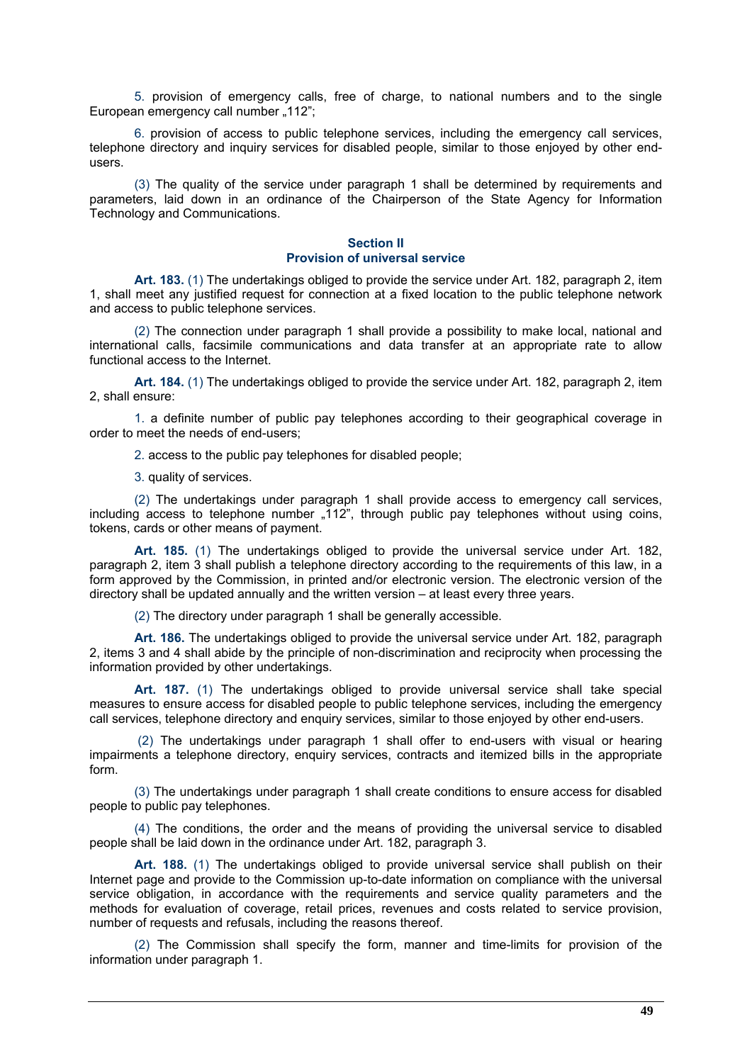5. provision of emergency calls, free of charge, to national numbers and to the single European emergency call number "112";

6. provision of access to public telephone services, including the emergency call services, telephone directory and inquiry services for disabled people, similar to those enjoyed by other endusers.

(3) The quality of the service under paragraph 1 shall be determined by requirements and parameters, laid down in an ordinance of the Chairperson of the State Agency for Information Technology and Communications.

# **Section II Provision of universal service**

**Art. 183.** (1) The undertakings obliged to provide the service under Art. 182, paragraph 2, item 1, shall meet any justified request for connection at a fixed location to the public telephone network and access to public telephone services.

(2) The connection under paragraph 1 shall provide a possibility to make local, national and international calls, facsimile communications and data transfer at an appropriate rate to allow functional access to the Internet.

**Art. 184.** (1) The undertakings obliged to provide the service under Art. 182, paragraph 2, item 2, shall ensure:

1. a definite number of public pay telephones according to their geographical coverage in order to meet the needs of end-users;

2. access to the public pay telephones for disabled people;

3. quality of services.

(2) The undertakings under paragraph 1 shall provide access to emergency call services, including access to telephone number "12", through public pay telephones without using coins, tokens, cards or other means of payment.

**Art. 185.** (1) The undertakings obliged to provide the universal service under Art. 182, paragraph 2, item 3 shall publish a telephone directory according to the requirements of this law, in a form approved by the Commission, in printed and/or electronic version. The electronic version of the directory shall be updated annually and the written version – at least every three years.

(2) The directory under paragraph 1 shall be generally accessible.

**Art. 186.** The undertakings obliged to provide the universal service under Art. 182, paragraph 2, items 3 and 4 shall abide by the principle of non-discrimination and reciprocity when processing the information provided by other undertakings.

**Art. 187.** (1) The undertakings obliged to provide universal service shall take special measures to ensure access for disabled people to public telephone services, including the emergency call services, telephone directory and enquiry services, similar to those enjoyed by other end-users.

 (2) The undertakings under paragraph 1 shall offer to end-users with visual or hearing impairments a telephone directory, enquiry services, contracts and itemized bills in the appropriate form.

(3) The undertakings under paragraph 1 shall create conditions to ensure access for disabled people to public pay telephones.

(4) The conditions, the order and the means of providing the universal service to disabled people shall be laid down in the ordinance under Art. 182, paragraph 3.

**Art. 188.** (1) The undertakings obliged to provide universal service shall publish on their Internet page and provide to the Commission up-to-date information on compliance with the universal service obligation, in accordance with the requirements and service quality parameters and the methods for evaluation of coverage, retail prices, revenues and costs related to service provision, number of requests and refusals, including the reasons thereof.

(2) The Commission shall specify the form, manner and time-limits for provision of the information under paragraph 1.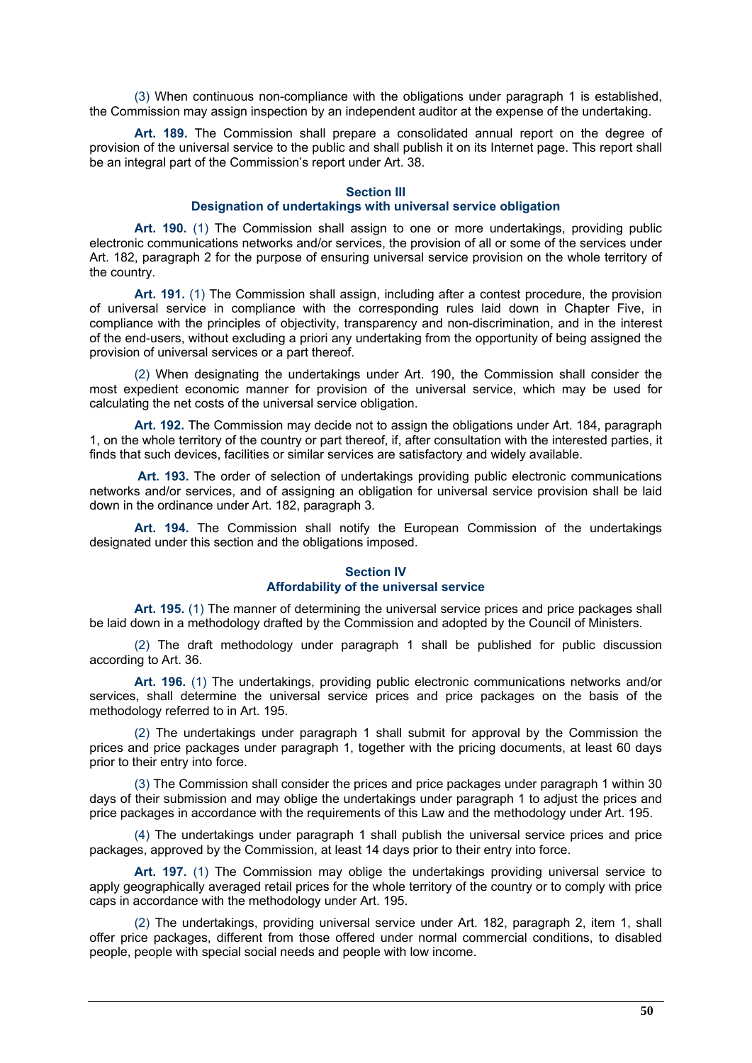(3) When continuous non-compliance with the obligations under paragraph 1 is established, the Commission may assign inspection by an independent auditor at the expense of the undertaking.

**Art. 189.** The Commission shall prepare a consolidated annual report on the degree of provision of the universal service to the public and shall publish it on its Internet page. This report shall be an integral part of the Commission's report under Art. 38.

#### **Section III**

# **Designation of undertakings with universal service obligation**

**Art. 190.** (1) The Commission shall assign to one or more undertakings, providing public electronic communications networks and/or services, the provision of all or some of the services under Art. 182, paragraph 2 for the purpose of ensuring universal service provision on the whole territory of the country.

**Art. 191.** (1) The Commission shall assign, including after a contest procedure, the provision of universal service in compliance with the corresponding rules laid down in Chapter Five, in compliance with the principles of objectivity, transparency and non-discrimination, and in the interest of the end-users, without excluding a priori any undertaking from the opportunity of being assigned the provision of universal services or a part thereof.

(2) When designating the undertakings under Art. 190, the Commission shall consider the most expedient economic manner for provision of the universal service, which may be used for calculating the net costs of the universal service obligation.

**Art. 192.** The Commission may decide not to assign the obligations under Art. 184, paragraph 1, on the whole territory of the country or part thereof, if, after consultation with the interested parties, it finds that such devices, facilities or similar services are satisfactory and widely available.

**Art. 193.** The order of selection of undertakings providing public electronic communications networks and/or services, and of assigning an obligation for universal service provision shall be laid down in the ordinance under Art. 182, paragraph 3.

**Art. 194.** The Commission shall notify the European Commission of the undertakings designated under this section and the obligations imposed.

# **Section IV Affordability of the universal service**

**Art. 195.** (1) The manner of determining the universal service prices and price packages shall be laid down in a methodology drafted by the Commission and adopted by the Council of Ministers.

(2) The draft methodology under paragraph 1 shall be published for public discussion according to Art. 36.

**Art. 196.** (1) The undertakings, providing public electronic communications networks and/or services, shall determine the universal service prices and price packages on the basis of the methodology referred to in Art. 195.

(2) The undertakings under paragraph 1 shall submit for approval by the Commission the prices and price packages under paragraph 1, together with the pricing documents, at least 60 days prior to their entry into force.

(3) The Commission shall consider the prices and price packages under paragraph 1 within 30 days of their submission and may oblige the undertakings under paragraph 1 to adjust the prices and price packages in accordance with the requirements of this Law and the methodology under Art. 195.

(4) The undertakings under paragraph 1 shall publish the universal service prices and price packages, approved by the Commission, at least 14 days prior to their entry into force.

**Art. 197.** (1) The Commission may oblige the undertakings providing universal service to apply geographically averaged retail prices for the whole territory of the country or to comply with price caps in accordance with the methodology under Art. 195.

(2) The undertakings, providing universal service under Art. 182, paragraph 2, item 1, shall offer price packages, different from those offered under normal commercial conditions, to disabled people, people with special social needs and people with low income.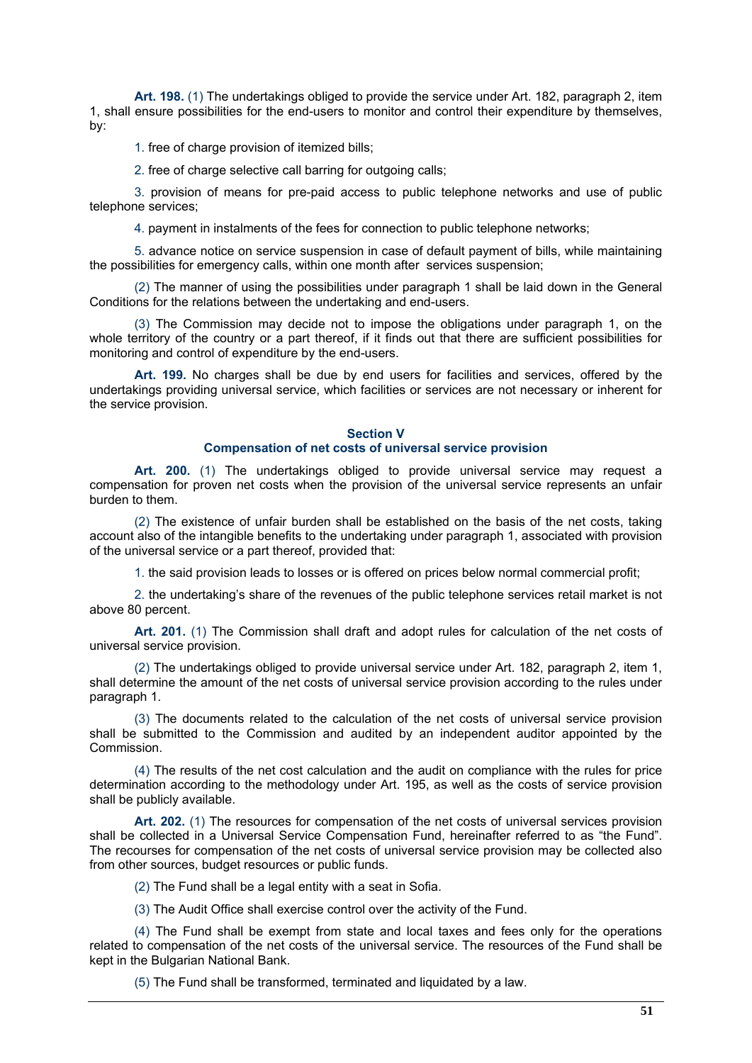**Art. 198.** (1) The undertakings obliged to provide the service under Art. 182, paragraph 2, item 1, shall ensure possibilities for the end-users to monitor and control their expenditure by themselves, by:

1. free of charge provision of itemized bills;

2. free of charge selective call barring for outgoing calls;

3. provision of means for pre-paid access to public telephone networks and use of public telephone services;

4. payment in instalments of the fees for connection to public telephone networks;

5. advance notice on service suspension in case of default payment of bills, while maintaining the possibilities for emergency calls, within one month after services suspension;

(2) The manner of using the possibilities under paragraph 1 shall be laid down in the General Conditions for the relations between the undertaking and end-users.

(3) The Commission may decide not to impose the obligations under paragraph 1, on the whole territory of the country or a part thereof, if it finds out that there are sufficient possibilities for monitoring and control of expenditure by the end-users.

**Art. 199.** No charges shall be due by end users for facilities and services, offered by the undertakings providing universal service, which facilities or services are not necessary or inherent for the service provision.

## **Section V**

# **Compensation of net costs of universal service provision**

**Art. 200.** (1) The undertakings obliged to provide universal service may request a compensation for proven net costs when the provision of the universal service represents an unfair burden to them.

(2) The existence of unfair burden shall be established on the basis of the net costs, taking account also of the intangible benefits to the undertaking under paragraph 1, associated with provision of the universal service or a part thereof, provided that:

1. the said provision leads to losses or is offered on prices below normal commercial profit;

2. the undertaking's share of the revenues of the public telephone services retail market is not above 80 percent.

**Art. 201.** (1) The Commission shall draft and adopt rules for calculation of the net costs of universal service provision.

(2) The undertakings obliged to provide universal service under Art. 182, paragraph 2, item 1, shall determine the amount of the net costs of universal service provision according to the rules under paragraph 1.

(3) The documents related to the calculation of the net costs of universal service provision shall be submitted to the Commission and audited by an independent auditor appointed by the Commission.

(4) The results of the net cost calculation and the audit on compliance with the rules for price determination according to the methodology under Art. 195, as well as the costs of service provision shall be publicly available.

**Art. 202.** (1) The resources for compensation of the net costs of universal services provision shall be collected in a Universal Service Compensation Fund, hereinafter referred to as "the Fund". The recourses for compensation of the net costs of universal service provision may be collected also from other sources, budget resources or public funds.

(2) The Fund shall be a legal entity with a seat in Sofia.

(3) The Audit Office shall exercise control over the activity of the Fund.

(4) The Fund shall be exempt from state and local taxes and fees only for the operations related to compensation of the net costs of the universal service. The resources of the Fund shall be kept in the Bulgarian National Bank.

(5) The Fund shall be transformed, terminated and liquidated by a law.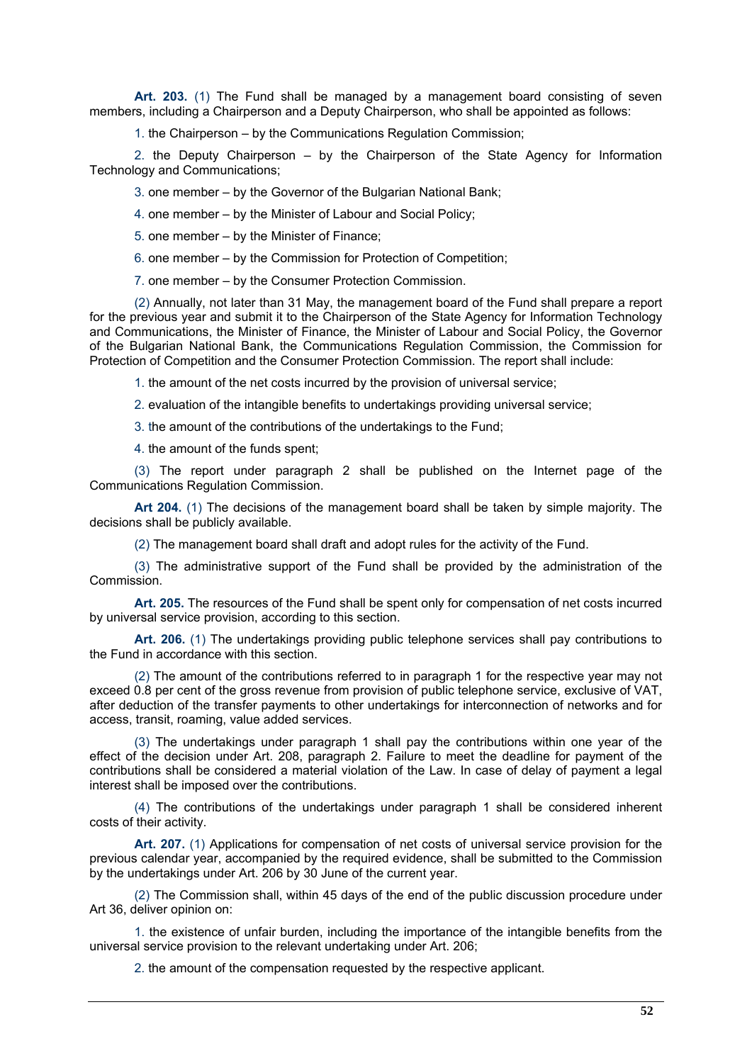**Art. 203.** (1) The Fund shall be managed by a management board consisting of seven members, including a Chairperson and a Deputy Chairperson, who shall be appointed as follows:

1. the Chairperson – by the Communications Regulation Commission;

2. the Deputy Chairperson – by the Chairperson of the State Agency for Information Technology and Communications;

3. one member – by the Governor of the Bulgarian National Bank;

4. one member – by the Minister of Labour and Social Policy;

5. one member – by the Minister of Finance;

6. one member – by the Commission for Protection of Competition;

7. one member – by the Consumer Protection Commission.

(2) Annually, not later than 31 May, the management board of the Fund shall prepare a report for the previous year and submit it to the Chairperson of the State Agency for Information Technology and Communications, the Minister of Finance, the Minister of Labour and Social Policy, the Governor of the Bulgarian National Bank, the Communications Regulation Commission, the Commission for Protection of Competition and the Consumer Protection Commission. The report shall include:

1. the amount of the net costs incurred by the provision of universal service;

2. evaluation of the intangible benefits to undertakings providing universal service;

3. the amount of the contributions of the undertakings to the Fund;

4. the amount of the funds spent;

(3) The report under paragraph 2 shall be published on the Internet page of the Communications Regulation Commission.

**Art 204.** (1) The decisions of the management board shall be taken by simple majority. The decisions shall be publicly available.

(2) The management board shall draft and adopt rules for the activity of the Fund.

(3) The administrative support of the Fund shall be provided by the administration of the Commission.

**Art. 205.** The resources of the Fund shall be spent only for compensation of net costs incurred by universal service provision, according to this section.

**Art. 206.** (1) The undertakings providing public telephone services shall pay contributions to the Fund in accordance with this section.

(2) The amount of the contributions referred to in paragraph 1 for the respective year may not exceed 0.8 per cent of the gross revenue from provision of public telephone service, exclusive of VAT, after deduction of the transfer payments to other undertakings for interconnection of networks and for access, transit, roaming, value added services.

(3) The undertakings under paragraph 1 shall pay the contributions within one year of the effect of the decision under Art. 208, paragraph 2. Failure to meet the deadline for payment of the contributions shall be considered a material violation of the Law. In case of delay of payment a legal interest shall be imposed over the contributions.

(4) The contributions of the undertakings under paragraph 1 shall be considered inherent costs of their activity.

**Art. 207.** (1) Applications for compensation of net costs of universal service provision for the previous calendar year, accompanied by the required evidence, shall be submitted to the Commission by the undertakings under Art. 206 by 30 June of the current year.

(2) The Commission shall, within 45 days of the end of the public discussion procedure under Art 36, deliver opinion on:

1. the existence of unfair burden, including the importance of the intangible benefits from the universal service provision to the relevant undertaking under Art. 206;

2. the amount of the compensation requested by the respective applicant.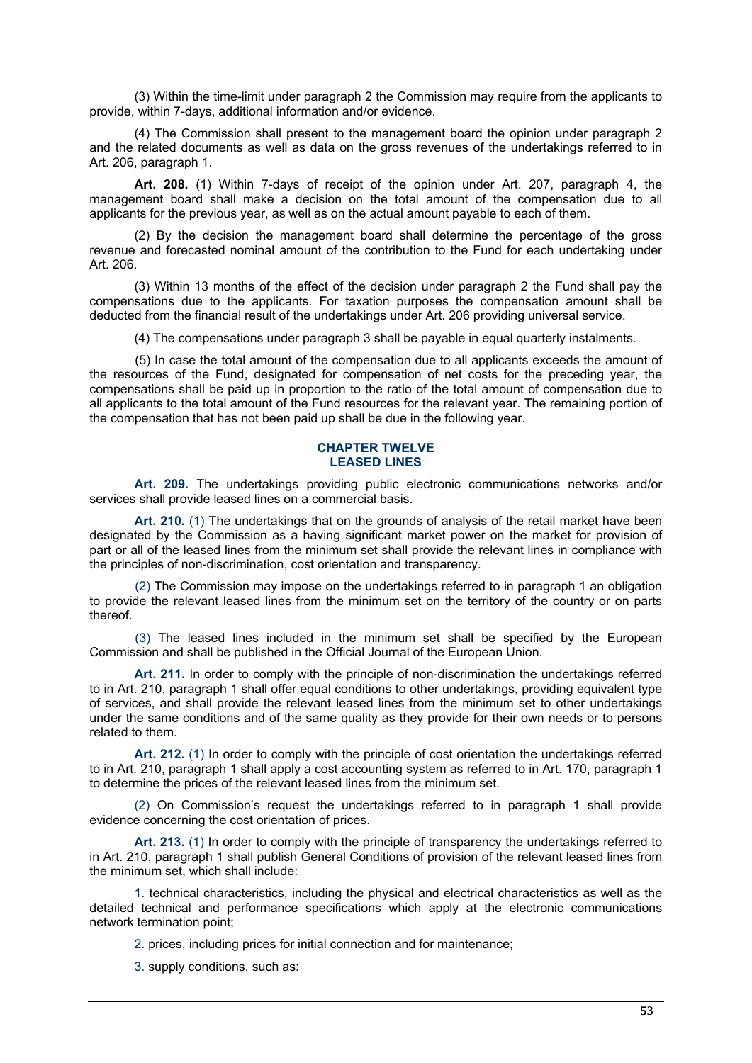(3) Within the time-limit under paragraph 2 the Commission may require from the applicants to provide, within 7-days, additional information and/or evidence.

(4) The Commission shall present to the management board the opinion under paragraph 2 and the related documents as well as data on the gross revenues of the undertakings referred to in Art. 206, paragraph 1.

**Art. 208.** (1) Within 7-days of receipt of the opinion under Art. 207, paragraph 4, the management board shall make a decision on the total amount of the compensation due to all applicants for the previous year, as well as on the actual amount payable to each of them.

(2) By the decision the management board shall determine the percentage of the gross revenue and forecasted nominal amount of the contribution to the Fund for each undertaking under Art. 206.

(3) Within 13 months of the effect of the decision under paragraph 2 the Fund shall pay the compensations due to the applicants. For taxation purposes the compensation amount shall be deducted from the financial result of the undertakings under Art. 206 providing universal service.

(4) The compensations under paragraph 3 shall be payable in equal quarterly instalments.

(5) In case the total amount of the compensation due to all applicants exceeds the amount of the resources of the Fund, designated for compensation of net costs for the preceding year, the compensations shall be paid up in proportion to the ratio of the total amount of compensation due to all applicants to the total amount of the Fund resources for the relevant year. The remaining portion of the compensation that has not been paid up shall be due in the following year.

#### **CHAPTER TWELVE LEASED LINES**

**Art. 209.** The undertakings providing public electronic communications networks and/or services shall provide leased lines on a commercial basis.

**Art. 210.** (1) The undertakings that on the grounds of analysis of the retail market have been designated by the Commission as a having significant market power on the market for provision of part or all of the leased lines from the minimum set shall provide the relevant lines in compliance with the principles of non-discrimination, cost orientation and transparency.

(2) The Commission may impose on the undertakings referred to in paragraph 1 an obligation to provide the relevant leased lines from the minimum set on the territory of the country or on parts thereof.

(3) The leased lines included in the minimum set shall be specified by the European Commission and shall be published in the Official Journal of the European Union.

**Art. 211.** In order to comply with the principle of non-discrimination the undertakings referred to in Art. 210, paragraph 1 shall offer equal conditions to other undertakings, providing equivalent type of services, and shall provide the relevant leased lines from the minimum set to other undertakings under the same conditions and of the same quality as they provide for their own needs or to persons related to them.

**Art. 212.** (1) In order to comply with the principle of cost orientation the undertakings referred to in Art. 210, paragraph 1 shall apply a cost accounting system as referred to in Art. 170, paragraph 1 to determine the prices of the relevant leased lines from the minimum set.

(2) On Commission's request the undertakings referred to in paragraph 1 shall provide evidence concerning the cost orientation of prices.

**Art. 213.** (1) In order to comply with the principle of transparency the undertakings referred to in Art. 210, paragraph 1 shall publish General Conditions of provision of the relevant leased lines from the minimum set, which shall include:

1. technical characteristics, including the physical and electrical characteristics as well as the detailed technical and performance specifications which apply at the electronic communications network termination point;

2. prices, including prices for initial connection and for maintenance;

3. supply conditions, such as: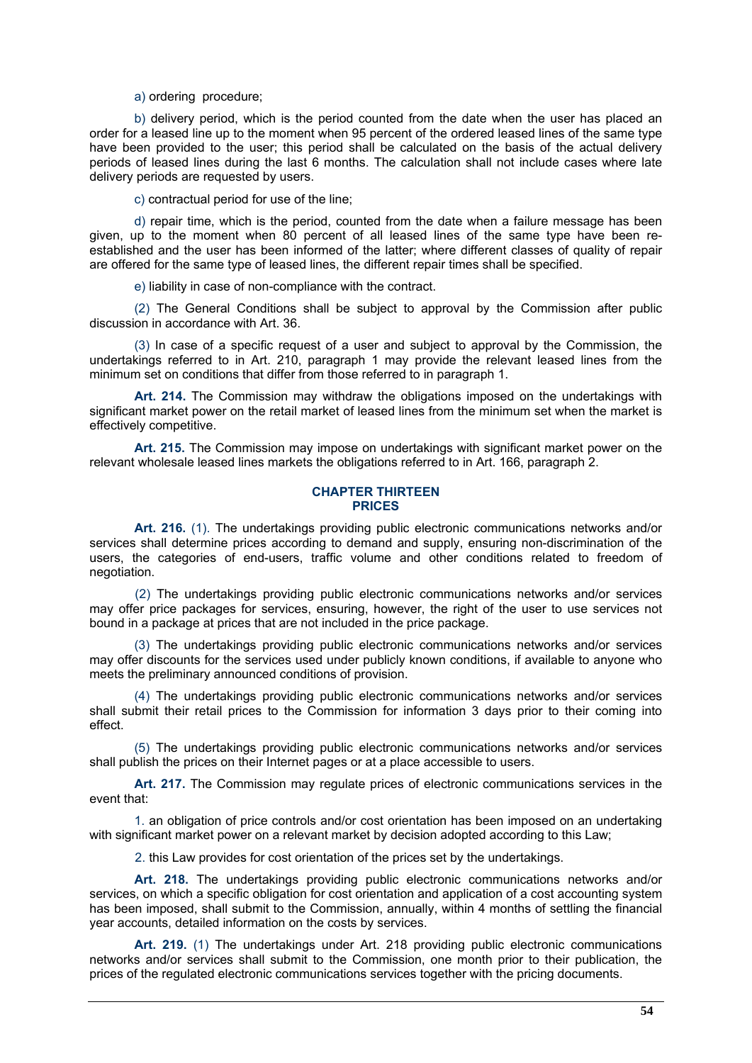a) ordering procedure;

b) delivery period, which is the period counted from the date when the user has placed an order for a leased line up to the moment when 95 percent of the ordered leased lines of the same type have been provided to the user; this period shall be calculated on the basis of the actual delivery periods of leased lines during the last 6 months. The calculation shall not include cases where late delivery periods are requested by users.

c) contractual period for use of the line;

d) repair time, which is the period, counted from the date when a failure message has been given, up to the moment when 80 percent of all leased lines of the same type have been reestablished and the user has been informed of the latter; where different classes of quality of repair are offered for the same type of leased lines, the different repair times shall be specified.

e) liability in case of non-compliance with the contract.

(2) The General Conditions shall be subject to approval by the Commission after public discussion in accordance with Art. 36.

(3) In case of a specific request of a user and subject to approval by the Commission, the undertakings referred to in Art. 210, paragraph 1 may provide the relevant leased lines from the minimum set on conditions that differ from those referred to in paragraph 1.

**Art. 214.** The Commission may withdraw the obligations imposed on the undertakings with significant market power on the retail market of leased lines from the minimum set when the market is effectively competitive.

**Art. 215.** The Commission may impose on undertakings with significant market power on the relevant wholesale leased lines markets the obligations referred to in Art. 166, paragraph 2.

### **CHAPTER THIRTEEN PRICES**

**Art. 216.** (1). The undertakings providing public electronic communications networks and/or services shall determine prices according to demand and supply, ensuring non-discrimination of the users, the categories of end-users, traffic volume and other conditions related to freedom of negotiation.

(2) The undertakings providing public electronic communications networks and/or services may offer price packages for services, ensuring, however, the right of the user to use services not bound in a package at prices that are not included in the price package.

(3) The undertakings providing public electronic communications networks and/or services may offer discounts for the services used under publicly known conditions, if available to anyone who meets the preliminary announced conditions of provision.

(4) The undertakings providing public electronic communications networks and/or services shall submit their retail prices to the Commission for information 3 days prior to their coming into effect.

(5) The undertakings providing public electronic communications networks and/or services shall publish the prices on their Internet pages or at a place accessible to users.

**Art. 217.** The Commission may regulate prices of electronic communications services in the event that:

1. an obligation of price controls and/or cost orientation has been imposed on an undertaking with significant market power on a relevant market by decision adopted according to this Law;

2. this Law provides for cost orientation of the prices set by the undertakings.

**Art. 218.** The undertakings providing public electronic communications networks and/or services, on which a specific obligation for cost orientation and application of a cost accounting system has been imposed, shall submit to the Commission, annually, within 4 months of settling the financial year accounts, detailed information on the costs by services.

**Art. 219.** (1) The undertakings under Art. 218 providing public electronic communications networks and/or services shall submit to the Commission, one month prior to their publication, the prices of the regulated electronic communications services together with the pricing documents.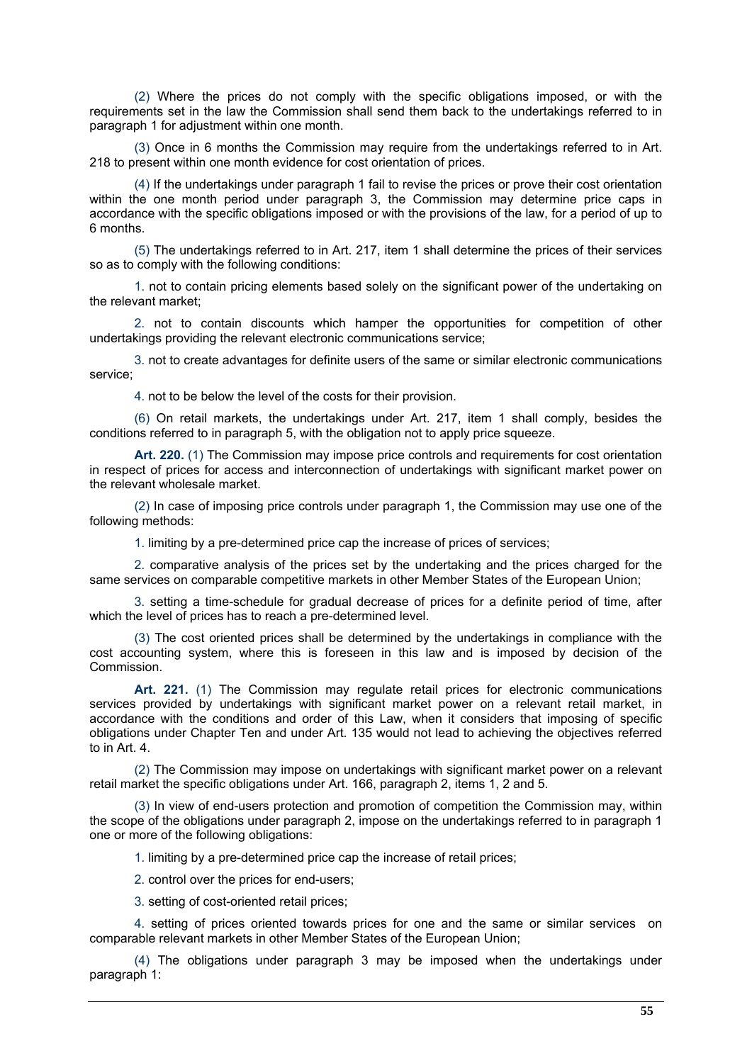(2) Where the prices do not comply with the specific obligations imposed, or with the requirements set in the law the Commission shall send them back to the undertakings referred to in paragraph 1 for adjustment within one month.

(3) Once in 6 months the Commission may require from the undertakings referred to in Art. 218 to present within one month evidence for cost orientation of prices.

(4) If the undertakings under paragraph 1 fail to revise the prices or prove their cost orientation within the one month period under paragraph 3, the Commission may determine price caps in accordance with the specific obligations imposed or with the provisions of the law, for a period of up to 6 months.

(5) The undertakings referred to in Art. 217, item 1 shall determine the prices of their services so as to comply with the following conditions:

1. not to contain pricing elements based solely on the significant power of the undertaking on the relevant market;

2. not to contain discounts which hamper the opportunities for competition of other undertakings providing the relevant electronic communications service;

3. not to create advantages for definite users of the same or similar electronic communications service;

4. not to be below the level of the costs for their provision.

(6) On retail markets, the undertakings under Art. 217, item 1 shall comply, besides the conditions referred to in paragraph 5, with the obligation not to apply price squeeze.

Art. 220. (1) The Commission may impose price controls and requirements for cost orientation in respect of prices for access and interconnection of undertakings with significant market power on the relevant wholesale market.

(2) In case of imposing price controls under paragraph 1, the Commission may use one of the following methods:

1. limiting by a pre-determined price cap the increase of prices of services;

2. comparative analysis of the prices set by the undertaking and the prices charged for the same services on comparable competitive markets in other Member States of the European Union;

3. setting a time-schedule for gradual decrease of prices for a definite period of time, after which the level of prices has to reach a pre-determined level.

(3) The cost oriented prices shall be determined by the undertakings in compliance with the cost accounting system, where this is foreseen in this law and is imposed by decision of the Commission.

Art. 221. (1) The Commission may regulate retail prices for electronic communications services provided by undertakings with significant market power on a relevant retail market, in accordance with the conditions and order of this Law, when it considers that imposing of specific obligations under Chapter Ten and under Art. 135 would not lead to achieving the objectives referred to in Art. 4.

(2) The Commission may impose on undertakings with significant market power on a relevant retail market the specific obligations under Art. 166, paragraph 2, items 1, 2 and 5.

(3) In view of end-users protection and promotion of competition the Commission may, within the scope of the obligations under paragraph 2, impose on the undertakings referred to in paragraph 1 one or more of the following obligations:

1. limiting by a pre-determined price cap the increase of retail prices;

2. control over the prices for end-users;

3. setting of cost-oriented retail prices;

4. setting of prices oriented towards prices for one and the same or similar services on comparable relevant markets in other Member States of the European Union;

(4) The obligations under paragraph 3 may be imposed when the undertakings under paragraph 1: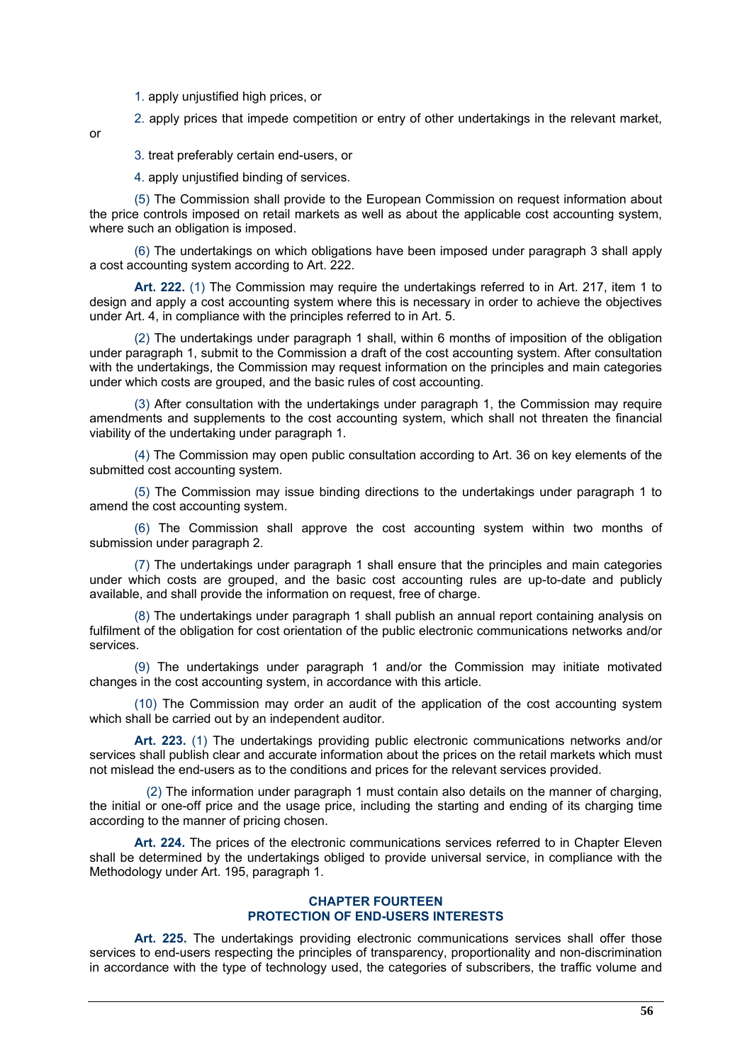- 1. apply unjustified high prices, or
- 2. apply prices that impede competition or entry of other undertakings in the relevant market,

or

3. treat preferably certain end-users, or

4. apply unjustified binding of services.

(5) The Commission shall provide to the European Commission on request information about the price controls imposed on retail markets as well as about the applicable cost accounting system, where such an obligation is imposed.

(6) The undertakings on which obligations have been imposed under paragraph 3 shall apply a cost accounting system according to Art. 222.

**Art. 222.** (1) The Commission may require the undertakings referred to in Art. 217, item 1 to design and apply a cost accounting system where this is necessary in order to achieve the objectives under Art. 4, in compliance with the principles referred to in Art. 5.

(2) The undertakings under paragraph 1 shall, within 6 months of imposition of the obligation under paragraph 1, submit to the Commission a draft of the cost accounting system. After consultation with the undertakings, the Commission may request information on the principles and main categories under which costs are grouped, and the basic rules of cost accounting.

(3) After consultation with the undertakings under paragraph 1, the Commission may require amendments and supplements to the cost accounting system, which shall not threaten the financial viability of the undertaking under paragraph 1.

(4) The Commission may open public consultation according to Art. 36 on key elements of the submitted cost accounting system.

(5) The Commission may issue binding directions to the undertakings under paragraph 1 to amend the cost accounting system.

(6) The Commission shall approve the cost accounting system within two months of submission under paragraph 2.

(7) The undertakings under paragraph 1 shall ensure that the principles and main categories under which costs are grouped, and the basic cost accounting rules are up-to-date and publicly available, and shall provide the information on request, free of charge.

(8) The undertakings under paragraph 1 shall publish an annual report containing analysis on fulfilment of the obligation for cost orientation of the public electronic communications networks and/or services.

(9) The undertakings under paragraph 1 and/or the Commission may initiate motivated changes in the cost accounting system, in accordance with this article.

(10) The Commission may order an audit of the application of the cost accounting system which shall be carried out by an independent auditor.

**Art. 223.** (1) The undertakings providing public electronic communications networks and/or services shall publish clear and accurate information about the prices on the retail markets which must not mislead the end-users as to the conditions and prices for the relevant services provided.

(2) The information under paragraph 1 must contain also details on the manner of charging, the initial or one-off price and the usage price, including the starting and ending of its charging time according to the manner of pricing chosen.

**Art. 224.** The prices of the electronic communications services referred to in Chapter Eleven shall be determined by the undertakings obliged to provide universal service, in compliance with the Methodology under Art. 195, paragraph 1.

# **CHAPTER FOURTEEN PROTECTION OF END-USERS INTERESTS**

**Art. 225.** The undertakings providing electronic communications services shall offer those services to end-users respecting the principles of transparency, proportionality and non-discrimination in accordance with the type of technology used, the categories of subscribers, the traffic volume and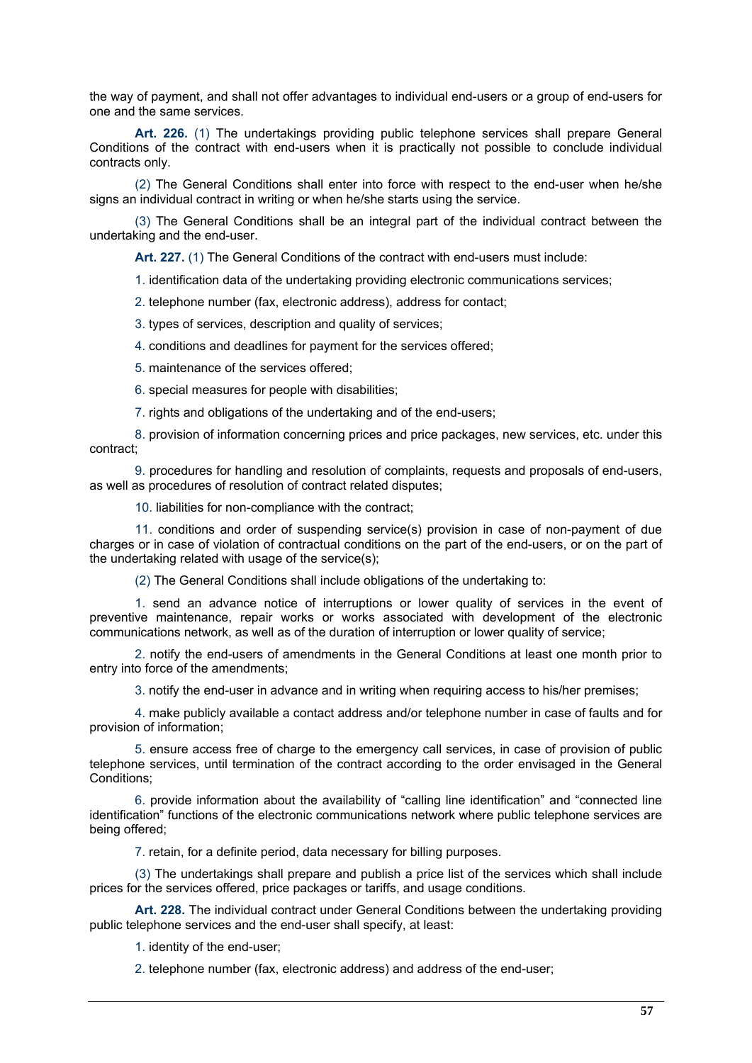the way of payment, and shall not offer advantages to individual end-users or a group of end-users for one and the same services.

**Art. 226.** (1) The undertakings providing public telephone services shall prepare General Conditions of the contract with end-users when it is practically not possible to conclude individual contracts only.

(2) The General Conditions shall enter into force with respect to the end-user when he/she signs an individual contract in writing or when he/she starts using the service.

(3) The General Conditions shall be an integral part of the individual contract between the undertaking and the end-user.

**Art. 227.** (1) The General Conditions of the contract with end-users must include:

1. identification data of the undertaking providing electronic communications services;

- 2. telephone number (fax, electronic address), address for contact;
- 3. types of services, description and quality of services;
- 4. conditions and deadlines for payment for the services offered;
- 5. maintenance of the services offered;
- 6. special measures for people with disabilities;
- 7. rights and obligations of the undertaking and of the end-users;

8. provision of information concerning prices and price packages, new services, etc. under this contract;

9. procedures for handling and resolution of complaints, requests and proposals of end-users, as well as procedures of resolution of contract related disputes;

10. liabilities for non-compliance with the contract;

11. conditions and order of suspending service(s) provision in case of non-payment of due charges or in case of violation of contractual conditions on the part of the end-users, or on the part of the undertaking related with usage of the service(s);

(2) The General Conditions shall include obligations of the undertaking to:

1. send an advance notice of interruptions or lower quality of services in the event of preventive maintenance, repair works or works associated with development of the electronic communications network, as well as of the duration of interruption or lower quality of service;

2. notify the end-users of amendments in the General Conditions at least one month prior to entry into force of the amendments;

3. notify the end-user in advance and in writing when requiring access to his/her premises;

4. make publicly available a contact address and/or telephone number in case of faults and for provision of information;

5. ensure access free of charge to the emergency call services, in case of provision of public telephone services, until termination of the contract according to the order envisaged in the General Conditions;

6. provide information about the availability of "calling line identification" and "connected line identification" functions of the electronic communications network where public telephone services are being offered;

7. retain, for a definite period, data necessary for billing purposes.

(3) The undertakings shall prepare and publish a price list of the services which shall include prices for the services offered, price packages or tariffs, and usage conditions.

**Art. 228.** The individual contract under General Conditions between the undertaking providing public telephone services and the end-user shall specify, at least:

1. identity of the end-user;

2. telephone number (fax, electronic address) and address of the end-user;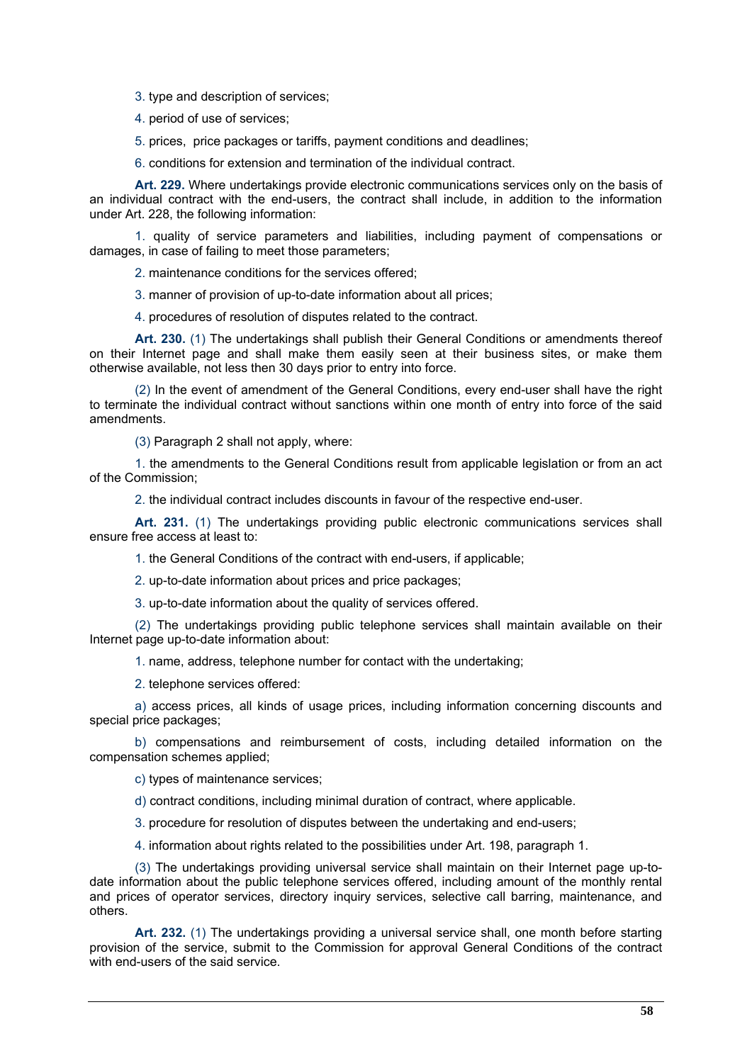- 3. type and description of services;
- 4. period of use of services;
- 5. prices, price packages or tariffs, payment conditions and deadlines;
- 6. conditions for extension and termination of the individual contract.

**Art. 229.** Where undertakings provide electronic communications services only on the basis of an individual contract with the end-users, the contract shall include, in addition to the information under Art. 228, the following information:

1. quality of service parameters and liabilities, including payment of compensations or damages, in case of failing to meet those parameters;

2. maintenance conditions for the services offered;

- 3. manner of provision of up-to-date information about all prices;
- 4. procedures of resolution of disputes related to the contract.

**Art. 230.** (1) The undertakings shall publish their General Conditions or amendments thereof on their Internet page and shall make them easily seen at their business sites, or make them otherwise available, not less then 30 days prior to entry into force.

(2) In the event of amendment of the General Conditions, every end-user shall have the right to terminate the individual contract without sanctions within one month of entry into force of the said amendments.

(3) Paragraph 2 shall not apply, where:

1. the amendments to the General Conditions result from applicable legislation or from an act of the Commission;

2. the individual contract includes discounts in favour of the respective end-user.

**Art. 231.** (1) The undertakings providing public electronic communications services shall ensure free access at least to:

1. the General Conditions of the contract with end-users, if applicable;

2. up-to-date information about prices and price packages;

3. up-to-date information about the quality of services offered.

(2) The undertakings providing public telephone services shall maintain available on their Internet page up-to-date information about:

1. name, address, telephone number for contact with the undertaking;

2. telephone services offered:

a) access prices, all kinds of usage prices, including information concerning discounts and special price packages;

b) compensations and reimbursement of costs, including detailed information on the compensation schemes applied;

c) types of maintenance services;

d) contract conditions, including minimal duration of contract, where applicable.

3. procedure for resolution of disputes between the undertaking and end-users;

4. information about rights related to the possibilities under Art. 198, paragraph 1.

(3) The undertakings providing universal service shall maintain on their Internet page up-todate information about the public telephone services offered, including amount of the monthly rental and prices of operator services, directory inquiry services, selective call barring, maintenance, and others.

**Art. 232.** (1) The undertakings providing a universal service shall, one month before starting provision of the service, submit to the Commission for approval General Conditions of the contract with end-users of the said service.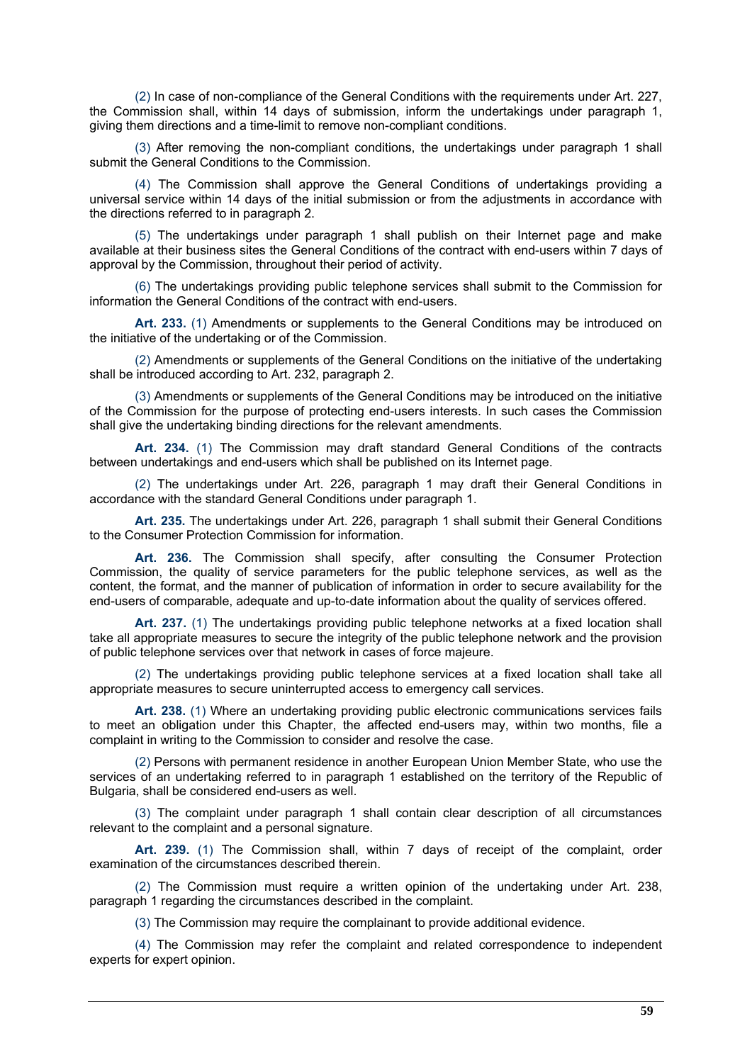(2) In case of non-compliance of the General Conditions with the requirements under Art. 227, the Commission shall, within 14 days of submission, inform the undertakings under paragraph 1, giving them directions and a time-limit to remove non-compliant conditions.

(3) After removing the non-compliant conditions, the undertakings under paragraph 1 shall submit the General Conditions to the Commission.

(4) The Commission shall approve the General Conditions of undertakings providing a universal service within 14 days of the initial submission or from the adjustments in accordance with the directions referred to in paragraph 2.

(5) The undertakings under paragraph 1 shall publish on their Internet page and make available at their business sites the General Conditions of the contract with end-users within 7 days of approval by the Commission, throughout their period of activity.

(6) The undertakings providing public telephone services shall submit to the Commission for information the General Conditions of the contract with end-users.

**Art. 233.** (1) Amendments or supplements to the General Conditions may be introduced on the initiative of the undertaking or of the Commission.

(2) Amendments or supplements of the General Conditions on the initiative of the undertaking shall be introduced according to Art. 232, paragraph 2.

(3) Amendments or supplements of the General Conditions may be introduced on the initiative of the Commission for the purpose of protecting end-users interests. In such cases the Commission shall give the undertaking binding directions for the relevant amendments.

**Art. 234.** (1) The Commission may draft standard General Conditions of the contracts between undertakings and end-users which shall be published on its Internet page.

(2) The undertakings under Art. 226, paragraph 1 may draft their General Conditions in accordance with the standard General Conditions under paragraph 1.

**Art. 235.** The undertakings under Art. 226, paragraph 1 shall submit their General Conditions to the Consumer Protection Commission for information.

**Art. 236.** The Commission shall specify, after consulting the Consumer Protection Commission, the quality of service parameters for the public telephone services, as well as the content, the format, and the manner of publication of information in order to secure availability for the end-users of comparable, adequate and up-to-date information about the quality of services offered.

**Art. 237.** (1) The undertakings providing public telephone networks at a fixed location shall take all appropriate measures to secure the integrity of the public telephone network and the provision of public telephone services over that network in cases of force majeure.

(2) The undertakings providing public telephone services at a fixed location shall take all appropriate measures to secure uninterrupted access to emergency call services.

Art. 238. (1) Where an undertaking providing public electronic communications services fails to meet an obligation under this Chapter, the affected end-users may, within two months, file a complaint in writing to the Commission to consider and resolve the case.

(2) Persons with permanent residence in another European Union Member State, who use the services of an undertaking referred to in paragraph 1 established on the territory of the Republic of Bulgaria, shall be considered end-users as well.

(3) The complaint under paragraph 1 shall contain clear description of all circumstances relevant to the complaint and a personal signature.

**Art. 239.** (1) The Commission shall, within 7 days of receipt of the complaint, order examination of the circumstances described therein.

(2) The Commission must require a written opinion of the undertaking under Art. 238, paragraph 1 regarding the circumstances described in the complaint.

(3) The Commission may require the complainant to provide additional evidence.

(4) The Commission may refer the complaint and related correspondence to independent experts for expert opinion.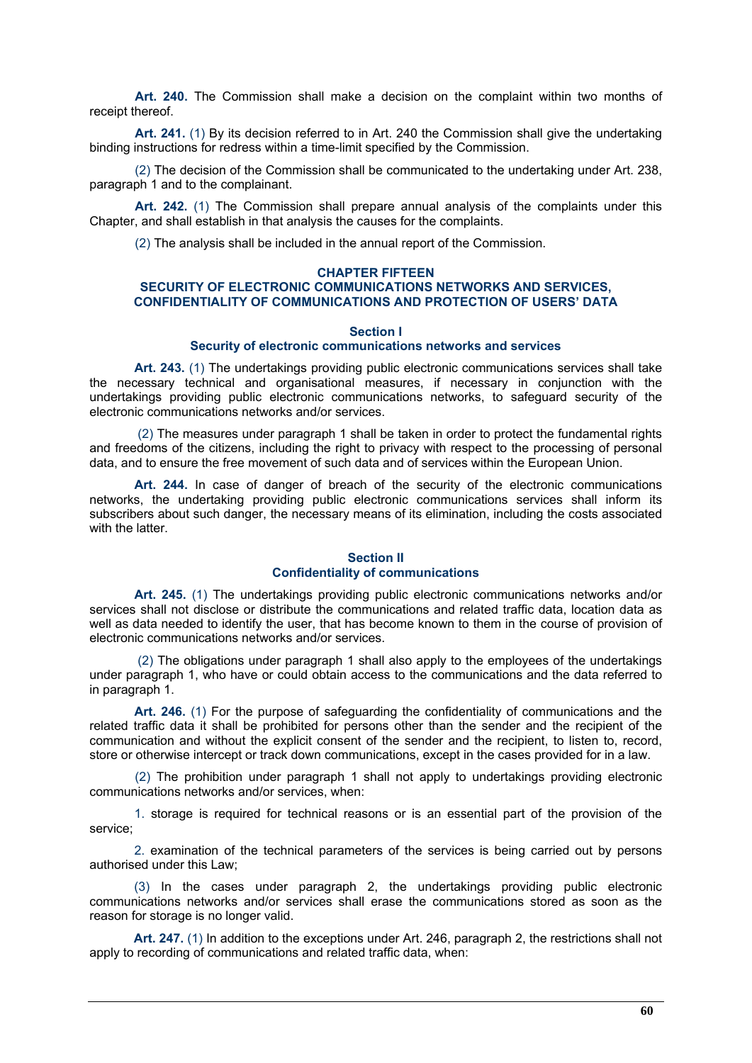**Art. 240.** The Commission shall make a decision on the complaint within two months of receipt thereof.

**Art. 241.** (1) By its decision referred to in Art. 240 the Commission shall give the undertaking binding instructions for redress within a time-limit specified by the Commission.

(2) The decision of the Commission shall be communicated to the undertaking under Art. 238, paragraph 1 and to the complainant.

**Art. 242.** (1) The Commission shall prepare annual analysis of the complaints under this Chapter, and shall establish in that analysis the causes for the complaints.

(2) The analysis shall be included in the annual report of the Commission.

#### **CHAPTER FIFTEEN SECURITY OF ELECTRONIC COMMUNICATIONS NETWORKS AND SERVICES, CONFIDENTIALITY OF COMMUNICATIONS AND PROTECTION OF USERS' DATA**

# **Section I Security of electronic communications networks and services**

**Art. 243.** (1) The undertakings providing public electronic communications services shall take the necessary technical and organisational measures, if necessary in conjunction with the undertakings providing public electronic communications networks, to safeguard security of the electronic communications networks and/or services.

 (2) The measures under paragraph 1 shall be taken in order to protect the fundamental rights and freedoms of the citizens, including the right to privacy with respect to the processing of personal data, and to ensure the free movement of such data and of services within the European Union.

**Art. 244.** In case of danger of breach of the security of the electronic communications networks, the undertaking providing public electronic communications services shall inform its subscribers about such danger, the necessary means of its elimination, including the costs associated with the latter.

#### **Section II Confidentiality of communications**

**Art. 245.** (1) The undertakings providing public electronic communications networks and/or services shall not disclose or distribute the communications and related traffic data, location data as well as data needed to identify the user, that has become known to them in the course of provision of electronic communications networks and/or services.

 (2) The obligations under paragraph 1 shall also apply to the employees of the undertakings under paragraph 1, who have or could obtain access to the communications and the data referred to in paragraph 1.

**Art. 246.** (1) For the purpose of safeguarding the confidentiality of communications and the related traffic data it shall be prohibited for persons other than the sender and the recipient of the communication and without the explicit consent of the sender and the recipient, to listen to, record, store or otherwise intercept or track down communications, except in the cases provided for in a law.

(2) The prohibition under paragraph 1 shall not apply to undertakings providing electronic communications networks and/or services, when:

1. storage is required for technical reasons or is an essential part of the provision of the service;

2. examination of the technical parameters of the services is being carried out by persons authorised under this Law;

(3) In the cases under paragraph 2, the undertakings providing public electronic communications networks and/or services shall erase the communications stored as soon as the reason for storage is no longer valid.

**Art. 247.** (1) In addition to the exceptions under Art. 246, paragraph 2, the restrictions shall not apply to recording of communications and related traffic data, when: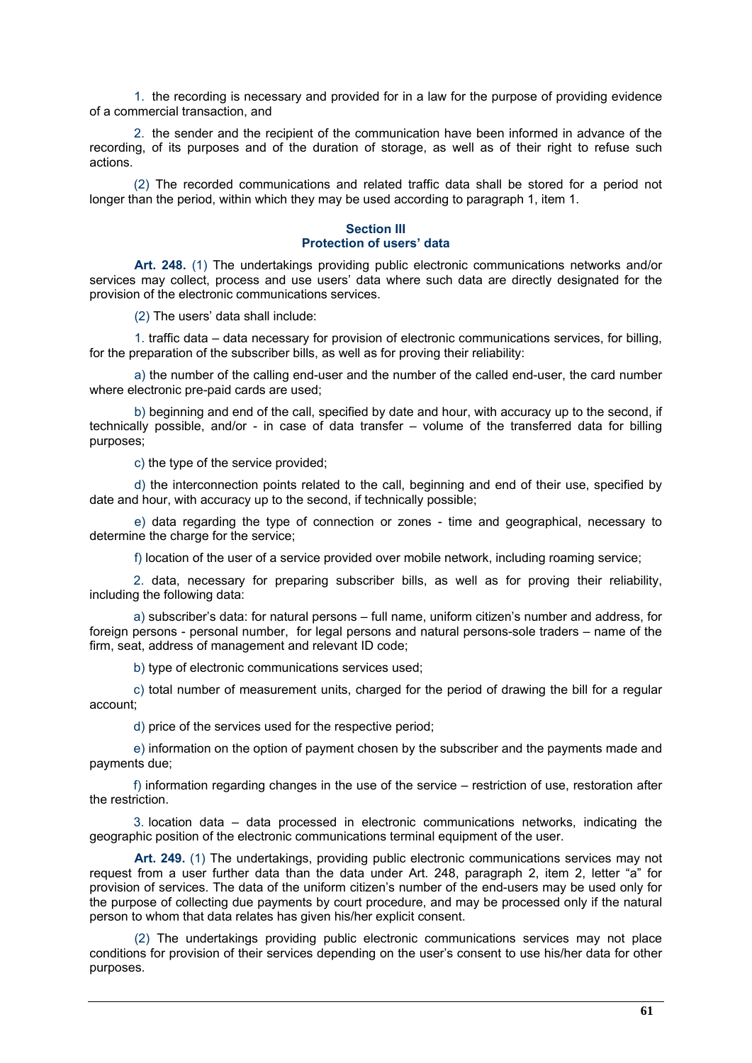1. the recording is necessary and provided for in a law for the purpose of providing evidence of a commercial transaction, and

2. the sender and the recipient of the communication have been informed in advance of the recording, of its purposes and of the duration of storage, as well as of their right to refuse such actions.

(2) The recorded communications and related traffic data shall be stored for a period not longer than the period, within which they may be used according to paragraph 1, item 1.

# **Section III Protection of users' data**

**Art. 248.** (1) The undertakings providing public electronic communications networks and/or services may collect, process and use users' data where such data are directly designated for the provision of the electronic communications services.

(2) The users' data shall include:

1. traffic data – data necessary for provision of electronic communications services, for billing, for the preparation of the subscriber bills, as well as for proving their reliability:

a) the number of the calling end-user and the number of the called end-user, the card number where electronic pre-paid cards are used;

b) beginning and end of the call, specified by date and hour, with accuracy up to the second, if technically possible, and/or - in case of data transfer – volume of the transferred data for billing purposes;

c) the type of the service provided;

d) the interconnection points related to the call, beginning and end of their use, specified by date and hour, with accuracy up to the second, if technically possible;

e) data regarding the type of connection or zones - time and geographical, necessary to determine the charge for the service;

f) location of the user of a service provided over mobile network, including roaming service;

2. data, necessary for preparing subscriber bills, as well as for proving their reliability, including the following data:

a) subscriber's data: for natural persons – full name, uniform citizen's number and address, for foreign persons - personal number, for legal persons and natural persons-sole traders – name of the firm, seat, address of management and relevant ID code;

b) type of electronic communications services used;

c) total number of measurement units, charged for the period of drawing the bill for a regular account;

d) price of the services used for the respective period;

e) information on the option of payment chosen by the subscriber and the payments made and payments due;

f) information regarding changes in the use of the service – restriction of use, restoration after the restriction.

3. location data – data processed in electronic communications networks, indicating the geographic position of the electronic communications terminal equipment of the user.

Art. 249. (1) The undertakings, providing public electronic communications services may not request from a user further data than the data under Art. 248, paragraph 2, item 2, letter "a" for provision of services. The data of the uniform citizen's number of the end-users may be used only for the purpose of collecting due payments by court procedure, and may be processed only if the natural person to whom that data relates has given his/her explicit consent.

(2) The undertakings providing public electronic communications services may not place conditions for provision of their services depending on the user's consent to use his/her data for other purposes.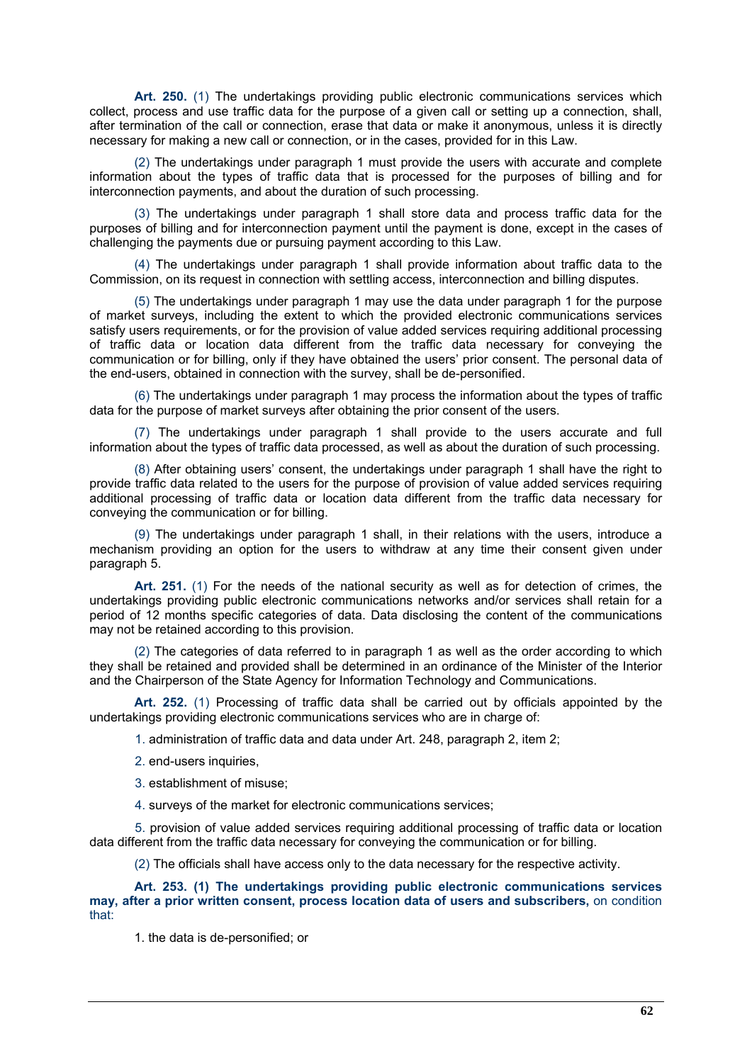Art. 250. (1) The undertakings providing public electronic communications services which collect, process and use traffic data for the purpose of a given call or setting up a connection, shall, after termination of the call or connection, erase that data or make it anonymous, unless it is directly necessary for making a new call or connection, or in the cases, provided for in this Law.

(2) The undertakings under paragraph 1 must provide the users with accurate and complete information about the types of traffic data that is processed for the purposes of billing and for interconnection payments, and about the duration of such processing.

(3) The undertakings under paragraph 1 shall store data and process traffic data for the purposes of billing and for interconnection payment until the payment is done, except in the cases of challenging the payments due or pursuing payment according to this Law.

(4) The undertakings under paragraph 1 shall provide information about traffic data to the Commission, on its request in connection with settling access, interconnection and billing disputes.

(5) The undertakings under paragraph 1 may use the data under paragraph 1 for the purpose of market surveys, including the extent to which the provided electronic communications services satisfy users requirements, or for the provision of value added services requiring additional processing of traffic data or location data different from the traffic data necessary for conveying the communication or for billing, only if they have obtained the users' prior consent. The personal data of the end-users, obtained in connection with the survey, shall be de-personified.

(6) The undertakings under paragraph 1 may process the information about the types of traffic data for the purpose of market surveys after obtaining the prior consent of the users.

(7) The undertakings under paragraph 1 shall provide to the users accurate and full information about the types of traffic data processed, as well as about the duration of such processing.

(8) After obtaining users' consent, the undertakings under paragraph 1 shall have the right to provide traffic data related to the users for the purpose of provision of value added services requiring additional processing of traffic data or location data different from the traffic data necessary for conveying the communication or for billing.

(9) The undertakings under paragraph 1 shall, in their relations with the users, introduce a mechanism providing an option for the users to withdraw at any time their consent given under paragraph 5.

**Art. 251.** (1) For the needs of the national security as well as for detection of crimes, the undertakings providing public electronic communications networks and/or services shall retain for a period of 12 months specific categories of data. Data disclosing the content of the communications may not be retained according to this provision.

(2) The categories of data referred to in paragraph 1 as well as the order according to which they shall be retained and provided shall be determined in an ordinance of the Minister of the Interior and the Chairperson of the State Agency for Information Technology and Communications.

**Art. 252.** (1) Processing of traffic data shall be carried out by officials appointed by the undertakings providing electronic communications services who are in charge of:

1. administration of traffic data and data under Art. 248, paragraph 2, item 2;

2. end-users inquiries,

3. establishment of misuse;

4. surveys of the market for electronic communications services;

5. provision of value added services requiring additional processing of traffic data or location data different from the traffic data necessary for conveying the communication or for billing.

(2) The officials shall have access only to the data necessary for the respective activity.

**Art. 253. (1) The undertakings providing public electronic communications services may, after a prior written consent, process location data of users and subscribers,** on condition that:

1. the data is de-personified; or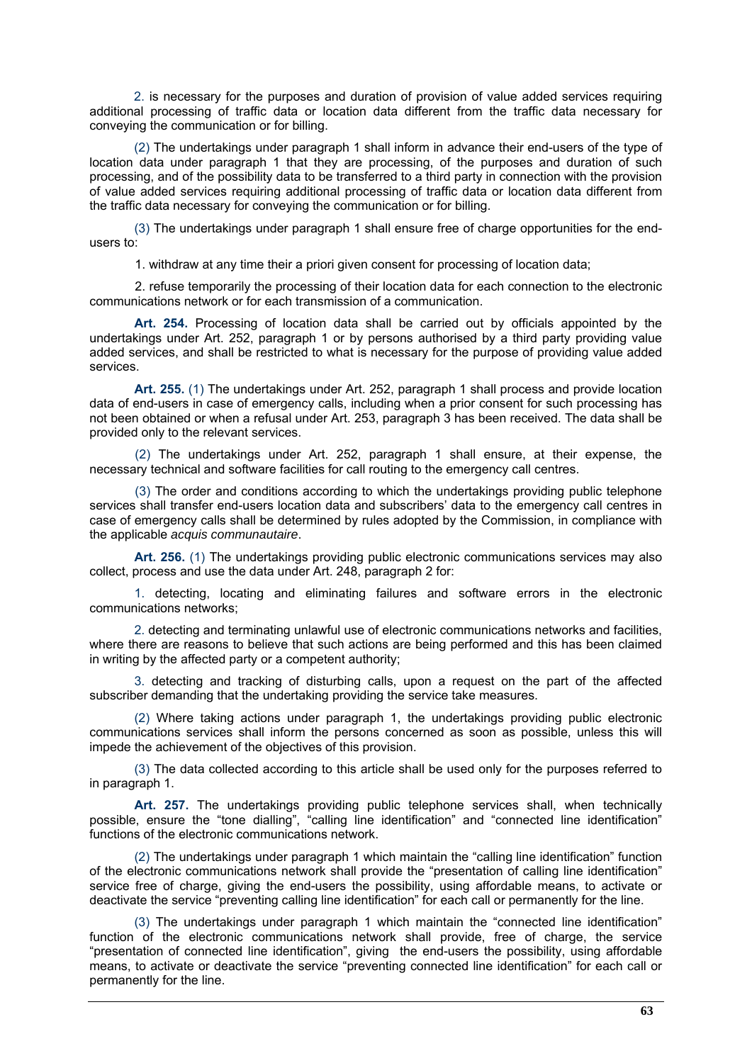2. is necessary for the purposes and duration of provision of value added services requiring additional processing of traffic data or location data different from the traffic data necessary for conveying the communication or for billing.

(2) The undertakings under paragraph 1 shall inform in advance their end-users of the type of location data under paragraph 1 that they are processing, of the purposes and duration of such processing, and of the possibility data to be transferred to a third party in connection with the provision of value added services requiring additional processing of traffic data or location data different from the traffic data necessary for conveying the communication or for billing.

(3) The undertakings under paragraph 1 shall ensure free of charge opportunities for the endusers to:

1. withdraw at any time their a priori given consent for processing of location data;

2. refuse temporarily the processing of their location data for each connection to the electronic communications network or for each transmission of a communication.

**Art. 254.** Processing of location data shall be carried out by officials appointed by the undertakings under Art. 252, paragraph 1 or by persons authorised by a third party providing value added services, and shall be restricted to what is necessary for the purpose of providing value added services.

**Art. 255.** (1) The undertakings under Art. 252, paragraph 1 shall process and provide location data of end-users in case of emergency calls, including when a prior consent for such processing has not been obtained or when a refusal under Art. 253, paragraph 3 has been received. The data shall be provided only to the relevant services.

(2) The undertakings under Art. 252, paragraph 1 shall ensure, at their expense, the necessary technical and software facilities for call routing to the emergency call centres.

(3) The order and conditions according to which the undertakings providing public telephone services shall transfer end-users location data and subscribers' data to the emergency call centres in case of emergency calls shall be determined by rules adopted by the Commission, in compliance with the applicable *acquis communautaire*.

**Art. 256.** (1) The undertakings providing public electronic communications services may also collect, process and use the data under Art. 248, paragraph 2 for:

1. detecting, locating and eliminating failures and software errors in the electronic communications networks;

2. detecting and terminating unlawful use of electronic communications networks and facilities, where there are reasons to believe that such actions are being performed and this has been claimed in writing by the affected party or a competent authority;

3. detecting and tracking of disturbing calls, upon a request on the part of the affected subscriber demanding that the undertaking providing the service take measures.

(2) Where taking actions under paragraph 1, the undertakings providing public electronic communications services shall inform the persons concerned as soon as possible, unless this will impede the achievement of the objectives of this provision.

(3) The data collected according to this article shall be used only for the purposes referred to in paragraph 1.

**Art. 257.** The undertakings providing public telephone services shall, when technically possible, ensure the "tone dialling", "calling line identification" and "connected line identification" functions of the electronic communications network.

(2) The undertakings under paragraph 1 which maintain the "calling line identification" function of the electronic communications network shall provide the "presentation of calling line identification" service free of charge, giving the end-users the possibility, using affordable means, to activate or deactivate the service "preventing calling line identification" for each call or permanently for the line.

(3) The undertakings under paragraph 1 which maintain the "connected line identification" function of the electronic communications network shall provide, free of charge, the service "presentation of connected line identification", giving the end-users the possibility, using affordable means, to activate or deactivate the service "preventing connected line identification" for each call or permanently for the line.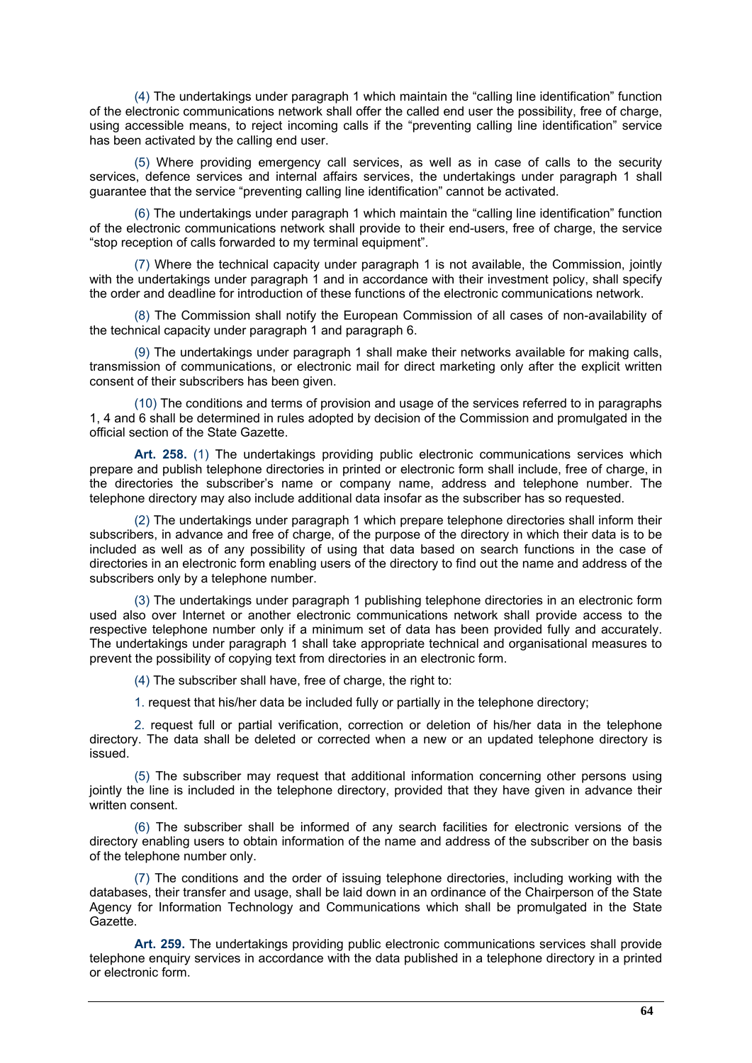(4) The undertakings under paragraph 1 which maintain the "calling line identification" function of the electronic communications network shall offer the called end user the possibility, free of charge, using accessible means, to reject incoming calls if the "preventing calling line identification" service has been activated by the calling end user.

(5) Where providing emergency call services, as well as in case of calls to the security services, defence services and internal affairs services, the undertakings under paragraph 1 shall guarantee that the service "preventing calling line identification" cannot be activated.

(6) The undertakings under paragraph 1 which maintain the "calling line identification" function of the electronic communications network shall provide to their end-users, free of charge, the service "stop reception of calls forwarded to my terminal equipment".

(7) Where the technical capacity under paragraph 1 is not available, the Commission, jointly with the undertakings under paragraph 1 and in accordance with their investment policy, shall specify the order and deadline for introduction of these functions of the electronic communications network.

(8) The Commission shall notify the European Commission of all cases of non-availability of the technical capacity under paragraph 1 and paragraph 6.

(9) The undertakings under paragraph 1 shall make their networks available for making calls, transmission of communications, or electronic mail for direct marketing only after the explicit written consent of their subscribers has been given.

(10) The conditions and terms of provision and usage of the services referred to in paragraphs 1, 4 and 6 shall be determined in rules adopted by decision of the Commission and promulgated in the official section of the State Gazette.

Art. 258. (1) The undertakings providing public electronic communications services which prepare and publish telephone directories in printed or electronic form shall include, free of charge, in the directories the subscriber's name or company name, address and telephone number. The telephone directory may also include additional data insofar as the subscriber has so requested.

(2) The undertakings under paragraph 1 which prepare telephone directories shall inform their subscribers, in advance and free of charge, of the purpose of the directory in which their data is to be included as well as of any possibility of using that data based on search functions in the case of directories in an electronic form enabling users of the directory to find out the name and address of the subscribers only by a telephone number.

(3) The undertakings under paragraph 1 publishing telephone directories in an electronic form used also over Internet or another electronic communications network shall provide access to the respective telephone number only if a minimum set of data has been provided fully and accurately. The undertakings under paragraph 1 shall take appropriate technical and organisational measures to prevent the possibility of copying text from directories in an electronic form.

(4) The subscriber shall have, free of charge, the right to:

1. request that his/her data be included fully or partially in the telephone directory;

2. request full or partial verification, correction or deletion of his/her data in the telephone directory. The data shall be deleted or corrected when a new or an updated telephone directory is issued.

(5) The subscriber may request that additional information concerning other persons using jointly the line is included in the telephone directory, provided that they have given in advance their written consent.

(6) The subscriber shall be informed of any search facilities for electronic versions of the directory enabling users to obtain information of the name and address of the subscriber on the basis of the telephone number only.

(7) The conditions and the order of issuing telephone directories, including working with the databases, their transfer and usage, shall be laid down in an ordinance of the Chairperson of the State Agency for Information Technology and Communications which shall be promulgated in the State Gazette.

**Art. 259.** The undertakings providing public electronic communications services shall provide telephone enquiry services in accordance with the data published in a telephone directory in a printed or electronic form.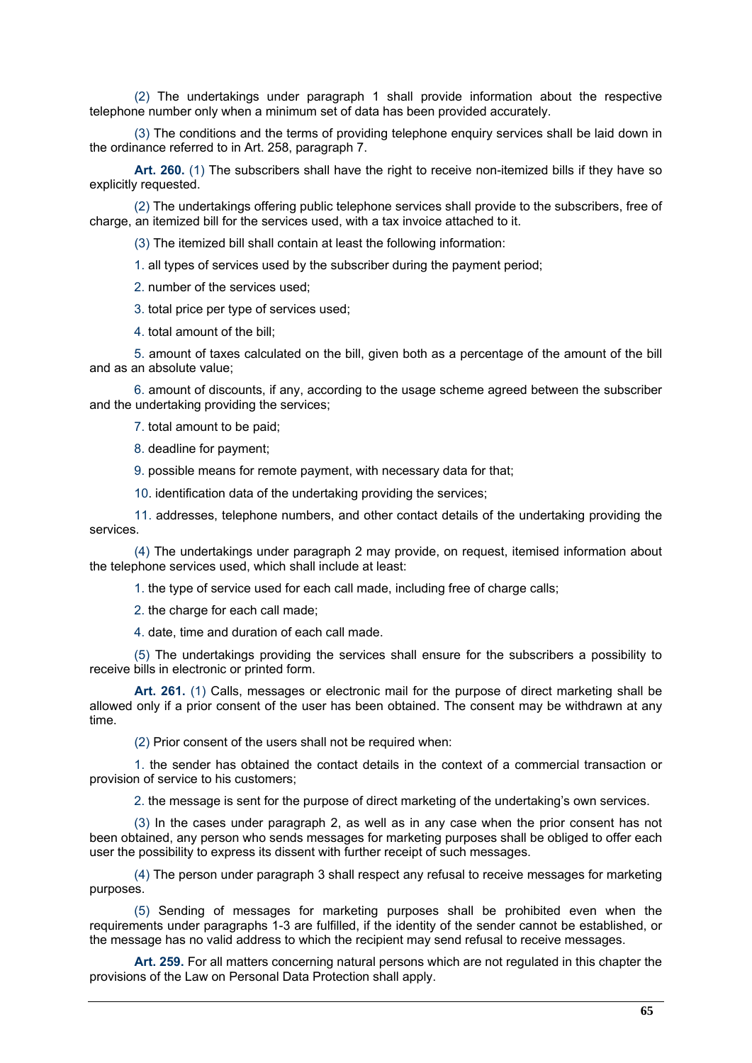(2) The undertakings under paragraph 1 shall provide information about the respective telephone number only when a minimum set of data has been provided accurately.

(3) The conditions and the terms of providing telephone enquiry services shall be laid down in the ordinance referred to in Art. 258, paragraph 7.

**Art. 260.** (1) The subscribers shall have the right to receive non-itemized bills if they have so explicitly requested.

(2) The undertakings offering public telephone services shall provide to the subscribers, free of charge, an itemized bill for the services used, with a tax invoice attached to it.

(3) The itemized bill shall contain at least the following information:

1. all types of services used by the subscriber during the payment period;

2. number of the services used;

3. total price per type of services used;

4. total amount of the bill;

5. amount of taxes calculated on the bill, given both as a percentage of the amount of the bill and as an absolute value;

6. amount of discounts, if any, according to the usage scheme agreed between the subscriber and the undertaking providing the services;

7. total amount to be paid;

8. deadline for payment;

9. possible means for remote payment, with necessary data for that;

10. identification data of the undertaking providing the services;

11. addresses, telephone numbers, and other contact details of the undertaking providing the services.

(4) The undertakings under paragraph 2 may provide, on request, itemised information about the telephone services used, which shall include at least:

1. the type of service used for each call made, including free of charge calls;

2. the charge for each call made;

4. date, time and duration of each call made.

(5) The undertakings providing the services shall ensure for the subscribers a possibility to receive bills in electronic or printed form.

**Art. 261.** (1) Calls, messages or electronic mail for the purpose of direct marketing shall be allowed only if a prior consent of the user has been obtained. The consent may be withdrawn at any time.

(2) Prior consent of the users shall not be required when:

1. the sender has obtained the contact details in the context of a commercial transaction or provision of service to his customers;

2. the message is sent for the purpose of direct marketing of the undertaking's own services.

(3) In the cases under paragraph 2, as well as in any case when the prior consent has not been obtained, any person who sends messages for marketing purposes shall be obliged to offer each user the possibility to express its dissent with further receipt of such messages.

(4) The person under paragraph 3 shall respect any refusal to receive messages for marketing purposes.

(5) Sending of messages for marketing purposes shall be prohibited even when the requirements under paragraphs 1-3 are fulfilled, if the identity of the sender cannot be established, or the message has no valid address to which the recipient may send refusal to receive messages.

**Art. 259.** For all matters concerning natural persons which are not regulated in this chapter the provisions of the Law on Personal Data Protection shall apply.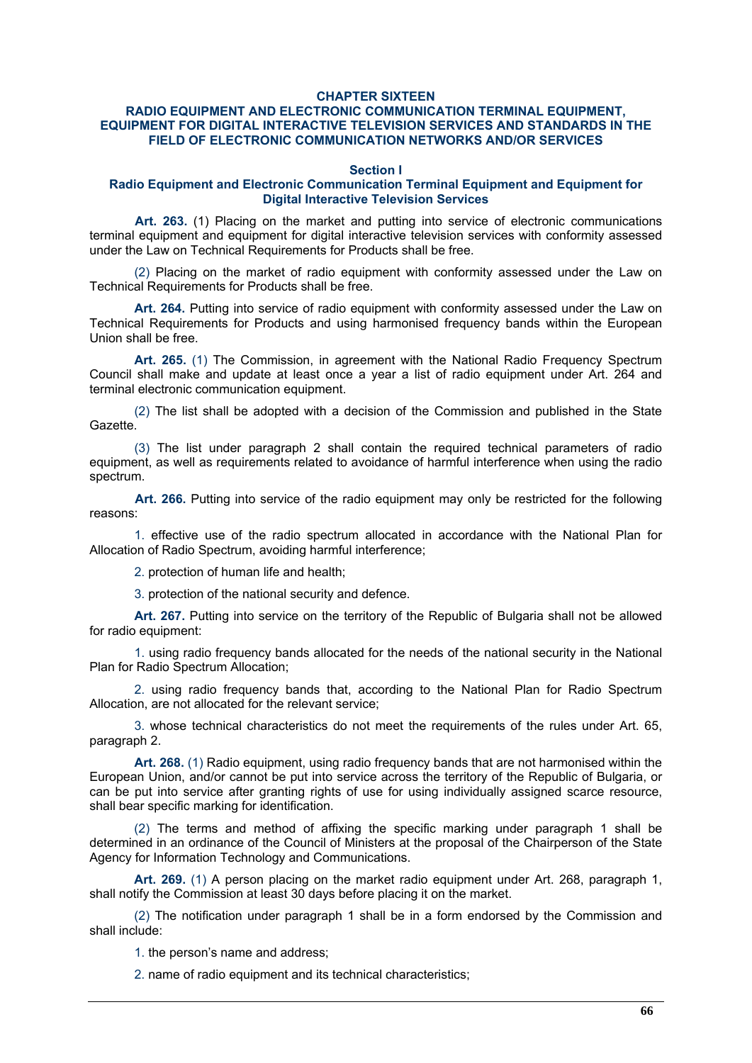#### **CHAPTER SIXTEEN**

# **RADIO EQUIPMENT AND ELECTRONIC COMMUNICATION TERMINAL EQUIPMENT, EQUIPMENT FOR DIGITAL INTERACTIVE TELEVISION SERVICES AND STANDARDS IN THE FIELD OF ELECTRONIC COMMUNICATION NETWORKS AND/OR SERVICES**

#### **Section I**

#### **Radio Equipment and Electronic Communication Terminal Equipment and Equipment for Digital Interactive Television Services**

**Art. 263.** (1) Placing on the market and putting into service of electronic communications terminal equipment and equipment for digital interactive television services with conformity assessed under the Law on Technical Requirements for Products shall be free.

(2) Placing on the market of radio equipment with conformity assessed under the Law on Technical Requirements for Products shall be free.

**Art. 264.** Putting into service of radio equipment with conformity assessed under the Law on Technical Requirements for Products and using harmonised frequency bands within the European Union shall be free.

**Art. 265.** (1) The Commission, in agreement with the National Radio Frequency Spectrum Council shall make and update at least once a year a list of radio equipment under Art. 264 and terminal electronic communication equipment.

(2) The list shall be adopted with a decision of the Commission and published in the State Gazette.

(3) The list under paragraph 2 shall contain the required technical parameters of radio equipment, as well as requirements related to avoidance of harmful interference when using the radio spectrum.

**Art. 266.** Putting into service of the radio equipment may only be restricted for the following reasons:

1. effective use of the radio spectrum allocated in accordance with the National Plan for Allocation of Radio Spectrum, avoiding harmful interference;

2. protection of human life and health;

3. protection of the national security and defence.

**Art. 267.** Putting into service on the territory of the Republic of Bulgaria shall not be allowed for radio equipment:

1. using radio frequency bands allocated for the needs of the national security in the National Plan for Radio Spectrum Allocation;

2. using radio frequency bands that, according to the National Plan for Radio Spectrum Allocation, are not allocated for the relevant service;

3. whose technical characteristics do not meet the requirements of the rules under Art. 65, paragraph 2.

**Art. 268.** (1) Radio equipment, using radio frequency bands that are not harmonised within the European Union, and/or cannot be put into service across the territory of the Republic of Bulgaria, or can be put into service after granting rights of use for using individually assigned scarce resource, shall bear specific marking for identification.

(2) The terms and method of affixing the specific marking under paragraph 1 shall be determined in an ordinance of the Council of Ministers at the proposal of the Chairperson of the State Agency for Information Technology and Communications.

**Art. 269.** (1) A person placing on the market radio equipment under Art. 268, paragraph 1, shall notify the Commission at least 30 days before placing it on the market.

(2) The notification under paragraph 1 shall be in a form endorsed by the Commission and shall include:

1. the person's name and address;

2. name of radio equipment and its technical characteristics;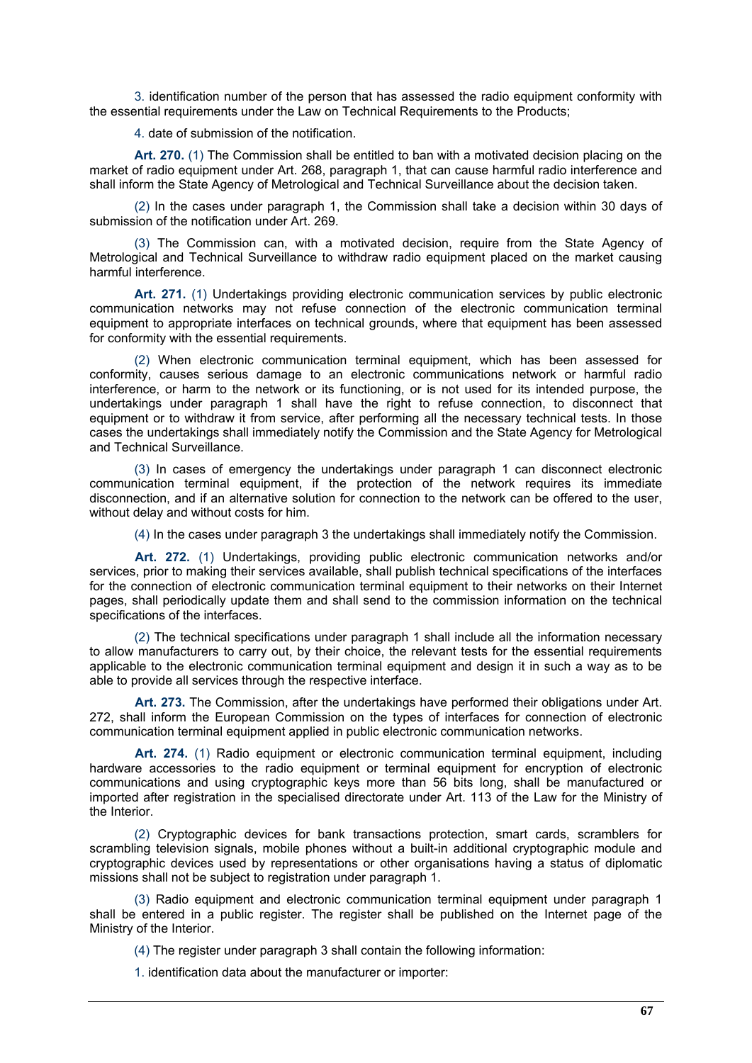3. identification number of the person that has assessed the radio equipment conformity with the essential requirements under the Law on Technical Requirements to the Products;

4. date of submission of the notification.

**Art. 270.** (1) The Commission shall be entitled to ban with a motivated decision placing on the market of radio equipment under Art. 268, paragraph 1, that can cause harmful radio interference and shall inform the State Agency of Metrological and Technical Surveillance about the decision taken.

(2) In the cases under paragraph 1, the Commission shall take a decision within 30 days of submission of the notification under Art. 269.

(3) The Commission can, with a motivated decision, require from the State Agency of Metrological and Technical Surveillance to withdraw radio equipment placed on the market causing harmful interference.

**Art. 271.** (1) Undertakings providing electronic communication services by public electronic communication networks may not refuse connection of the electronic communication terminal equipment to appropriate interfaces on technical grounds, where that equipment has been assessed for conformity with the essential requirements.

(2) When electronic communication terminal equipment, which has been assessed for conformity, causes serious damage to an electronic communications network or harmful radio interference, or harm to the network or its functioning, or is not used for its intended purpose, the undertakings under paragraph 1 shall have the right to refuse connection, to disconnect that equipment or to withdraw it from service, after performing all the necessary technical tests. In those cases the undertakings shall immediately notify the Commission and the State Agency for Metrological and Technical Surveillance.

(3) In cases of emergency the undertakings under paragraph 1 can disconnect electronic communication terminal equipment, if the protection of the network requires its immediate disconnection, and if an alternative solution for connection to the network can be offered to the user, without delay and without costs for him.

(4) In the cases under paragraph 3 the undertakings shall immediately notify the Commission.

**Art. 272.** (1) Undertakings, providing public electronic communication networks and/or services, prior to making their services available, shall publish technical specifications of the interfaces for the connection of electronic communication terminal equipment to their networks on their Internet pages, shall periodically update them and shall send to the commission information on the technical specifications of the interfaces.

(2) The technical specifications under paragraph 1 shall include all the information necessary to allow manufacturers to carry out, by their choice, the relevant tests for the essential requirements applicable to the electronic communication terminal equipment and design it in such a way as to be able to provide all services through the respective interface.

**Art. 273.** The Commission, after the undertakings have performed their obligations under Art. 272, shall inform the European Commission on the types of interfaces for connection of electronic communication terminal equipment applied in public electronic communication networks.

**Art. 274.** (1) Radio equipment or electronic communication terminal equipment, including hardware accessories to the radio equipment or terminal equipment for encryption of electronic communications and using cryptographic keys more than 56 bits long, shall be manufactured or imported after registration in the specialised directorate under Art. 113 of the Law for the Ministry of the Interior.

(2) Cryptographic devices for bank transactions protection, smart cards, scramblers for scrambling television signals, mobile phones without a built-in additional cryptographic module and cryptographic devices used by representations or other organisations having a status of diplomatic missions shall not be subject to registration under paragraph 1.

(3) Radio equipment and electronic communication terminal equipment under paragraph 1 shall be entered in a public register. The register shall be published on the Internet page of the Ministry of the Interior.

(4) The register under paragraph 3 shall contain the following information:

1. identification data about the manufacturer or importer: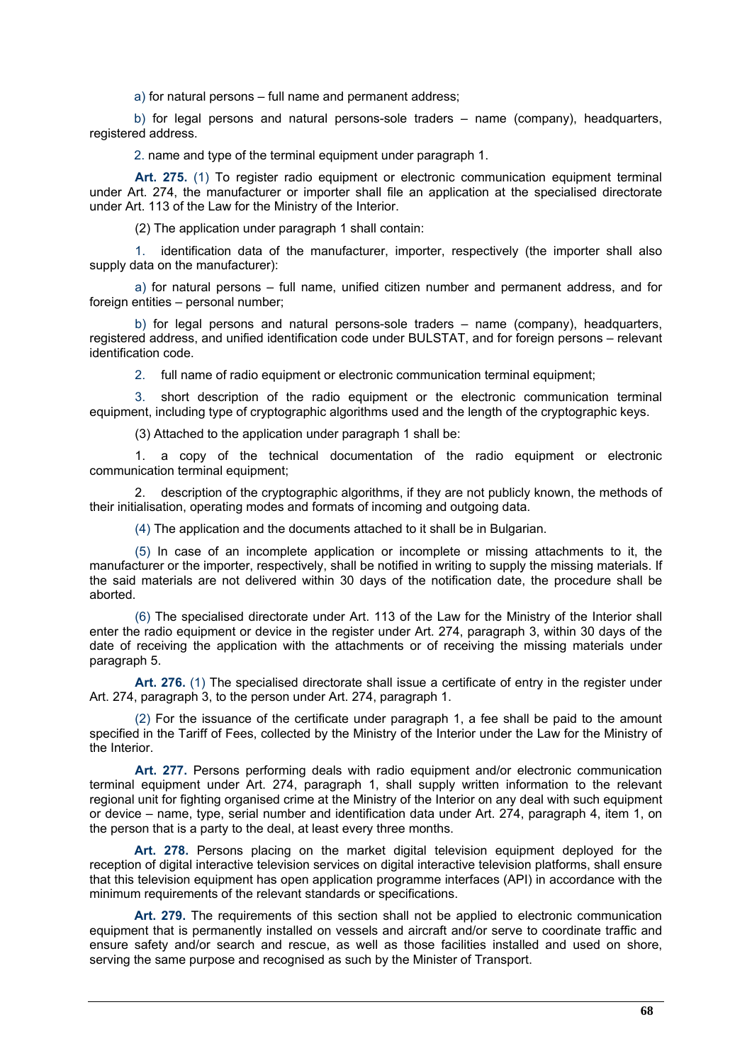а) for natural persons – full name and permanent address;

b) for legal persons and natural persons-sole traders – name (company), headquarters, registered address.

2. name and type of the terminal equipment under paragraph 1.

**Art. 275.** (1) To register radio equipment or electronic communication equipment terminal under Art. 274, the manufacturer or importer shall file an application at the specialised directorate under Art. 113 of the Law for the Ministry of the Interior.

(2) The application under paragraph 1 shall contain:

1. identification data of the manufacturer, importer, respectively (the importer shall also supply data on the manufacturer):

а) for natural persons – full name, unified citizen number and permanent address, and for foreign entities – personal number;

b) for legal persons and natural persons-sole traders – name (company), headquarters, registered address, and unified identification code under BULSTAT, and for foreign persons – relevant identification code.

2. full name of radio equipment or electronic communication terminal equipment;

3. short description of the radio equipment or the electronic communication terminal equipment, including type of cryptographic algorithms used and the length of the cryptographic keys.

(3) Attached to the application under paragraph 1 shall be:

1. a copy of the technical documentation of the radio equipment or electronic communication terminal equipment;

2. description of the cryptographic algorithms, if they are not publicly known, the methods of their initialisation, operating modes and formats of incoming and outgoing data.

(4) The application and the documents attached to it shall be in Bulgarian.

(5) In case of an incomplete application or incomplete or missing attachments to it, the manufacturer or the importer, respectively, shall be notified in writing to supply the missing materials. If the said materials are not delivered within 30 days of the notification date, the procedure shall be aborted.

(6) The specialised directorate under Art. 113 of the Law for the Ministry of the Interior shall enter the radio equipment or device in the register under Art. 274, paragraph 3, within 30 days of the date of receiving the application with the attachments or of receiving the missing materials under paragraph 5.

**Art. 276.** (1) The specialised directorate shall issue a certificate of entry in the register under Art. 274, paragraph 3, to the person under Art. 274, paragraph 1.

(2) For the issuance of the certificate under paragraph 1, a fee shall be paid to the amount specified in the Tariff of Fees, collected by the Ministry of the Interior under the Law for the Ministry of the Interior.

**Art. 277.** Persons performing deals with radio equipment and/or electronic communication terminal equipment under Art. 274, paragraph 1, shall supply written information to the relevant regional unit for fighting organised crime at the Ministry of the Interior on any deal with such equipment or device – name, type, serial number and identification data under Art. 274, paragraph 4, item 1, on the person that is a party to the deal, at least every three months.

**Art. 278.** Persons placing on the market digital television equipment deployed for the reception of digital interactive television services on digital interactive television platforms, shall ensure that this television equipment has open application programme interfaces (API) in accordance with the minimum requirements of the relevant standards or specifications.

**Art. 279.** The requirements of this section shall not be applied to electronic communication equipment that is permanently installed on vessels and aircraft and/or serve to coordinate traffic and ensure safety and/or search and rescue, as well as those facilities installed and used on shore, serving the same purpose and recognised as such by the Minister of Transport.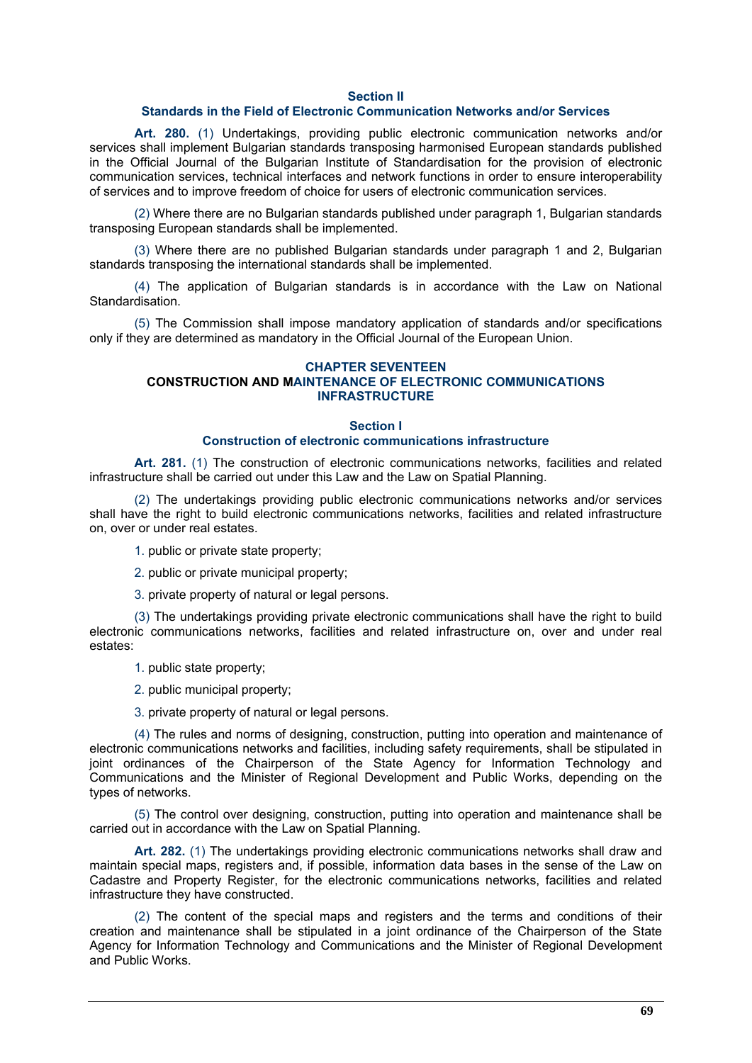#### **Section II**

## **Standards in the Field of Electronic Communication Networks and/or Services**

**Art. 280.** (1) Undertakings, providing public electronic communication networks and/or services shall implement Bulgarian standards transposing harmonised European standards published in the Official Journal of the Bulgarian Institute of Standardisation for the provision of electronic communication services, technical interfaces and network functions in order to ensure interoperability of services and to improve freedom of choice for users of electronic communication services.

(2) Where there are no Bulgarian standards published under paragraph 1, Bulgarian standards transposing European standards shall be implemented.

(3) Where there are no published Bulgarian standards under paragraph 1 and 2, Bulgarian standards transposing the international standards shall be implemented.

(4) The application of Bulgarian standards is in accordance with the Law on National Standardisation.

(5) The Commission shall impose mandatory application of standards and/or specifications only if they are determined as mandatory in the Official Journal of the European Union.

# **CHAPTER SEVENTEEN CONSTRUCTION AND MAINTENANCE OF ELECTRONIC COMMUNICATIONS INFRASTRUCTURE**

#### **Section I Construction of electronic communications infrastructure**

Art. 281. (1) The construction of electronic communications networks, facilities and related infrastructure shall be carried out under this Law and the Law on Spatial Planning.

(2) The undertakings providing public electronic communications networks and/or services shall have the right to build electronic communications networks, facilities and related infrastructure on, over or under real estates.

- 1. public or private state property;
- 2. public or private municipal property;
- 3. private property of natural or legal persons.

(3) The undertakings providing private electronic communications shall have the right to build electronic communications networks, facilities and related infrastructure on, over and under real estates:

- 1. public state property;
- 2. public municipal property;
- 3. private property of natural or legal persons.

(4) The rules and norms of designing, construction, putting into operation and maintenance of electronic communications networks and facilities, including safety requirements, shall be stipulated in joint ordinances of the Chairperson of the State Agency for Information Technology and Communications and the Minister of Regional Development and Public Works, depending on the types of networks.

(5) The control over designing, construction, putting into operation and maintenance shall be carried out in accordance with the Law on Spatial Planning.

**Art. 282.** (1) The undertakings providing electronic communications networks shall draw and maintain special maps, registers and, if possible, information data bases in the sense of the Law on Cadastre and Property Register, for the electronic communications networks, facilities and related infrastructure they have constructed.

(2) The content of the special maps and registers and the terms and conditions of their creation and maintenance shall be stipulated in a joint ordinance of the Chairperson of the State Agency for Information Technology and Communications and the Minister of Regional Development and Public Works.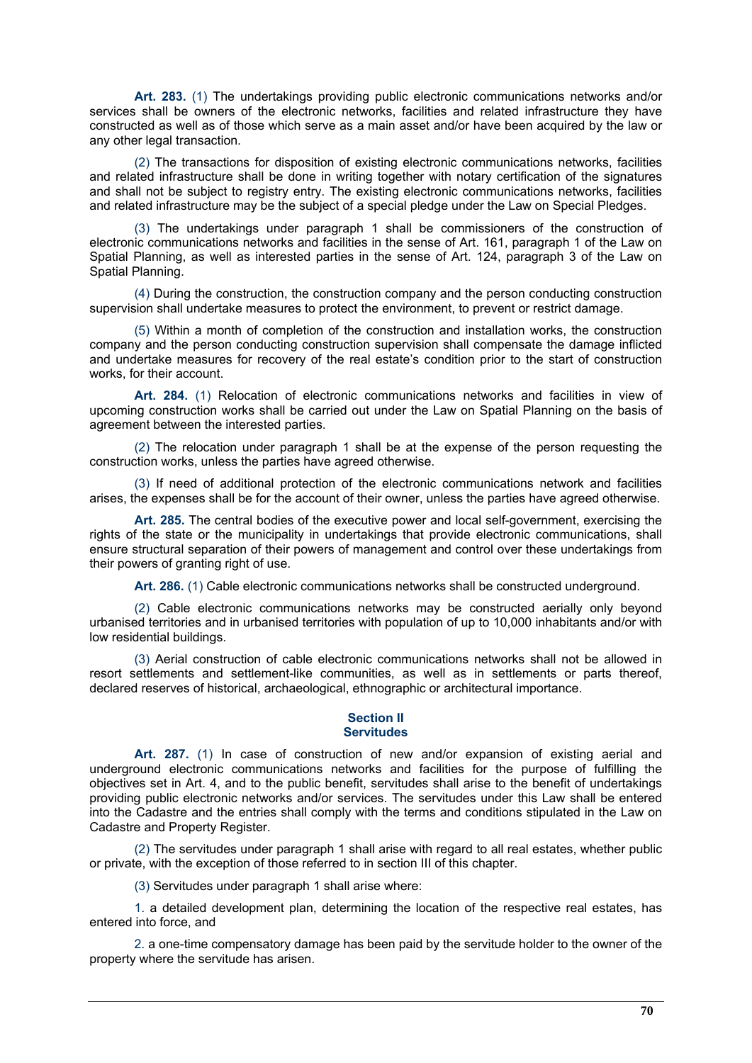**Art. 283.** (1) The undertakings providing public electronic communications networks and/or services shall be owners of the electronic networks, facilities and related infrastructure they have constructed as well as of those which serve as a main asset and/or have been acquired by the law or any other legal transaction.

(2) The transactions for disposition of existing electronic communications networks, facilities and related infrastructure shall be done in writing together with notary certification of the signatures and shall not be subject to registry entry. The existing electronic communications networks, facilities and related infrastructure may be the subject of a special pledge under the Law on Special Pledges.

(3) The undertakings under paragraph 1 shall be commissioners of the construction of electronic communications networks and facilities in the sense of Art. 161, paragraph 1 of the Law on Spatial Planning, as well as interested parties in the sense of Art. 124, paragraph 3 of the Law on Spatial Planning.

(4) During the construction, the construction company and the person conducting construction supervision shall undertake measures to protect the environment, to prevent or restrict damage.

(5) Within a month of completion of the construction and installation works, the construction company and the person conducting construction supervision shall compensate the damage inflicted and undertake measures for recovery of the real estate's condition prior to the start of construction works, for their account.

**Art. 284.** (1) Relocation of electronic communications networks and facilities in view of upcoming construction works shall be carried out under the Law on Spatial Planning on the basis of agreement between the interested parties.

(2) The relocation under paragraph 1 shall be at the expense of the person requesting the construction works, unless the parties have agreed otherwise.

(3) If need of additional protection of the electronic communications network and facilities arises, the expenses shall be for the account of their owner, unless the parties have agreed otherwise.

**Art. 285.** The central bodies of the executive power and local self-government, exercising the rights of the state or the municipality in undertakings that provide electronic communications, shall ensure structural separation of their powers of management and control over these undertakings from their powers of granting right of use.

Art. 286. (1) Cable electronic communications networks shall be constructed underground.

(2) Cable electronic communications networks may be constructed aerially only beyond urbanised territories and in urbanised territories with population of up to 10,000 inhabitants and/or with low residential buildings.

(3) Aerial construction of cable electronic communications networks shall not be allowed in resort settlements and settlement-like communities, as well as in settlements or parts thereof, declared reserves of historical, archaeological, ethnographic or architectural importance.

## **Section II Servitudes**

**Art. 287.** (1) In case of construction of new and/or expansion of existing aerial and underground electronic communications networks and facilities for the purpose of fulfilling the objectives set in Art. 4, and to the public benefit, servitudes shall arise to the benefit of undertakings providing public electronic networks and/or services. The servitudes under this Law shall be entered into the Cadastre and the entries shall comply with the terms and conditions stipulated in the Law on Cadastre and Property Register.

(2) The servitudes under paragraph 1 shall arise with regard to all real estates, whether public or private, with the exception of those referred to in section III of this chapter.

(3) Servitudes under paragraph 1 shall arise where:

1. a detailed development plan, determining the location of the respective real estates, has entered into force, and

2. a one-time compensatory damage has been paid by the servitude holder to the owner of the property where the servitude has arisen.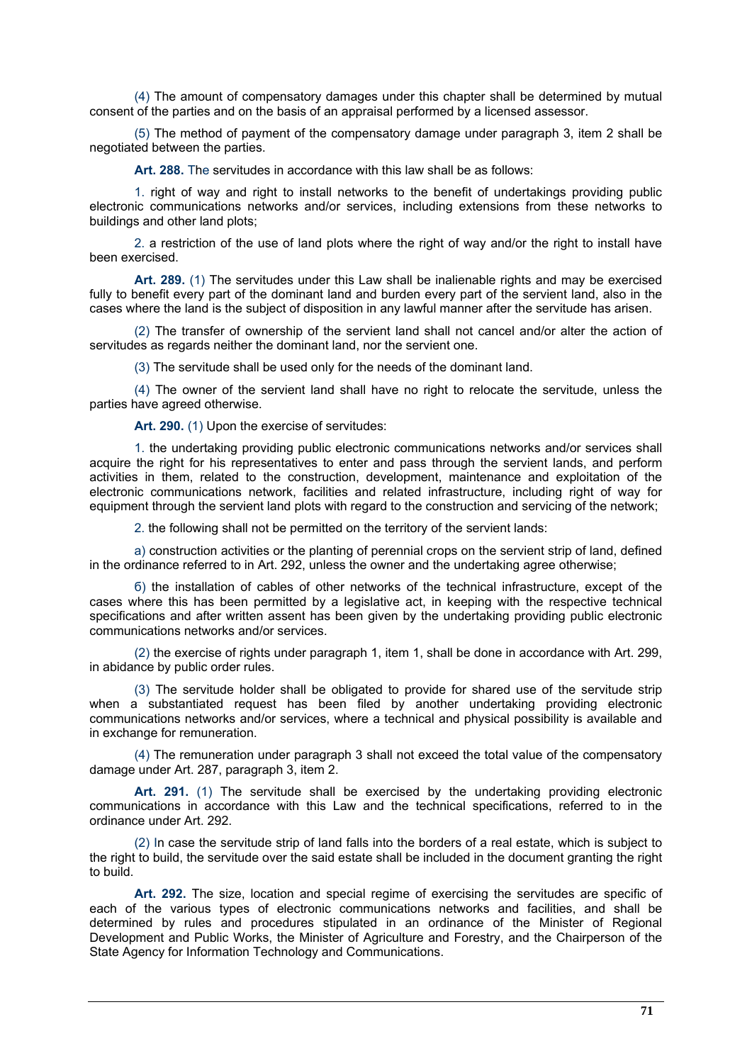(4) The amount of compensatory damages under this chapter shall be determined by mutual consent of the parties and on the basis of an appraisal performed by a licensed assessor.

(5) The method of payment of the compensatory damage under paragraph 3, item 2 shall be negotiated between the parties.

**Art. 288.** The servitudes in accordance with this law shall be as follows:

1. right of way and right to install networks to the benefit of undertakings providing public electronic communications networks and/or services, including extensions from these networks to buildings and other land plots;

2. a restriction of the use of land plots where the right of way and/or the right to install have been exercised.

**Art. 289.** (1) The servitudes under this Law shall be inalienable rights and may be exercised fully to benefit every part of the dominant land and burden every part of the servient land, also in the cases where the land is the subject of disposition in any lawful manner after the servitude has arisen.

(2) The transfer of ownership of the servient land shall not cancel and/or alter the action of servitudes as regards neither the dominant land, nor the servient one.

(3) The servitude shall be used only for the needs of the dominant land.

(4) The owner of the servient land shall have no right to relocate the servitude, unless the parties have agreed otherwise.

Art. 290. (1) Upon the exercise of servitudes:

1. the undertaking providing public electronic communications networks and/or services shall acquire the right for his representatives to enter and pass through the servient lands, and perform activities in them, related to the construction, development, maintenance and exploitation of the electronic communications network, facilities and related infrastructure, including right of way for equipment through the servient land plots with regard to the construction and servicing of the network;

2. the following shall not be permitted on the territory of the servient lands:

а) construction activities or the planting of perennial crops on the servient strip of land, defined in the ordinance referred to in Art. 292, unless the owner and the undertaking agree otherwise;

б) the installation of cables of other networks of the technical infrastructure, except of the cases where this has been permitted by a legislative act, in keeping with the respective technical specifications and after written assent has been given by the undertaking providing public electronic communications networks and/or services.

(2) the exercise of rights under paragraph 1, item 1, shall be done in accordance with Art. 299, in abidance by public order rules.

(3) The servitude holder shall be obligated to provide for shared use of the servitude strip when a substantiated request has been filed by another undertaking providing electronic communications networks and/or services, where a technical and physical possibility is available and in exchange for remuneration.

(4) The remuneration under paragraph 3 shall not exceed the total value of the compensatory damage under Art. 287, paragraph 3, item 2.

**Art. 291.** (1) The servitude shall be exercised by the undertaking providing electronic communications in accordance with this Law and the technical specifications, referred to in the ordinance under Art. 292.

(2) In case the servitude strip of land falls into the borders of a real estate, which is subject to the right to build, the servitude over the said estate shall be included in the document granting the right to build.

**Art. 292.** The size, location and special regime of exercising the servitudes are specific of each of the various types of electronic communications networks and facilities, and shall be determined by rules and procedures stipulated in an ordinance of the Minister of Regional Development and Public Works, the Minister of Agriculture and Forestry, and the Chairperson of the State Agency for Information Technology and Communications.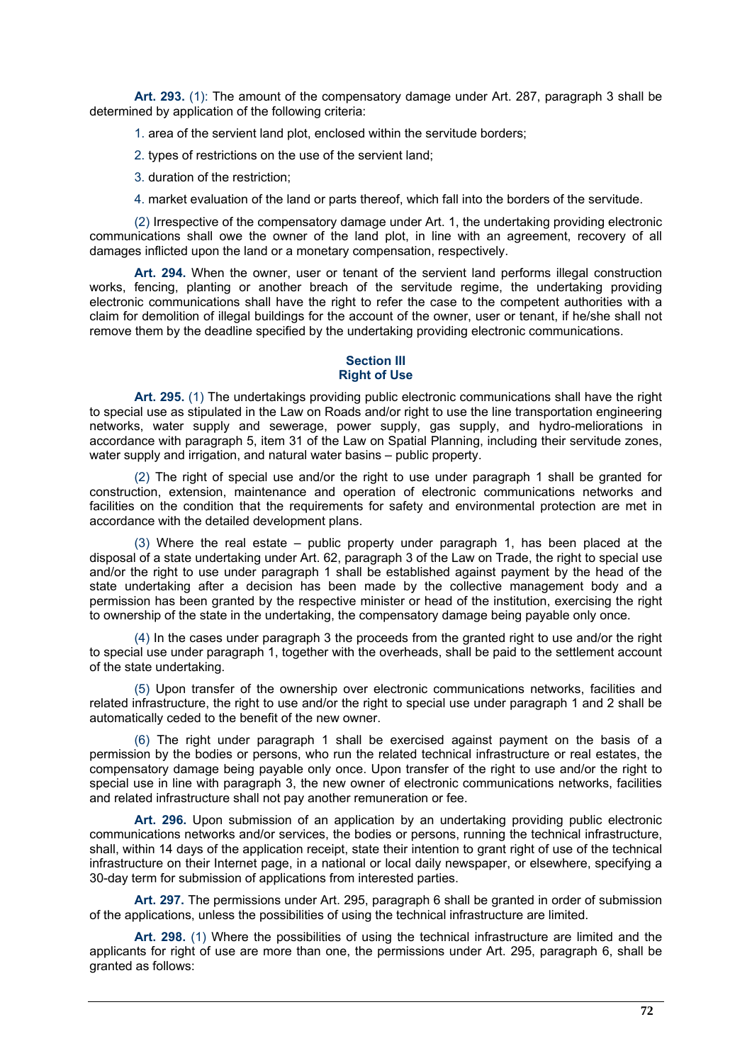**Art. 293.** (1): The amount of the compensatory damage under Art. 287, paragraph 3 shall be determined by application of the following criteria:

1. area of the servient land plot, enclosed within the servitude borders;

2. types of restrictions on the use of the servient land;

3. duration of the restriction;

4. market evaluation of the land or parts thereof, which fall into the borders of the servitude.

(2) Irrespective of the compensatory damage under Art. 1, the undertaking providing electronic communications shall owe the owner of the land plot, in line with an agreement, recovery of all damages inflicted upon the land or a monetary compensation, respectively.

**Art. 294.** When the owner, user or tenant of the servient land performs illegal construction works, fencing, planting or another breach of the servitude regime, the undertaking providing electronic communications shall have the right to refer the case to the competent authorities with a claim for demolition of illegal buildings for the account of the owner, user or tenant, if he/she shall not remove them by the deadline specified by the undertaking providing electronic communications.

# **Section III Right of Use**

**Art. 295.** (1) The undertakings providing public electronic communications shall have the right to special use as stipulated in the Law on Roads and/or right to use the line transportation engineering networks, water supply and sewerage, power supply, gas supply, and hydro-meliorations in accordance with paragraph 5, item 31 of the Law on Spatial Planning, including their servitude zones, water supply and irrigation, and natural water basins – public property.

(2) The right of special use and/or the right to use under paragraph 1 shall be granted for construction, extension, maintenance and operation of electronic communications networks and facilities on the condition that the requirements for safety and environmental protection are met in accordance with the detailed development plans.

(3) Where the real estate – public property under paragraph 1, has been placed at the disposal of a state undertaking under Art. 62, paragraph 3 of the Law on Trade, the right to special use and/or the right to use under paragraph 1 shall be established against payment by the head of the state undertaking after a decision has been made by the collective management body and a permission has been granted by the respective minister or head of the institution, exercising the right to ownership of the state in the undertaking, the compensatory damage being payable only once.

(4) In the cases under paragraph 3 the proceeds from the granted right to use and/or the right to special use under paragraph 1, together with the overheads, shall be paid to the settlement account of the state undertaking.

(5) Upon transfer of the ownership over electronic communications networks, facilities and related infrastructure, the right to use and/or the right to special use under paragraph 1 and 2 shall be automatically ceded to the benefit of the new owner.

(6) The right under paragraph 1 shall be exercised against payment on the basis of a permission by the bodies or persons, who run the related technical infrastructure or real estates, the compensatory damage being payable only once. Upon transfer of the right to use and/or the right to special use in line with paragraph 3, the new owner of electronic communications networks, facilities and related infrastructure shall not pay another remuneration or fee.

**Art. 296.** Upon submission of an application by an undertaking providing public electronic communications networks and/or services, the bodies or persons, running the technical infrastructure, shall, within 14 days of the application receipt, state their intention to grant right of use of the technical infrastructure on their Internet page, in a national or local daily newspaper, or elsewhere, specifying a 30-day term for submission of applications from interested parties.

**Art. 297.** The permissions under Art. 295, paragraph 6 shall be granted in order of submission of the applications, unless the possibilities of using the technical infrastructure are limited.

**Art. 298.** (1) Where the possibilities of using the technical infrastructure are limited and the applicants for right of use are more than one, the permissions under Art. 295, paragraph 6, shall be granted as follows: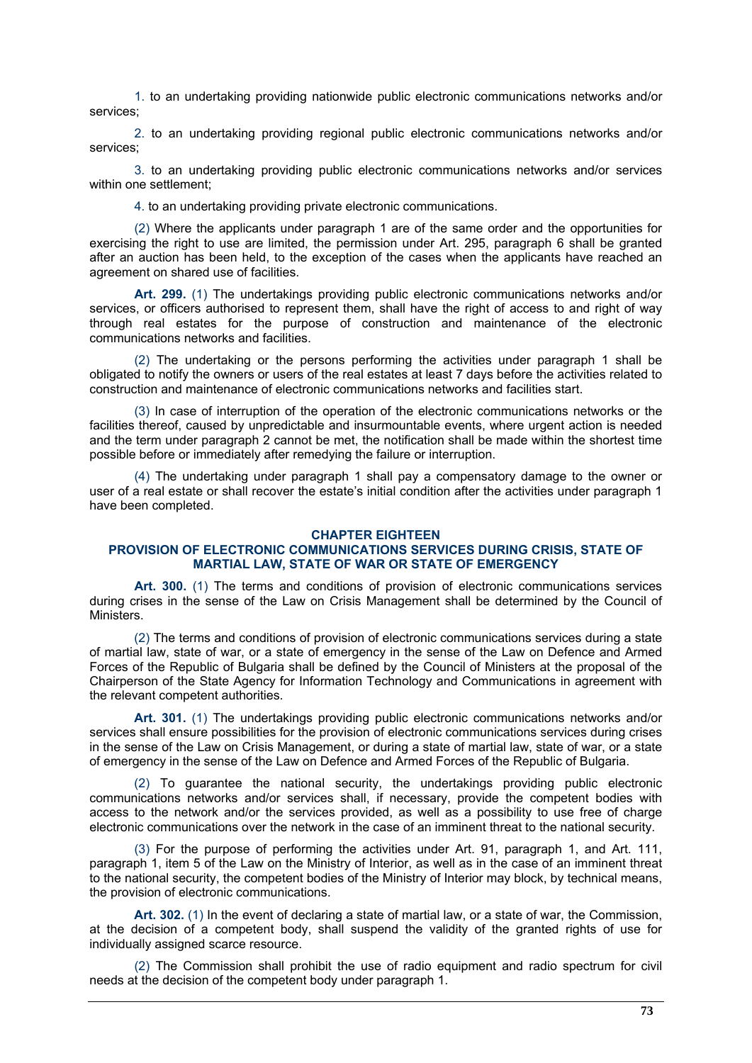1. to an undertaking providing nationwide public electronic communications networks and/or services;

2. to an undertaking providing regional public electronic communications networks and/or services;

3. to an undertaking providing public electronic communications networks and/or services within one settlement;

4. to an undertaking providing private electronic communications.

(2) Where the applicants under paragraph 1 are of the same order and the opportunities for exercising the right to use are limited, the permission under Art. 295, paragraph 6 shall be granted after an auction has been held, to the exception of the cases when the applicants have reached an agreement on shared use of facilities.

**Art. 299.** (1) The undertakings providing public electronic communications networks and/or services, or officers authorised to represent them, shall have the right of access to and right of way through real estates for the purpose of construction and maintenance of the electronic communications networks and facilities.

(2) The undertaking or the persons performing the activities under paragraph 1 shall be obligated to notify the owners or users of the real estates at least 7 days before the activities related to construction and maintenance of electronic communications networks and facilities start.

(3) In case of interruption of the operation of the electronic communications networks or the facilities thereof, caused by unpredictable and insurmountable events, where urgent action is needed and the term under paragraph 2 cannot be met, the notification shall be made within the shortest time possible before or immediately after remedying the failure or interruption.

(4) The undertaking under paragraph 1 shall pay a compensatory damage to the owner or user of a real estate or shall recover the estate's initial condition after the activities under paragraph 1 have been completed.

### **CHAPTER EIGHTEEN**

# **PROVISION OF ELECTRONIC COMMUNICATIONS SERVICES DURING CRISIS, STATE OF MARTIAL LAW, STATE OF WAR OR STATE OF EMERGENCY**

Art. 300. (1) The terms and conditions of provision of electronic communications services during crises in the sense of the Law on Crisis Management shall be determined by the Council of Ministers.

(2) The terms and conditions of provision of electronic communications services during a state of martial law, state of war, or a state of emergency in the sense of the Law on Defence and Armed Forces of the Republic of Bulgaria shall be defined by the Council of Ministers at the proposal of the Chairperson of the State Agency for Information Technology and Communications in agreement with the relevant competent authorities.

**Art. 301.** (1) The undertakings providing public electronic communications networks and/or services shall ensure possibilities for the provision of electronic communications services during crises in the sense of the Law on Crisis Management, or during a state of martial law, state of war, or a state of emergency in the sense of the Law on Defence and Armed Forces of the Republic of Bulgaria.

(2) To guarantee the national security, the undertakings providing public electronic communications networks and/or services shall, if necessary, provide the competent bodies with access to the network and/or the services provided, as well as a possibility to use free of charge electronic communications over the network in the case of an imminent threat to the national security.

(3) For the purpose of performing the activities under Art. 91, paragraph 1, and Art. 111, paragraph 1, item 5 of the Law on the Ministry of Interior, as well as in the case of an imminent threat to the national security, the competent bodies of the Ministry of Interior may block, by technical means, the provision of electronic communications.

**Art. 302.** (1) In the event of declaring a state of martial law, or a state of war, the Commission, at the decision of a competent body, shall suspend the validity of the granted rights of use for individually assigned scarce resource.

(2) The Commission shall prohibit the use of radio equipment and radio spectrum for civil needs at the decision of the competent body under paragraph 1.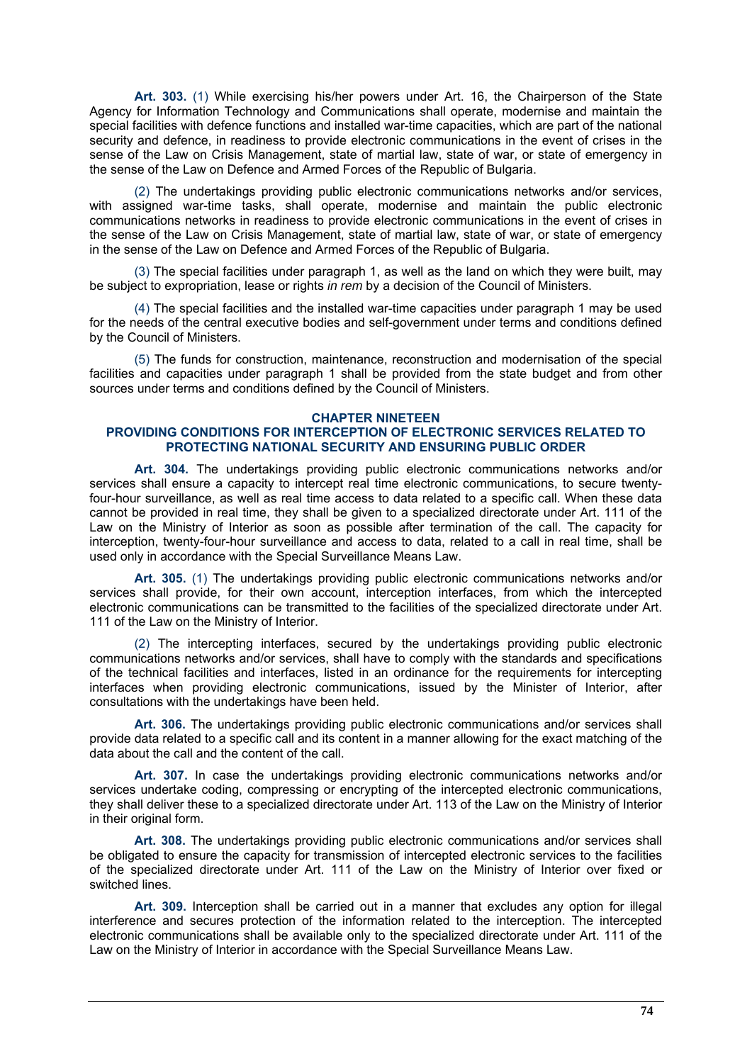**Art. 303.** (1) While exercising his/her powers under Art. 16, the Chairperson of the State Agency for Information Technology and Communications shall operate, modernise and maintain the special facilities with defence functions and installed war-time capacities, which are part of the national security and defence, in readiness to provide electronic communications in the event of crises in the sense of the Law on Crisis Management, state of martial law, state of war, or state of emergency in the sense of the Law on Defence and Armed Forces of the Republic of Bulgaria.

(2) The undertakings providing public electronic communications networks and/or services, with assigned war-time tasks, shall operate, modernise and maintain the public electronic communications networks in readiness to provide electronic communications in the event of crises in the sense of the Law on Crisis Management, state of martial law, state of war, or state of emergency in the sense of the Law on Defence and Armed Forces of the Republic of Bulgaria.

(3) The special facilities under paragraph 1, as well as the land on which they were built, may be subject to expropriation, lease or rights *in rem* by a decision of the Council of Ministers.

(4) The special facilities and the installed war-time capacities under paragraph 1 may be used for the needs of the central executive bodies and self-government under terms and conditions defined by the Council of Ministers.

(5) The funds for construction, maintenance, reconstruction and modernisation of the special facilities and capacities under paragraph 1 shall be provided from the state budget and from other sources under terms and conditions defined by the Council of Ministers.

#### **CHAPTER NINETEEN**

## **PROVIDING CONDITIONS FOR INTERCEPTION OF ELECTRONIC SERVICES RELATED TO PROTECTING NATIONAL SECURITY AND ENSURING PUBLIC ORDER**

**Art. 304.** The undertakings providing public electronic communications networks and/or services shall ensure a capacity to intercept real time electronic communications, to secure twentyfour-hour surveillance, as well as real time access to data related to a specific call. When these data cannot be provided in real time, they shall be given to a specialized directorate under Art. 111 of the Law on the Ministry of Interior as soon as possible after termination of the call. The capacity for interception, twenty-four-hour surveillance and access to data, related to a call in real time, shall be used only in accordance with the Special Surveillance Means Law.

**Art. 305.** (1) The undertakings providing public electronic communications networks and/or services shall provide, for their own account, interception interfaces, from which the intercepted electronic communications can be transmitted to the facilities of the specialized directorate under Art. 111 of the Law on the Ministry of Interior.

(2) The intercepting interfaces, secured by the undertakings providing public electronic communications networks and/or services, shall have to comply with the standards and specifications of the technical facilities and interfaces, listed in an ordinance for the requirements for intercepting interfaces when providing electronic communications, issued by the Minister of Interior, after consultations with the undertakings have been held.

**Art. 306.** The undertakings providing public electronic communications and/or services shall provide data related to a specific call and its content in a manner allowing for the exact matching of the data about the call and the content of the call.

**Art. 307.** In case the undertakings providing electronic communications networks and/or services undertake coding, compressing or encrypting of the intercepted electronic communications, they shall deliver these to a specialized directorate under Art. 113 of the Law on the Ministry of Interior in their original form.

**Art. 308.** The undertakings providing public electronic communications and/or services shall be obligated to ensure the capacity for transmission of intercepted electronic services to the facilities of the specialized directorate under Art. 111 of the Law on the Ministry of Interior over fixed or switched lines.

**Art. 309.** Interception shall be carried out in a manner that excludes any option for illegal interference and secures protection of the information related to the interception. The intercepted electronic communications shall be available only to the specialized directorate under Art. 111 of the Law on the Ministry of Interior in accordance with the Special Surveillance Means Law.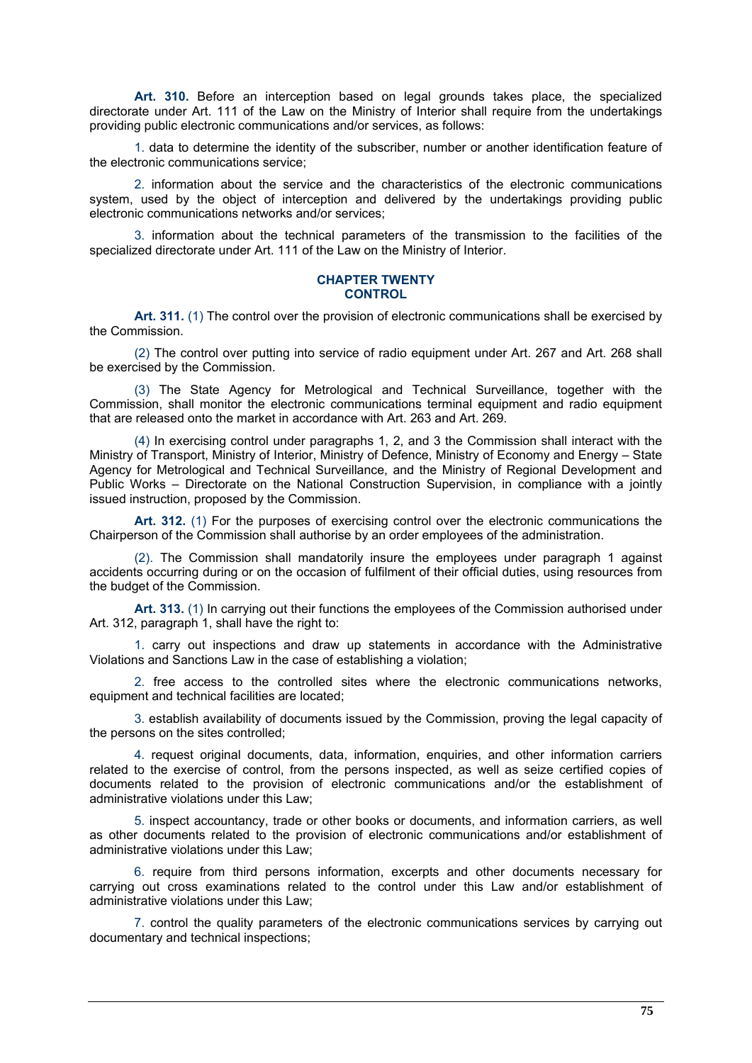**Art. 310.** Before an interception based on legal grounds takes place, the specialized directorate under Art. 111 of the Law on the Ministry of Interior shall require from the undertakings providing public electronic communications and/or services, as follows:

1. data to determine the identity of the subscriber, number or another identification feature of the electronic communications service;

2. information about the service and the characteristics of the electronic communications system, used by the object of interception and delivered by the undertakings providing public electronic communications networks and/or services;

3. information about the technical parameters of the transmission to the facilities of the specialized directorate under Art. 111 of the Law on the Ministry of Interior.

### **CHAPTER TWENTY CONTROL**

Art. 311. (1) The control over the provision of electronic communications shall be exercised by the Commission.

(2) The control over putting into service of radio equipment under Art. 267 and Art. 268 shall be exercised by the Commission.

(3) The State Agency for Metrological and Technical Surveillance, together with the Commission, shall monitor the electronic communications terminal equipment and radio equipment that are released onto the market in accordance with Art. 263 and Art. 269.

(4) In exercising control under paragraphs 1, 2, and 3 the Commission shall interact with the Ministry of Transport, Ministry of Interior, Ministry of Defence, Ministry of Economy and Energy – State Agency for Metrological and Technical Surveillance, and the Ministry of Regional Development and Public Works – Directorate on the National Construction Supervision, in compliance with a jointly issued instruction, proposed by the Commission.

**Art. 312.** (1) For the purposes of exercising control over the electronic communications the Chairperson of the Commission shall authorise by an order employees of the administration.

(2). The Commission shall mandatorily insure the employees under paragraph 1 against accidents occurring during or on the occasion of fulfilment of their official duties, using resources from the budget of the Commission.

**Art. 313.** (1) In carrying out their functions the employees of the Commission authorised under Art. 312, paragraph 1, shall have the right to:

1. carry out inspections and draw up statements in accordance with the Administrative Violations and Sanctions Law in the case of establishing a violation;

2. free access to the controlled sites where the electronic communications networks, equipment and technical facilities are located;

3. establish availability of documents issued by the Commission, proving the legal capacity of the persons on the sites controlled;

4. request original documents, data, information, enquiries, and other information carriers related to the exercise of control, from the persons inspected, as well as seize certified copies of documents related to the provision of electronic communications and/or the establishment of administrative violations under this Law;

5. inspect accountancy, trade or other books or documents, and information carriers, as well as other documents related to the provision of electronic communications and/or establishment of administrative violations under this Law;

6. require from third persons information, excerpts and other documents necessary for carrying out cross examinations related to the control under this Law and/or establishment of administrative violations under this Law;

7. control the quality parameters of the electronic communications services by carrying out documentary and technical inspections;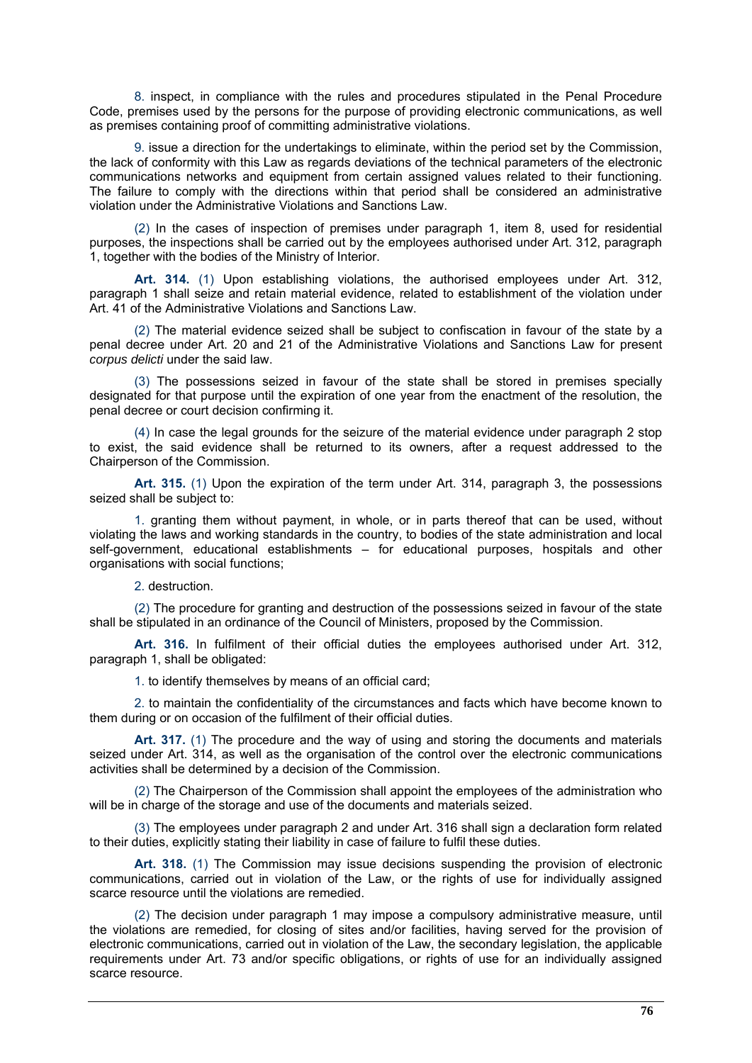8. inspect, in compliance with the rules and procedures stipulated in the Penal Procedure Code, premises used by the persons for the purpose of providing electronic communications, as well as premises containing proof of committing administrative violations.

9. issue a direction for the undertakings to eliminate, within the period set by the Commission, the lack of conformity with this Law as regards deviations of the technical parameters of the electronic communications networks and equipment from certain assigned values related to their functioning. The failure to comply with the directions within that period shall be considered an administrative violation under the Administrative Violations and Sanctions Law.

(2) In the cases of inspection of premises under paragraph 1, item 8, used for residential purposes, the inspections shall be carried out by the employees authorised under Art. 312, paragraph 1, together with the bodies of the Ministry of Interior.

**Art. 314.** (1) Upon establishing violations, the authorised employees under Art. 312, paragraph 1 shall seize and retain material evidence, related to establishment of the violation under Art. 41 of the Administrative Violations and Sanctions Law.

(2) The material evidence seized shall be subject to confiscation in favour of the state by a penal decree under Art. 20 and 21 of the Administrative Violations and Sanctions Law for present *corpus delicti* under the said law.

(3) The possessions seized in favour of the state shall be stored in premises specially designated for that purpose until the expiration of one year from the enactment of the resolution, the penal decree or court decision confirming it.

(4) In case the legal grounds for the seizure of the material evidence under paragraph 2 stop to exist, the said evidence shall be returned to its owners, after a request addressed to the Chairperson of the Commission.

**Art. 315.** (1) Upon the expiration of the term under Art. 314, paragraph 3, the possessions seized shall be subject to:

1. granting them without payment, in whole, or in parts thereof that can be used, without violating the laws and working standards in the country, to bodies of the state administration and local self-government, educational establishments – for educational purposes, hospitals and other organisations with social functions;

2. destruction.

(2) The procedure for granting and destruction of the possessions seized in favour of the state shall be stipulated in an ordinance of the Council of Ministers, proposed by the Commission.

**Art. 316.** In fulfilment of their official duties the employees authorised under Art. 312, paragraph 1, shall be obligated:

1. to identify themselves by means of an official card;

2. to maintain the confidentiality of the circumstances and facts which have become known to them during or on occasion of the fulfilment of their official duties.

**Art. 317.** (1) The procedure and the way of using and storing the documents and materials seized under Art. 314, as well as the organisation of the control over the electronic communications activities shall be determined by a decision of the Commission.

(2) The Chairperson of the Commission shall appoint the employees of the administration who will be in charge of the storage and use of the documents and materials seized.

(3) The employees under paragraph 2 and under Art. 316 shall sign a declaration form related to their duties, explicitly stating their liability in case of failure to fulfil these duties.

**Art. 318.** (1) The Commission may issue decisions suspending the provision of electronic communications, carried out in violation of the Law, or the rights of use for individually assigned scarce resource until the violations are remedied.

(2) The decision under paragraph 1 may impose a compulsory administrative measure, until the violations are remedied, for closing of sites and/or facilities, having served for the provision of electronic communications, carried out in violation of the Law, the secondary legislation, the applicable requirements under Art. 73 and/or specific obligations, or rights of use for an individually assigned scarce resource.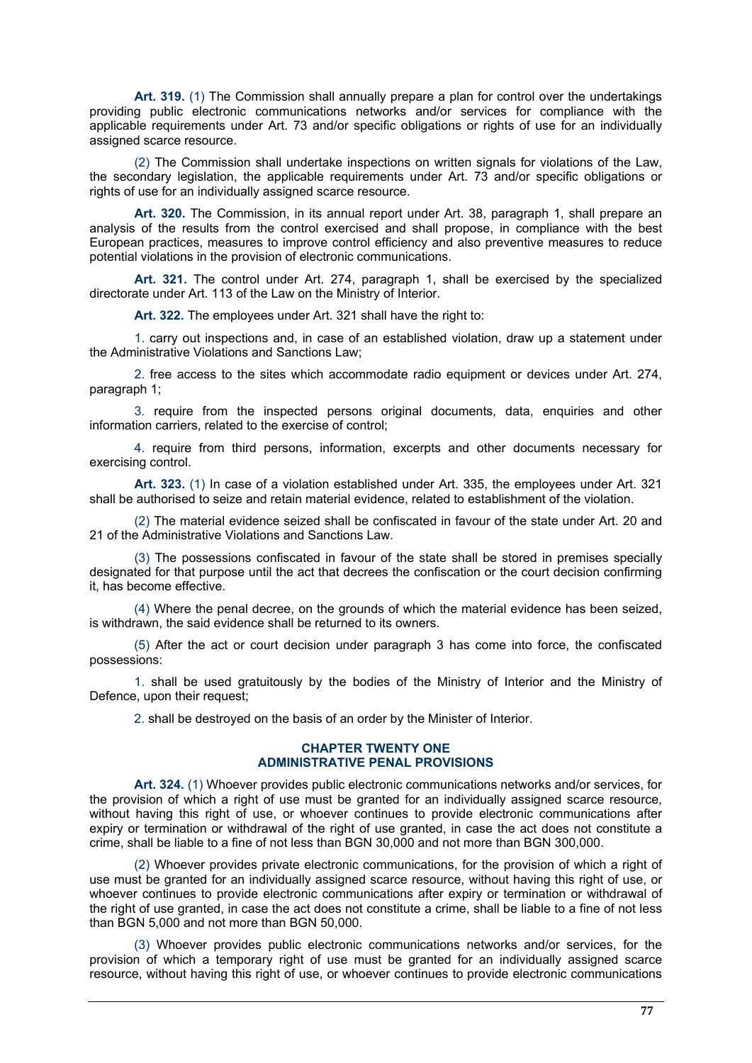**Art. 319.** (1) The Commission shall annually prepare a plan for control over the undertakings providing public electronic communications networks and/or services for compliance with the applicable requirements under Art. 73 and/or specific obligations or rights of use for an individually assigned scarce resource.

(2) The Commission shall undertake inspections on written signals for violations of the Law, the secondary legislation, the applicable requirements under Art. 73 and/or specific obligations or rights of use for an individually assigned scarce resource.

**Art. 320.** The Commission, in its annual report under Art. 38, paragraph 1, shall prepare an analysis of the results from the control exercised and shall propose, in compliance with the best European practices, measures to improve control efficiency and also preventive measures to reduce potential violations in the provision of electronic communications.

**Art. 321.** The control under Art. 274, paragraph 1, shall be exercised by the specialized directorate under Art. 113 of the Law on the Ministry of Interior.

**Art. 322.** The employees under Art. 321 shall have the right to:

1. carry out inspections and, in case of an established violation, draw up a statement under the Administrative Violations and Sanctions Law;

2. free access to the sites which accommodate radio equipment or devices under Art. 274, paragraph 1;

3. require from the inspected persons original documents, data, enquiries and other information carriers, related to the exercise of control;

4. require from third persons, information, excerpts and other documents necessary for exercising control.

**Art. 323.** (1) In case of a violation established under Art. 335, the employees under Art. 321 shall be authorised to seize and retain material evidence, related to establishment of the violation.

(2) The material evidence seized shall be confiscated in favour of the state under Art. 20 and 21 of the Administrative Violations and Sanctions Law.

(3) The possessions confiscated in favour of the state shall be stored in premises specially designated for that purpose until the act that decrees the confiscation or the court decision confirming it, has become effective.

(4) Where the penal decree, on the grounds of which the material evidence has been seized, is withdrawn, the said evidence shall be returned to its owners.

(5) After the act or court decision under paragraph 3 has come into force, the confiscated possessions:

1. shall be used gratuitously by the bodies of the Ministry of Interior and the Ministry of Defence, upon their request;

2. shall be destroyed on the basis of an order by the Minister of Interior.

### **CHAPTER TWENTY ONE ADMINISTRATIVE PENAL PROVISIONS**

**Art. 324.** (1) Whoever provides public electronic communications networks and/or services, for the provision of which a right of use must be granted for an individually assigned scarce resource, without having this right of use, or whoever continues to provide electronic communications after expiry or termination or withdrawal of the right of use granted, in case the act does not constitute a crime, shall be liable to a fine of not less than BGN 30,000 and not more than BGN 300,000.

(2) Whoever provides private electronic communications, for the provision of which a right of use must be granted for an individually assigned scarce resource, without having this right of use, or whoever continues to provide electronic communications after expiry or termination or withdrawal of the right of use granted, in case the act does not constitute a crime, shall be liable to a fine of not less than BGN 5,000 and not more than BGN 50,000.

(3) Whoever provides public electronic communications networks and/or services, for the provision of which a temporary right of use must be granted for an individually assigned scarce resource, without having this right of use, or whoever continues to provide electronic communications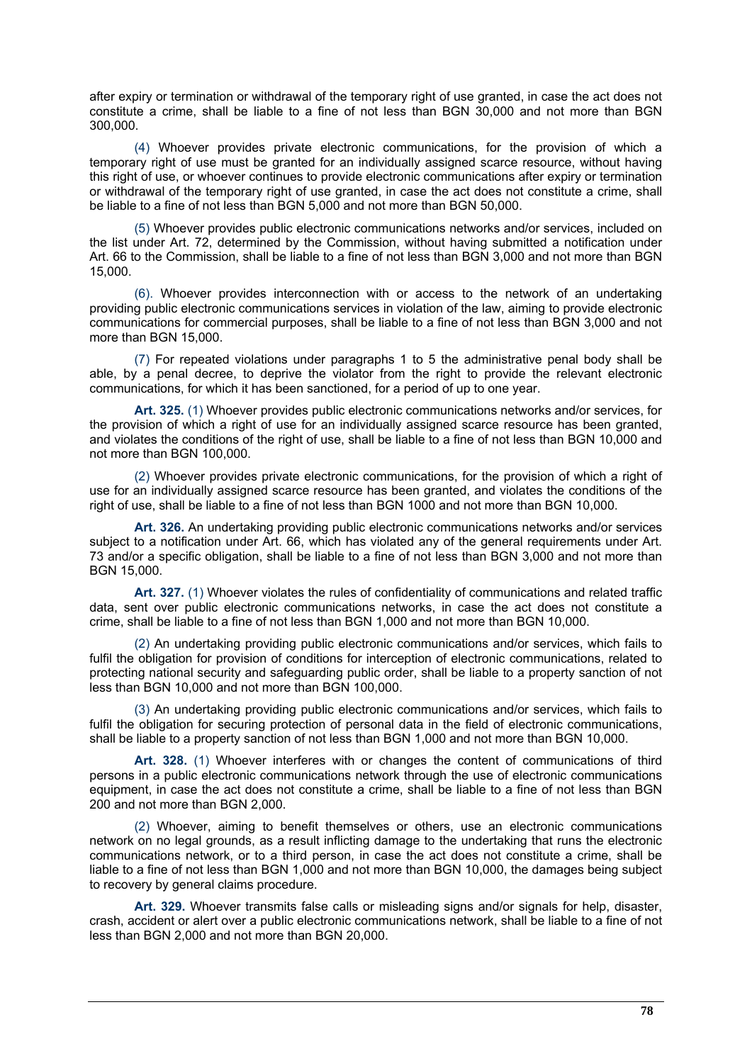after expiry or termination or withdrawal of the temporary right of use granted, in case the act does not constitute a crime, shall be liable to a fine of not less than BGN 30,000 and not more than BGN 300,000.

(4) Whoever provides private electronic communications, for the provision of which a temporary right of use must be granted for an individually assigned scarce resource, without having this right of use, or whoever continues to provide electronic communications after expiry or termination or withdrawal of the temporary right of use granted, in case the act does not constitute a crime, shall be liable to a fine of not less than BGN 5,000 and not more than BGN 50,000.

(5) Whoever provides public electronic communications networks and/or services, included on the list under Art. 72, determined by the Commission, without having submitted a notification under Art. 66 to the Commission, shall be liable to a fine of not less than BGN 3,000 and not more than BGN 15,000.

(6). Whoever provides interconnection with or access to the network of an undertaking providing public electronic communications services in violation of the law, aiming to provide electronic communications for commercial purposes, shall be liable to a fine of not less than BGN 3,000 and not more than BGN 15,000.

(7) For repeated violations under paragraphs 1 to 5 the administrative penal body shall be able, by a penal decree, to deprive the violator from the right to provide the relevant electronic communications, for which it has been sanctioned, for a period of up to one year.

**Art. 325.** (1) Whoever provides public electronic communications networks and/or services, for the provision of which a right of use for an individually assigned scarce resource has been granted, and violates the conditions of the right of use, shall be liable to a fine of not less than BGN 10,000 and not more than BGN 100,000.

(2) Whoever provides private electronic communications, for the provision of which a right of use for an individually assigned scarce resource has been granted, and violates the conditions of the right of use, shall be liable to a fine of not less than BGN 1000 and not more than BGN 10,000.

**Art. 326.** An undertaking providing public electronic communications networks and/or services subject to a notification under Art. 66, which has violated any of the general requirements under Art. 73 and/or a specific obligation, shall be liable to a fine of not less than BGN 3,000 and not more than BGN 15,000.

**Art. 327.** (1) Whoever violates the rules of confidentiality of communications and related traffic data, sent over public electronic communications networks, in case the act does not constitute a crime, shall be liable to a fine of not less than BGN 1,000 and not more than BGN 10,000.

(2) An undertaking providing public electronic communications and/or services, which fails to fulfil the obligation for provision of conditions for interception of electronic communications, related to protecting national security and safeguarding public order, shall be liable to a property sanction of not less than BGN 10,000 and not more than BGN 100,000.

(3) An undertaking providing public electronic communications and/or services, which fails to fulfil the obligation for securing protection of personal data in the field of electronic communications, shall be liable to a property sanction of not less than BGN 1,000 and not more than BGN 10,000.

**Art. 328.** (1) Whoever interferes with or changes the content of communications of third persons in a public electronic communications network through the use of electronic communications equipment, in case the act does not constitute a crime, shall be liable to a fine of not less than BGN 200 and not more than BGN 2,000.

(2) Whoever, aiming to benefit themselves or others, use an electronic communications network on no legal grounds, as a result inflicting damage to the undertaking that runs the electronic communications network, or to a third person, in case the act does not constitute a crime, shall be liable to a fine of not less than BGN 1,000 and not more than BGN 10,000, the damages being subject to recovery by general claims procedure.

**Art. 329.** Whoever transmits false calls or misleading signs and/or signals for help, disaster, crash, accident or alert over a public electronic communications network, shall be liable to a fine of not less than BGN 2,000 and not more than BGN 20,000.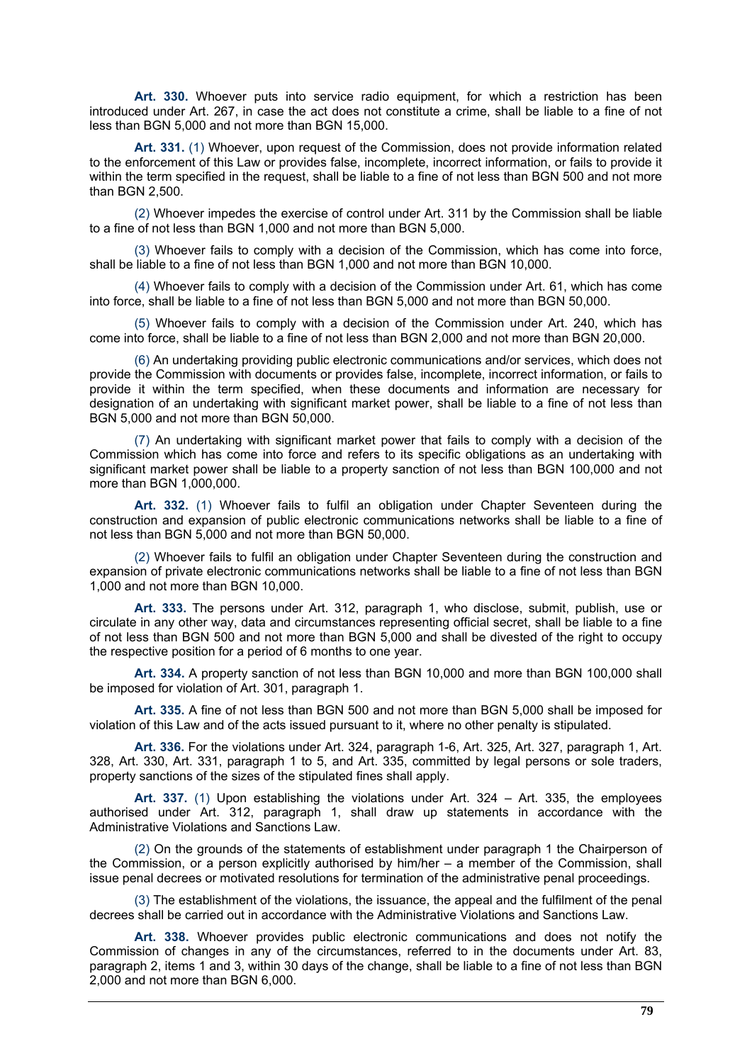**Art. 330.** Whoever puts into service radio equipment, for which a restriction has been introduced under Art. 267, in case the act does not constitute a crime, shall be liable to a fine of not less than BGN 5,000 and not more than BGN 15,000.

**Art. 331.** (1) Whoever, upon request of the Commission, does not provide information related to the enforcement of this Law or provides false, incomplete, incorrect information, or fails to provide it within the term specified in the request, shall be liable to a fine of not less than BGN 500 and not more than BGN 2,500.

(2) Whoever impedes the exercise of control under Art. 311 by the Commission shall be liable to a fine of not less than BGN 1,000 and not more than BGN 5,000.

(3) Whoever fails to comply with a decision of the Commission, which has come into force, shall be liable to a fine of not less than BGN 1,000 and not more than BGN 10,000.

(4) Whoever fails to comply with a decision of the Commission under Art. 61, which has come into force, shall be liable to a fine of not less than BGN 5,000 and not more than BGN 50,000.

(5) Whoever fails to comply with a decision of the Commission under Art. 240, which has come into force, shall be liable to a fine of not less than BGN 2,000 and not more than BGN 20,000.

(6) An undertaking providing public electronic communications and/or services, which does not provide the Commission with documents or provides false, incomplete, incorrect information, or fails to provide it within the term specified, when these documents and information are necessary for designation of an undertaking with significant market power, shall be liable to a fine of not less than BGN 5,000 and not more than BGN 50,000.

(7) An undertaking with significant market power that fails to comply with a decision of the Commission which has come into force and refers to its specific obligations as an undertaking with significant market power shall be liable to a property sanction of not less than BGN 100,000 and not more than BGN 1,000,000.

**Art. 332.** (1) Whoever fails to fulfil an obligation under Chapter Seventeen during the construction and expansion of public electronic communications networks shall be liable to a fine of not less than BGN 5,000 and not more than BGN 50,000.

(2) Whoever fails to fulfil an obligation under Chapter Seventeen during the construction and expansion of private electronic communications networks shall be liable to a fine of not less than BGN 1,000 and not more than BGN 10,000.

**Art. 333.** The persons under Art. 312, paragraph 1, who disclose, submit, publish, use or circulate in any other way, data and circumstances representing official secret, shall be liable to a fine of not less than BGN 500 and not more than BGN 5,000 and shall be divested of the right to occupy the respective position for a period of 6 months to one year.

**Art. 334.** A property sanction of not less than BGN 10,000 and more than BGN 100,000 shall be imposed for violation of Art. 301, paragraph 1.

**Art. 335.** A fine of not less than BGN 500 and not more than BGN 5,000 shall be imposed for violation of this Law and of the acts issued pursuant to it, where no other penalty is stipulated.

**Art. 336.** For the violations under Art. 324, paragraph 1-6, Art. 325, Art. 327, paragraph 1, Art. 328, Art. 330, Art. 331, paragraph 1 to 5, and Art. 335, committed by legal persons or sole traders, property sanctions of the sizes of the stipulated fines shall apply.

**Art. 337.** (1) Upon establishing the violations under Art. 324 – Art. 335, the employees authorised under Art. 312, paragraph 1, shall draw up statements in accordance with the Administrative Violations and Sanctions Law.

(2) On the grounds of the statements of establishment under paragraph 1 the Chairperson of the Commission, or a person explicitly authorised by him/her – a member of the Commission, shall issue penal decrees or motivated resolutions for termination of the administrative penal proceedings.

(3) The establishment of the violations, the issuance, the appeal and the fulfilment of the penal decrees shall be carried out in accordance with the Administrative Violations and Sanctions Law.

**Art. 338.** Whoever provides public electronic communications and does not notify the Commission of changes in any of the circumstances, referred to in the documents under Art. 83, paragraph 2, items 1 and 3, within 30 days of the change, shall be liable to a fine of not less than BGN 2,000 and not more than BGN 6,000.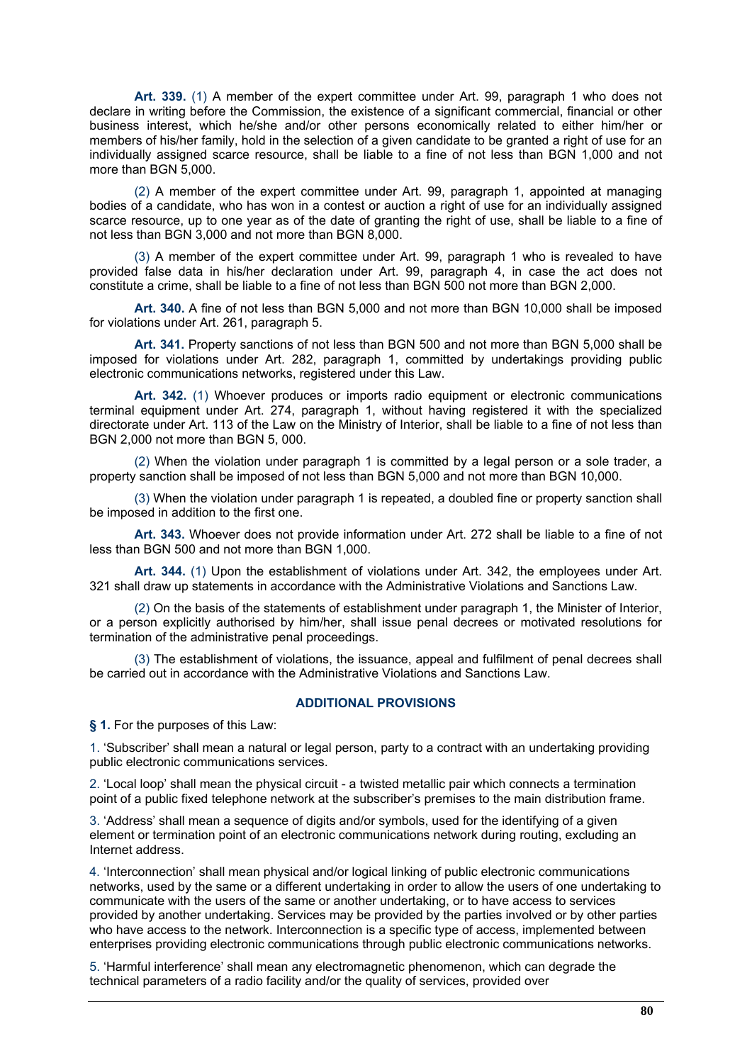**Art. 339.** (1) A member of the expert committee under Art. 99, paragraph 1 who does not declare in writing before the Commission, the existence of a significant commercial, financial or other business interest, which he/she and/or other persons economically related to either him/her or members of his/her family, hold in the selection of a given candidate to be granted a right of use for an individually assigned scarce resource, shall be liable to a fine of not less than BGN 1,000 and not more than BGN 5,000.

(2) A member of the expert committee under Art. 99, paragraph 1, appointed at managing bodies of a candidate, who has won in a contest or auction a right of use for an individually assigned scarce resource, up to one year as of the date of granting the right of use, shall be liable to a fine of not less than BGN 3,000 and not more than BGN 8,000.

(3) A member of the expert committee under Art. 99, paragraph 1 who is revealed to have provided false data in his/her declaration under Art. 99, paragraph 4, in case the act does not constitute a crime, shall be liable to a fine of not less than BGN 500 not more than BGN 2,000.

**Art. 340.** A fine of not less than BGN 5,000 and not more than BGN 10,000 shall be imposed for violations under Art. 261, paragraph 5.

**Art. 341.** Property sanctions of not less than BGN 500 and not more than BGN 5,000 shall be imposed for violations under Art. 282, paragraph 1, committed by undertakings providing public electronic communications networks, registered under this Law.

**Art. 342.** (1) Whoever produces or imports radio equipment or electronic communications terminal equipment under Art. 274, paragraph 1, without having registered it with the specialized directorate under Art. 113 of the Law on the Ministry of Interior, shall be liable to a fine of not less than BGN 2,000 not more than BGN 5, 000.

(2) When the violation under paragraph 1 is committed by a legal person or a sole trader, a property sanction shall be imposed of not less than BGN 5,000 and not more than BGN 10,000.

(3) When the violation under paragraph 1 is repeated, a doubled fine or property sanction shall be imposed in addition to the first one.

**Art. 343.** Whoever does not provide information under Art. 272 shall be liable to a fine of not less than BGN 500 and not more than BGN 1,000.

**Art. 344.** (1) Upon the establishment of violations under Art. 342, the employees under Art. 321 shall draw up statements in accordance with the Administrative Violations and Sanctions Law.

(2) On the basis of the statements of establishment under paragraph 1, the Minister of Interior, or a person explicitly authorised by him/her, shall issue penal decrees or motivated resolutions for termination of the administrative penal proceedings.

(3) The establishment of violations, the issuance, appeal and fulfilment of penal decrees shall be carried out in accordance with the Administrative Violations and Sanctions Law.

# **ADDITIONAL PROVISIONS**

§ 1. For the purposes of this Law:

1. 'Subscriber' shall mean a natural or legal person, party to a contract with an undertaking providing public electronic communications services.

2. 'Local loop' shall mean the physical circuit - a twisted metallic pair which connects a termination point of a public fixed telephone network at the subscriber's premises to the main distribution frame.

3. 'Address' shall mean a sequence of digits and/or symbols, used for the identifying of a given element or termination point of an electronic communications network during routing, excluding an Internet address.

4. 'Interconnection' shall mean physical and/or logical linking of public electronic communications networks, used by the same or a different undertaking in order to allow the users of one undertaking to communicate with the users of the same or another undertaking, or to have access to services provided by another undertaking. Services may be provided by the parties involved or by other parties who have access to the network. Interconnection is a specific type of access, implemented between enterprises providing electronic communications through public electronic communications networks.

5. 'Harmful interference' shall mean any electromagnetic phenomenon, which can degrade the technical parameters of a radio facility and/or the quality of services, provided over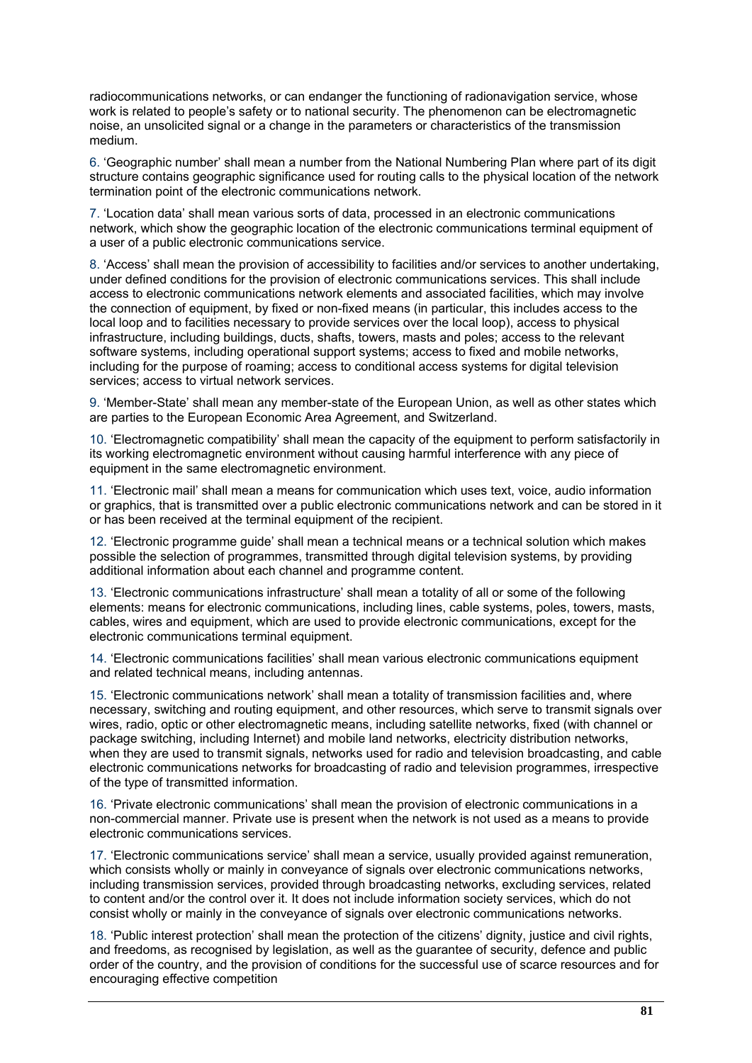radiocommunications networks, or can endanger the functioning of radionavigation service, whose work is related to people's safety or to national security. The phenomenon can be electromagnetic noise, an unsolicited signal or a change in the parameters or characteristics of the transmission medium.

6. 'Geographic number' shall mean a number from the National Numbering Plan where part of its digit structure contains geographic significance used for routing calls to the physical location of the network termination point of the electronic communications network.

7. 'Location data' shall mean various sorts of data, processed in an electronic communications network, which show the geographic location of the electronic communications terminal equipment of a user of a public electronic communications service.

8. 'Access' shall mean the provision of accessibility to facilities and/or services to another undertaking, under defined conditions for the provision of electronic communications services. This shall include access to electronic communications network elements and associated facilities, which may involve the connection of equipment, by fixed or non-fixed means (in particular, this includes access to the local loop and to facilities necessary to provide services over the local loop), access to physical infrastructure, including buildings, ducts, shafts, towers, masts and poles; access to the relevant software systems, including operational support systems; access to fixed and mobile networks, including for the purpose of roaming; access to conditional access systems for digital television services; access to virtual network services.

9. 'Member-State' shall mean any member-state of the European Union, as well as other states which are parties to the European Economic Area Agreement, and Switzerland.

10. 'Electromagnetic compatibility' shall mean the capacity of the equipment to perform satisfactorily in its working electromagnetic environment without causing harmful interference with any piece of equipment in the same electromagnetic environment.

11. 'Electronic mail' shall mean a means for communication which uses text, voice, audio information or graphics, that is transmitted over a public electronic communications network and can be stored in it or has been received at the terminal equipment of the recipient.

12. 'Electronic programme guide' shall mean a technical means or a technical solution which makes possible the selection of programmes, transmitted through digital television systems, by providing additional information about each channel and programme content.

13. 'Electronic communications infrastructure' shall mean a totality of all or some of the following elements: means for electronic communications, including lines, cable systems, poles, towers, masts, cables, wires and equipment, which are used to provide electronic communications, except for the electronic communications terminal equipment.

14. 'Electronic communications facilities' shall mean various electronic communications equipment and related technical means, including antennas.

15. 'Electronic communications network' shall mean a totality of transmission facilities and, where necessary, switching and routing equipment, and other resources, which serve to transmit signals over wires, radio, optic or other electromagnetic means, including satellite networks, fixed (with channel or package switching, including Internet) and mobile land networks, electricity distribution networks, when they are used to transmit signals, networks used for radio and television broadcasting, and cable electronic communications networks for broadcasting of radio and television programmes, irrespective of the type of transmitted information.

16. 'Private electronic communications' shall mean the provision of electronic communications in a non-commercial manner. Private use is present when the network is not used as a means to provide electronic communications services.

17. 'Electronic communications service' shall mean a service, usually provided against remuneration, which consists wholly or mainly in conveyance of signals over electronic communications networks, including transmission services, provided through broadcasting networks, excluding services, related to content and/or the control over it. It does not include information society services, which do not consist wholly or mainly in the conveyance of signals over electronic communications networks.

18. 'Public interest protection' shall mean the protection of the citizens' dignity, justice and civil rights, and freedoms, as recognised by legislation, as well as the guarantee of security, defence and public order of the country, and the provision of conditions for the successful use of scarce resources and for encouraging effective competition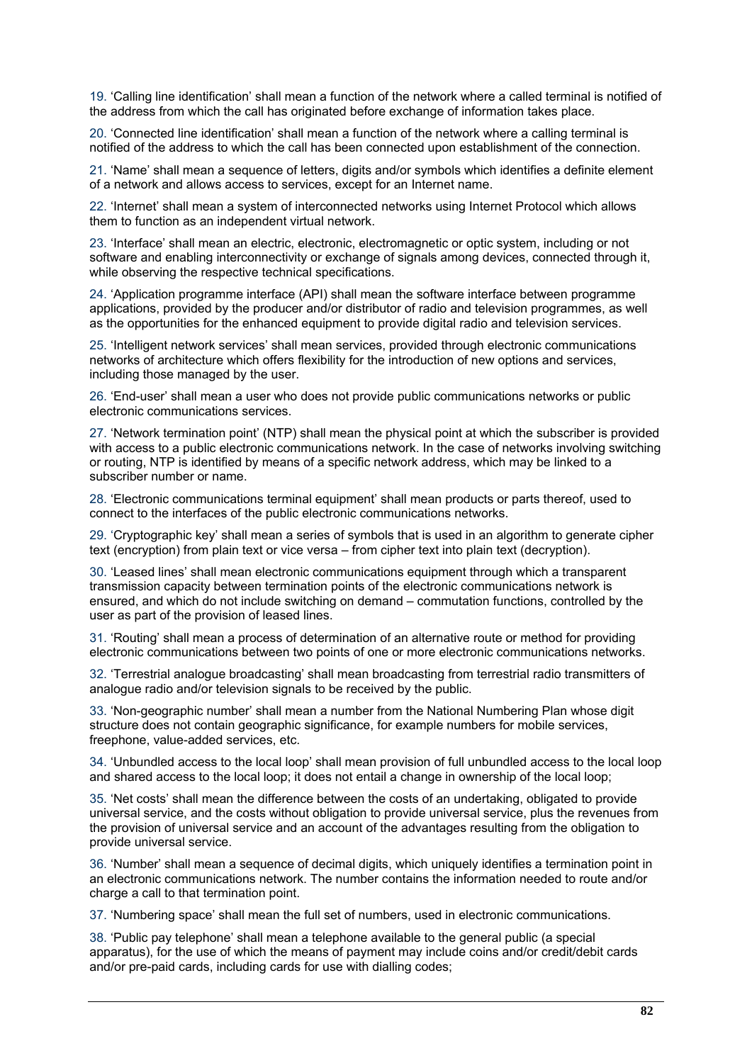19. 'Calling line identification' shall mean a function of the network where a called terminal is notified of the address from which the call has originated before exchange of information takes place.

20. 'Connected line identification' shall mean a function of the network where a calling terminal is notified of the address to which the call has been connected upon establishment of the connection.

21. 'Name' shall mean a sequence of letters, digits and/or symbols which identifies a definite element of a network and allows access to services, except for an Internet name.

22. 'Internet' shall mean a system of interconnected networks using Internet Protocol which allows them to function as an independent virtual network.

23. 'Interface' shall mean an electric, electronic, electromagnetic or optic system, including or not software and enabling interconnectivity or exchange of signals among devices, connected through it, while observing the respective technical specifications.

24. 'Application programme interface (API) shall mean the software interface between programme applications, provided by the producer and/or distributor of radio and television programmes, as well as the opportunities for the enhanced equipment to provide digital radio and television services.

25. 'Intelligent network services' shall mean services, provided through electronic communications networks of architecture which offers flexibility for the introduction of new options and services, including those managed by the user.

26. 'End-user' shall mean a user who does not provide public communications networks or public electronic communications services.

27. 'Network termination point' (NTP) shall mean the physical point at which the subscriber is provided with access to a public electronic communications network. In the case of networks involving switching or routing, NTP is identified by means of a specific network address, which may be linked to a subscriber number or name.

28. 'Electronic communications terminal equipment' shall mean products or parts thereof, used to connect to the interfaces of the public electronic communications networks.

29. 'Cryptographic key' shall mean a series of symbols that is used in an algorithm to generate cipher text (encryption) from plain text or vice versa – from cipher text into plain text (decryption).

30. 'Leased lines' shall mean electronic communications equipment through which a transparent transmission capacity between termination points of the electronic communications network is ensured, and which do not include switching on demand – commutation functions, controlled by the user as part of the provision of leased lines.

31. 'Routing' shall mean a process of determination of an alternative route or method for providing electronic communications between two points of one or more electronic communications networks.

32. 'Terrestrial analogue broadcasting' shall mean broadcasting from terrestrial radio transmitters of analogue radio and/or television signals to be received by the public.

33. 'Non-geographic number' shall mean a number from the National Numbering Plan whose digit structure does not contain geographic significance, for example numbers for mobile services, freephone, value-added services, etc.

34. 'Unbundled access to the local loop' shall mean provision of full unbundled access to the local loop and shared access to the local loop; it does not entail a change in ownership of the local loop;

35. 'Net costs' shall mean the difference between the costs of an undertaking, obligated to provide universal service, and the costs without obligation to provide universal service, plus the revenues from the provision of universal service and an account of the advantages resulting from the obligation to provide universal service.

36. 'Number' shall mean a sequence of decimal digits, which uniquely identifies a termination point in an electronic communications network. The number contains the information needed to route and/or charge a call to that termination point.

37. 'Numbering space' shall mean the full set of numbers, used in electronic communications.

38. 'Public pay telephone' shall mean a telephone available to the general public (a special apparatus), for the use of which the means of payment may include coins and/or credit/debit cards and/or pre-paid cards, including cards for use with dialling codes;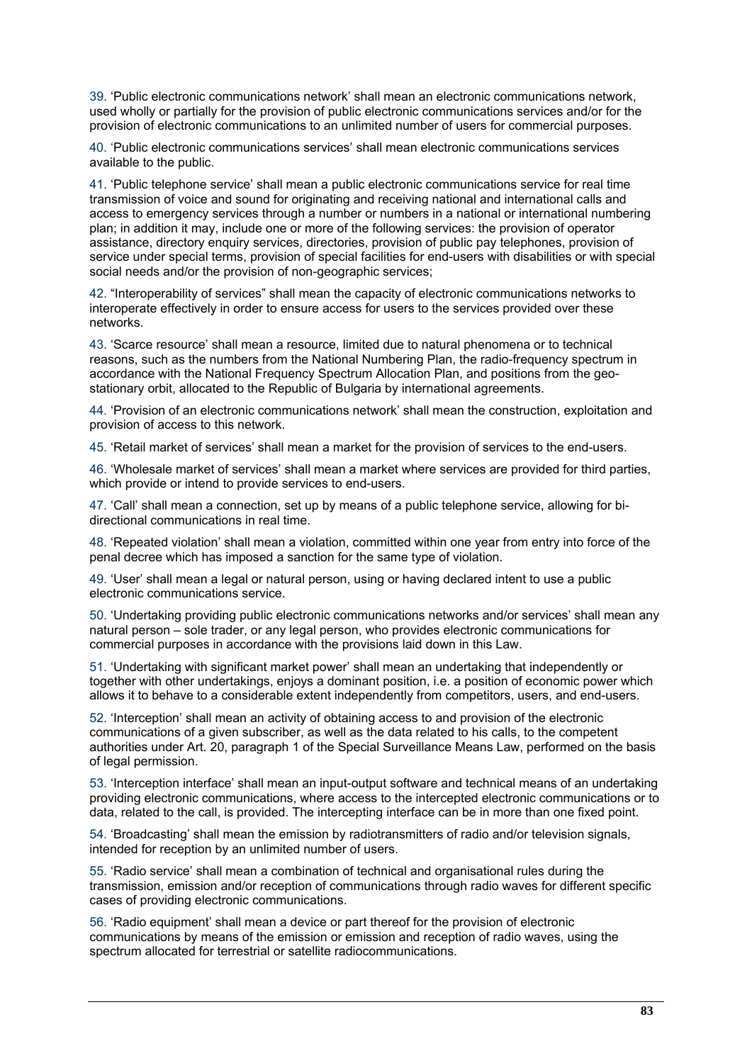39. 'Public electronic communications network' shall mean an electronic communications network, used wholly or partially for the provision of public electronic communications services and/or for the provision of electronic communications to an unlimited number of users for commercial purposes.

40. 'Public electronic communications services' shall mean electronic communications services available to the public.

41. 'Public telephone service' shall mean a public electronic communications service for real time transmission of voice and sound for originating and receiving national and international calls and access to emergency services through a number or numbers in a national or international numbering plan; in addition it may, include one or more of the following services: the provision of operator assistance, directory enquiry services, directories, provision of public pay telephones, provision of service under special terms, provision of special facilities for end-users with disabilities or with special social needs and/or the provision of non-geographic services;

42. "Interoperability of services" shall mean the capacity of electronic communications networks to interoperate effectively in order to ensure access for users to the services provided over these networks.

43. 'Scarce resource' shall mean a resource, limited due to natural phenomena or to technical reasons, such as the numbers from the National Numbering Plan, the radio-frequency spectrum in accordance with the National Frequency Spectrum Allocation Plan, and positions from the geostationary orbit, allocated to the Republic of Bulgaria by international agreements.

44. 'Provision of an electronic communications network' shall mean the construction, exploitation and provision of access to this network.

45. 'Retail market of services' shall mean a market for the provision of services to the end-users.

46. 'Wholesale market of services' shall mean a market where services are provided for third parties, which provide or intend to provide services to end-users.

47. 'Call' shall mean a connection, set up by means of a public telephone service, allowing for bidirectional communications in real time.

48. 'Repeated violation' shall mean a violation, committed within one year from entry into force of the penal decree which has imposed a sanction for the same type of violation.

49. 'User' shall mean a legal or natural person, using or having declared intent to use a public electronic communications service.

50. 'Undertaking providing public electronic communications networks and/or services' shall mean any natural person – sole trader, or any legal person, who provides electronic communications for commercial purposes in accordance with the provisions laid down in this Law.

51. 'Undertaking with significant market power' shall mean an undertaking that independently or together with other undertakings, enjoys a dominant position, i.e. a position of economic power which allows it to behave to a considerable extent independently from competitors, users, and end-users.

52. 'Interception' shall mean an activity of obtaining access to and provision of the electronic communications of a given subscriber, as well as the data related to his calls, to the competent authorities under Art. 20, paragraph 1 of the Special Surveillance Means Law, performed on the basis of legal permission.

53. 'Interception interface' shall mean an input-output software and technical means of an undertaking providing electronic communications, where access to the intercepted electronic communications or to data, related to the call, is provided. The intercepting interface can be in more than one fixed point.

54. 'Broadcasting' shall mean the emission by radiotransmitters of radio and/or television signals, intended for reception by an unlimited number of users.

55. 'Radio service' shall mean a combination of technical and organisational rules during the transmission, emission and/or reception of communications through radio waves for different specific cases of providing electronic communications.

56. 'Radio equipment' shall mean a device or part thereof for the provision of electronic communications by means of the emission or emission and reception of radio waves, using the spectrum allocated for terrestrial or satellite radiocommunications.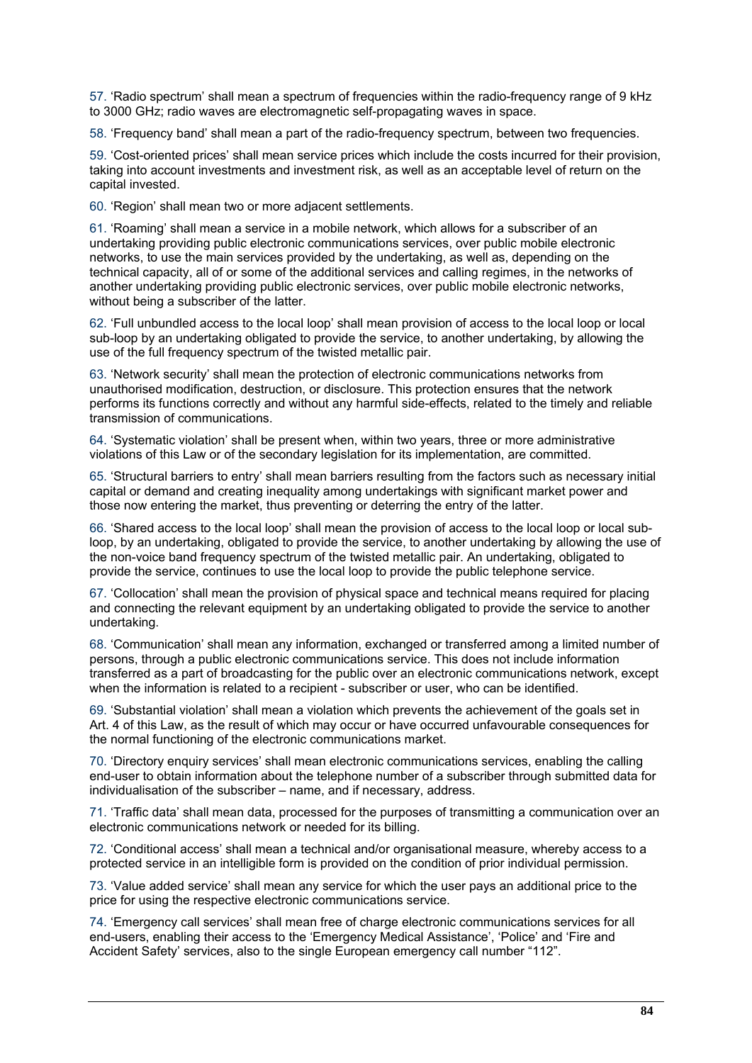57. 'Radio spectrum' shall mean a spectrum of frequencies within the radio-frequency range of 9 kHz to 3000 GHz; radio waves are electromagnetic self-propagating waves in space.

58. 'Frequency band' shall mean a part of the radio-frequency spectrum, between two frequencies.

59. 'Cost-oriented prices' shall mean service prices which include the costs incurred for their provision, taking into account investments and investment risk, as well as an acceptable level of return on the capital invested.

60. 'Region' shall mean two or more adjacent settlements.

61. 'Roaming' shall mean a service in a mobile network, which allows for a subscriber of an undertaking providing public electronic communications services, over public mobile electronic networks, to use the main services provided by the undertaking, as well as, depending on the technical capacity, all of or some of the additional services and calling regimes, in the networks of another undertaking providing public electronic services, over public mobile electronic networks, without being a subscriber of the latter.

62. 'Full unbundled access to the local loop' shall mean provision of access to the local loop or local sub-loop by an undertaking obligated to provide the service, to another undertaking, by allowing the use of the full frequency spectrum of the twisted metallic pair.

63. 'Network security' shall mean the protection of electronic communications networks from unauthorised modification, destruction, or disclosure. This protection ensures that the network performs its functions correctly and without any harmful side-effects, related to the timely and reliable transmission of communications.

64. 'Systematic violation' shall be present when, within two years, three or more administrative violations of this Law or of the secondary legislation for its implementation, are committed.

65. 'Structural barriers to entry' shall mean barriers resulting from the factors such as necessary initial capital or demand and creating inequality among undertakings with significant market power and those now entering the market, thus preventing or deterring the entry of the latter.

66. 'Shared access to the local loop' shall mean the provision of access to the local loop or local subloop, by an undertaking, obligated to provide the service, to another undertaking by allowing the use of the non-voice band frequency spectrum of the twisted metallic pair. An undertaking, obligated to provide the service, continues to use the local loop to provide the public telephone service.

67. 'Collocation' shall mean the provision of physical space and technical means required for placing and connecting the relevant equipment by an undertaking obligated to provide the service to another undertaking.

68. 'Communication' shall mean any information, exchanged or transferred among a limited number of persons, through a public electronic communications service. This does not include information transferred as a part of broadcasting for the public over an electronic communications network, except when the information is related to a recipient - subscriber or user, who can be identified.

69. 'Substantial violation' shall mean a violation which prevents the achievement of the goals set in Art. 4 of this Law, as the result of which may occur or have occurred unfavourable consequences for the normal functioning of the electronic communications market.

70. 'Directory enquiry services' shall mean electronic communications services, enabling the calling end-user to obtain information about the telephone number of a subscriber through submitted data for individualisation of the subscriber – name, and if necessary, address.

71. 'Traffic data' shall mean data, processed for the purposes of transmitting a communication over an electronic communications network or needed for its billing.

72. 'Conditional access' shall mean a technical and/or organisational measure, whereby access to a protected service in an intelligible form is provided on the condition of prior individual permission.

73. 'Value added service' shall mean any service for which the user pays an additional price to the price for using the respective electronic communications service.

74. 'Emergency call services' shall mean free of charge electronic communications services for all end-users, enabling their access to the 'Emergency Medical Assistance', 'Police' and 'Fire and Accident Safety' services, also to the single European emergency call number "112".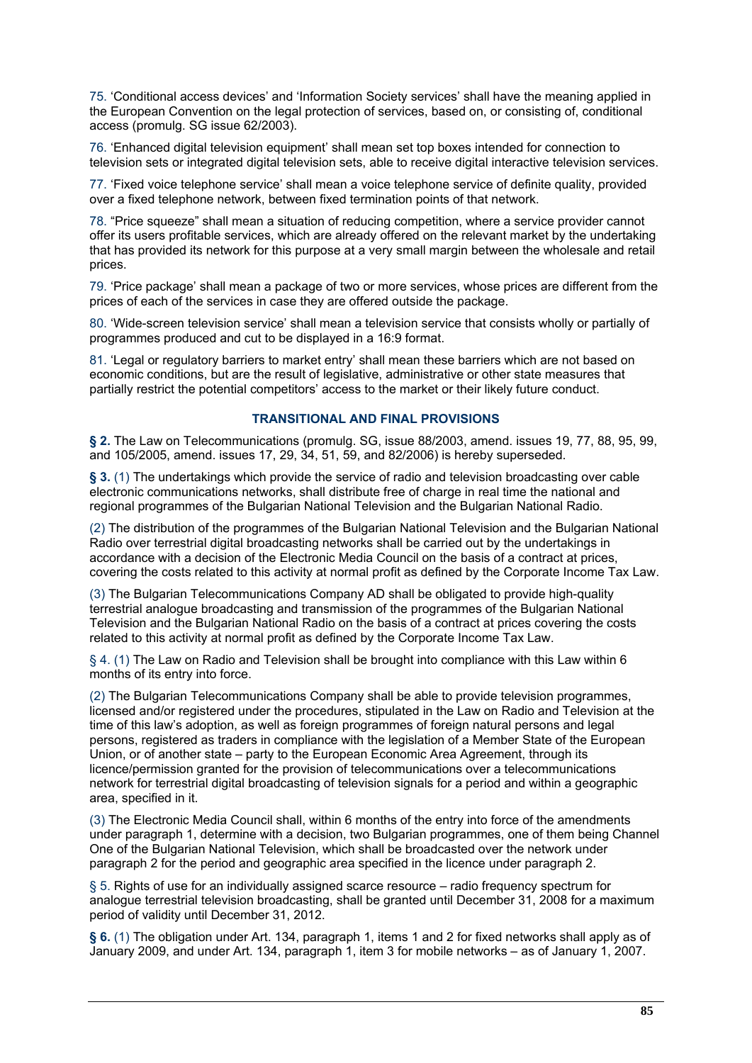75. 'Conditional access devices' and 'Information Society services' shall have the meaning applied in the European Convention on the legal protection of services, based on, or consisting of, conditional access (promulg. SG issue 62/2003).

76. 'Enhanced digital television equipment' shall mean set top boxes intended for connection to television sets or integrated digital television sets, able to receive digital interactive television services.

77. 'Fixed voice telephone service' shall mean a voice telephone service of definite quality, provided over a fixed telephone network, between fixed termination points of that network.

78. "Price squeeze" shall mean a situation of reducing competition, where a service provider cannot offer its users profitable services, which are already offered on the relevant market by the undertaking that has provided its network for this purpose at a very small margin between the wholesale and retail prices.

79. 'Price package' shall mean a package of two or more services, whose prices are different from the prices of each of the services in case they are offered outside the package.

80. 'Wide-screen television service' shall mean a television service that consists wholly or partially of programmes produced and cut to be displayed in a 16:9 format.

81. 'Legal or regulatory barriers to market entry' shall mean these barriers which are not based on economic conditions, but are the result of legislative, administrative or other state measures that partially restrict the potential competitors' access to the market or their likely future conduct.

#### **TRANSITIONAL AND FINAL PROVISIONS**

**§ 2.** The Law on Telecommunications (promulg. SG, issue 88/2003, amend. issues 19, 77, 88, 95, 99, and 105/2005, amend. issues 17, 29, 34, 51, 59, and 82/2006) is hereby superseded.

**§ 3.** (1) The undertakings which provide the service of radio and television broadcasting over cable electronic communications networks, shall distribute free of charge in real time the national and regional programmes of the Bulgarian National Television and the Bulgarian National Radio.

(2) The distribution of the programmes of the Bulgarian National Television and the Bulgarian National Radio over terrestrial digital broadcasting networks shall be carried out by the undertakings in accordance with a decision of the Electronic Media Council on the basis of a contract at prices, covering the costs related to this activity at normal profit as defined by the Corporate Income Tax Law.

(3) The Bulgarian Telecommunications Company AD shall be obligated to provide high-quality terrestrial analogue broadcasting and transmission of the programmes of the Bulgarian National Television and the Bulgarian National Radio on the basis of a contract at prices covering the costs related to this activity at normal profit as defined by the Corporate Income Tax Law.

§ 4. (1) The Law on Radio and Television shall be brought into compliance with this Law within 6 months of its entry into force.

(2) The Bulgarian Telecommunications Company shall be able to provide television programmes, licensed and/or registered under the procedures, stipulated in the Law on Radio and Television at the time of this law's adoption, as well as foreign programmes of foreign natural persons and legal persons, registered as traders in compliance with the legislation of a Member State of the European Union, or of another state – party to the European Economic Area Agreement, through its licence/permission granted for the provision of telecommunications over a telecommunications network for terrestrial digital broadcasting of television signals for a period and within a geographic area, specified in it.

(3) The Electronic Media Council shall, within 6 months of the entry into force of the amendments under paragraph 1, determine with a decision, two Bulgarian programmes, one of them being Channel One of the Bulgarian National Television, which shall be broadcasted over the network under paragraph 2 for the period and geographic area specified in the licence under paragraph 2.

§ 5. Rights of use for an individually assigned scarce resource – radio frequency spectrum for analogue terrestrial television broadcasting, shall be granted until December 31, 2008 for a maximum period of validity until December 31, 2012.

**§ 6.** (1) The obligation under Art. 134, paragraph 1, items 1 and 2 for fixed networks shall apply as of January 2009, and under Art. 134, paragraph 1, item 3 for mobile networks – as of January 1, 2007.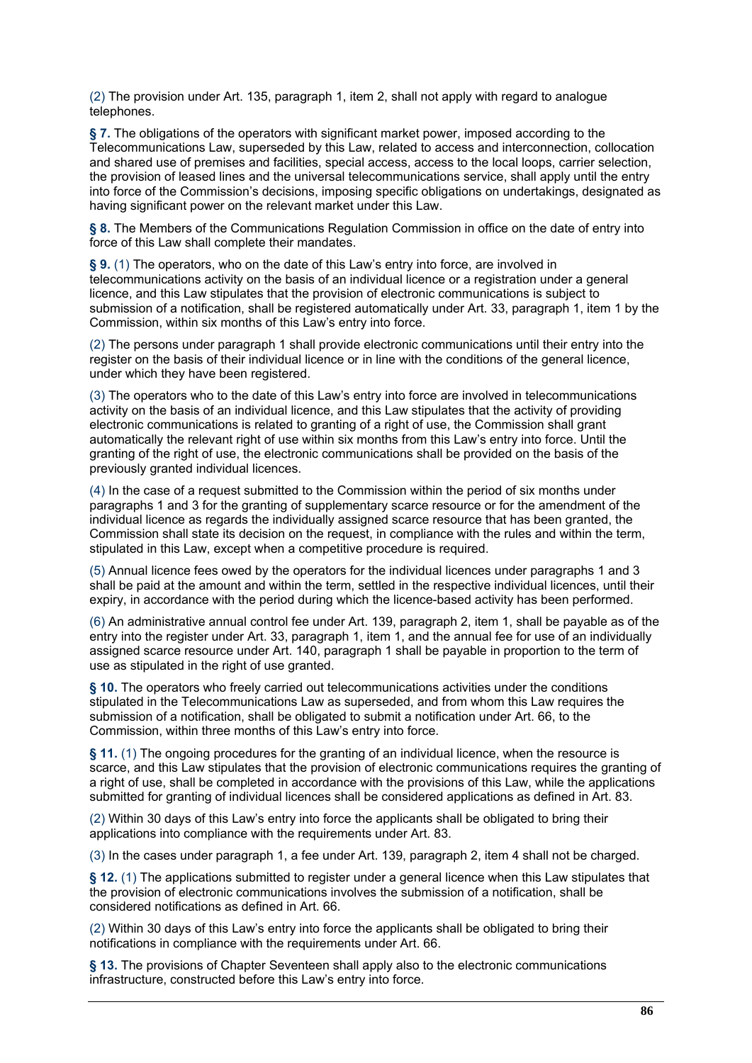(2) The provision under Art. 135, paragraph 1, item 2, shall not apply with regard to analogue telephones.

**§ 7.** The obligations of the operators with significant market power, imposed according to the Telecommunications Law, superseded by this Law, related to access and interconnection, collocation and shared use of premises and facilities, special access, access to the local loops, carrier selection, the provision of leased lines and the universal telecommunications service, shall apply until the entry into force of the Commission's decisions, imposing specific obligations on undertakings, designated as having significant power on the relevant market under this Law.

**§ 8.** The Members of the Communications Regulation Commission in office on the date of entry into force of this Law shall complete their mandates.

§ 9. (1) The operators, who on the date of this Law's entry into force, are involved in telecommunications activity on the basis of an individual licence or a registration under a general licence, and this Law stipulates that the provision of electronic communications is subject to submission of a notification, shall be registered automatically under Art. 33, paragraph 1, item 1 by the Commission, within six months of this Law's entry into force.

(2) The persons under paragraph 1 shall provide electronic communications until their entry into the register on the basis of their individual licence or in line with the conditions of the general licence, under which they have been registered.

(3) The operators who to the date of this Law's entry into force are involved in telecommunications activity on the basis of an individual licence, and this Law stipulates that the activity of providing electronic communications is related to granting of a right of use, the Commission shall grant automatically the relevant right of use within six months from this Law's entry into force. Until the granting of the right of use, the electronic communications shall be provided on the basis of the previously granted individual licences.

(4) In the case of a request submitted to the Commission within the period of six months under paragraphs 1 and 3 for the granting of supplementary scarce resource or for the amendment of the individual licence as regards the individually assigned scarce resource that has been granted, the Commission shall state its decision on the request, in compliance with the rules and within the term, stipulated in this Law, except when a competitive procedure is required.

(5) Annual licence fees owed by the operators for the individual licences under paragraphs 1 and 3 shall be paid at the amount and within the term, settled in the respective individual licences, until their expiry, in accordance with the period during which the licence-based activity has been performed.

(6) An administrative annual control fee under Art. 139, paragraph 2, item 1, shall be payable as of the entry into the register under Art. 33, paragraph 1, item 1, and the annual fee for use of an individually assigned scarce resource under Art. 140, paragraph 1 shall be payable in proportion to the term of use as stipulated in the right of use granted.

**§ 10.** The operators who freely carried out telecommunications activities under the conditions stipulated in the Telecommunications Law as superseded, and from whom this Law requires the submission of a notification, shall be obligated to submit a notification under Art. 66, to the Commission, within three months of this Law's entry into force.

**§ 11.** (1) The ongoing procedures for the granting of an individual licence, when the resource is scarce, and this Law stipulates that the provision of electronic communications requires the granting of a right of use, shall be completed in accordance with the provisions of this Law, while the applications submitted for granting of individual licences shall be considered applications as defined in Art. 83.

(2) Within 30 days of this Law's entry into force the applicants shall be obligated to bring their applications into compliance with the requirements under Art. 83.

(3) In the cases under paragraph 1, a fee under Art. 139, paragraph 2, item 4 shall not be charged.

**§ 12.** (1) The applications submitted to register under a general licence when this Law stipulates that the provision of electronic communications involves the submission of a notification, shall be considered notifications as defined in Art. 66.

(2) Within 30 days of this Law's entry into force the applicants shall be obligated to bring their notifications in compliance with the requirements under Art. 66.

**§ 13.** The provisions of Chapter Seventeen shall apply also to the electronic communications infrastructure, constructed before this Law's entry into force.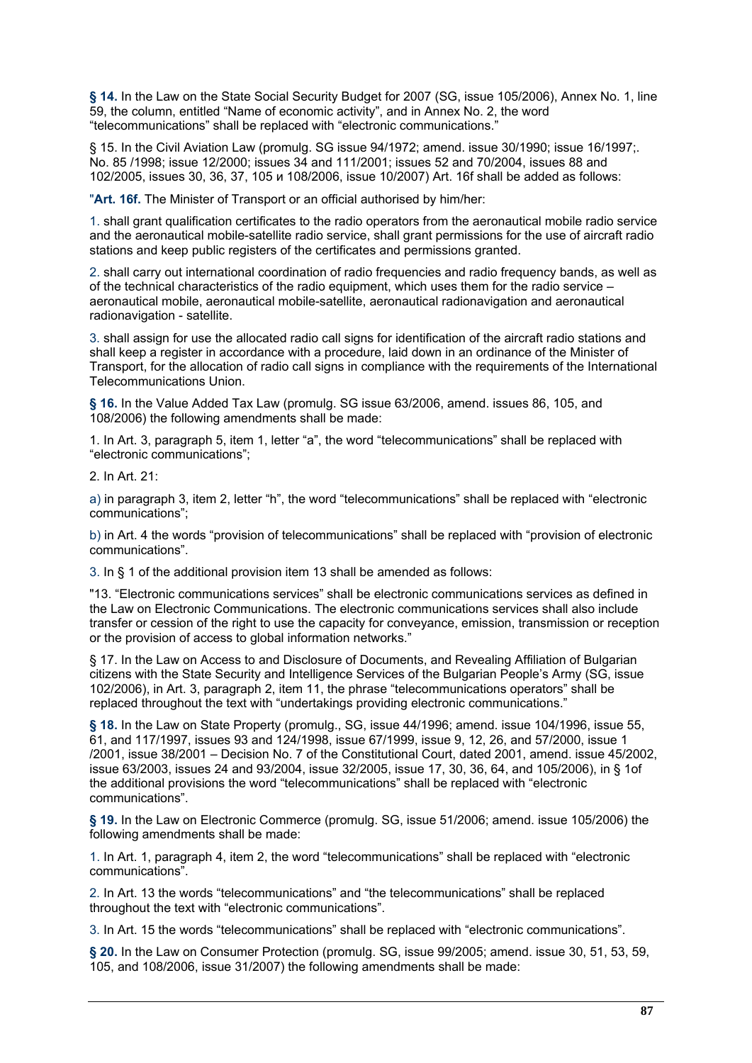**§ 14.** In the Law on the State Social Security Budget for 2007 (SG, issue 105/2006), Annex No. 1, line 59, the column, entitled "Name of economic activity", and in Annex No. 2, the word "telecommunications" shall be replaced with "electronic communications."

§ 15. In the Civil Aviation Law (promulg. SG issue 94/1972; amend. issue 30/1990; issue 16/1997;. No. 85 /1998; issue 12/2000; issues 34 and 111/2001; issues 52 and 70/2004, issues 88 and 102/2005, issues 30, 36, 37, 105 и 108/2006, issue 10/2007) Art. 16f shall be added as follows:

"**Art. 16f.** The Minister of Transport or an official authorised by him/her:

1. shall grant qualification certificates to the radio operators from the aeronautical mobile radio service and the aeronautical mobile-satellite radio service, shall grant permissions for the use of aircraft radio stations and keep public registers of the certificates and permissions granted.

2. shall carry out international coordination of radio frequencies and radio frequency bands, as well as of the technical characteristics of the radio equipment, which uses them for the radio service – aeronautical mobile, aeronautical mobile-satellite, aeronautical radionavigation and aeronautical radionavigation - satellite.

3. shall assign for use the allocated radio call signs for identification of the aircraft radio stations and shall keep a register in accordance with a procedure, laid down in an ordinance of the Minister of Transport, for the allocation of radio call signs in compliance with the requirements of the International Telecommunications Union.

**§ 16.** In the Value Added Tax Law (promulg. SG issue 63/2006, amend. issues 86, 105, and 108/2006) the following amendments shall be made:

1. In Art. 3, paragraph 5, item 1, letter "a", the word "telecommunications" shall be replaced with "electronic communications";

2. In Art. 21:

a) in paragraph 3, item 2, letter "h", the word "telecommunications" shall be replaced with "electronic communications";

b) in Art. 4 the words "provision of telecommunications" shall be replaced with "provision of electronic communications".

3. In § 1 of the additional provision item 13 shall be amended as follows:

"13. "Electronic communications services" shall be electronic communications services as defined in the Law on Electronic Communications. The electronic communications services shall also include transfer or cession of the right to use the capacity for conveyance, emission, transmission or reception or the provision of access to global information networks."

§ 17. In the Law on Access to and Disclosure of Documents, and Revealing Affiliation of Bulgarian citizens with the State Security and Intelligence Services of the Bulgarian People's Army (SG, issue 102/2006), in Art. 3, paragraph 2, item 11, the phrase "telecommunications operators" shall be replaced throughout the text with "undertakings providing electronic communications."

**§ 18.** In the Law on State Property (promulg., SG, issue 44/1996; amend. issue 104/1996, issue 55, 61, and 117/1997, issues 93 and 124/1998, issue 67/1999, issue 9, 12, 26, and 57/2000, issue 1 /2001, issue 38/2001 – Decision No. 7 of the Constitutional Court, dated 2001, amend. issue 45/2002, issue 63/2003, issues 24 and 93/2004, issue 32/2005, issue 17, 30, 36, 64, and 105/2006), in § 1of the additional provisions the word "telecommunications" shall be replaced with "electronic communications".

**§ 19.** In the Law on Electronic Commerce (promulg. SG, issue 51/2006; amend. issue 105/2006) the following amendments shall be made:

1. In Art. 1, paragraph 4, item 2, the word "telecommunications" shall be replaced with "electronic communications".

2. In Art. 13 the words "telecommunications" and "the telecommunications" shall be replaced throughout the text with "electronic communications".

3. In Art. 15 the words "telecommunications" shall be replaced with "electronic communications".

**§ 20.** In the Law on Consumer Protection (promulg. SG, issue 99/2005; amend. issue 30, 51, 53, 59, 105, and 108/2006, issue 31/2007) the following amendments shall be made: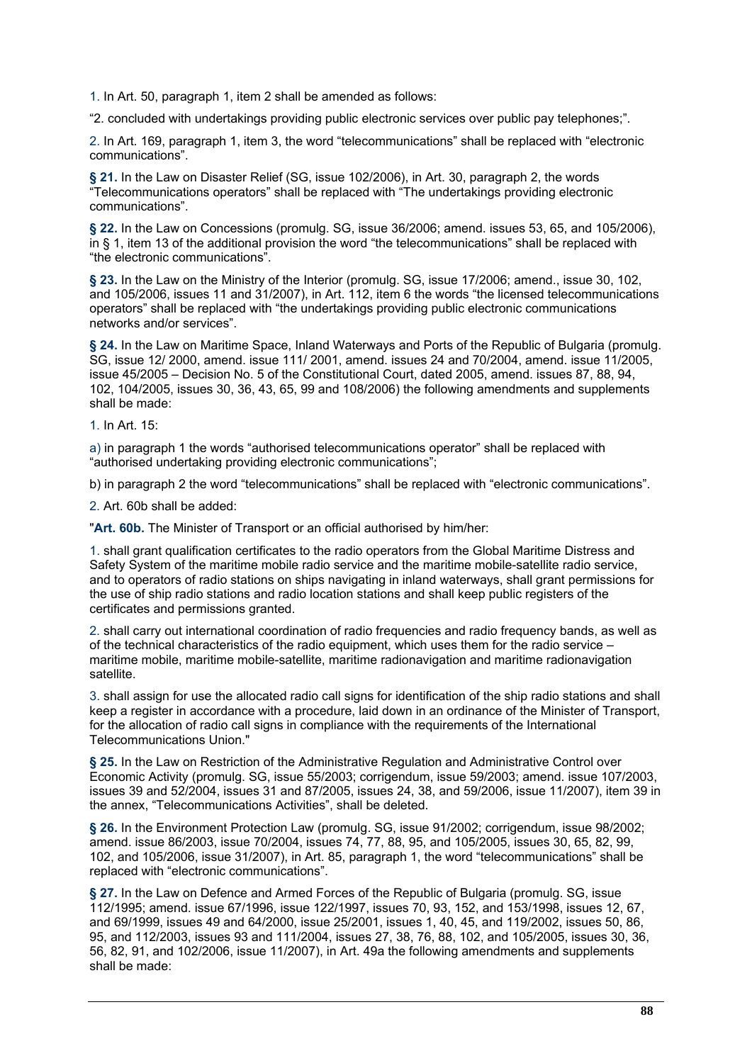1. In Art. 50, paragraph 1, item 2 shall be amended as follows:

"2. concluded with undertakings providing public electronic services over public pay telephones;".

2. In Art. 169, paragraph 1, item 3, the word "telecommunications" shall be replaced with "electronic communications".

**§ 21.** In the Law on Disaster Relief (SG, issue 102/2006), in Art. 30, paragraph 2, the words "Telecommunications operators" shall be replaced with "The undertakings providing electronic communications".

**§ 22.** In the Law on Concessions (promulg. SG, issue 36/2006; amend. issues 53, 65, and 105/2006), in § 1, item 13 of the additional provision the word "the telecommunications" shall be replaced with "the electronic communications".

**§ 23.** In the Law on the Ministry of the Interior (promulg. SG, issue 17/2006; amend., issue 30, 102, and 105/2006, issues 11 and 31/2007), in Art. 112, item 6 the words "the licensed telecommunications operators" shall be replaced with "the undertakings providing public electronic communications networks and/or services".

**§ 24.** In the Law on Maritime Space, Inland Waterways and Ports of the Republic of Bulgaria (promulg. SG, issue 12/ 2000, amend. issue 111/ 2001, amend. issues 24 and 70/2004, amend. issue 11/2005, issue 45/2005 – Decision No. 5 of the Constitutional Court, dated 2005, amend. issues 87, 88, 94, 102, 104/2005, issues 30, 36, 43, 65, 99 and 108/2006) the following amendments and supplements shall be made:

1. In Art. 15:

a) in paragraph 1 the words "authorised telecommunications operator" shall be replaced with "authorised undertaking providing electronic communications";

b) in paragraph 2 the word "telecommunications" shall be replaced with "electronic communications".

2. Art. 60b shall be added:

"**Art. 60b.** The Minister of Transport or an official authorised by him/her:

1. shall grant qualification certificates to the radio operators from the Global Maritime Distress and Safety System of the maritime mobile radio service and the maritime mobile-satellite radio service, and to operators of radio stations on ships navigating in inland waterways, shall grant permissions for the use of ship radio stations and radio location stations and shall keep public registers of the certificates and permissions granted.

2. shall carry out international coordination of radio frequencies and radio frequency bands, as well as of the technical characteristics of the radio equipment, which uses them for the radio service – maritime mobile, maritime mobile-satellite, maritime radionavigation and maritime radionavigation satellite.

3. shall assign for use the allocated radio call signs for identification of the ship radio stations and shall keep a register in accordance with a procedure, laid down in an ordinance of the Minister of Transport, for the allocation of radio call signs in compliance with the requirements of the International Telecommunications Union."

**§ 25.** In the Law on Restriction of the Administrative Regulation and Administrative Control over Economic Activity (promulg. SG, issue 55/2003; corrigendum, issue 59/2003; amend. issue 107/2003, issues 39 and 52/2004, issues 31 and 87/2005, issues 24, 38, and 59/2006, issue 11/2007), item 39 in the annex, "Telecommunications Activities", shall be deleted.

**§ 26.** In the Environment Protection Law (promulg. SG, issue 91/2002; corrigendum, issue 98/2002; amend. issue 86/2003, issue 70/2004, issues 74, 77, 88, 95, and 105/2005, issues 30, 65, 82, 99, 102, and 105/2006, issue 31/2007), in Art. 85, paragraph 1, the word "telecommunications" shall be replaced with "electronic communications".

**§ 27.** In the Law on Defence and Armed Forces of the Republic of Bulgaria (promulg. SG, issue 112/1995; amend. issue 67/1996, issue 122/1997, issues 70, 93, 152, and 153/1998, issues 12, 67, and 69/1999, issues 49 and 64/2000, issue 25/2001, issues 1, 40, 45, and 119/2002, issues 50, 86, 95, and 112/2003, issues 93 and 111/2004, issues 27, 38, 76, 88, 102, and 105/2005, issues 30, 36, 56, 82, 91, and 102/2006, issue 11/2007), in Art. 49a the following amendments and supplements shall be made: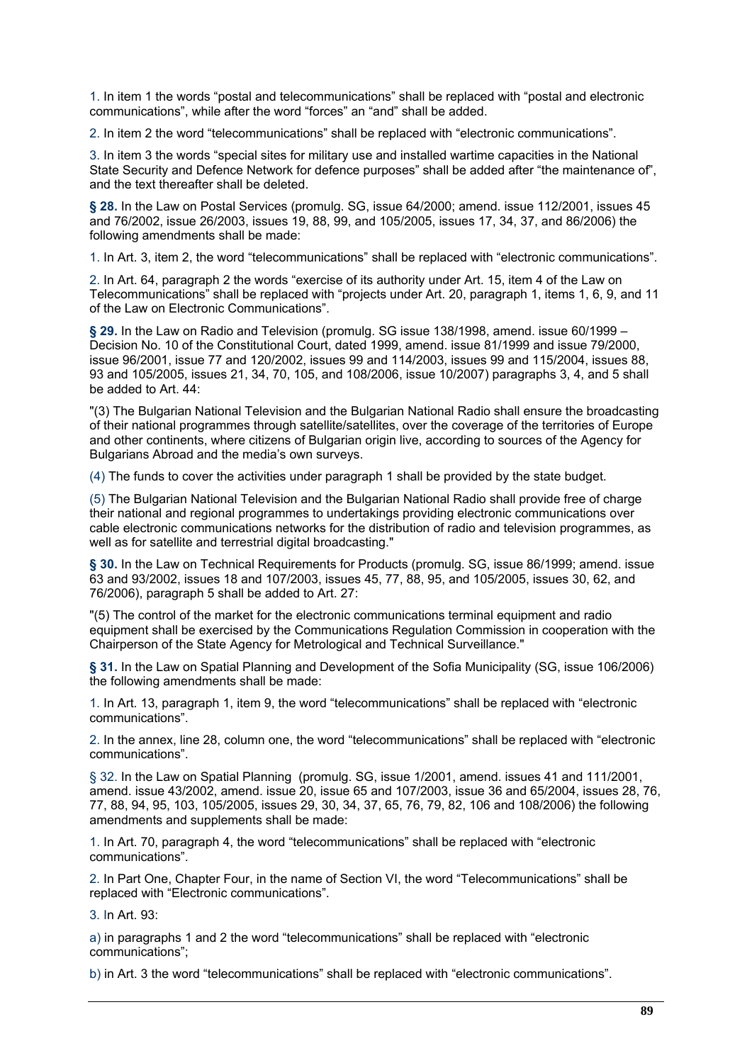1. In item 1 the words "postal and telecommunications" shall be replaced with "postal and electronic communications", while after the word "forces" an "and" shall be added.

2. In item 2 the word "telecommunications" shall be replaced with "electronic communications".

3. In item 3 the words "special sites for military use and installed wartime capacities in the National State Security and Defence Network for defence purposes" shall be added after "the maintenance of", and the text thereafter shall be deleted.

**§ 28.** In the Law on Postal Services (promulg. SG, issue 64/2000; amend. issue 112/2001, issues 45 and 76/2002, issue 26/2003, issues 19, 88, 99, and 105/2005, issues 17, 34, 37, and 86/2006) the following amendments shall be made:

1. In Art. 3, item 2, the word "telecommunications" shall be replaced with "electronic communications".

2. In Art. 64, paragraph 2 the words "exercise of its authority under Art. 15, item 4 of the Law on Telecommunications" shall be replaced with "projects under Art. 20, paragraph 1, items 1, 6, 9, and 11 of the Law on Electronic Communications".

**§ 29.** In the Law on Radio and Television (promulg. SG issue 138/1998, amend. issue 60/1999 – Decision No. 10 of the Constitutional Court, dated 1999, amend. issue 81/1999 and issue 79/2000, issue 96/2001, issue 77 and 120/2002, issues 99 and 114/2003, issues 99 and 115/2004, issues 88, 93 and 105/2005, issues 21, 34, 70, 105, and 108/2006, issue 10/2007) paragraphs 3, 4, and 5 shall be added to Art. 44:

"(3) The Bulgarian National Television and the Bulgarian National Radio shall ensure the broadcasting of their national programmes through satellite/satellites, over the coverage of the territories of Europe and other continents, where citizens of Bulgarian origin live, according to sources of the Agency for Bulgarians Abroad and the media's own surveys.

(4) The funds to cover the activities under paragraph 1 shall be provided by the state budget.

(5) The Bulgarian National Television and the Bulgarian National Radio shall provide free of charge their national and regional programmes to undertakings providing electronic communications over cable electronic communications networks for the distribution of radio and television programmes, as well as for satellite and terrestrial digital broadcasting."

**§ 30.** In the Law on Technical Requirements for Products (promulg. SG, issue 86/1999; amend. issue 63 and 93/2002, issues 18 and 107/2003, issues 45, 77, 88, 95, and 105/2005, issues 30, 62, and 76/2006), paragraph 5 shall be added to Art. 27:

"(5) The control of the market for the electronic communications terminal equipment and radio equipment shall be exercised by the Communications Regulation Commission in cooperation with the Chairperson of the State Agency for Metrological and Technical Surveillance."

**§ 31.** In the Law on Spatial Planning and Development of the Sofia Municipality (SG, issue 106/2006) the following amendments shall be made:

1. In Art. 13, paragraph 1, item 9, the word "telecommunications" shall be replaced with "electronic communications".

2. In the annex, line 28, column one, the word "telecommunications" shall be replaced with "electronic communications".

§ 32. In the Law on Spatial Planning (promulg. SG, issue 1/2001, amend. issues 41 and 111/2001, amend. issue 43/2002, amend. issue 20, issue 65 and 107/2003, issue 36 and 65/2004, issues 28, 76, 77, 88, 94, 95, 103, 105/2005, issues 29, 30, 34, 37, 65, 76, 79, 82, 106 and 108/2006) the following amendments and supplements shall be made:

1. In Art. 70, paragraph 4, the word "telecommunications" shall be replaced with "electronic communications".

2. In Part One, Chapter Four, in the name of Section VI, the word "Telecommunications" shall be replaced with "Electronic communications".

3. In Art. 93:

a) in paragraphs 1 and 2 the word "telecommunications" shall be replaced with "electronic communications";

b) in Art. 3 the word "telecommunications" shall be replaced with "electronic communications".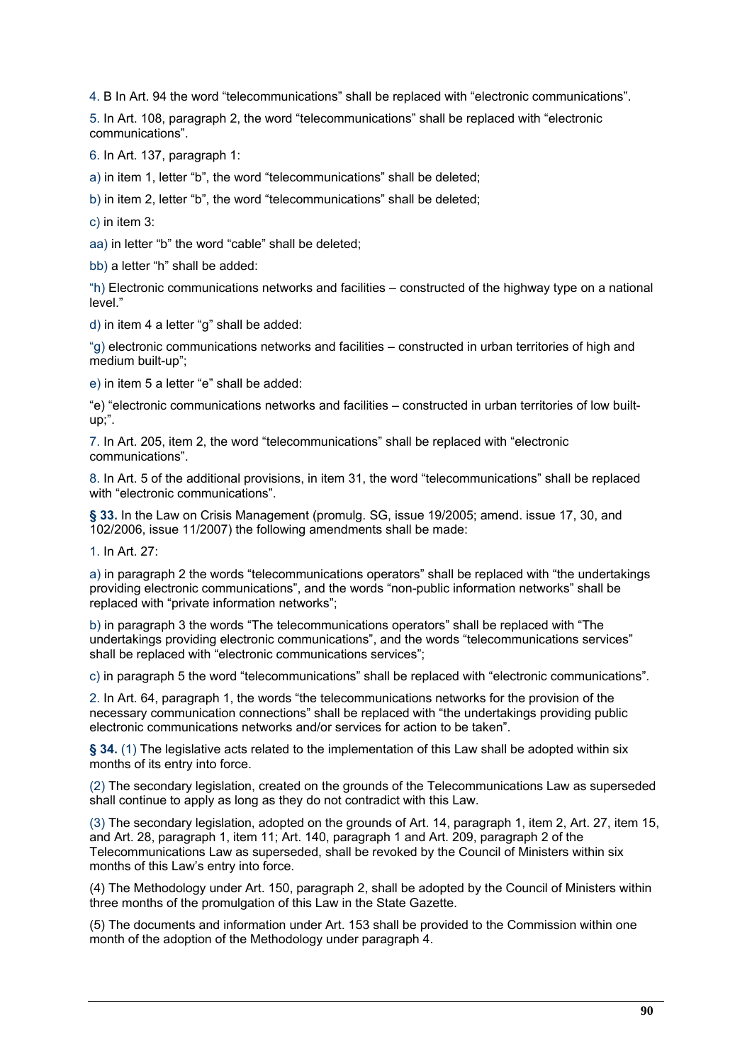4. В In Art. 94 the word "telecommunications" shall be replaced with "electronic communications".

5. In Art. 108, paragraph 2, the word "telecommunications" shall be replaced with "electronic communications".

6. In Art. 137, paragraph 1:

a) in item 1, letter "b", the word "telecommunications" shall be deleted;

b) in item 2, letter "b", the word "telecommunications" shall be deleted;

c) in item 3:

aa) in letter "b" the word "cable" shall be deleted;

bb) a letter "h" shall be added:

"h) Electronic communications networks and facilities – constructed of the highway type on a national level."

d) in item 4 a letter "g" shall be added:

"g) electronic communications networks and facilities – constructed in urban territories of high and medium built-up";

e) in item 5 a letter "e" shall be added:

"e) "electronic communications networks and facilities – constructed in urban territories of low builtup;".

7. In Art. 205, item 2, the word "telecommunications" shall be replaced with "electronic communications".

8. In Art. 5 of the additional provisions, in item 31, the word "telecommunications" shall be replaced with "electronic communications".

**§ 33.** In the Law on Crisis Management (promulg. SG, issue 19/2005; amend. issue 17, 30, and 102/2006, issue 11/2007) the following amendments shall be made:

1. In Art. 27:

a) in paragraph 2 the words "telecommunications operators" shall be replaced with "the undertakings providing electronic communications", and the words "non-public information networks" shall be replaced with "private information networks";

b) in paragraph 3 the words "The telecommunications operators" shall be replaced with "The undertakings providing electronic communications", and the words "telecommunications services" shall be replaced with "electronic communications services";

c) in paragraph 5 the word "telecommunications" shall be replaced with "electronic communications".

2. In Art. 64, paragraph 1, the words "the telecommunications networks for the provision of the necessary communication connections" shall be replaced with "the undertakings providing public electronic communications networks and/or services for action to be taken".

**§ 34.** (1) The legislative acts related to the implementation of this Law shall be adopted within six months of its entry into force.

(2) The secondary legislation, created on the grounds of the Telecommunications Law as superseded shall continue to apply as long as they do not contradict with this Law.

(3) The secondary legislation, adopted on the grounds of Art. 14, paragraph 1, item 2, Art. 27, item 15, and Art. 28, paragraph 1, item 11; Art. 140, paragraph 1 and Art. 209, paragraph 2 of the Telecommunications Law as superseded, shall be revoked by the Council of Ministers within six months of this Law's entry into force.

(4) The Methodology under Art. 150, paragraph 2, shall be adopted by the Council of Ministers within three months of the promulgation of this Law in the State Gazette.

(5) The documents and information under Art. 153 shall be provided to the Commission within one month of the adoption of the Methodology under paragraph 4.